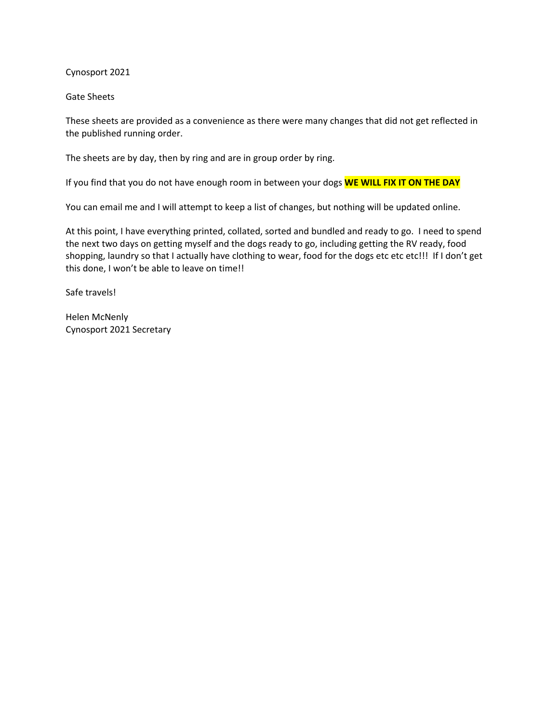Cynosport 2021

Gate Sheets

These sheets are provided as a convenience as there were many changes that did not get reflected in the published running order.

The sheets are by day, then by ring and are in group order by ring.

If you find that you do not have enough room in between your dogs **WE WILL FIX IT ON THE DAY**

You can email me and I will attempt to keep a list of changes, but nothing will be updated online.

At this point, I have everything printed, collated, sorted and bundled and ready to go. I need to spend the next two days on getting myself and the dogs ready to go, including getting the RV ready, food shopping, laundry so that I actually have clothing to wear, food for the dogs etc etc etc!!! If I don't get this done, I won't be able to leave on time!!

Safe travels!

Helen McNenly Cynosport 2021 Secretary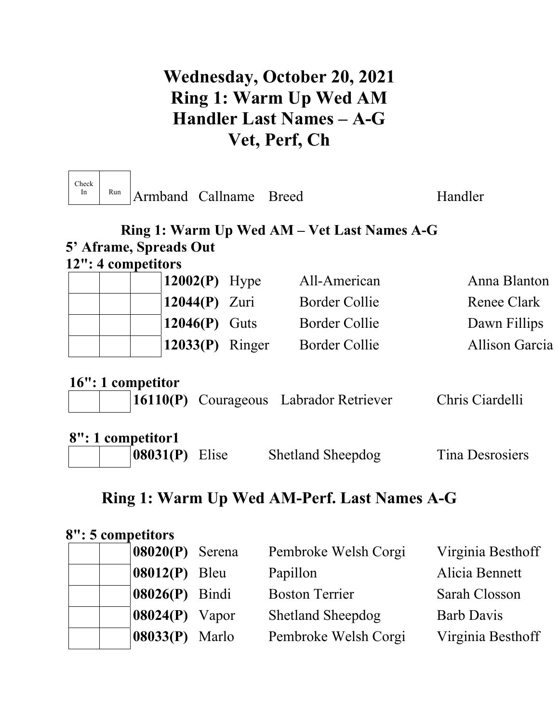# **Wednesday, October 20, 2021 Ring 1: Warm Up Wed AM Handler Last Names – A-G Vet, Perf, Ch**

| Check<br>In | Run | Armband Callname Breed                |        |                   |                                               | Handler                |
|-------------|-----|---------------------------------------|--------|-------------------|-----------------------------------------------|------------------------|
|             |     |                                       |        |                   | Ring 1: Warm Up Wed AM – Vet Last Names A-G   |                        |
|             |     | 5' Aframe, Spreads Out                |        |                   |                                               |                        |
|             |     | 12": 4 competitors                    |        |                   |                                               |                        |
|             |     |                                       |        | $12002(P)$ Hype   | All-American                                  | Anna Blanton           |
|             |     |                                       |        | $12044(P)$ Zuri   | <b>Border Collie</b>                          | Renee Clark            |
|             |     |                                       |        | $12046(P)$ Guts   | <b>Border Collie</b>                          | Dawn Fillips           |
|             |     |                                       |        | $12033(P)$ Ringer | <b>Border Collie</b>                          | <b>Allison Garcia</b>  |
|             |     | 16": 1 competitor                     |        |                   | <b>16110(P)</b> Courageous Labrador Retriever | Chris Ciardelli        |
|             |     | 8": 1 competitor1<br>$08031(P)$ Elise |        |                   | <b>Shetland Sheepdog</b>                      | <b>Tina Desrosiers</b> |
|             |     |                                       |        |                   | Ring 1: Warm Up Wed AM-Perf. Last Names A-G   |                        |
|             |     | 8": 5 competitors<br>08020(P)         | Serena |                   | Pembroke Welsh Corgi                          | Virginia Besthoff      |

| $\vert 08020(P) \vert$ Serena |       | Pembroke Welsh Corgi     | Virginia Besthoff |
|-------------------------------|-------|--------------------------|-------------------|
| $08012(P)$ Bleu               |       | Papillon                 | Alicia Bennett    |
| 08026(P) Bindi                |       | <b>Boston Terrier</b>    | Sarah Closson     |
| $08024(P)$ Vapor              |       | <b>Shetland Sheepdog</b> | <b>Barb Davis</b> |
| 08033(P)                      | Marlo | Pembroke Welsh Corgi     | Virginia Besthoff |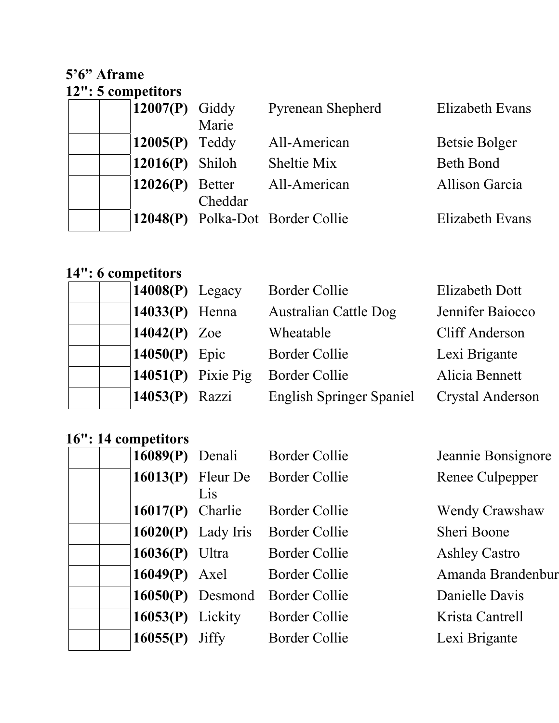### **5'6" Aframe 12": 5 competitors**

| 12007 $(P)$ Giddy |         | <b>Pyrenean Shepherd</b>         | Elizabeth Evans  |
|-------------------|---------|----------------------------------|------------------|
|                   | Marie   |                                  |                  |
| $12005(P)$ Teddy  |         | All-American                     | Betsie Bolger    |
| $12016(P)$ Shiloh |         | Sheltie Mix                      | <b>Beth Bond</b> |
| $12026(P)$ Better |         | All-American                     | Allison Garcia   |
|                   | Cheddar |                                  |                  |
|                   |         | 12048(P) Polka-Dot Border Collie | Elizabeth Evans  |

# **14": 6 competitors**

| $14008(P)$ Legacy  | <b>Border Collie</b>            | <b>Elizabeth Dott</b>   |
|--------------------|---------------------------------|-------------------------|
| 14033 $(P)$ Henna  | <b>Australian Cattle Dog</b>    | Jennifer Baiocco        |
| 14042 $(P)$ Zoe    | Wheatable                       | <b>Cliff Anderson</b>   |
| 14050 $(P)$ Epic   | <b>Border Collie</b>            | Lexi Brigante           |
| 14051(P) Pixie Pig | <b>Border Collie</b>            | Alicia Bennett          |
| 14053(P) Razzi     | <b>English Springer Spaniel</b> | <b>Crystal Anderson</b> |

## **16": 14 competitors**

| $16089(P)$ Denali   |                            | <b>Border Collie</b> | Jeannie Bonsignore    |
|---------------------|----------------------------|----------------------|-----------------------|
|                     | $16013(P)$ Fleur De<br>Lis | <b>Border Collie</b> | Renee Culpepper       |
| 16017 $(P)$ Charlie |                            | <b>Border Collie</b> | <b>Wendy Crawshaw</b> |
|                     | $16020(P)$ Lady Iris       | Border Collie        | Sheri Boone           |
| $16036(P)$ Ultra    |                            | <b>Border Collie</b> | <b>Ashley Castro</b>  |
| $16049(P)$ Axel     |                            | Border Collie        | Amanda Brandenbur     |
|                     | $16050(P)$ Desmond         | <b>Border Collie</b> | Danielle Davis        |
| $16053(P)$ Lickity  |                            | Border Collie        | Krista Cantrell       |
| 16055(P)            | <b>Jiffy</b>               | <b>Border Collie</b> | Lexi Brigante         |
|                     |                            |                      |                       |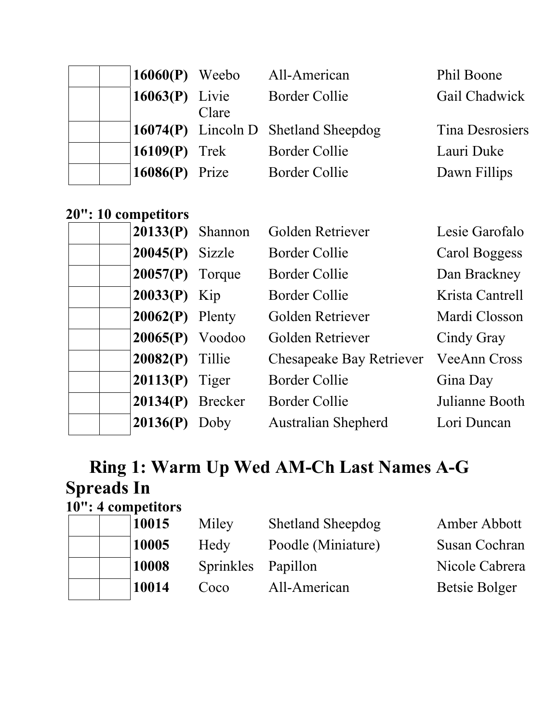| $16060(P)$ Weebo  |       | All-American                            | Phil Boone             |
|-------------------|-------|-----------------------------------------|------------------------|
| 16063 $(P)$ Livie | Clare | <b>Border Collie</b>                    | Gail Chadwick          |
|                   |       | $(16074(P)$ Lincoln D Shetland Sheepdog | <b>Tina Desrosiers</b> |
| 16109 $(P)$ Trek  |       | <b>Border Collie</b>                    | Lauri Duke             |
| 16086 $(P)$ Prize |       | <b>Border Collie</b>                    | Dawn Fillips           |

## **20": 10 competitors**

| $20133(P)$ Shannon |      | Golden Retriever                | Lesie Garofalo      |
|--------------------|------|---------------------------------|---------------------|
| $20045(P)$ Sizzle  |      | Border Collie                   | Carol Boggess       |
| $20057(P)$ Torque  |      | Border Collie                   | Dan Brackney        |
| $20033(P)$ Kip     |      | Border Collie                   | Krista Cantrell     |
| $20062(P)$ Plenty  |      | Golden Retriever                | Mardi Closson       |
| $20065(P)$ Voodoo  |      | Golden Retriever                | Cindy Gray          |
| $20082(P)$ Tillie  |      | <b>Chesapeake Bay Retriever</b> | <b>VeeAnn Cross</b> |
| $20113(P)$ Tiger   |      | <b>Border Collie</b>            | Gina Day            |
| $20134(P)$ Brecker |      | <b>Border Collie</b>            | Julianne Booth      |
| 20136(P)           | Doby | <b>Australian Shepherd</b>      | Lori Duncan         |
|                    |      |                                 |                     |

# **Ring 1: Warm Up Wed AM-Ch Last Names A-G Spreads In**

# **10": 4 competitors**

|  | 10015 | Miley              | <b>Shetland Sheepdog</b> | Amber Abbott   |
|--|-------|--------------------|--------------------------|----------------|
|  | 10005 | Hedy               | Poodle (Miniature)       | Susan Cochran  |
|  | 10008 | Sprinkles Papillon |                          | Nicole Cabrera |
|  | 10014 | Coco               | All-American             | Betsie Bolger  |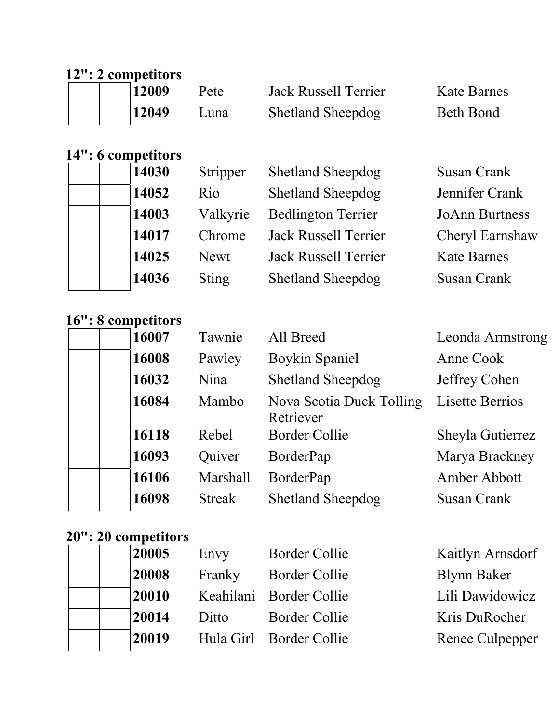# **12": 2 competitors**

| 12009 | Pete | <b>Jack Russell Terrier</b> | <b>Kate Barnes</b> |
|-------|------|-----------------------------|--------------------|
| 12049 | Luna | <b>Shetland Sheepdog</b>    | Beth Bond          |

## **14": 6 competitors**

| 14030 | Stripper     | <b>Shetland Sheepdog</b>    | <b>Susan Crank</b>    |
|-------|--------------|-----------------------------|-----------------------|
| 14052 | Rio          | <b>Shetland Sheepdog</b>    | Jennifer Crank        |
| 14003 | Valkyrie     | <b>Bedlington Terrier</b>   | <b>JoAnn Burtness</b> |
| 14017 | Chrome       | <b>Jack Russell Terrier</b> | Cheryl Earnshaw       |
| 14025 | <b>Newt</b>  | <b>Jack Russell Terrier</b> | <b>Kate Barnes</b>    |
| 14036 | <b>Sting</b> | Shetland Sheepdog           | Susan Crank           |

## **16": 8 competitors**

| 16007 | Tawnie        | All Breed                             | Leonda Armstrong       |
|-------|---------------|---------------------------------------|------------------------|
| 16008 | Pawley        | <b>Boykin Spaniel</b>                 | Anne Cook              |
| 16032 | Nina          | <b>Shetland Sheepdog</b>              | Jeffrey Cohen          |
| 16084 | Mambo         | Nova Scotia Duck Tolling<br>Retriever | <b>Lisette Berrios</b> |
| 16118 | Rebel         | <b>Border Collie</b>                  | Sheyla Gutierrez       |
| 16093 | Quiver        | BorderPap                             | Marya Brackney         |
| 16106 | Marshall      | BorderPap                             | Amber Abbott           |
| 16098 | <b>Streak</b> | <b>Shetland Sheepdog</b>              | <b>Susan Crank</b>     |

# **20": 20 competitors**

| 20005 | Envy   | <b>Border Collie</b>    | Kaitlyn Arnsdorf   |
|-------|--------|-------------------------|--------------------|
| 20008 | Franky | <b>Border Collie</b>    | <b>Blynn Baker</b> |
| 20010 |        | Keahilani Border Collie | Lili Dawidowicz    |
| 20014 | Ditto  | <b>Border Collie</b>    | Kris DuRocher      |
| 20019 |        | Hula Girl Border Collie | Renee Culpepper    |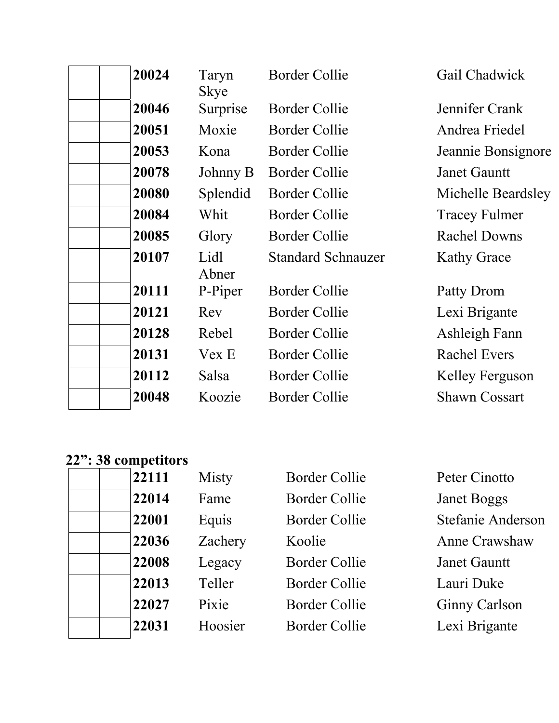| 20024 | Taryn<br>Skye | <b>Border Collie</b>      | Gail Chadwick        |
|-------|---------------|---------------------------|----------------------|
| 20046 | Surprise      | Border Collie             | Jennifer Crank       |
| 20051 | Moxie         | Border Collie             | Andrea Friedel       |
| 20053 | Kona          | Border Collie             | Jeannie Bonsignore   |
| 20078 | Johnny B      | <b>Border Collie</b>      | <b>Janet Gauntt</b>  |
| 20080 | Splendid      | <b>Border Collie</b>      | Michelle Beardsley   |
| 20084 | Whit          | <b>Border Collie</b>      | <b>Tracey Fulmer</b> |
| 20085 | Glory         | <b>Border Collie</b>      | <b>Rachel Downs</b>  |
| 20107 | Lidl<br>Abner | <b>Standard Schnauzer</b> | <b>Kathy Grace</b>   |
| 20111 | P-Piper       | Border Collie             | Patty Drom           |
| 20121 | Rev           | <b>Border Collie</b>      | Lexi Brigante        |
| 20128 | Rebel         | Border Collie             | Ashleigh Fann        |
| 20131 | Vex E         | <b>Border Collie</b>      | <b>Rachel Evers</b>  |
| 20112 | Salsa         | <b>Border Collie</b>      | Kelley Ferguson      |
| 20048 | Koozie        | <b>Border Collie</b>      | <b>Shawn Cossart</b> |

# **22": 38 competitors**

| 22111 | Misty   | <b>Border Collie</b> | Peter Cinotto            |
|-------|---------|----------------------|--------------------------|
| 22014 | Fame    | <b>Border Collie</b> | <b>Janet Boggs</b>       |
| 22001 | Equis   | <b>Border Collie</b> | <b>Stefanie Anderson</b> |
| 22036 | Zachery | Koolie               | Anne Crawshaw            |
| 22008 | Legacy  | <b>Border Collie</b> | <b>Janet Gauntt</b>      |
| 22013 | Teller  | <b>Border Collie</b> | Lauri Duke               |
| 22027 | Pixie   | <b>Border Collie</b> | <b>Ginny Carlson</b>     |
| 22031 | Hoosier | <b>Border Collie</b> | Lexi Brigante            |
|       |         |                      |                          |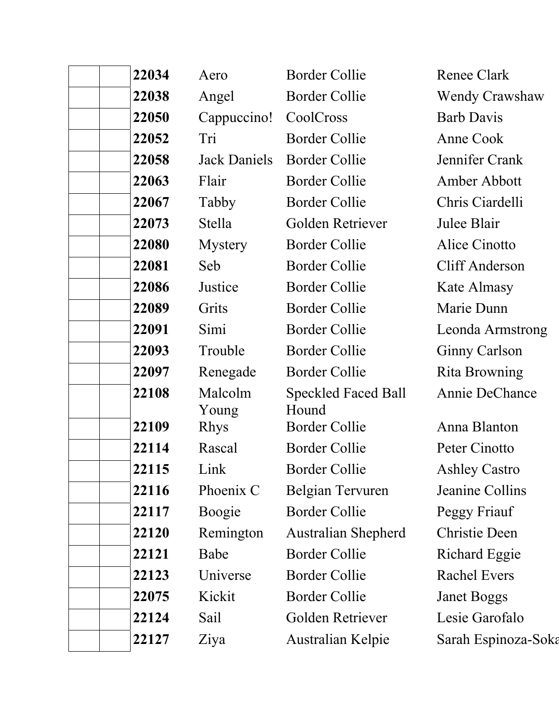| 22034 | Aero                  | <b>Border Collie</b>          | <b>Renee Clark</b>    |
|-------|-----------------------|-------------------------------|-----------------------|
| 22038 | Angel                 | <b>Border Collie</b>          | <b>Wendy Crawshaw</b> |
| 22050 | Cappuccino!           | CoolCross                     | <b>Barb Davis</b>     |
| 22052 | Tri                   | <b>Border Collie</b>          | Anne Cook             |
| 22058 | Jack Daniels          | <b>Border Collie</b>          | Jennifer Crank        |
| 22063 | Flair                 | <b>Border Collie</b>          | Amber Abbott          |
| 22067 | Tabby                 | <b>Border Collie</b>          | Chris Ciardelli       |
| 22073 | Stella                | Golden Retriever              | Julee Blair           |
| 22080 | <b>Mystery</b>        | <b>Border Collie</b>          | Alice Cinotto         |
| 22081 | Seb                   | <b>Border Collie</b>          | <b>Cliff Anderson</b> |
| 22086 | Justice               | <b>Border Collie</b>          | Kate Almasy           |
| 22089 | Grits                 | <b>Border Collie</b>          | Marie Dunn            |
| 22091 | Simi                  | <b>Border Collie</b>          | Leonda Armstrong      |
| 22093 | Trouble               | <b>Border Collie</b>          | <b>Ginny Carlson</b>  |
| 22097 | Renegade              | <b>Border Collie</b>          | <b>Rita Browning</b>  |
| 22108 | Malcolm               | <b>Speckled Faced Ball</b>    | Annie DeChance        |
| 22109 | Young                 | Hound<br><b>Border Collie</b> | Anna Blanton          |
| 22114 | <b>Rhys</b><br>Rascal | <b>Border Collie</b>          | Peter Cinotto         |
| 22115 | Link                  | <b>Border Collie</b>          | <b>Ashley Castro</b>  |
| 22116 | Phoenix C             | Belgian Tervuren              | Jeanine Collins       |
| 22117 | Boogie                | <b>Border Collie</b>          | Peggy Friauf          |
| 22120 | Remington             | <b>Australian Shepherd</b>    | <b>Christie Deen</b>  |
| 22121 | Babe                  | <b>Border Collie</b>          | <b>Richard Eggie</b>  |
| 22123 | Universe              | <b>Border Collie</b>          | <b>Rachel Evers</b>   |
| 22075 | Kickit                | <b>Border Collie</b>          | <b>Janet Boggs</b>    |
| 22124 | Sail                  | Golden Retriever              | Lesie Garofalo        |
| 22127 | Ziya                  | Australian Kelpie             | Sarah Espinoza-Soka   |
|       |                       |                               |                       |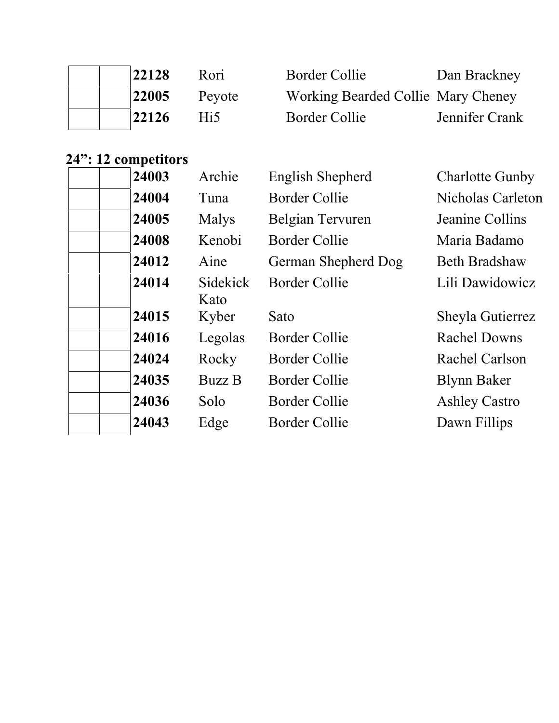|  | 22128 | Rori   | Border Collie                      | Dan Brackney   |
|--|-------|--------|------------------------------------|----------------|
|  | 22005 | Peyote | Working Bearded Collie Mary Cheney |                |
|  | 22126 | Hi5    | Border Collie                      | Jennifer Crank |

# **24": 12 competitors**

| 24003 | Archie                  | <b>English Shepherd</b> | <b>Charlotte Gunby</b> |
|-------|-------------------------|-------------------------|------------------------|
| 24004 | Tuna                    | <b>Border Collie</b>    | Nicholas Carleton      |
| 24005 | <b>Malys</b>            | Belgian Tervuren        | Jeanine Collins        |
| 24008 | Kenobi                  | Border Collie           | Maria Badamo           |
| 24012 | Aine                    | German Shepherd Dog     | <b>Beth Bradshaw</b>   |
| 24014 | <b>Sidekick</b><br>Kato | <b>Border Collie</b>    | Lili Dawidowicz        |
| 24015 | Kyber                   | Sato                    | Sheyla Gutierrez       |
| 24016 | Legolas                 | <b>Border Collie</b>    | <b>Rachel Downs</b>    |
| 24024 | Rocky                   | Border Collie           | Rachel Carlson         |
| 24035 | <b>Buzz B</b>           | Border Collie           | <b>Blynn Baker</b>     |
| 24036 | Solo                    | <b>Border Collie</b>    | <b>Ashley Castro</b>   |
| 24043 | Edge                    | Border Collie           | Dawn Fillips           |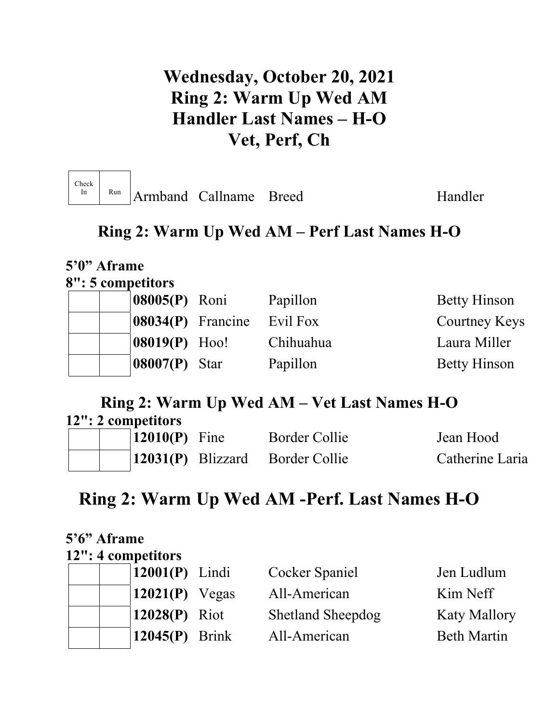# **Wednesday, October 20, 2021 Ring 2: Warm Up Wed AM Handler Last Names – H-O Vet, Perf, Ch**

| Check<br>Run<br>Armband Callname Breed |  | Handler |
|----------------------------------------|--|---------|
|----------------------------------------|--|---------|

**5'0" Aframe** 

## **Ring 2: Warm Up Wed AM – Perf Last Names H-O**

| 8": 5 competitors           |           |                     |
|-----------------------------|-----------|---------------------|
| 08005(P) Roni               | Papillon  | <b>Betty Hinson</b> |
| $ 08034(P)$ Francine        | Evil Fox  | Courtney Keys       |
| $ 08019(P)$ Hoo!            | Chihuahua | Laura Miller        |
| $\vert 08007(P) \vert$ Star | Papillon  | <b>Betty Hinson</b> |

## **Ring 2: Warm Up Wed AM – Vet Last Names H-O**

| 12": 2 competitors |  |                             |  |                                 |                 |
|--------------------|--|-----------------------------|--|---------------------------------|-----------------|
|                    |  | $\vert 12010(P) \vert$ Fine |  | Border Collie                   | Jean Hood       |
|                    |  |                             |  | 12031(P) Blizzard Border Collie | Catherine Laria |

# **Ring 2: Warm Up Wed AM -Perf. Last Names H-O**

| 5'6" Aframe |                    |                          |                     |
|-------------|--------------------|--------------------------|---------------------|
|             | 12": 4 competitors |                          |                     |
|             | $12001(P)$ Lindi   | Cocker Spaniel           | Jen Ludlum          |
|             | $12021(P)$ Vegas   | All-American             | Kim Neff            |
|             | $12028(P)$ Riot    | <b>Shetland Sheepdog</b> | <b>Katy Mallory</b> |
|             | $12045(P)$ Brink   | All-American             | <b>Beth Martin</b>  |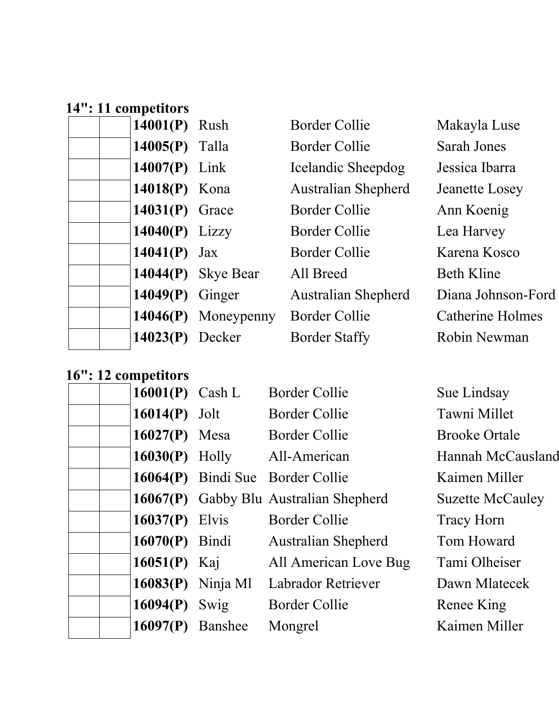## **14": 11 competitors**

| 14001(P) Rush     |                       | <b>Border Collie</b>       | Makayla Luse            |
|-------------------|-----------------------|----------------------------|-------------------------|
|                   |                       |                            |                         |
| $14005(P)$ Talla  |                       | Border Collie              | <b>Sarah Jones</b>      |
| $14007(P)$ Link   |                       | Icelandic Sheepdog         | Jessica Ibarra          |
| 14018(P) Kona     |                       | <b>Australian Shepherd</b> | Jeanette Losey          |
| $14031(P)$ Grace  |                       | Border Collie              | Ann Koenig              |
| $14040(P)$ Lizzy  |                       | Border Collie              | Lea Harvey              |
| 14041(P) $Jax$    |                       | Border Collie              | Karena Kosco            |
|                   | 14044(P) Skye Bear    | All Breed                  | <b>Beth Kline</b>       |
| $14049(P)$ Ginger |                       | <b>Australian Shepherd</b> | Diana Johnson-Ford      |
|                   | $14046(P)$ Moneypenny | <b>Border Collie</b>       | <b>Catherine Holmes</b> |
| $14023(P)$ Decker |                       | <b>Border Staffy</b>       | Robin Newman            |
|                   |                       |                            |                         |

## **16": 12 competitors**

| 16001(P) Cash L    |                   | <b>Border Collie</b>                   | Sue Lindsay             |
|--------------------|-------------------|----------------------------------------|-------------------------|
| $16014(P)$ Jolt    |                   | Border Collie                          | Tawni Millet            |
| $16027(P)$ Mesa    |                   | Border Collie                          | <b>Brooke Ortale</b>    |
|                    |                   | 16030(P) Holly All-American            | Hannah McCausland       |
|                    |                   | 16064(P) Bindi Sue Border Collie       | Kaimen Miller           |
|                    |                   | 16067(P) Gabby Blu Australian Shepherd | <b>Suzette McCauley</b> |
| $16037(P)$ Elvis   |                   | <b>Border Collie</b>                   | <b>Tracy Horn</b>       |
|                    | $16070(P)$ Bindi  | <b>Australian Shepherd</b>             | Tom Howard              |
| 16051(P) Kaj       |                   | All American Love Bug                  | Tami Olheiser           |
|                    | 16083(P) Ninja Ml | <b>Labrador Retriever</b>              | Dawn Mlatecek           |
| 16094(P) Swig      |                   | Border Collie                          | Renee King              |
| $16097(P)$ Banshee |                   | Mongrel                                | Kaimen Miller           |
|                    |                   |                                        |                         |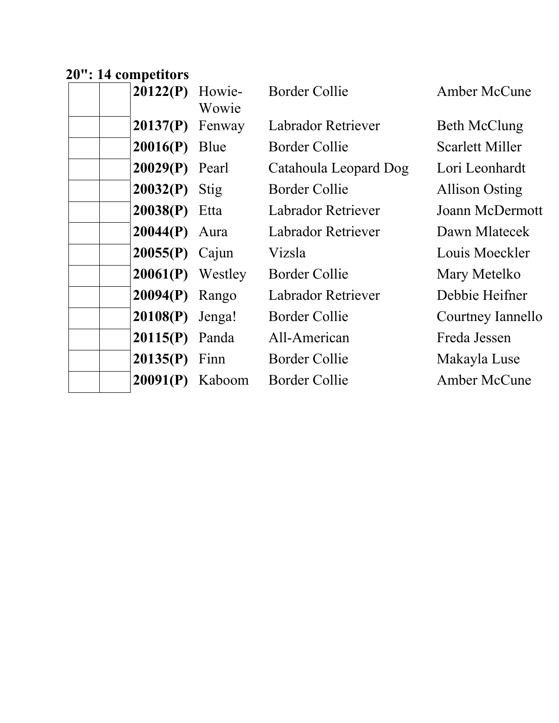## **20": 14 competitors**

| $20122(P)$ Howie-  | Wowie | <b>Border Collie</b>      | Amber McCune          |
|--------------------|-------|---------------------------|-----------------------|
| $20137(P)$ Fenway  |       | Labrador Retriever        | <b>Beth McClung</b>   |
| $20016(P)$ Blue    |       | Border Collie             | Scarlett Miller       |
| $20029(P)$ Pearl   |       | Catahoula Leopard Dog     | Lori Leonhardt        |
| $20032(P)$ Stig    |       | Border Collie             | <b>Allison Osting</b> |
| $20038(P)$ Etta    |       | Labrador Retriever        | Joann McDermott       |
| $20044(P)$ Aura    |       | Labrador Retriever        | Dawn Mlatecek         |
| $20055(P)$ Cajun   |       | Vizsla                    | Louis Moeckler        |
| $20061(P)$ Westley |       | <b>Border Collie</b>      | Mary Metelko          |
| $20094(P)$ Rango   |       | <b>Labrador Retriever</b> | Debbie Heifner        |
| $20108(P)$ Jenga!  |       | <b>Border Collie</b>      | Courtney Iannello     |
| $20115(P)$ Panda   |       | All-American              | Freda Jessen          |
| $20135(P)$ Finn    |       | Border Collie             | Makayla Luse          |
| $20091(P)$ Kaboom  |       | <b>Border Collie</b>      | <b>Amber McCune</b>   |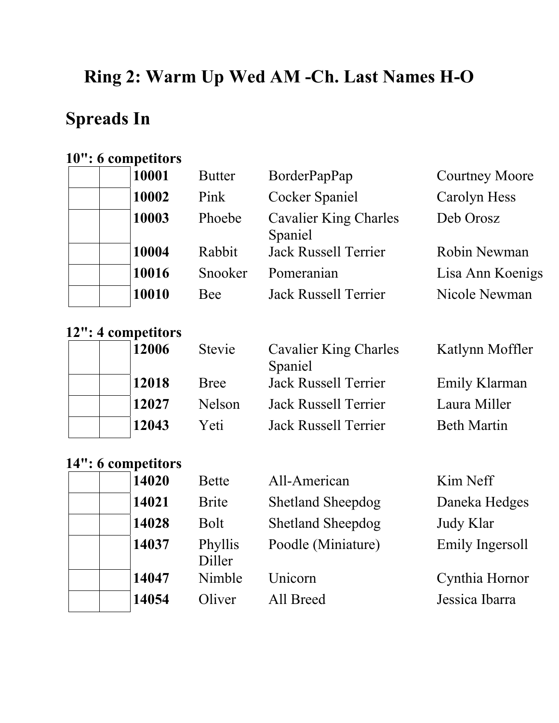# **Ring 2: Warm Up Wed AM -Ch. Last Names H-O**

# **Spreads In**

### **10": 6 competitors**

| 10001 | <b>Butter</b> | BorderPapPap                            | <b>Courtney Moore</b> |
|-------|---------------|-----------------------------------------|-----------------------|
| 10002 | Pink          | <b>Cocker Spaniel</b>                   | Carolyn Hess          |
| 10003 | Phoebe        | <b>Cavalier King Charles</b><br>Spaniel | Deb Orosz             |
| 10004 | Rabbit        | <b>Jack Russell Terrier</b>             | Robin Newman          |
| 10016 | Snooker       | Pomeranian                              | Lisa Ann Koenigs      |
| 10010 | Bee           | <b>Jack Russell Terrier</b>             | Nicole Newman         |

### **12": 4 competitors**

|  | 12006 |
|--|-------|
|  | 12018 |
|  | 12027 |
|  | 12043 |

| $\sim$ . $\sim$ competitors |             |                             |                    |
|-----------------------------|-------------|-----------------------------|--------------------|
| 12006                       | Stevie      | Cavalier King Charles       | Katlynn Moffle     |
|                             |             | Spaniel                     |                    |
| 12018                       | <b>Bree</b> | <b>Jack Russell Terrier</b> | Emily Klarman      |
| 12027                       | Nelson      | <b>Jack Russell Terrier</b> | Laura Miller       |
| 12043                       | Yeti        | <b>Jack Russell Terrier</b> | <b>Beth Martin</b> |

## **14": 6 competitors**

|  | 14020 |
|--|-------|
|  | 14021 |
|  | 14028 |
|  | 14037 |
|  |       |
|  | 14047 |
|  | 14054 |

| 14020 | <b>Bette</b>                            | All-American                            | Kim Neff                                                         |
|-------|-----------------------------------------|-----------------------------------------|------------------------------------------------------------------|
| 14021 | <b>Brite</b>                            | <b>Shetland Sheepdog</b>                | Daneka Hedges                                                    |
| 14028 | Bolt                                    | <b>Shetland Sheepdog</b>                | Judy Klar                                                        |
| 14037 | Phyllis<br>Diller                       | Poodle (Miniature)                      | Emily Ingersoll                                                  |
| 14047 | Nimble                                  | Unicorn                                 | Cynthia Hornor                                                   |
| 11071 | $\bigcap$ $\bigcup$ $\bigcup$ $\bigcap$ | $\lambda$ 11 $\mathbf{D}$ . $\lambda$ 1 | $\mathbf{T}$ , and $\mathbf{T}$ are $\mathbf{T}$ . The second is |

### Katlynn Moffler

**1405** Oliver All Breed Jessica Ibarra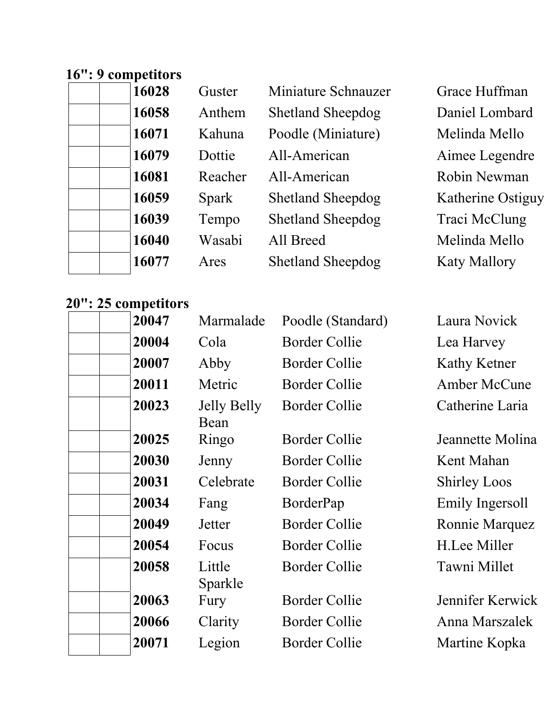## **16": 9 competitors**

| 16028 | Guster       | Miniature Schnauzer      | Grace Huffma        |
|-------|--------------|--------------------------|---------------------|
| 16058 | Anthem       | <b>Shetland Sheepdog</b> | Daniel Lomba        |
| 16071 | Kahuna       | Poodle (Miniature)       | Melinda Mell        |
| 16079 | Dottie       | All-American             | Aimee Legeno        |
| 16081 | Reacher      | All-American             | Robin Newma         |
| 16059 | <b>Spark</b> | <b>Shetland Sheepdog</b> | Katherine Ost       |
| 16039 | Tempo        | <b>Shetland Sheepdog</b> | Traci McClun        |
| 16040 | Wasabi       | All Breed                | Melinda Mell        |
| 16077 | Ares         | <b>Shetland Sheepdog</b> | <b>Katy Mallory</b> |
|       |              |                          |                     |

### **20": 25 competitors**

| 20047 | Marmalade                  | Poodle (Standard)    | Laura Novick        |
|-------|----------------------------|----------------------|---------------------|
| 20004 | Cola                       | <b>Border Collie</b> | Lea Harvey          |
| 20007 | Abby                       | <b>Border Collie</b> | Kathy Ketner        |
| 20011 | Metric                     | <b>Border Collie</b> | <b>Amber McCune</b> |
| 20023 | <b>Jelly Belly</b><br>Bean | <b>Border Collie</b> | Catherine Laria     |
| 20025 | Ringo                      | <b>Border Collie</b> | Jeannette Molina    |
| 20030 | Jenny                      | <b>Border Collie</b> | Kent Mahan          |
| 20031 | Celebrate                  | <b>Border Collie</b> | <b>Shirley Loos</b> |
| 20034 | Fang                       | BorderPap            | Emily Ingersoll     |
| 20049 | Jetter                     | <b>Border Collie</b> | Ronnie Marquez      |
| 20054 | Focus                      | <b>Border Collie</b> | H.Lee Miller        |
| 20058 | Little<br>Sparkle          | <b>Border Collie</b> | Tawni Millet        |
| 20063 | Fury                       | <b>Border Collie</b> | Jennifer Kerwick    |
| 20066 | Clarity                    | <b>Border Collie</b> | Anna Marszalek      |
| 20071 | Legion                     | <b>Border Collie</b> | Martine Kopka       |
|       |                            |                      |                     |

**Grace Huffman** 

**Daniel Lombard** 

Aimee Legendre

**Robin Newman** 

Traci McClung

**Melinda Mello** 

**Katherine Ostiguy** 

**Melinda Mello**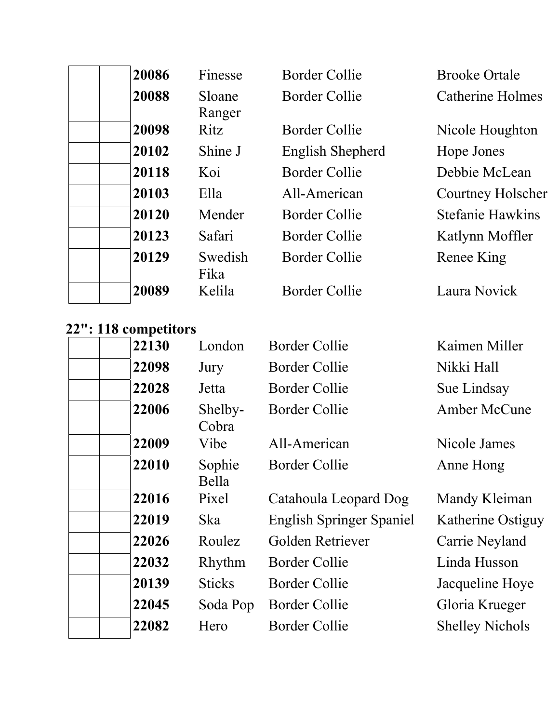| 20086 | Finesse          | Border Collie    | <b>Brooke Ortale</b>    |
|-------|------------------|------------------|-------------------------|
| 20088 | Sloane<br>Ranger | Border Collie    | <b>Catherine Holmes</b> |
| 20098 | Ritz             | Border Collie    | Nicole Houghton         |
| 20102 | Shine J          | English Shepherd | Hope Jones              |
| 20118 | Koi              | Border Collie    | Debbie McLean           |
| 20103 | Ella             | All-American     | Courtney Holscher       |
| 20120 | Mender           | Border Collie    | <b>Stefanie Hawkins</b> |
| 20123 | Safari           | Border Collie    | Katlynn Moffler         |
| 20129 | Swedish<br>Fika  | Border Collie    | Renee King              |
| 20089 | Kelila           | Border Collie    | Laura Novick            |

## **22": 118 competitors**

| 22130 |     | London           | <b>Border Collie</b>            | Kaimen Miller          |
|-------|-----|------------------|---------------------------------|------------------------|
| 22098 |     | Jury             | Border Collie                   | Nikki Hall             |
| 22028 |     | Jetta            | <b>Border Collie</b>            | Sue Lindsay            |
| 22006 |     | Shelby-<br>Cobra | <b>Border Collie</b>            | <b>Amber McCune</b>    |
| 22009 |     | Vibe             | All-American                    | Nicole James           |
| 22010 |     | Sophie<br>Bella  | Border Collie                   | Anne Hong              |
| 22016 |     | Pixel            | Catahoula Leopard Dog           | Mandy Kleiman          |
| 22019 | Ska |                  | <b>English Springer Spaniel</b> | Katherine Ostiguy      |
| 22026 |     | Roulez           | Golden Retriever                | Carrie Neyland         |
| 22032 |     | Rhythm           | Border Collie                   | Linda Husson           |
| 20139 |     | <b>Sticks</b>    | <b>Border Collie</b>            | Jacqueline Hoye        |
| 22045 |     | Soda Pop         | <b>Border Collie</b>            | Gloria Krueger         |
| 22082 |     | Hero             | <b>Border Collie</b>            | <b>Shelley Nichols</b> |
|       |     |                  |                                 |                        |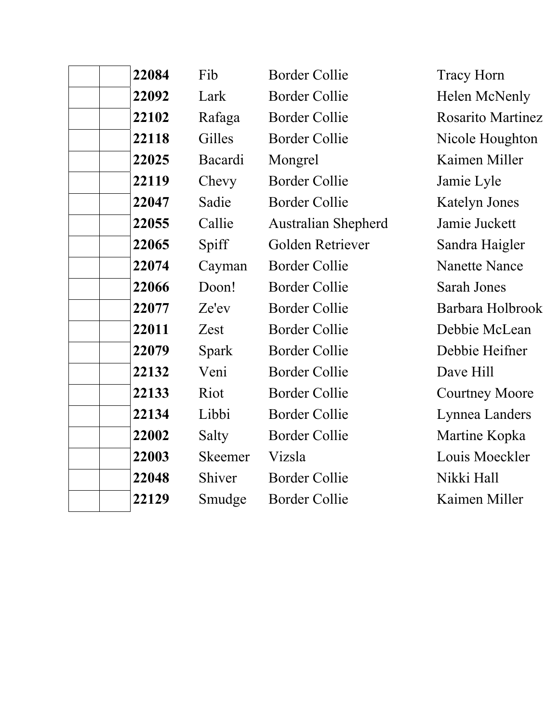| 22084 | Fib            | <b>Border Collie</b>       | <b>Tracy Horn</b>     |
|-------|----------------|----------------------------|-----------------------|
| 22092 | Lark           | <b>Border Collie</b>       | Helen McNenly         |
| 22102 | Rafaga         | <b>Border Collie</b>       | Rosarito Martinez     |
| 22118 | Gilles         | <b>Border Collie</b>       | Nicole Houghton       |
| 22025 | Bacardi        | Mongrel                    | Kaimen Miller         |
| 22119 | Chevy          | <b>Border Collie</b>       | Jamie Lyle            |
| 22047 | Sadie          | <b>Border Collie</b>       | <b>Katelyn Jones</b>  |
| 22055 | Callie         | <b>Australian Shepherd</b> | Jamie Juckett         |
| 22065 | Spiff          | Golden Retriever           | Sandra Haigler        |
| 22074 | Cayman         | <b>Border Collie</b>       | <b>Nanette Nance</b>  |
| 22066 | Doon!          | <b>Border Collie</b>       | Sarah Jones           |
| 22077 | Ze'ev          | <b>Border Collie</b>       | Barbara Holbrook      |
| 22011 | Zest           | <b>Border Collie</b>       | Debbie McLean         |
| 22079 | Spark          | <b>Border Collie</b>       | Debbie Heifner        |
| 22132 | Veni           | <b>Border Collie</b>       | Dave Hill             |
| 22133 | Riot           | <b>Border Collie</b>       | <b>Courtney Moore</b> |
| 22134 | Libbi          | <b>Border Collie</b>       | Lynnea Landers        |
| 22002 | Salty          | <b>Border Collie</b>       | Martine Kopka         |
| 22003 | <b>Skeemer</b> | Vizsla                     | Louis Moeckler        |
| 22048 | Shiver         | <b>Border Collie</b>       | Nikki Hall            |
| 22129 | Smudge         | <b>Border Collie</b>       | Kaimen Miller         |
|       |                |                            |                       |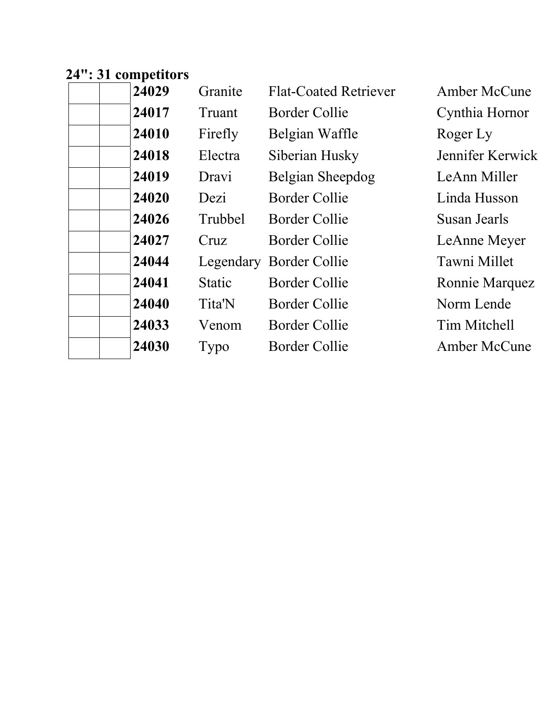# **24": 31 competitors**

| 24029 | Granite       | <b>Flat-Coated Retriever</b> | Amber McCune        |
|-------|---------------|------------------------------|---------------------|
| 24017 | Truant        | Border Collie                | Cynthia Hornor      |
| 24010 | Firefly       | Belgian Waffle               | Roger Ly            |
| 24018 | Electra       | Siberian Husky               | Jennifer Kerwick    |
| 24019 | Dravi         | Belgian Sheepdog             | LeAnn Miller        |
| 24020 | Dezi          | Border Collie                | Linda Husson        |
| 24026 | Trubbel       | <b>Border Collie</b>         | Susan Jearls        |
| 24027 | Cruz          | <b>Border Collie</b>         | LeAnne Meyer        |
| 24044 |               | Legendary Border Collie      | Tawni Millet        |
| 24041 | <b>Static</b> | Border Collie                | Ronnie Marquez      |
| 24040 | Tita'N        | <b>Border Collie</b>         | Norm Lende          |
| 24033 | Venom         | <b>Border Collie</b>         | Tim Mitchell        |
| 24030 | Typo          | <b>Border Collie</b>         | <b>Amber McCune</b> |
|       |               |                              |                     |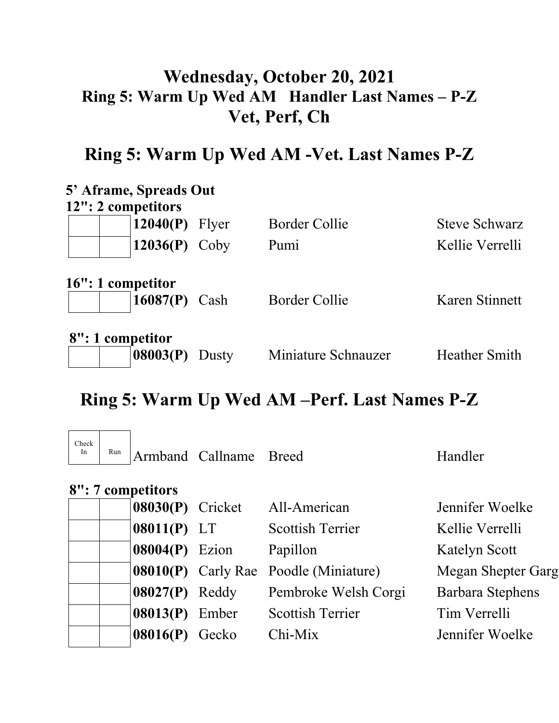# **Wednesday, October 20, 2021 Ring 5: Warm Up Wed AM Handler Last Names – P-Z Vet, Perf, Ch**

## **Ring 5: Warm Up Wed AM -Vet. Last Names P-Z**

| 5' Aframe, Spreads Out |                 |       |                      |                      |
|------------------------|-----------------|-------|----------------------|----------------------|
| 12": 2 competitors     |                 |       |                      |                      |
|                        | 12040(P)        | Flyer | <b>Border Collie</b> | <b>Steve Schwarz</b> |
|                        | $12036(P)$ Coby |       | Pumi                 | Kellie Verrelli      |
| 16": 1 competitor      | $16087(P)$ Cash |       | <b>Border Collie</b> | Karen Stinnett       |
| 8": 1 competitor       |                 |       |                      |                      |
|                        | 08003(P)        | Dusty | Miniature Schnauzer  | <b>Heather Smith</b> |

# **Ring 5: Warm Up Wed AM –Perf. Last Names P-Z**

| Check<br>In | Run |                       | Armband Callname | <b>Breed</b>                                 | Handler            |
|-------------|-----|-----------------------|------------------|----------------------------------------------|--------------------|
|             |     | 8": 7 competitors     |                  |                                              |                    |
|             |     | 08030(P) Cricket      |                  | All-American                                 | Jennifer Woelke    |
|             |     | $08011(P)$ LT         |                  | <b>Scottish Terrier</b>                      | Kellie Verrelli    |
|             |     | $08004(P)$ Ezion      |                  | Papillon                                     | Katelyn Scott      |
|             |     |                       |                  | <b>08010(P)</b> Carly Rae Poodle (Miniature) | Megan Shepter Garg |
|             |     | $08027(P)$ Reddy      |                  | Pembroke Welsh Corgi                         | Barbara Stephens   |
|             |     | <b>08013(P)</b> Ember |                  | <b>Scottish Terrier</b>                      | Tim Verrelli       |
|             |     | 08016(P)              | Gecko            | $Chi-Mix$                                    | Jennifer Woelke    |
|             |     |                       |                  |                                              |                    |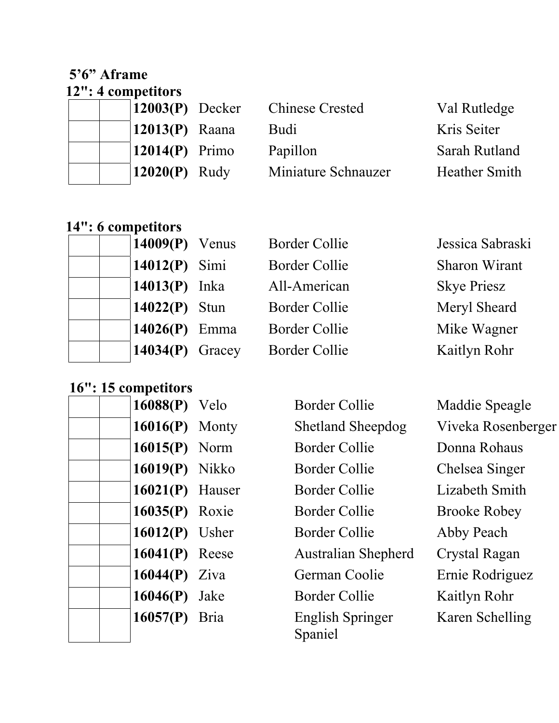#### **5'6" Aframe 12": 4 competitors**

| $12003(P)$ Decker            | <b>Chinese Crested</b> | Val Rutled        |
|------------------------------|------------------------|-------------------|
| $12013(P)$ Raana             | Budi                   | Kris Seiter       |
| $\vert 12014(P) \vert$ Primo | Papillon               | Sarah Rutl        |
| $12020(P)$ Rudy              | Miniature Schnauzer    | <b>Heather Sr</b> |
|                              |                        |                   |

**12003** Chinese Crested Val Rutledge Papillon Sarah Rutland **Miniature Schnauzer** Heather Smith

### **14": 6 competitors**

| 14009(P) Ver<br>14012(P) Sin<br>14013(P) Ink<br>14022(P) Stu<br>14026(P) Em<br>14034(P) Gra |
|---------------------------------------------------------------------------------------------|

| nus  | <b>Border Collie</b> | Jessica Sabras     |
|------|----------------------|--------------------|
| ni   | Border Collie        | Sharon Wiran       |
| a    | All-American         | <b>Skye Priesz</b> |
| n    | <b>Border Collie</b> | Meryl Sheard       |
| ma   | <b>Border Collie</b> | Mike Wagner        |
| acey | <b>Border Collie</b> | Kaitlyn Rohr       |

### **16": 15 competitors**

| 16088(P) | Velo  |
|----------|-------|
| 16016(P) | Mont  |
| 16015(P) | Norm  |
| 16019(P) | Nikko |
| 16021(P) | Hause |
| 16035(P) | Roxie |
| 16012(P) | Usher |
| 16041(P) | Reese |
| 16044(P) | Ziva  |
| 16046(P) | Jake  |
| 16057(P) | Bria  |
|          |       |

**1608** Border Collie Maddie Speagle **16016** Shetland Sheepdog Viveka Rosenberger 1 **1601** Border Collie Donna Rohaus **1601** 1601 1601 1602 1608 1608 1609 1608 1609 1608 1609 1608 1609 1608 1609 1608 1609 1608 1608 160 er Border Collie Lizabeth Smith **1603** Border Collie Brooke Robey **1601** Border Collie Abby Peach e **16041** Australian Shepherd Crystal Ragan German Coolie Ernie Rodriguez **1604** Border Collie Kaitlyn Rohr **English Springer** Spaniel

Karen Schelling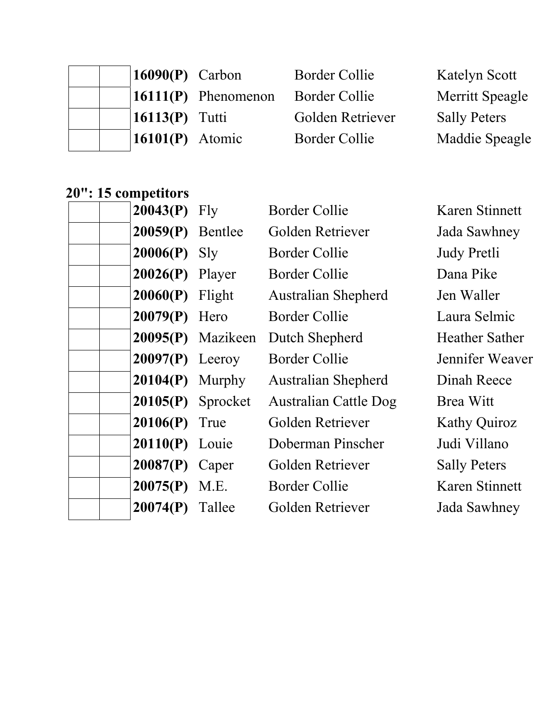| $\vert 16090(P) \vert$ Carbon |                                   | Border Collie        | <b>Katelyn Scott</b> |
|-------------------------------|-----------------------------------|----------------------|----------------------|
|                               | $\vert 16111(P) \vert$ Phenomenon | <b>Border Collie</b> | Merritt Speagle      |
| 16113 $(P)$ Tutti             |                                   | Golden Retriever     | <b>Sally Peters</b>  |
| 16101(P) Atomic               |                                   | <b>Border Collie</b> | Maddie Speagle       |

### **20": 15 competitors**

| $20043(P)$ Fly     |                     | <b>Border Collie</b>         | Karen Stinnett        |
|--------------------|---------------------|------------------------------|-----------------------|
| $20059(P)$ Bentlee |                     | Golden Retriever             | Jada Sawhney          |
| $20006(P)$ Sly     |                     | Border Collie                | Judy Pretli           |
| $20026(P)$ Player  |                     | <b>Border Collie</b>         | Dana Pike             |
| $20060(P)$ Flight  |                     | <b>Australian Shepherd</b>   | Jen Waller            |
| $20079(P)$ Hero    |                     | <b>Border Collie</b>         | Laura Selmic          |
|                    | 20095(P) Mazikeen   | Dutch Shepherd               | <b>Heather Sather</b> |
| $20097(P)$ Leeroy  |                     | Border Collie                | Jennifer Weaver       |
| $20104(P)$ Murphy  |                     | <b>Australian Shepherd</b>   | Dinah Reece           |
|                    | $20105(P)$ Sprocket | <b>Australian Cattle Dog</b> | Brea Witt             |
| $20106(P)$ True    |                     | Golden Retriever             | <b>Kathy Quiroz</b>   |
| 20110(P) Louie     |                     | Doberman Pinscher            | Judi Villano          |
| $20087(P)$ Caper   |                     | Golden Retriever             | <b>Sally Peters</b>   |
| $20075(P)$ M.E.    |                     | <b>Border Collie</b>         | Karen Stinnett        |
| 20074(P)           | Tallee              | Golden Retriever             | Jada Sawhney          |
|                    |                     |                              |                       |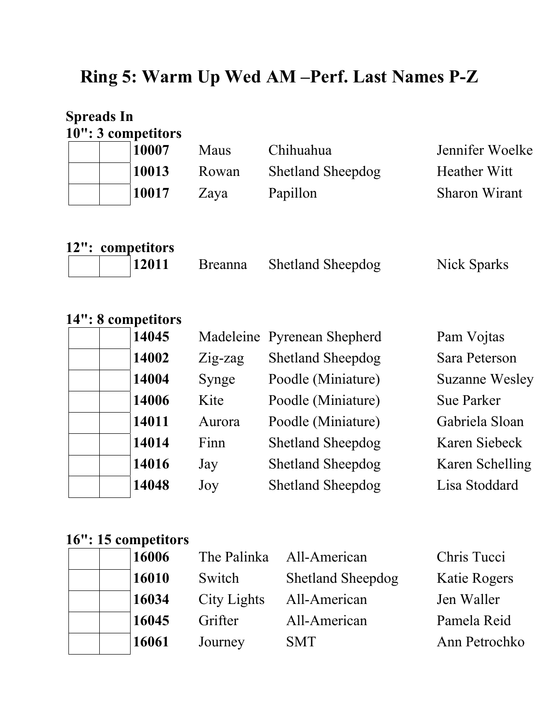# **Ring 5: Warm Up Wed AM –Perf. Last Names P-Z**

|         | <b>Spreads In</b>  |                |                          |                 |
|---------|--------------------|----------------|--------------------------|-----------------|
|         | 10": 3 competitors |                |                          |                 |
|         | 10007              | Maus           | Chihuahua                | Jennifer Woelke |
|         | 10013              | Rowan          | <b>Shetland Sheepdog</b> | Heather Witt    |
|         | 10017              | Zaya           | Papillon                 | Sharon Wirant   |
|         |                    |                |                          |                 |
| $12"$ : | competitors        |                |                          |                 |
|         | 12011              | <b>Breanna</b> | <b>Shetland Sheepdog</b> | Nick Sparks     |
|         |                    |                |                          |                 |

| 14": 8 competitors |         |                             |                       |
|--------------------|---------|-----------------------------|-----------------------|
| 14045              |         | Madeleine Pyrenean Shepherd | Pam Vojtas            |
| 14002              | Zig-zag | <b>Shetland Sheepdog</b>    | Sara Peterson         |
| 14004              | Synge   | Poodle (Miniature)          | <b>Suzanne Wesley</b> |
| 14006              | Kite    | Poodle (Miniature)          | <b>Sue Parker</b>     |
| 14011              | Aurora  | Poodle (Miniature)          | Gabriela Sloan        |
| 14014              | Finn    | <b>Shetland Sheepdog</b>    | Karen Siebeck         |
| 14016              | Jay     | <b>Shetland Sheepdog</b>    | Karen Schelling       |
| 14048              | Joy     | <b>Shetland Sheepdog</b>    | Lisa Stoddard         |

# **16": 15 competitors**

| 16006 |             | The Palinka All-American | Chris Tucci   |
|-------|-------------|--------------------------|---------------|
| 16010 | Switch      | <b>Shetland Sheepdog</b> | Katie Rogers  |
| 16034 | City Lights | All-American             | Jen Waller    |
| 16045 | Grifter     | All-American             | Pamela Reid   |
| 16061 | Journey     | <b>SMT</b>               | Ann Petrochko |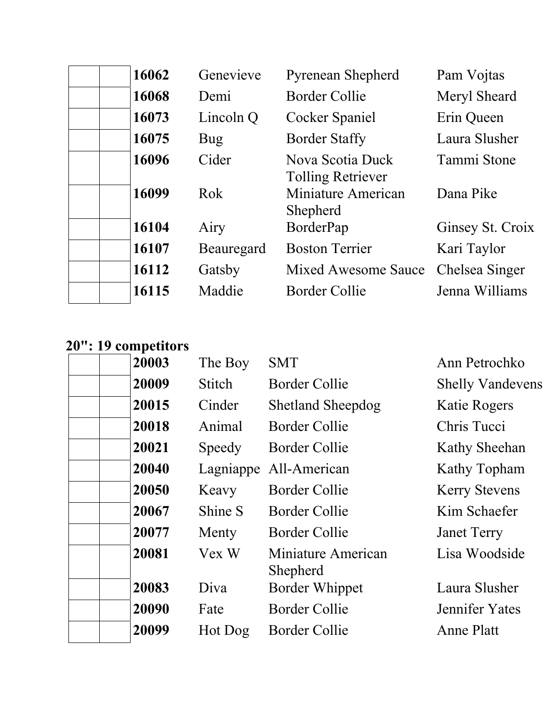| 16062 | Genevieve  | <b>Pyrenean Shepherd</b>                     | Pam Vojtas       |
|-------|------------|----------------------------------------------|------------------|
| 16068 | Demi       | Border Collie                                | Meryl Sheard     |
| 16073 | Lincoln Q  | Cocker Spaniel                               | Erin Queen       |
| 16075 | Bug        | <b>Border Staffy</b>                         | Laura Slusher    |
| 16096 | Cider      | Nova Scotia Duck<br><b>Tolling Retriever</b> | Tammi Stone      |
| 16099 | Rok        | Miniature American<br>Shepherd               | Dana Pike        |
| 16104 | Airy       | BorderPap                                    | Ginsey St. Croix |
| 16107 | Beauregard | <b>Boston Terrier</b>                        | Kari Taylor      |
| 16112 | Gatsby     | <b>Mixed Awesome Sauce</b>                   | Chelsea Singer   |
| 16115 | Maddie     | <b>Border Collie</b>                         | Jenna Williams   |

#### **20": 19 competitors**

| 20003 | The Boy   | <b>SMT</b>                     | Ann Petrochko           |
|-------|-----------|--------------------------------|-------------------------|
| 20009 | Stitch    | <b>Border Collie</b>           | <b>Shelly Vandevens</b> |
| 20015 | Cinder    | <b>Shetland Sheepdog</b>       | Katie Rogers            |
| 20018 | Animal    | <b>Border Collie</b>           | Chris Tucci             |
| 20021 | Speedy    | Border Collie                  | Kathy Sheehan           |
| 20040 | Lagniappe | All-American                   | Kathy Topham            |
| 20050 | Keavy     | Border Collie                  | <b>Kerry Stevens</b>    |
| 20067 | Shine S   | <b>Border Collie</b>           | Kim Schaefer            |
| 20077 | Menty     | <b>Border Collie</b>           | <b>Janet Terry</b>      |
| 20081 | Vex W     | Miniature American<br>Shepherd | Lisa Woodside           |
| 20083 | Diva      | <b>Border Whippet</b>          | Laura Slusher           |
| 20090 | Fate      | <b>Border Collie</b>           | Jennifer Yates          |
| 20099 | Hot Dog   | Border Collie                  | Anne Platt              |
|       |           |                                |                         |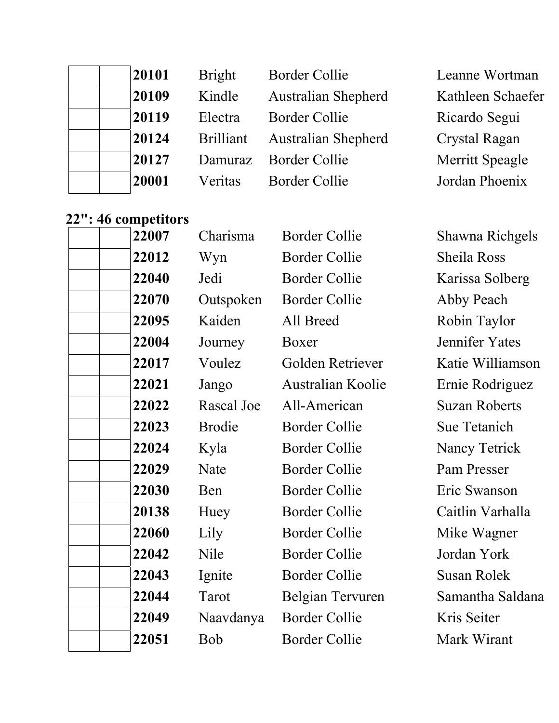| 20101 | <b>Bright</b>    | <b>Border Collie</b>       | Leanne Wortman    |
|-------|------------------|----------------------------|-------------------|
| 20109 | Kindle           | <b>Australian Shepherd</b> | Kathleen Schaefer |
| 20119 | Electra          | <b>Border Collie</b>       | Ricardo Segui     |
| 20124 | <b>Brilliant</b> | <b>Australian Shepherd</b> | Crystal Ragan     |
| 20127 |                  | Damuraz Border Collie      | Merritt Speagle   |
| 20001 | Veritas          | <b>Border Collie</b>       | Jordan Phoenix    |

### **22": 46 competitors**

| 22007 | Charisma      | <b>Border Collie</b> | Shawna Richgels      |
|-------|---------------|----------------------|----------------------|
| 22012 | Wyn           | <b>Border Collie</b> | Sheila Ross          |
| 22040 | Jedi          | <b>Border Collie</b> | Karissa Solberg      |
| 22070 | Outspoken     | <b>Border Collie</b> | Abby Peach           |
| 22095 | Kaiden        | All Breed            | Robin Taylor         |
| 22004 | Journey       | Boxer                | Jennifer Yates       |
| 22017 | Voulez        | Golden Retriever     | Katie Williamson     |
| 22021 | Jango         | Australian Koolie    | Ernie Rodriguez      |
| 22022 | Rascal Joe    | All-American         | <b>Suzan Roberts</b> |
| 22023 | <b>Brodie</b> | <b>Border Collie</b> | Sue Tetanich         |
| 22024 | Kyla          | <b>Border Collie</b> | <b>Nancy Tetrick</b> |
| 22029 | Nate          | <b>Border Collie</b> | Pam Presser          |
| 22030 | Ben           | <b>Border Collie</b> | Eric Swanson         |
| 20138 | Huey          | <b>Border Collie</b> | Caitlin Varhalla     |
| 22060 | Lily          | <b>Border Collie</b> | Mike Wagner          |
| 22042 | Nile          | <b>Border Collie</b> | Jordan York          |
| 22043 | Ignite        | <b>Border Collie</b> | <b>Susan Rolek</b>   |
| 22044 | Tarot         | Belgian Tervuren     | Samantha Saldana     |
| 22049 | Naavdanya     | <b>Border Collie</b> | Kris Seiter          |
| 22051 | <b>Bob</b>    | <b>Border Collie</b> | Mark Wirant          |
|       |               |                      |                      |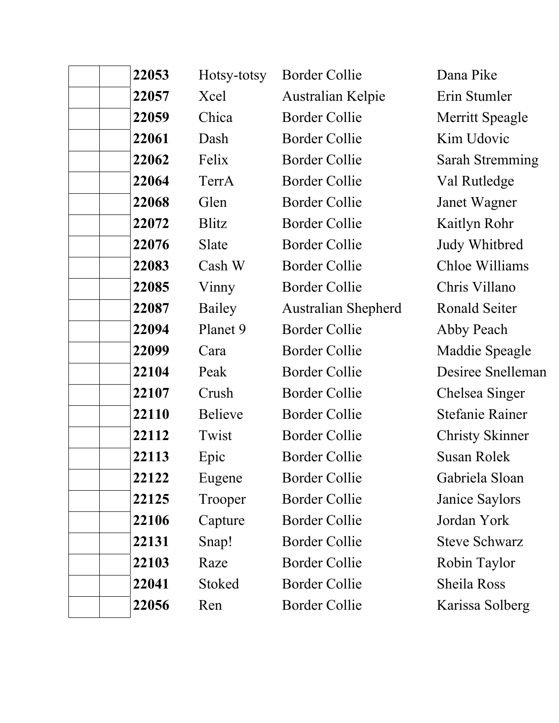| 22053 | Hotsy-totsy    | <b>Border Collie</b>       | Dana Pike              |
|-------|----------------|----------------------------|------------------------|
| 22057 | Xcel           | Australian Kelpie          | Erin Stumler           |
| 22059 | Chica          | <b>Border Collie</b>       | Merritt Speagle        |
| 22061 | Dash           | <b>Border Collie</b>       | Kim Udovic             |
| 22062 | Felix          | <b>Border Collie</b>       | <b>Sarah Stremming</b> |
| 22064 | TerrA          | <b>Border Collie</b>       | Val Rutledge           |
| 22068 | Glen           | <b>Border Collie</b>       | Janet Wagner           |
| 22072 | Blitz          | <b>Border Collie</b>       | Kaitlyn Rohr           |
| 22076 | Slate          | <b>Border Collie</b>       | Judy Whitbred          |
| 22083 | Cash W         | <b>Border Collie</b>       | Chloe Williams         |
| 22085 | Vinny          | <b>Border Collie</b>       | Chris Villano          |
| 22087 | Bailey         | <b>Australian Shepherd</b> | Ronald Seiter          |
| 22094 | Planet 9       | <b>Border Collie</b>       | Abby Peach             |
| 22099 | Cara           | <b>Border Collie</b>       | Maddie Speagle         |
| 22104 | Peak           | <b>Border Collie</b>       | Desiree Snelleman      |
| 22107 | Crush          | <b>Border Collie</b>       | Chelsea Singer         |
| 22110 | <b>Believe</b> | <b>Border Collie</b>       | <b>Stefanie Rainer</b> |
| 22112 | Twist          | <b>Border Collie</b>       | <b>Christy Skinner</b> |
| 22113 | Epic           | <b>Border Collie</b>       | <b>Susan Rolek</b>     |
| 22122 | Eugene         | Border Collie              | Gabriela Sloan         |
| 22125 | Trooper        | <b>Border Collie</b>       | Janice Saylors         |
| 22106 | Capture        | <b>Border Collie</b>       | Jordan York            |
| 22131 | Snap!          | <b>Border Collie</b>       | <b>Steve Schwarz</b>   |
| 22103 | Raze           | <b>Border Collie</b>       | Robin Taylor           |
| 22041 | Stoked         | <b>Border Collie</b>       | Sheila Ross            |
| 22056 | Ren            | <b>Border Collie</b>       | Karissa Solberg        |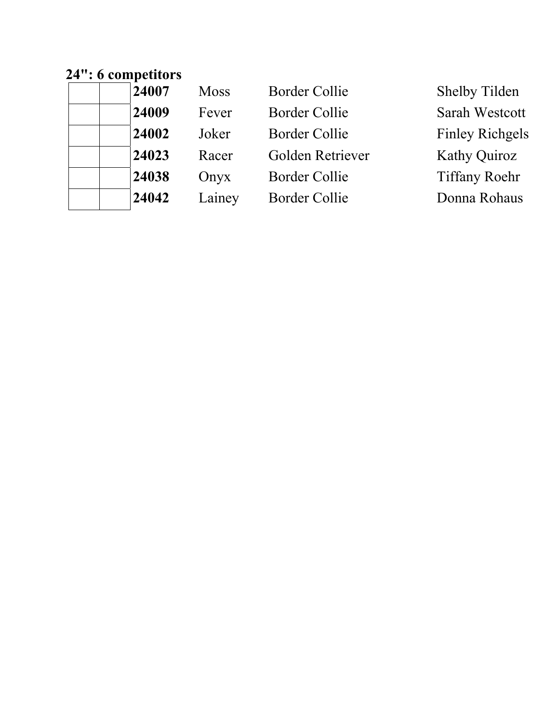# **24": 6 competitors**

| 24007 | <b>Moss</b> | <b>Border Collie</b> | <b>Shelby Tilden</b>   |
|-------|-------------|----------------------|------------------------|
| 24009 | Fever       | <b>Border Collie</b> | Sarah Westcott         |
| 24002 | Joker       | <b>Border Collie</b> | <b>Finley Richgels</b> |
| 24023 | Racer       | Golden Retriever     | <b>Kathy Quiroz</b>    |
| 24038 | Onyx        | <b>Border Collie</b> | <b>Tiffany Roehr</b>   |
| 24042 | Lainey      | <b>Border Collie</b> | Donna Rohaus           |
|       |             |                      |                        |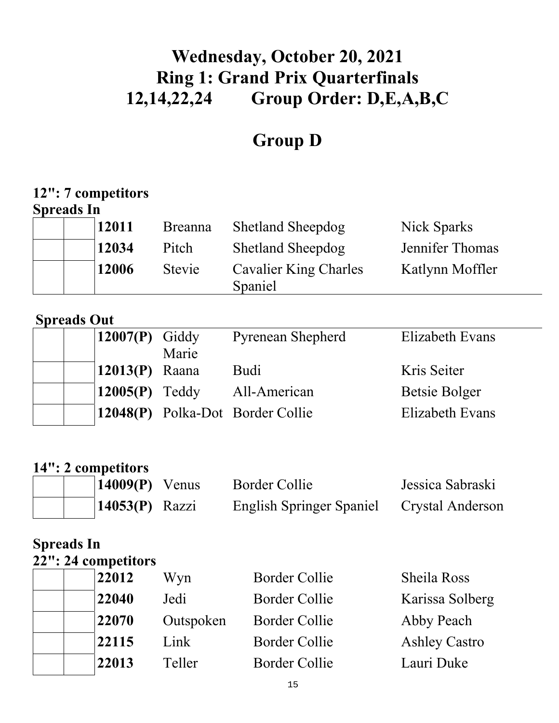# **Wednesday, October 20, 2021 Ring 1: Grand Prix Quarterfinals 12,14,22,24 Group Order: D,E,A,B,C**

# **Group D**

## **12": 7 competitors**

### **Spreads In**

|  | 12011 | <b>Breanna</b> | <b>Shetland Sheepdog</b>                | Nick Sparks     |
|--|-------|----------------|-----------------------------------------|-----------------|
|  | 12034 | Pitch          | <b>Shetland Sheepdog</b>                | Jennifer Thomas |
|  | 12006 | Stevie         | <b>Cavalier King Charles</b><br>Spaniel | Katlynn Moffler |

### **Spreads Out**

| Elizabeth Evans |
|-----------------|
|                 |
|                 |
|                 |
|                 |
| Elizabeth Evans |
|                 |

### **14": 2 competitors**

| $\vert 14009(P)$ Venus | Border Collie                   | Jessica Sabraski |
|------------------------|---------------------------------|------------------|
| $14053(P)$ Razzi       | <b>English Springer Spaniel</b> | Crystal Anderson |

### **Spreads In 22": 24 competitors**

| 22012 | Wyn       | <b>Border Collie</b> | Sheila Ross          |
|-------|-----------|----------------------|----------------------|
| 22040 | Jedi      | <b>Border Collie</b> | Karissa Solberg      |
| 22070 | Outspoken | <b>Border Collie</b> | Abby Peach           |
| 22115 | Link      | <b>Border Collie</b> | <b>Ashley Castro</b> |
| 22013 | Teller    | <b>Border Collie</b> | Lauri Duke           |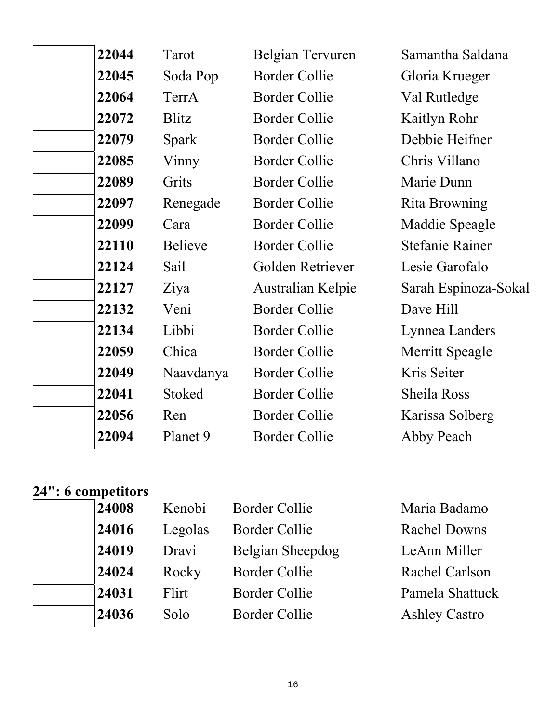| 22044 | Tarot          | Belgian Tervuren         | Samantha Saldana       |
|-------|----------------|--------------------------|------------------------|
| 22045 | Soda Pop       | <b>Border Collie</b>     | Gloria Krueger         |
| 22064 | TerrA          | <b>Border Collie</b>     | Val Rutledge           |
| 22072 | <b>Blitz</b>   | <b>Border Collie</b>     | Kaitlyn Rohr           |
| 22079 | Spark          | <b>Border Collie</b>     | Debbie Heifner         |
| 22085 | Vinny          | <b>Border Collie</b>     | Chris Villano          |
| 22089 | Grits          | <b>Border Collie</b>     | Marie Dunn             |
| 22097 | Renegade       | <b>Border Collie</b>     | <b>Rita Browning</b>   |
| 22099 | Cara           | <b>Border Collie</b>     | Maddie Speagle         |
| 22110 | <b>Believe</b> | <b>Border Collie</b>     | <b>Stefanie Rainer</b> |
| 22124 | Sail           | Golden Retriever         | Lesie Garofalo         |
| 22127 | Ziya           | <b>Australian Kelpie</b> | Sarah Espinoza-Sokal   |
| 22132 | Veni           | <b>Border Collie</b>     | Dave Hill              |
| 22134 | Libbi          | <b>Border Collie</b>     | Lynnea Landers         |
| 22059 | Chica          | <b>Border Collie</b>     | Merritt Speagle        |
| 22049 | Naavdanya      | <b>Border Collie</b>     | Kris Seiter            |
| 22041 | Stoked         | <b>Border Collie</b>     | <b>Sheila Ross</b>     |
| 22056 | Ren            | <b>Border Collie</b>     | Karissa Solberg        |
| 22094 | Planet 9       | <b>Border Collie</b>     | Abby Peach             |
|       |                |                          |                        |

### **24": 6 competitors**

| 24008 | Kenobi  | <b>Border Collie</b> | Maria Badamo         |
|-------|---------|----------------------|----------------------|
| 24016 | Legolas | <b>Border Collie</b> | <b>Rachel Downs</b>  |
| 24019 | Dravi   | Belgian Sheepdog     | LeAnn Miller         |
| 24024 | Rocky   | <b>Border Collie</b> | Rachel Carlson       |
| 24031 | Flirt   | <b>Border Collie</b> | Pamela Shattuck      |
| 24036 | Solo    | <b>Border Collie</b> | <b>Ashley Castro</b> |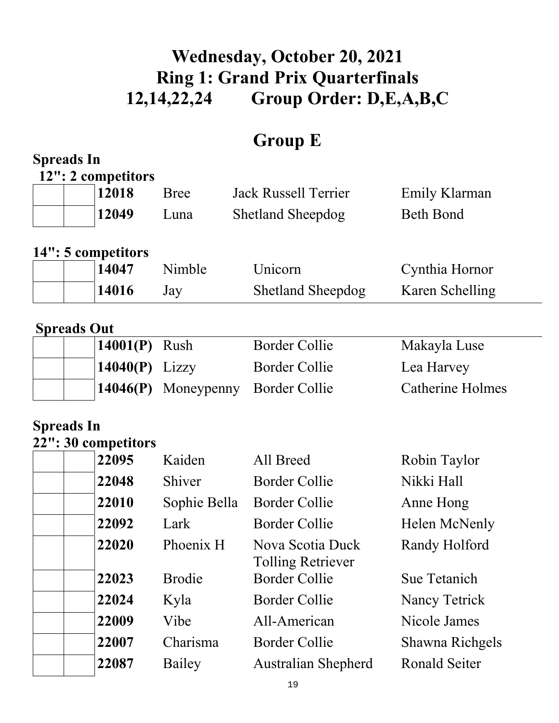# **Wednesday, October 20, 2021 Ring 1: Grand Prix Quarterfinals 12,14,22,24 Group Order: D,E,A,B,C**

# **Group E**

| <b>Spreads In</b>  |                             |               |                                                  |                         |
|--------------------|-----------------------------|---------------|--------------------------------------------------|-------------------------|
|                    | 12": 2 competitors          |               |                                                  |                         |
|                    | 12018                       | <b>Bree</b>   | <b>Jack Russell Terrier</b>                      | Emily Klarman           |
|                    | 12049                       | Luna          | <b>Shetland Sheepdog</b>                         | <b>Beth Bond</b>        |
|                    |                             |               |                                                  |                         |
|                    | 14": 5 competitors<br>14047 | Nimble        | Unicorn                                          | Cynthia Hornor          |
|                    | 14016                       | Jay           | <b>Shetland Sheepdog</b>                         | Karen Schelling         |
|                    |                             |               |                                                  |                         |
| <b>Spreads Out</b> |                             |               |                                                  |                         |
|                    | 14001(P)                    | Rush          | <b>Border Collie</b>                             | Makayla Luse            |
|                    | 14040(P)                    | Lizzy         | <b>Border Collie</b>                             | Lea Harvey              |
|                    | 14046(P)                    | Moneypenny    | <b>Border Collie</b>                             | <b>Catherine Holmes</b> |
|                    |                             |               |                                                  |                         |
| <b>Spreads In</b>  |                             |               |                                                  |                         |
|                    | 22": 30 competitors         |               |                                                  |                         |
|                    | 22095                       | Kaiden        | All Breed                                        | Robin Taylor            |
|                    | 22048                       | Shiver        | <b>Border Collie</b>                             | Nikki Hall              |
|                    | 22010                       | Sophie Bella  | <b>Border Collie</b>                             | Anne Hong               |
|                    | 22092                       | Lark          | <b>Border Collie</b>                             | Helen McNenly           |
|                    | 22020                       | Phoenix H     | Nova Scotia Duck                                 | Randy Holford           |
|                    | 22023                       | <b>Brodie</b> | <b>Tolling Retriever</b><br><b>Border Collie</b> | <b>Sue Tetanich</b>     |
|                    | 22024                       | Kyla          | <b>Border Collie</b>                             | Nancy Tetrick           |
|                    |                             |               |                                                  |                         |
|                    | 22009                       | Vibe          | All-American                                     | Nicole James            |
|                    | 22007                       | Charisma      | <b>Border Collie</b>                             | <b>Shawna Richgels</b>  |
|                    | 22087                       | Bailey        | <b>Australian Shepherd</b>                       | <b>Ronald Seiter</b>    |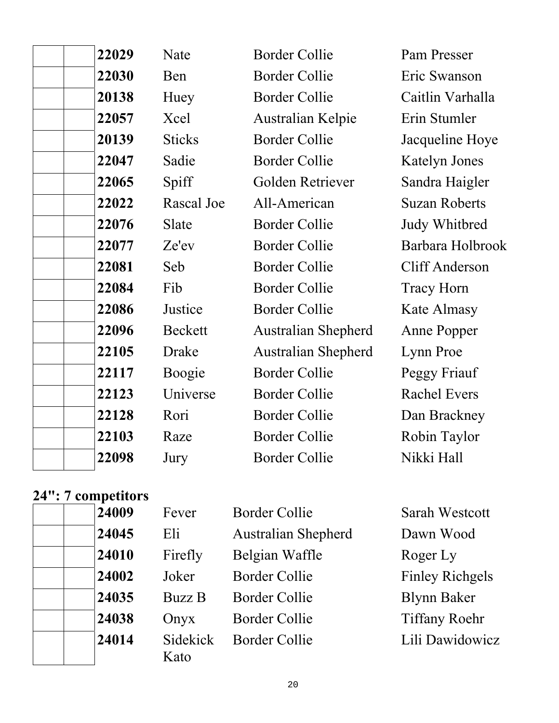| 22029 | Nate          | <b>Border Collie</b>       | Pam Presser           |
|-------|---------------|----------------------------|-----------------------|
| 22030 | Ben           | <b>Border Collie</b>       | Eric Swanson          |
| 20138 | Huey          | <b>Border Collie</b>       | Caitlin Varhalla      |
| 22057 | Xcel          | Australian Kelpie          | Erin Stumler          |
| 20139 | <b>Sticks</b> | <b>Border Collie</b>       | Jacqueline Hoye       |
| 22047 | Sadie         | <b>Border Collie</b>       | <b>Katelyn Jones</b>  |
| 22065 | Spiff         | Golden Retriever           | Sandra Haigler        |
| 22022 | Rascal Joe    | All-American               | <b>Suzan Roberts</b>  |
| 22076 | Slate         | <b>Border Collie</b>       | Judy Whitbred         |
| 22077 | Ze'ev         | <b>Border Collie</b>       | Barbara Holbrook      |
| 22081 | Seb           | <b>Border Collie</b>       | <b>Cliff Anderson</b> |
| 22084 | Fib           | <b>Border Collie</b>       | <b>Tracy Horn</b>     |
| 22086 | Justice       | <b>Border Collie</b>       | Kate Almasy           |
| 22096 | Beckett       | <b>Australian Shepherd</b> | Anne Popper           |
| 22105 | Drake         | <b>Australian Shepherd</b> | Lynn Proe             |
| 22117 | Boogie        | <b>Border Collie</b>       | Peggy Friauf          |
| 22123 | Universe      | <b>Border Collie</b>       | <b>Rachel Evers</b>   |
| 22128 | Rori          | <b>Border Collie</b>       | Dan Brackney          |
| 22103 | Raze          | <b>Border Collie</b>       | Robin Taylor          |
| 22098 | Jury          | <b>Border Collie</b>       | Nikki Hall            |
|       |               |                            |                       |

# **24": 7 competitors**

|  | 24009 |
|--|-------|
|  | 24045 |
|  | 24010 |
|  | 24002 |
|  | 24035 |
|  | 24038 |
|  | 24014 |
|  |       |

| Fever            | <b>Border Collie</b>       | <b>Sarah Westcott</b>  |
|------------------|----------------------------|------------------------|
| Eli              | <b>Australian Shepherd</b> | Dawn Wood              |
| Firefly          | Belgian Waffle             | Roger Ly               |
| Joker            | Border Collie              | <b>Finley Richgels</b> |
| <b>Buzz B</b>    | <b>Border Collie</b>       | <b>Blynn Baker</b>     |
| Onyx             | <b>Border Collie</b>       | <b>Tiffany Roehr</b>   |
| Sidekick<br>Kato | <b>Border Collie</b>       | Lili Dawidowicz        |

Lili Dawidowicz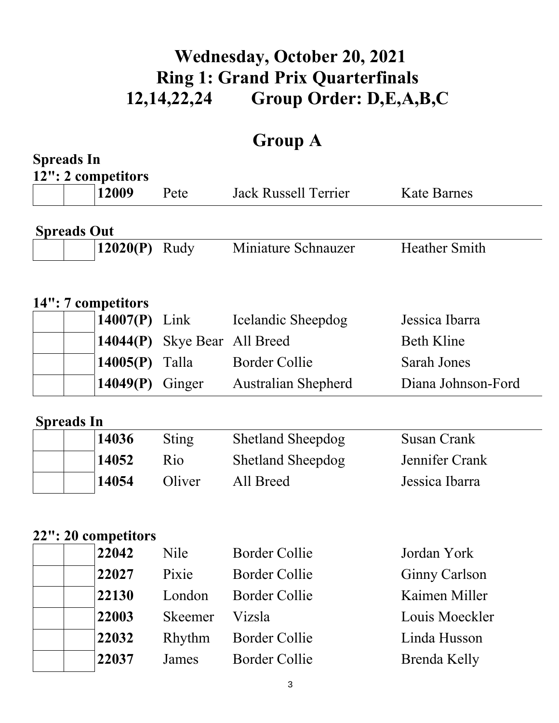# **Wednesday, October 20, 2021 Ring 1: Grand Prix Quarterfinals 12,14,22,24 Group Order: D,E,A,B,C**

# **Group A**

|                    | <b>Spreads In</b>           |                     |                             |                      |  |  |
|--------------------|-----------------------------|---------------------|-----------------------------|----------------------|--|--|
|                    | 12": 2 competitors<br>12009 | Pete                | <b>Jack Russell Terrier</b> | <b>Kate Barnes</b>   |  |  |
| <b>Spreads Out</b> |                             |                     |                             |                      |  |  |
|                    | 12020(P)                    | Rudy                | Miniature Schnauzer         | <b>Heather Smith</b> |  |  |
|                    | 14": 7 competitors          |                     |                             |                      |  |  |
|                    | $14007(P)$ Link             |                     | Icelandic Sheepdog          | Jessica Ibarra       |  |  |
|                    | 14044(P)                    | Skye Bear All Breed |                             | <b>Beth Kline</b>    |  |  |
|                    | 14005(P)                    | Talla               | <b>Border Collie</b>        | Sarah Jones          |  |  |
|                    | 14049(P)                    | Ginger              | <b>Australian Shepherd</b>  | Diana Johnson-Ford   |  |  |
|                    |                             |                     |                             |                      |  |  |
| <b>Spreads In</b>  | 14036                       | <b>Sting</b>        | <b>Shetland Sheepdog</b>    | <b>Susan Crank</b>   |  |  |
|                    | 14052                       | Rio                 | <b>Shetland Sheepdog</b>    | Jennifer Crank       |  |  |
|                    | 14054                       | Oliver              | All Breed                   | Jessica Ibarra       |  |  |
|                    |                             |                     |                             |                      |  |  |
|                    | 22": 20 competitors         |                     |                             |                      |  |  |
|                    | 22042                       | Nile                | <b>Border Collie</b>        | Jordan York          |  |  |
|                    | 22027                       | Pixie               | <b>Border Collie</b>        | <b>Ginny Carlson</b> |  |  |
|                    | 22130                       | London              | <b>Border Collie</b>        | Kaimen Miller        |  |  |
|                    | 22003                       | <b>Skeemer</b>      | Vizsla                      | Louis Moeckler       |  |  |
|                    | 22032                       | Rhythm              | <b>Border Collie</b>        | Linda Husson         |  |  |
|                    | 22037                       | James               | <b>Border Collie</b>        | <b>Brenda Kelly</b>  |  |  |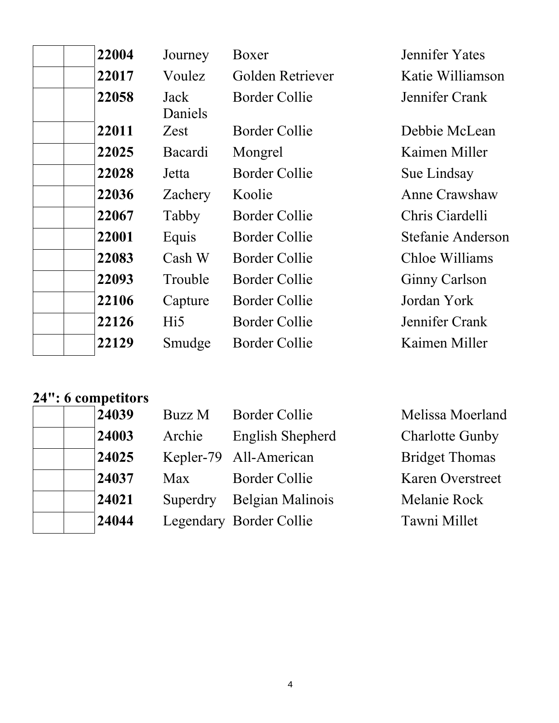| 22004 | Journey           | Boxer                | Jennifer Yates       |
|-------|-------------------|----------------------|----------------------|
| 22017 | Voulez            | Golden Retriever     | Katie Williamson     |
| 22058 | Jack<br>Daniels   | <b>Border Collie</b> | Jennifer Crank       |
| 22011 | Zest              | <b>Border Collie</b> | Debbie McLean        |
| 22025 | Bacardi           | Mongrel              | Kaimen Miller        |
| 22028 | Jetta             | Border Collie        | Sue Lindsay          |
| 22036 | Zachery           | Koolie               | Anne Crawshaw        |
| 22067 | Tabby             | Border Collie        | Chris Ciardelli      |
| 22001 | Equis             | Border Collie        | Stefanie Anderson    |
| 22083 | Cash <sub>W</sub> | Border Collie        | Chloe Williams       |
| 22093 | Trouble           | Border Collie        | <b>Ginny Carlson</b> |
| 22106 | Capture           | Border Collie        | Jordan York          |
| 22126 | Hi5               | Border Collie        | Jennifer Crank       |
| 22129 | Smudge            | Border Collie        | Kaimen Miller        |

### **24": 6 competitors**

| 24039 | Buzz M     | <b>Border Collie</b>    | Melissa Moerland        |
|-------|------------|-------------------------|-------------------------|
| 24003 | Archie     | English Shepherd        | <b>Charlotte Gunby</b>  |
| 24025 |            | Kepler-79 All-American  | <b>Bridget Thomas</b>   |
| 24037 | <b>Max</b> | <b>Border Collie</b>    | <b>Karen Overstreet</b> |
| 24021 | Superdry   | Belgian Malinois        | Melanie Rock            |
| 24044 |            | Legendary Border Collie | Tawni Millet            |
|       |            |                         |                         |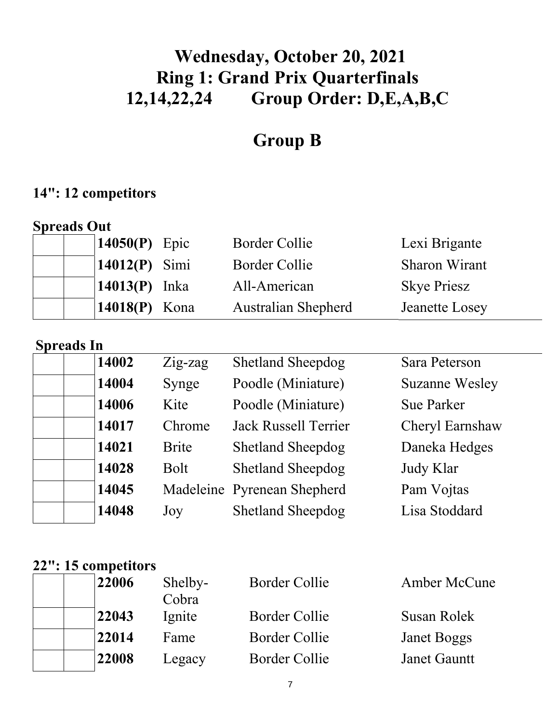# **Wednesday, October 20, 2021 Ring 1: Grand Prix Quarterfinals 12,14,22,24 Group Order: D,E,A,B,C**

# **Group B**

### **14": 12 competitors**

| <b>Spreads Out</b>          |                            |                       |
|-----------------------------|----------------------------|-----------------------|
| 14050 $(P)$ Epic            | Border Collie              | Lexi Brigante         |
| $14012(P)$ Simi             | <b>Border Collie</b>       | <b>Sharon Wirant</b>  |
| $\vert 14013(P) \vert$ Inka | All-American               | <b>Skye Priesz</b>    |
| 14018 $(P)$ Kona            | <b>Australian Shepherd</b> | <b>Jeanette Losey</b> |

| <b>Spreads In</b> |              |                             |                       |  |  |
|-------------------|--------------|-----------------------------|-----------------------|--|--|
| 14002             | $Zig$ -zag   | <b>Shetland Sheepdog</b>    | Sara Peterson         |  |  |
| 14004             | Synge        | Poodle (Miniature)          | <b>Suzanne Wesley</b> |  |  |
| 14006             | Kite         | Poodle (Miniature)          | <b>Sue Parker</b>     |  |  |
| 14017             | Chrome       | <b>Jack Russell Terrier</b> | Cheryl Earnshaw       |  |  |
| 14021             | <b>Brite</b> | <b>Shetland Sheepdog</b>    | Daneka Hedges         |  |  |
| 14028             | <b>Bolt</b>  | <b>Shetland Sheepdog</b>    | Judy Klar             |  |  |
| 14045             |              | Madeleine Pyrenean Shepherd | Pam Vojtas            |  |  |
| 14048             | Joy          | <b>Shetland Sheepdog</b>    | Lisa Stoddard         |  |  |

## **22": 15 competitors**

| 22006 | Shelby-<br>Cobra | <b>Border Collie</b> | Amber McCune        |
|-------|------------------|----------------------|---------------------|
| 22043 | Ignite           | Border Collie        | Susan Rolek         |
| 22014 | Fame             | <b>Border Collie</b> | Janet Boggs         |
| 22008 | Legacy           | <b>Border Collie</b> | <b>Janet Gauntt</b> |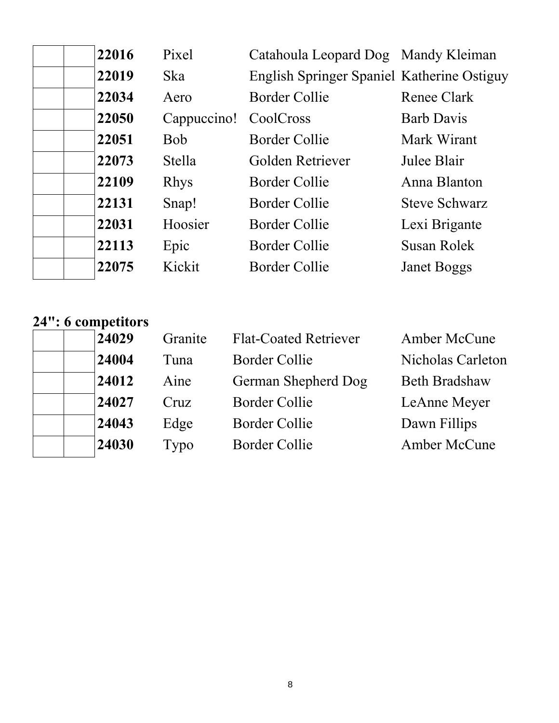| 22016 | Pixel         | Catahoula Leopard Dog Mandy Kleiman        |                      |
|-------|---------------|--------------------------------------------|----------------------|
| 22019 | <b>Ska</b>    | English Springer Spaniel Katherine Ostiguy |                      |
| 22034 | Aero          | <b>Border Collie</b>                       | Renee Clark          |
| 22050 | Cappuccino!   | CoolCross                                  | <b>Barb Davis</b>    |
| 22051 | <b>Bob</b>    | Border Collie                              | Mark Wirant          |
| 22073 | <b>Stella</b> | Golden Retriever                           | Julee Blair          |
| 22109 | <b>Rhys</b>   | Border Collie                              | Anna Blanton         |
| 22131 | Snap!         | Border Collie                              | <b>Steve Schwarz</b> |
| 22031 | Hoosier       | Border Collie                              | Lexi Brigante        |
| 22113 | Epic          | Border Collie                              | Susan Rolek          |
| 22075 | Kickit        | Border Collie                              | <b>Janet Boggs</b>   |
|       |               |                                            |                      |

#### **24": 6 competitors**

 $\mathbf{I}$ 

| 24029 | Granite | <b>Flat-Coated Retriever</b> | Amber McCune         |
|-------|---------|------------------------------|----------------------|
| 24004 | Tuna    | Border Collie                | Nicholas Carleton    |
| 24012 | Aine    | German Shepherd Dog          | <b>Beth Bradshaw</b> |
| 24027 | Cruz    | <b>Border Collie</b>         | LeAnne Meyer         |
| 24043 | Edge    | Border Collie                | Dawn Fillips         |
| 24030 | Typo    | Border Collie                | Amber McCune         |
|       |         |                              |                      |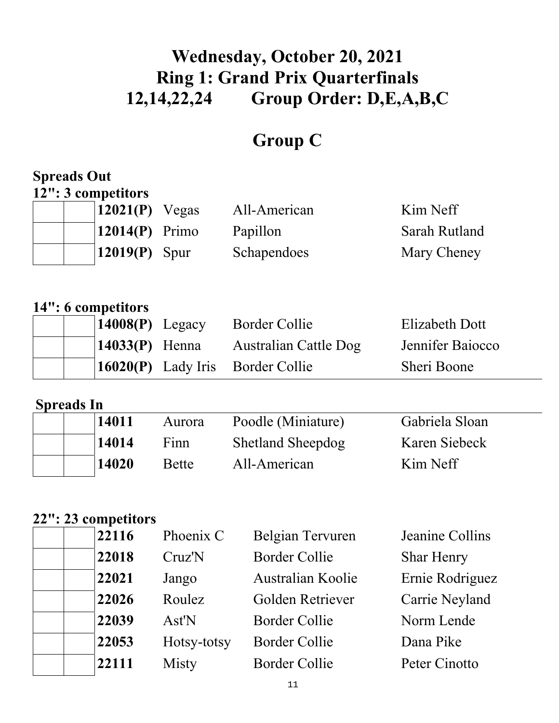# **Wednesday, October 20, 2021 Ring 1: Grand Prix Quarterfinals 12,14,22,24 Group Order: D,E,A,B,C**

# **Group C**

### **Spreads Out 12": 3 competitors**

| $\vert 12021(P)$ Vegas       | All-American | Kim Neff             |
|------------------------------|--------------|----------------------|
| $\vert 12014(P) \vert$ Primo | Papillon     | <b>Sarah Rutland</b> |
| $\vert$ 12019(P) Spur        | Schapendoes  | Mary Cheney          |

### **14": 6 competitors**

|  | $14008(P)$ Legacy | Border Collie                           | Elizabeth Dott   |
|--|-------------------|-----------------------------------------|------------------|
|  | $14033(P)$ Henna  | Australian Cattle Dog                   | Jennifer Baiocco |
|  |                   | <b>16020(P)</b> Lady Iris Border Collie | Sheri Boone      |

### **Spreads In**

| 14011 | Aurora       | Poodle (Miniature)       | Gabriela Sloan |
|-------|--------------|--------------------------|----------------|
| 14014 | Finn         | <b>Shetland Sheepdog</b> | Karen Siebeck  |
| 14020 | <b>Bette</b> | All-American             | Kim Neff       |

### **22": 23 competitors**

| 22116 | Phoenix C   | Belgian Tervuren         | Jeanine Collins   |
|-------|-------------|--------------------------|-------------------|
| 22018 | Cruz'N      | <b>Border Collie</b>     | <b>Shar Henry</b> |
| 22021 | Jango       | <b>Australian Koolie</b> | Ernie Rodriguez   |
| 22026 | Roulez      | Golden Retriever         | Carrie Neyland    |
| 22039 | Ast'N       | <b>Border Collie</b>     | Norm Lende        |
| 22053 | Hotsy-totsy | <b>Border Collie</b>     | Dana Pike         |
| 22111 | Misty       | <b>Border Collie</b>     | Peter Cinotto     |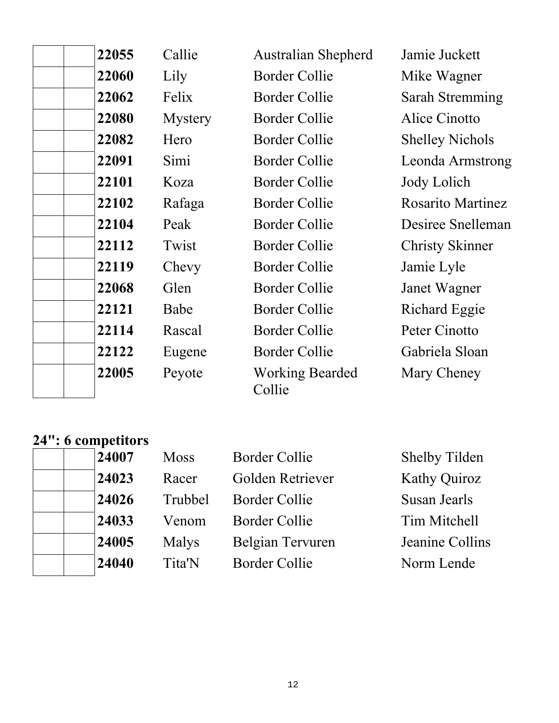| 22055 | Callie  | <b>Australian Shepherd</b>       | Jamie Juckett            |
|-------|---------|----------------------------------|--------------------------|
| 22060 | Lily    | <b>Border Collie</b>             | Mike Wagner              |
| 22062 | Felix   | <b>Border Collie</b>             | Sarah Stremming          |
| 22080 | Mystery | <b>Border Collie</b>             | Alice Cinotto            |
| 22082 | Hero    | <b>Border Collie</b>             | <b>Shelley Nichols</b>   |
| 22091 | Simi    | <b>Border Collie</b>             | Leonda Armstrong         |
| 22101 | Koza    | <b>Border Collie</b>             | Jody Lolich              |
| 22102 | Rafaga  | <b>Border Collie</b>             | <b>Rosarito Martinez</b> |
| 22104 | Peak    | <b>Border Collie</b>             | Desiree Snelleman        |
| 22112 | Twist   | <b>Border Collie</b>             | <b>Christy Skinner</b>   |
| 22119 | Chevy   | <b>Border Collie</b>             | Jamie Lyle               |
| 22068 | Glen    | <b>Border Collie</b>             | Janet Wagner             |
| 22121 | Babe    | <b>Border Collie</b>             | Richard Eggie            |
| 22114 | Rascal  | <b>Border Collie</b>             | Peter Cinotto            |
| 22122 | Eugene  | <b>Border Collie</b>             | Gabriela Sloan           |
| 22005 | Peyote  | <b>Working Bearded</b><br>Collie | Mary Cheney              |

### **24": 6 competitors**

| 24007 | <b>Moss</b> | <b>Border Collie</b> | <b>Shelby Tilden</b> |
|-------|-------------|----------------------|----------------------|
| 24023 | Racer       | Golden Retriever     | <b>Kathy Quiroz</b>  |
| 24026 | Trubbel     | Border Collie        | Susan Jearls         |
| 24033 | Venom       | Border Collie        | Tim Mitchell         |
| 24005 | Malys       | Belgian Tervuren     | Jeanine Collins      |
| 24040 | Tita'N      | Border Collie        | Norm Lende           |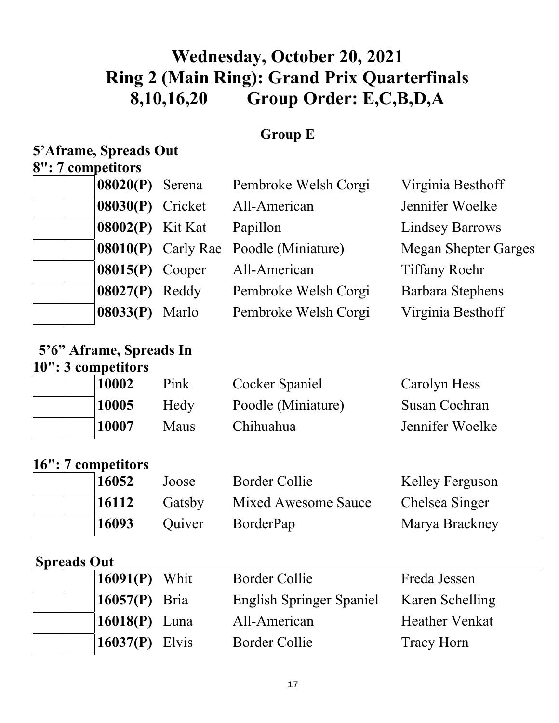# **Wednesday, October 20, 2021 Ring 2 (Main Ring): Grand Prix Quarterfinals 8,10,16,20 Group Order: E,C,B,D,A**

### **Group E**

## **5'Aframe, Spreads Out**

## **8": 7 competitors**

| $08020(P)$ Serena       | Pembroke Welsh Corgi                  | Virginia Besthoff           |
|-------------------------|---------------------------------------|-----------------------------|
| 08030(P) Cricket        | All-American                          | Jennifer Woelke             |
| <b>08002(P)</b> Kit Kat | Papillon                              | <b>Lindsey Barrows</b>      |
|                         | 08010(P) Carly Rae Poodle (Miniature) | <b>Megan Shepter Garges</b> |
| $08015(P)$ Cooper       | All-American                          | <b>Tiffany Roehr</b>        |
| $08027(P)$ Reddy        | Pembroke Welsh Corgi                  | <b>Barbara Stephens</b>     |
| 08033(P) Marlo          | Pembroke Welsh Corgi                  | Virginia Besthoff           |

### **5'6" Aframe, Spreads In 10": 3 competitors**

|  | 10002 | Pink | Cocker Spaniel     | Carolyn Hess    |
|--|-------|------|--------------------|-----------------|
|  | 10005 | Hedy | Poodle (Miniature) | Susan Cochran   |
|  | 10007 | Maus | Chihuahua          | Jennifer Woelke |

### **16": 7 competitors**

| 16052 | Joose  | Border Collie              | Kelley Ferguson |
|-------|--------|----------------------------|-----------------|
| 16112 | Gatsby | <b>Mixed Awesome Sauce</b> | Chelsea Singer  |
| 16093 | Ouiver | <b>BorderPap</b>           | Marya Brackney  |

### **Spreads Out**

| $\mid$ <b>16091(P)</b> Whit | Border Collie                   | Freda Jessen          |
|-----------------------------|---------------------------------|-----------------------|
| 16057 $(P)$ Bria            | <b>English Springer Spaniel</b> | Karen Schelling       |
| 16018 $(P)$ Luna            | All-American                    | <b>Heather Venkat</b> |
| 16037 $(P)$ Elvis           | Border Collie                   | <b>Tracy Horn</b>     |
|                             |                                 |                       |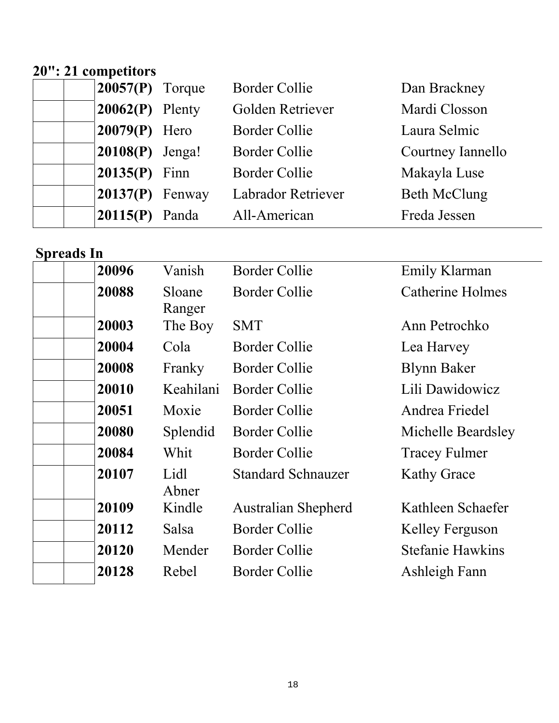### **20": 21 competitors**

| $ 20057(P)$ Torque | <b>Border Collie</b>      | Dan Brackney        |
|--------------------|---------------------------|---------------------|
| $20062(P)$ Plenty  | Golden Retriever          | Mardi Closson       |
| $20079(P)$ Hero    | <b>Border Collie</b>      | Laura Selmic        |
| $20108(P)$ Jenga!  | <b>Border Collie</b>      | Courtney Iannello   |
| $20135(P)$ Finn    | <b>Border Collie</b>      | Makayla Luse        |
| $20137(P)$ Fenway  | <b>Labrador Retriever</b> | <b>Beth McClung</b> |
| $20115(P)$ Panda   | All-American              | Freda Jessen        |

**Spreads In** 

| 20096 | Vanish           | <b>Border Collie</b>       | Emily Klarman           |
|-------|------------------|----------------------------|-------------------------|
| 20088 | Sloane<br>Ranger | Border Collie              | <b>Catherine Holmes</b> |
| 20003 | The Boy          | <b>SMT</b>                 | Ann Petrochko           |
| 20004 | Cola             | <b>Border Collie</b>       | Lea Harvey              |
| 20008 | Franky           | <b>Border Collie</b>       | <b>Blynn Baker</b>      |
| 20010 | Keahilani        | Border Collie              | Lili Dawidowicz         |
| 20051 | Moxie            | <b>Border Collie</b>       | Andrea Friedel          |
| 20080 | Splendid         | <b>Border Collie</b>       | Michelle Beardsley      |
| 20084 | Whit             | <b>Border Collie</b>       | <b>Tracey Fulmer</b>    |
| 20107 | Lidl<br>Abner    | <b>Standard Schnauzer</b>  | <b>Kathy Grace</b>      |
| 20109 | Kindle           | <b>Australian Shepherd</b> | Kathleen Schaefer       |
| 20112 | <b>Salsa</b>     | <b>Border Collie</b>       | Kelley Ferguson         |
| 20120 | Mender           | Border Collie              | <b>Stefanie Hawkins</b> |
| 20128 | Rebel            | <b>Border Collie</b>       | Ashleigh Fann           |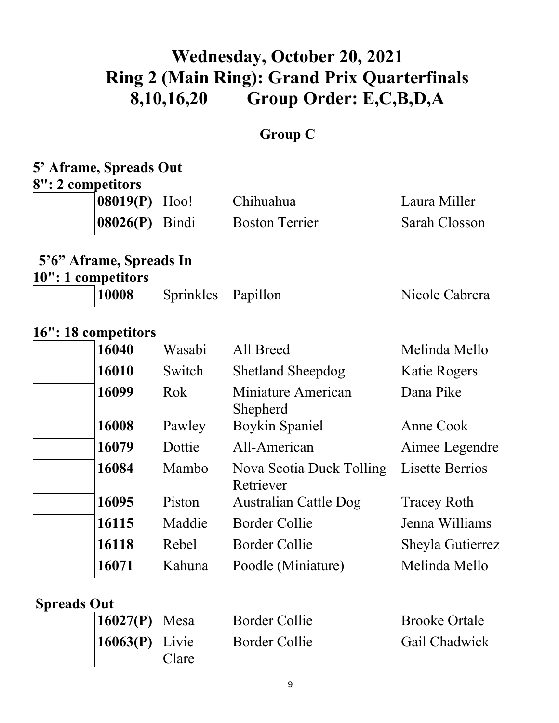# **Wednesday, October 20, 2021 Ring 2 (Main Ring): Grand Prix Quarterfinals 8,10,16,20 Group Order: E,C,B,D,A**

## **Group C**

#### **5' Aframe, Spreads Out 8": 2 competitors**

| 08019(P)<br>08026(P) Bindi | Hoo!               | Chihuahua                                      | Laura Miller           |
|----------------------------|--------------------|------------------------------------------------|------------------------|
|                            |                    |                                                |                        |
|                            |                    | <b>Boston Terrier</b>                          | Sarah Closson          |
|                            |                    |                                                |                        |
|                            |                    |                                                |                        |
| 10008                      | <b>Sprinkles</b>   | Papillon                                       | Nicole Cabrera         |
|                            |                    |                                                |                        |
| 16040                      | Wasabi             | All Breed                                      | Melinda Mello          |
| 16010                      | Switch             | <b>Shetland Sheepdog</b>                       | Katie Rogers           |
| 16099                      | Rok                | Miniature American<br>Shepherd                 | Dana Pike              |
| 16008                      | Pawley             | <b>Boykin Spaniel</b>                          | Anne Cook              |
| 16079                      | Dottie             | All-American                                   | Aimee Legendre         |
| 16084                      | Mambo              | Nova Scotia Duck Tolling<br>Retriever          | <b>Lisette Berrios</b> |
| 16095                      | Piston             | Australian Cattle Dog                          | <b>Tracey Roth</b>     |
| 16115                      | Maddie             | <b>Border Collie</b>                           | Jenna Williams         |
| 16118                      | Rebel              | <b>Border Collie</b>                           | Sheyla Gutierrez       |
| 16071                      | Kahuna             | Poodle (Miniature)                             | Melinda Mello          |
|                            | 10": 1 competitors | 5'6" Aframe, Spreads In<br>16": 18 competitors |                        |

### **Spreads Out**

|  | 16027 $(P)$ Mesa                         | Border Collie | <b>Brooke Ortale</b> |
|--|------------------------------------------|---------------|----------------------|
|  | $\left  16063(P) \right $ Livie<br>Clare | Border Collie | Gail Chadwick        |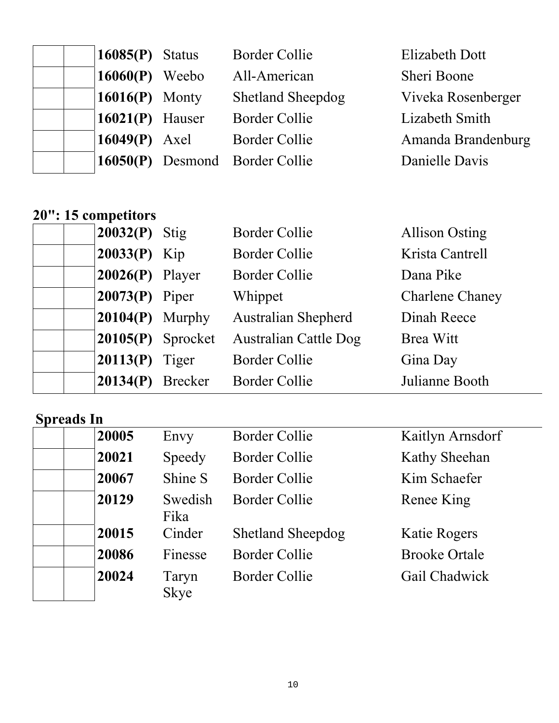| $16085(P)$ Status | <b>Border Collie</b>           | <b>Elizabeth Dott</b> |
|-------------------|--------------------------------|-----------------------|
| $16060(P)$ Weebo  | All-American                   | Sheri Boone           |
| $16016(P)$ Monty  | <b>Shetland Sheepdog</b>       | Viveka Rosenberger    |
| $16021(P)$ Hauser | <b>Border Collie</b>           | Lizabeth Smith        |
| $16049(P)$ Axel   | Border Collie                  | Amanda Brandenburg    |
|                   | 16050(P) Desmond Border Collie | Danielle Davis        |

## **20": 15 competitors**

|  | $20032(P)$ Stig   |                     | <b>Border Collie</b>         | <b>Allison Osting</b>  |
|--|-------------------|---------------------|------------------------------|------------------------|
|  | $20033(P)$ Kip    |                     | <b>Border Collie</b>         | Krista Cantrell        |
|  | $20026(P)$ Player |                     | <b>Border Collie</b>         | Dana Pike              |
|  | $ 20073(P)$ Piper |                     | Whippet                      | <b>Charlene Chaney</b> |
|  |                   | $20104(P)$ Murphy   | <b>Australian Shepherd</b>   | Dinah Reece            |
|  |                   | $20105(P)$ Sprocket | <b>Australian Cattle Dog</b> | Brea Witt              |
|  | $20113(P)$ Tiger  |                     | <b>Border Collie</b>         | Gina Day               |
|  |                   | $20134(P)$ Brecker  | <b>Border Collie</b>         | Julianne Booth         |

| 20005 | Envy                 | <b>Border Collie</b>     | Kaitlyn Arnsdorf     |
|-------|----------------------|--------------------------|----------------------|
| 20021 | Speedy               | <b>Border Collie</b>     | Kathy Sheehan        |
| 20067 | Shine S              | <b>Border Collie</b>     | Kim Schaefer         |
| 20129 | Swedish<br>Fika      | <b>Border Collie</b>     | Renee King           |
| 20015 | Cinder               | <b>Shetland Sheepdog</b> | Katie Rogers         |
| 20086 | Finesse              | <b>Border Collie</b>     | <b>Brooke Ortale</b> |
| 20024 | Taryn<br><b>Skye</b> | <b>Border Collie</b>     | Gail Chadwick        |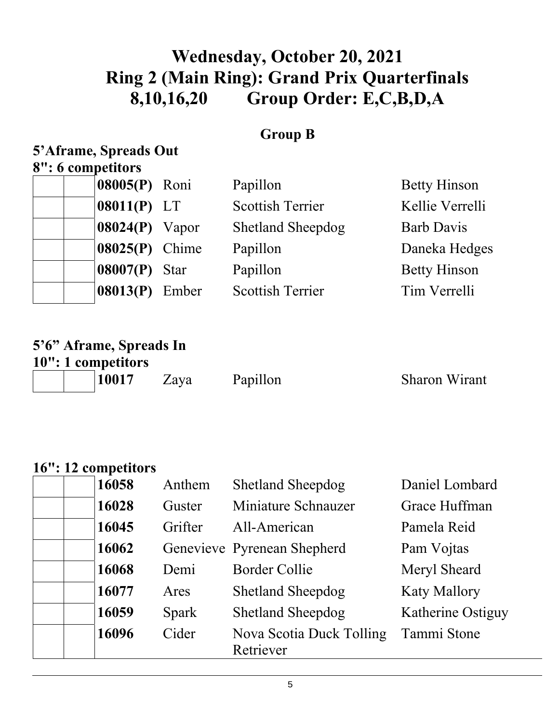# **Wednesday, October 20, 2021 Ring 2 (Main Ring): Grand Prix Quarterfinals 8,10,16,20 Group Order: E,C,B,D,A**

### **Group B**

#### **5'Aframe, Spreads Out 8": 6 competitors**

|  | 08005(P) Roni    | Papillon                 | <b>Betty Hinson</b> |
|--|------------------|--------------------------|---------------------|
|  | $08011(P)$ LT    | <b>Scottish Terrier</b>  | Kellie Verrelli     |
|  | $08024(P)$ Vapor | <b>Shetland Sheepdog</b> | <b>Barb Davis</b>   |
|  | $08025(P)$ Chime | Papillon                 | Daneka Hedges       |
|  | $08007(P)$ Star  | Papillon                 | <b>Betty Hinson</b> |
|  | 08013(P) Ember   | <b>Scottish Terrier</b>  | Tim Verrelli        |
|  |                  |                          |                     |

## **5'6" Aframe, Spreads In**

| 10": 1 competitors |       |      |          |                      |
|--------------------|-------|------|----------|----------------------|
|                    | 10017 | Zaya | Papillon | <b>Sharon Wirant</b> |

#### **16": 12 competitors**

| 16058 | Anthem  | <b>Shetland Sheepdog</b>    | Daniel Lombard      |
|-------|---------|-----------------------------|---------------------|
| 16028 | Guster  | Miniature Schnauzer         | Grace Huffman       |
| 16045 | Grifter | All-American                | Pamela Reid         |
| 16062 |         | Genevieve Pyrenean Shepherd | Pam Vojtas          |
| 16068 | Demi    | <b>Border Collie</b>        | Meryl Sheard        |
| 16077 | Ares    | <b>Shetland Sheepdog</b>    | <b>Katy Mallory</b> |
| 16059 | Spark   | <b>Shetland Sheepdog</b>    | Katherine Ostiguy   |
| 16096 | Cider   | Nova Scotia Duck Tolling    | Tammi Stone         |
|       |         | Retriever                   |                     |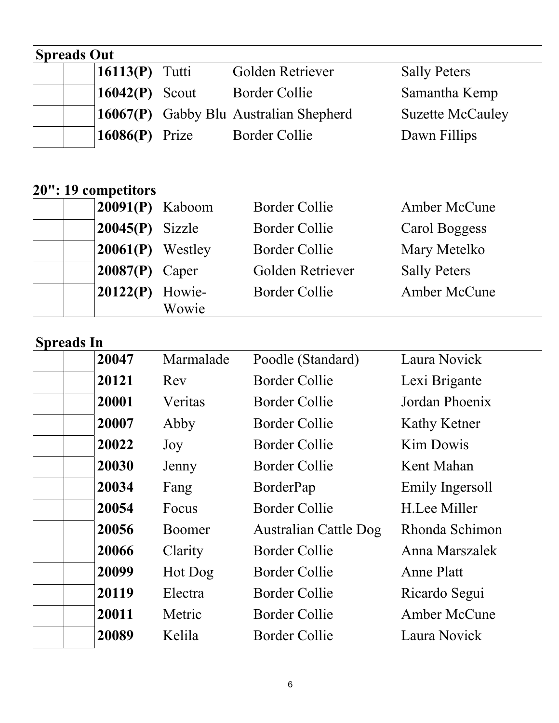## **Spreads Out**  16113(P) Tutti Golden Retriever Sally Peters 16042(P) Scout Border Collie Samantha Kemp **16067(P)** Gabby Blu Australian Shepherd Suzette McCauley<br> **16086(P)** Prize Border Collie Dawn Fillips 16086(P) Prize Border Collie

## **20": 19 competitors**

| $20091(P)$ Kaboom   |                 | <b>Border Collie</b> | Amber McCune        |
|---------------------|-----------------|----------------------|---------------------|
| $20045(P)$ Sizzle   |                 | <b>Border Collie</b> | Carol Boggess       |
| $ 20061(P)$ Westley |                 | <b>Border Collie</b> | Mary Metelko        |
| $20087(P)$ Caper    |                 | Golden Retriever     | <b>Sally Peters</b> |
| 20122(P)            | Howie-<br>Wowie | <b>Border Collie</b> | Amber McCune        |

| 20047 | Marmalade | Poodle (Standard)            | Laura Novick      |
|-------|-----------|------------------------------|-------------------|
| 20121 | Rev       | Border Collie                | Lexi Brigante     |
| 20001 | Veritas   | Border Collie                | Jordan Phoenix    |
| 20007 | Abby      | <b>Border Collie</b>         | Kathy Ketner      |
| 20022 | Joy       | <b>Border Collie</b>         | <b>Kim Dowis</b>  |
| 20030 | Jenny     | Border Collie                | Kent Mahan        |
| 20034 | Fang      | BorderPap                    | Emily Ingersoll   |
| 20054 | Focus     | Border Collie                | H.Lee Miller      |
| 20056 | Boomer    | <b>Australian Cattle Dog</b> | Rhonda Schimon    |
| 20066 | Clarity   | Border Collie                | Anna Marszalek    |
| 20099 | Hot Dog   | <b>Border Collie</b>         | <b>Anne Platt</b> |
| 20119 | Electra   | <b>Border Collie</b>         | Ricardo Segui     |
| 20011 | Metric    | <b>Border Collie</b>         | Amber McCune      |
| 20089 | Kelila    | Border Collie                | Laura Novick      |
|       |           |                              |                   |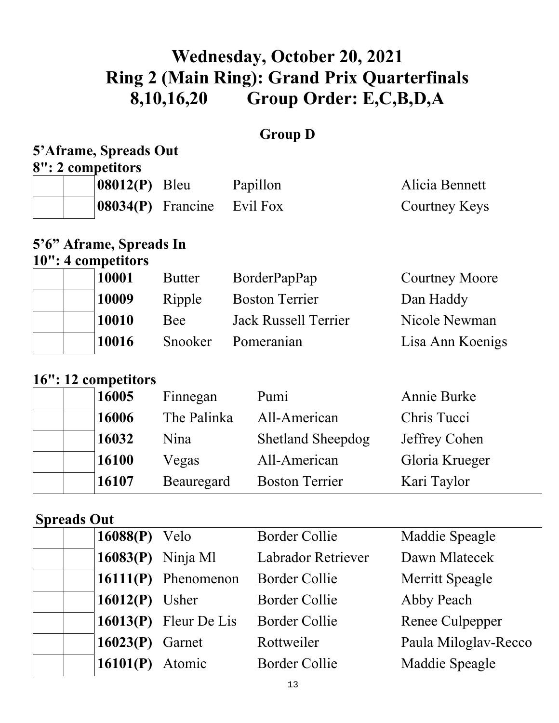# **Wednesday, October 20, 2021 Ring 2 (Main Ring): Grand Prix Quarterfinals 8,10,16,20 Group Order: E,C,B,D,A**

### **Group D**

## **5'Aframe, Spreads Out**

**8": 2 competitors** 

| $ 08012(P)$ Bleu              | Papillon | Alicia Bennett |
|-------------------------------|----------|----------------|
| $ 08034(P)$ Francine Evil Fox |          | Courtney Keys  |

## **5'6" Aframe, Spreads In**

### **10": 4 competitors**

| 10001 | <b>Butter</b> | BorderPapPap                | <b>Courtney Moore</b> |
|-------|---------------|-----------------------------|-----------------------|
| 10009 | Ripple        | <b>Boston Terrier</b>       | Dan Haddy             |
| 10010 | Bee           | <b>Jack Russell Terrier</b> | Nicole Newman         |
| 10016 | Snooker       | Pomeranian                  | Lisa Ann Koenigs      |

### **16": 12 competitors**

| 16005 | Finnegan    | Pumi                     | Annie Burke    |
|-------|-------------|--------------------------|----------------|
| 16006 | The Palinka | All-American             | Chris Tucci    |
| 16032 | Nina        | <b>Shetland Sheepdog</b> | Jeffrey Cohen  |
| 16100 | Vegas       | All-American             | Gloria Krueger |
| 16107 | Beauregard  | <b>Boston Terrier</b>    | Kari Taylor    |

#### **Spreads Out**

| $16088(P)$ Velo          | <b>Border Collie</b>      | Maddie Speagle       |
|--------------------------|---------------------------|----------------------|
| $16083(P)$ Ninja Ml      | <b>Labrador Retriever</b> | Dawn Mlatecek        |
| 16111 $(P)$ Phenomenon   | <b>Border Collie</b>      | Merritt Speagle      |
| $16012(P)$ Usher         | <b>Border Collie</b>      | Abby Peach           |
| 16013 $(P)$ Fleur De Lis | <b>Border Collie</b>      | Renee Culpepper      |
| $16023(P)$ Garnet        | Rottweiler                | Paula Miloglav-Recco |
| 16101(P) Atomic          | <b>Border Collie</b>      | Maddie Speagle       |
|                          |                           |                      |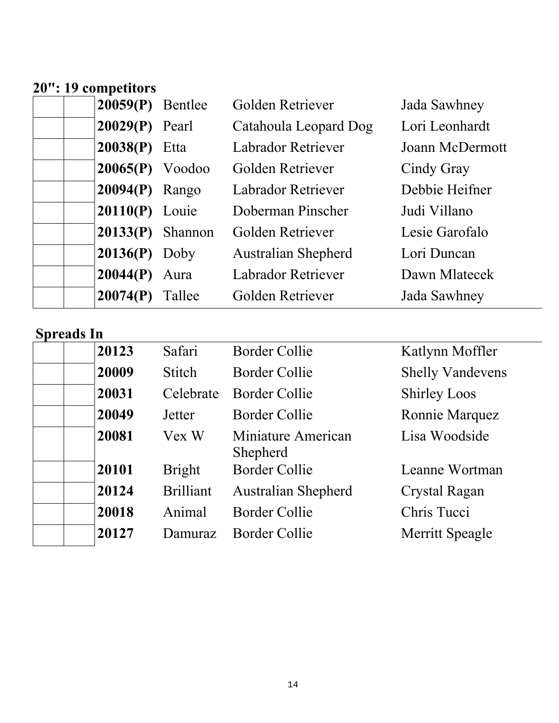#### **20": 19 competitors**

| $20059(P)$ Bentlee |        | Golden Retriever           | Jada Sawhney    |
|--------------------|--------|----------------------------|-----------------|
| $20029(P)$ Pearl   |        | Catahoula Leopard Dog      | Lori Leonhardt  |
| $20038(P)$ Etta    |        | <b>Labrador Retriever</b>  | Joann McDermott |
| $20065(P)$ Voodoo  |        | Golden Retriever           | Cindy Gray      |
| $20094(P)$ Rango   |        | <b>Labrador Retriever</b>  | Debbie Heifner  |
| $20110(P)$ Louie   |        | Doberman Pinscher          | Judi Villano    |
| $20133(P)$ Shannon |        | Golden Retriever           | Lesie Garofalo  |
| $20136(P)$ Doby    |        | <b>Australian Shepherd</b> | Lori Duncan     |
| $20044(P)$ Aura    |        | <b>Labrador Retriever</b>  | Dawn Mlatecek   |
| 20074(P)           | Tallee | Golden Retriever           | Jada Sawhney    |

| 20123 | Safari           | <b>Border Collie</b>           | Katlynn Moffler         |
|-------|------------------|--------------------------------|-------------------------|
| 20009 | <b>Stitch</b>    | Border Collie                  | <b>Shelly Vandevens</b> |
| 20031 | Celebrate        | <b>Border Collie</b>           | <b>Shirley Loos</b>     |
| 20049 | Jetter           | Border Collie                  | Ronnie Marquez          |
| 20081 | Vex W            | Miniature American<br>Shepherd | Lisa Woodside           |
| 20101 | <b>Bright</b>    | <b>Border Collie</b>           | Leanne Wortman          |
| 20124 | <b>Brilliant</b> | <b>Australian Shepherd</b>     | Crystal Ragan           |
| 20018 | Animal           | <b>Border Collie</b>           | Chris Tucci             |
| 20127 | Damuraz          | <b>Border Collie</b>           | Merritt Speagle         |
|       |                  |                                |                         |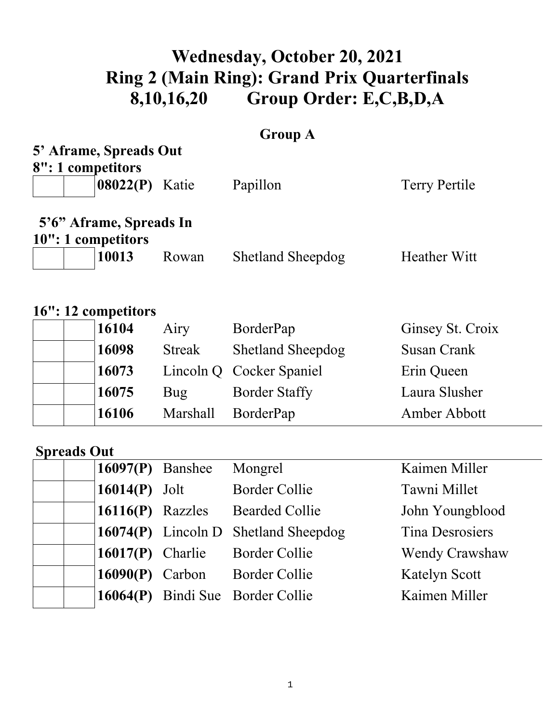# **Wednesday, October 20, 2021 Ring 2 (Main Ring): Grand Prix Quarterfinals 8,10,16,20 Group Order: E,C,B,D,A**

### **Group A**

| 5' Aframe, Spreads Out<br>8": 1 competitors |               |                          |                        |
|---------------------------------------------|---------------|--------------------------|------------------------|
| 08022(P) Katie                              |               | Papillon                 | <b>Terry Pertile</b>   |
| 5'6" Aframe, Spreads In                     |               |                          |                        |
| 10": 1 competitors                          |               |                          |                        |
| 10013                                       | Rowan         | <b>Shetland Sheepdog</b> | <b>Heather Witt</b>    |
| 16": 12 competitors                         |               |                          |                        |
| 16104                                       | Airy          | BorderPap                | Ginsey St. Croix       |
| 16098                                       | <b>Streak</b> | <b>Shetland Sheepdog</b> | <b>Susan Crank</b>     |
| 16073                                       | Lincoln Q     | Cocker Spaniel           | Erin Queen             |
| 16075                                       | <b>Bug</b>    | <b>Border Staffy</b>     | Laura Slusher          |
| 16106                                       | Marshall      | BorderPap                | Amber Abbott           |
| <b>Spreads Out</b>                          |               |                          |                        |
| 16097(P)                                    | Banshee       | Mongrel                  | Kaimen Miller          |
| 16014(P)                                    | Jolt          | <b>Border Collie</b>     | Tawni Millet           |
| 16116(P)                                    | Razzles       | <b>Bearded Collie</b>    | John Youngblood        |
| 16074(P)                                    | Lincoln D     | <b>Shetland Sheepdog</b> | <b>Tina Desrosiers</b> |
| 16017(P)                                    | Charlie       | <b>Border Collie</b>     | <b>Wendy Crawshaw</b>  |
| 16090(P)                                    | Carbon        | <b>Border Collie</b>     | <b>Katelyn Scott</b>   |
| 16064(P)                                    | Bindi Sue     | <b>Border Collie</b>     | Kaimen Miller          |
|                                             |               |                          |                        |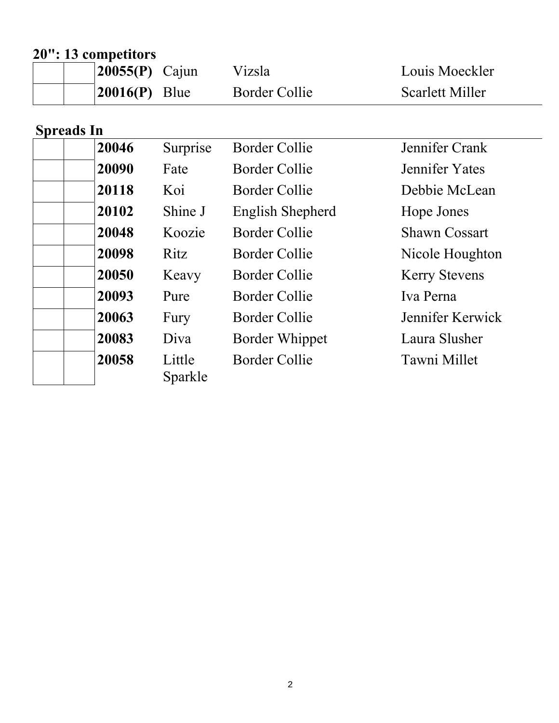## **20": 13 competitors**

| 20055(P)                   | Cajun             | Vizsla                | Louis Moeckler         |
|----------------------------|-------------------|-----------------------|------------------------|
| 20016(P)                   | Blue              | <b>Border Collie</b>  | <b>Scarlett Miller</b> |
|                            |                   |                       |                        |
| <b>Spreads In</b><br>20046 | Surprise          | <b>Border Collie</b>  | Jennifer Crank         |
| 20090                      | Fate              | Border Collie         | Jennifer Yates         |
| 20118                      | Koi               | Border Collie         | Debbie McLean          |
| 20102                      | Shine J           | English Shepherd      | Hope Jones             |
| 20048                      | Koozie            | Border Collie         | <b>Shawn Cossart</b>   |
| 20098                      | Ritz              | <b>Border Collie</b>  | Nicole Houghton        |
| 20050                      | Keavy             | <b>Border Collie</b>  | <b>Kerry Stevens</b>   |
| 20093                      | Pure              | <b>Border Collie</b>  | Iva Perna              |
| 20063                      | Fury              | Border Collie         | Jennifer Kerwick       |
| 20083                      | Diva              | <b>Border Whippet</b> | Laura Slusher          |
| 20058                      | Little<br>Sparkle | <b>Border Collie</b>  | Tawni Millet           |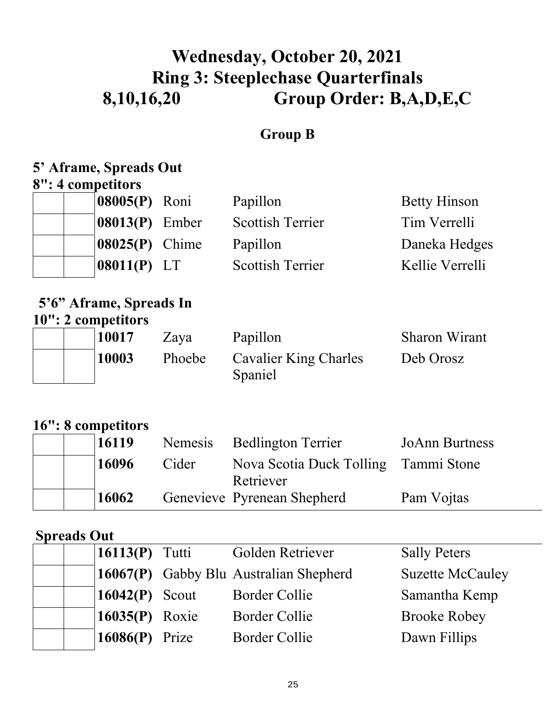# **Wednesday, October 20, 2021 Ring 3: Steeplechase Quarterfinals 8,10,16,20 Group Order: B,A,D,E,C**

### **Group B**

# **5' Aframe, Spreads Out**

**8": 4 competitors** 

| 08005(P) Roni         | Papillon                | <b>Betty Hinson</b> |
|-----------------------|-------------------------|---------------------|
| $08013(P)$ Ember      | <b>Scottish Terrier</b> | Tim Verrelli        |
| <b>08025(P)</b> Chime | Papillon                | Daneka Hedges       |
| $08011(P)$ LT         | <b>Scottish Terrier</b> | Kellie Verrelli     |

### **5'6" Aframe, Spreads In 10": 2 competitors**

| 10017 | Zaya   | Papillon                                | <b>Sharon Wirant</b> |
|-------|--------|-----------------------------------------|----------------------|
| 10003 | Phoebe | <b>Cavalier King Charles</b><br>Spaniel | Deb Orosz            |

### **16": 8 competitors**

| 16119 |       | Nemesis Bedlington Terrier           | <b>JoAnn Burtness</b> |
|-------|-------|--------------------------------------|-----------------------|
| 16096 | Cider | Nova Scotia Duck Tolling Tammi Stone |                       |
|       |       | Retriever                            |                       |
| 16062 |       | Genevieve Pyrenean Shepherd          | Pam Vojtas            |

### **Spreads Out**

| $16113(P)$ Tutti | Golden Retriever                       | <b>Sally Peters</b>     |
|------------------|----------------------------------------|-------------------------|
|                  | 16067(P) Gabby Blu Australian Shepherd | <b>Suzette McCauley</b> |
| $16042(P)$ Scout | <b>Border Collie</b>                   | Samantha Kemp           |
| $16035(P)$ Roxie | <b>Border Collie</b>                   | <b>Brooke Robey</b>     |
| $16086(P)$ Prize | <b>Border Collie</b>                   | Dawn Fillips            |
|                  |                                        |                         |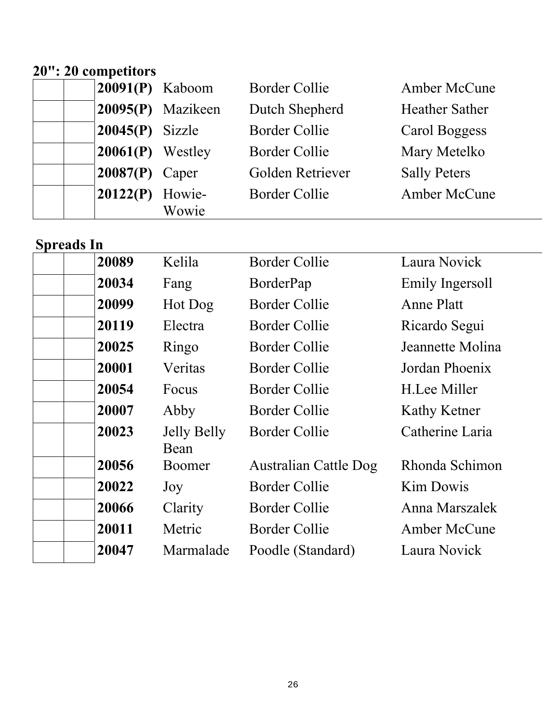### **20": 20 competitors**

| $20091(P)$ Kaboom  |                   | <b>Border Collie</b> | Amber McCune          |
|--------------------|-------------------|----------------------|-----------------------|
|                    | 20095(P) Mazikeen | Dutch Shepherd       | <b>Heather Sather</b> |
| $20045(P)$ Sizzle  |                   | <b>Border Collie</b> | Carol Boggess         |
| $20061(P)$ Westley |                   | <b>Border Collie</b> | Mary Metelko          |
| $20087(P)$ Caper   |                   | Golden Retriever     | <b>Sally Peters</b>   |
| 20122(P)           | Howie-            | <b>Border Collie</b> | Amber McCune          |
|                    | Wowie             |                      |                       |

| 20089 | Kelila                     | <b>Border Collie</b>         | Laura Novick        |
|-------|----------------------------|------------------------------|---------------------|
| 20034 | Fang                       | BorderPap                    | Emily Ingersoll     |
| 20099 | Hot Dog                    | <b>Border Collie</b>         | <b>Anne Platt</b>   |
| 20119 | Electra                    | Border Collie                | Ricardo Segui       |
| 20025 | Ringo                      | <b>Border Collie</b>         | Jeannette Molina    |
| 20001 | Veritas                    | Border Collie                | Jordan Phoenix      |
| 20054 | Focus                      | <b>Border Collie</b>         | H.Lee Miller        |
| 20007 | Abby                       | <b>Border Collie</b>         | Kathy Ketner        |
| 20023 | <b>Jelly Belly</b><br>Bean | Border Collie                | Catherine Laria     |
| 20056 | Boomer                     | <b>Australian Cattle Dog</b> | Rhonda Schimon      |
| 20022 | Joy                        | <b>Border Collie</b>         | <b>Kim Dowis</b>    |
| 20066 | Clarity                    | <b>Border Collie</b>         | Anna Marszalek      |
| 20011 | Metric                     | Border Collie                | <b>Amber McCune</b> |
| 20047 | Marmalade                  | Poodle (Standard)            | Laura Novick        |
|       |                            |                              |                     |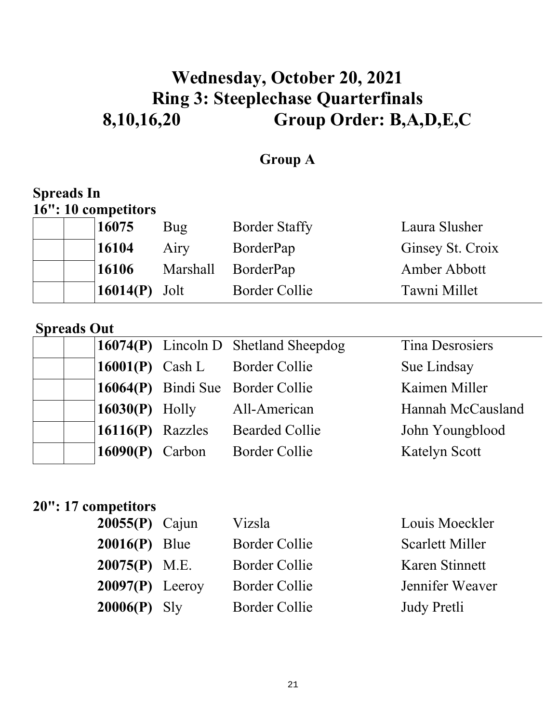# **Wednesday, October 20, 2021 Ring 3: Steeplechase Quarterfinals 8,10,16,20 Group Order: B,A,D,E,C**

### **Group A**

### **Spreads In 16": 10 competitors**

| 16075                       | Bug             | <b>Border Staffy</b> | Laura Slusher    |
|-----------------------------|-----------------|----------------------|------------------|
| 16104                       | Airy            | BorderPap            | Ginsey St. Croix |
| 16106                       | <b>Marshall</b> | BorderPap            | Amber Abbott     |
| $\vert 16014(P) \vert$ Jolt |                 | Border Collie        | Tawni Millet     |

#### **Spreads Out**

|                    | 16074 $(P)$ Lincoln D Shetland Sheepdog | Tina Desrosiers      |
|--------------------|-----------------------------------------|----------------------|
|                    | 16001(P) Cash L Border Collie           | Sue Lindsay          |
|                    | 16064(P) Bindi Sue Border Collie        | Kaimen Miller        |
| $16030(P)$ Holly   | All-American                            | Hannah McCausland    |
| $16116(P)$ Razzles | <b>Bearded Collie</b>                   | John Youngblood      |
| $16090(P)$ Carbon  | <b>Border Collie</b>                    | <b>Katelyn Scott</b> |

### **20": 17 competitors**

| $20055(P)$ Cajun  | Vizsla               | Louis Moeckler  |
|-------------------|----------------------|-----------------|
| $20016(P)$ Blue   | Border Collie        | Scarlett Miller |
| $20075(P)$ M.E.   | Border Collie        | Karen Stinnett  |
| $20097(P)$ Leeroy | <b>Border Collie</b> | Jennifer Weaver |
| $20006(P)$ Sly    | Border Collie        | Judy Pretli     |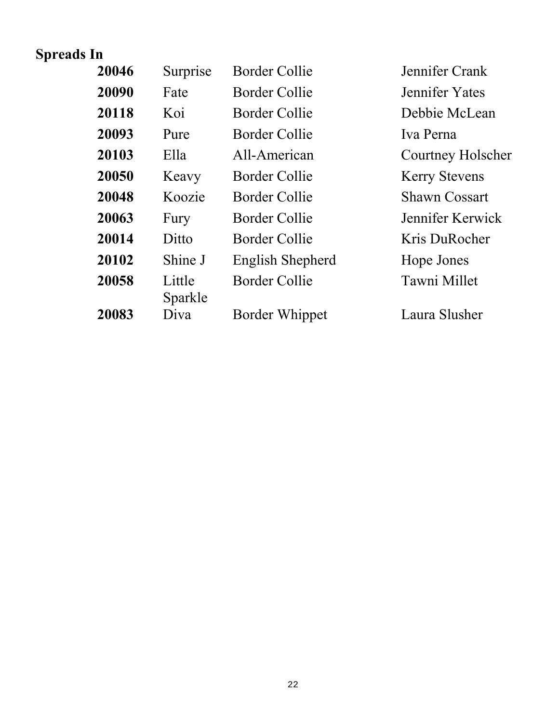| 20046 | Surprise          | Border Collie        | Jennifer Crank       |
|-------|-------------------|----------------------|----------------------|
| 20090 | Fate              | Border Collie        | Jennifer Yates       |
| 20118 | Koi               | Border Collie        | Debbie McLean        |
| 20093 | Pure              | Border Collie        | Iva Perna            |
| 20103 | Ella              | All-American         | Courtney Holscher    |
| 20050 | Keavy             | Border Collie        | <b>Kerry Stevens</b> |
| 20048 | Koozie            | Border Collie        | <b>Shawn Cossart</b> |
| 20063 | Fury              | <b>Border Collie</b> | Jennifer Kerwick     |
| 20014 | Ditto             | Border Collie        | Kris DuRocher        |
| 20102 | Shine J           | English Shepherd     | Hope Jones           |
| 20058 | Little<br>Sparkle | <b>Border Collie</b> | Tawni Millet         |
| 20083 | Diva              | Border Whippet       | Laura Slusher        |
|       |                   |                      |                      |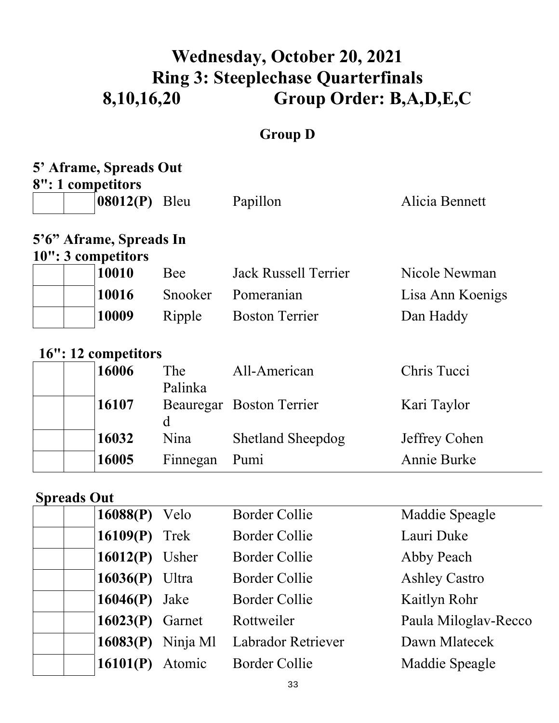# **Wednesday, October 20, 2021 Ring 3: Steeplechase Quarterfinals 8,10,16,20 Group Order: B,A,D,E,C**

## **Group D**

| 5' Aframe, Spreads Out  |                       |                             |                    |  |  |  |  |
|-------------------------|-----------------------|-----------------------------|--------------------|--|--|--|--|
| 8": 1 competitors       |                       |                             |                    |  |  |  |  |
| $08012(P)$ Bleu         |                       | Papillon                    | Alicia Bennett     |  |  |  |  |
| 5'6" Aframe, Spreads In |                       |                             |                    |  |  |  |  |
| 10": 3 competitors      |                       |                             |                    |  |  |  |  |
| 10010                   | Bee                   | <b>Jack Russell Terrier</b> | Nicole Newman      |  |  |  |  |
| 10016                   | Snooker               | Pomeranian                  | Lisa Ann Koenigs   |  |  |  |  |
| 10009                   | Ripple                | <b>Boston Terrier</b>       | Dan Haddy          |  |  |  |  |
| 16": 12 competitors     |                       |                             |                    |  |  |  |  |
| 16006                   | <b>The</b><br>Palinka | All-American                | Chris Tucci        |  |  |  |  |
| 16107                   | d                     | Beauregar Boston Terrier    | Kari Taylor        |  |  |  |  |
| 16032                   | Nina                  | <b>Shetland Sheepdog</b>    | Jeffrey Cohen      |  |  |  |  |
| 16005                   | Finnegan              | Pumi                        | <b>Annie Burke</b> |  |  |  |  |

### **Spreads Out**

| $v_{\mu}$ van $v_{\mu}$ |          |                           |                      |
|-------------------------|----------|---------------------------|----------------------|
| $16088(P)$ Velo         |          | <b>Border Collie</b>      | Maddie Speagle       |
| 16109 $(P)$ Trek        |          | <b>Border Collie</b>      | Lauri Duke           |
| $16012(P)$ Usher        |          | <b>Border Collie</b>      | Abby Peach           |
| $16036(P)$ Ultra        |          | <b>Border Collie</b>      | <b>Ashley Castro</b> |
| $16046(P)$ Jake         |          | <b>Border Collie</b>      | Kaitlyn Rohr         |
| $16023(P)$ Garnet       |          | Rottweiler                | Paula Miloglav-Recco |
| 16083(P)                | Ninja Ml | <b>Labrador Retriever</b> | Dawn Mlatecek        |
| 16101(P)                | Atomic   | <b>Border Collie</b>      | Maddie Speagle       |
|                         |          |                           |                      |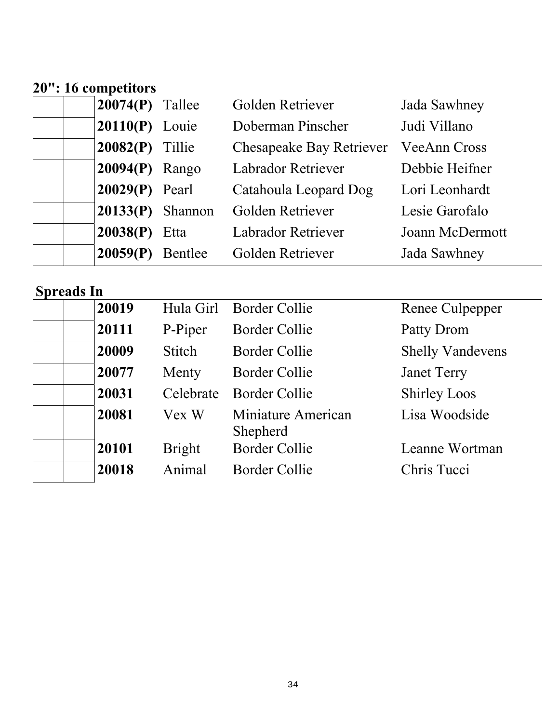#### **20": 16 competitors**

| $20074(P)$ Tallee  | Golden Retriever                | Jada Sawhney        |
|--------------------|---------------------------------|---------------------|
| $20110(P)$ Louie   | Doberman Pinscher               | Judi Villano        |
| $20082(P)$ Tillie  | <b>Chesapeake Bay Retriever</b> | <b>VeeAnn Cross</b> |
| $20094(P)$ Rango   | <b>Labrador Retriever</b>       | Debbie Heifner      |
| $20029(P)$ Pearl   | Catahoula Leopard Dog           | Lori Leonhardt      |
| $20133(P)$ Shannon | Golden Retriever                | Lesie Garofalo      |
| $20038(P)$ Etta    | <b>Labrador Retriever</b>       | Joann McDermott     |
| $20059(P)$ Bentlee | Golden Retriever                | Jada Sawhney        |

| $\sim$ provided the $\sim$ |               |                                |                         |
|----------------------------|---------------|--------------------------------|-------------------------|
| 20019                      |               | Hula Girl Border Collie        | Renee Culpepper         |
| 120111                     | P-Piper       | <b>Border Collie</b>           | Patty Drom              |
| 20009                      | Stitch        | <b>Border Collie</b>           | <b>Shelly Vandevens</b> |
| 20077                      | Menty         | <b>Border Collie</b>           | <b>Janet Terry</b>      |
| 20031                      | Celebrate     | Border Collie                  | <b>Shirley Loos</b>     |
| 20081                      | Vex W         | Miniature American<br>Shepherd | Lisa Woodside           |
| 20101                      | <b>Bright</b> | <b>Border Collie</b>           | Leanne Wortman          |
| 20018                      | Animal        | <b>Border Collie</b>           | Chris Tucci             |
|                            |               |                                |                         |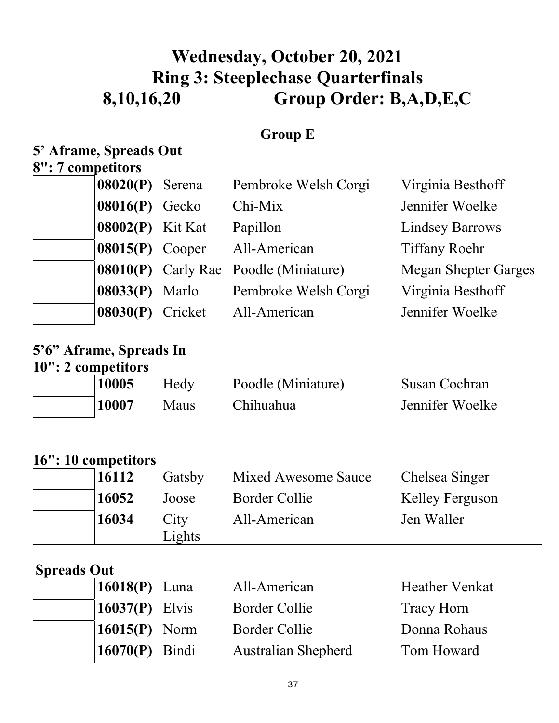# **Wednesday, October 20, 2021 Ring 3: Steeplechase Quarterfinals 8,10,16,20 Group Order: B,A,D,E,C**

### **Group E**

## **5' Aframe, Spreads Out**

### **8": 7 competitors**

| $08020(P)$ Serena              | Pembroke Welsh Corgi                         | Virginia Besthoff           |
|--------------------------------|----------------------------------------------|-----------------------------|
| $08016(P)$ Gecko               | Chi-Mix                                      | Jennifer Woelke             |
| $08002(P)$ Kit Kat             | Papillon                                     | <b>Lindsey Barrows</b>      |
| $08015(P)$ Cooper              | All-American                                 | <b>Tiffany Roehr</b>        |
|                                | <b>08010(P)</b> Carly Rae Poodle (Miniature) | <b>Megan Shepter Garges</b> |
| $\left 08033(P) \right $ Marlo | Pembroke Welsh Corgi                         | Virginia Besthoff           |
| 08030(P) Cricket               | All-American                                 | Jennifer Woelke             |

#### **5'6" Aframe, Spreads In 10": 2 competitors**

|  | 10005 | Hedy | Poodle (Miniature) | Susan Cochran   |
|--|-------|------|--------------------|-----------------|
|  | 10007 | Maus | Chihuahua          | Jennifer Woelke |

### **16": 10 competitors**

| 16112 | Gatsby         | Mixed Awesome Sauce | Chelsea Singer         |
|-------|----------------|---------------------|------------------------|
| 16052 | Joose          | Border Collie       | <b>Kelley Ferguson</b> |
| 16034 | City           | All-American        | Jen Waller             |
|       | Lightharpoonup |                     |                        |

#### **Spreads Out**

|  | $16018(P)$ Luna   | All-American               | <b>Heather Venkat</b> |
|--|-------------------|----------------------------|-----------------------|
|  | 16037 $(P)$ Elvis | Border Collie              | Tracy Horn            |
|  | $16015(P)$ Norm   | Border Collie              | Donna Rohaus          |
|  | $16070(P)$ Bindi  | <b>Australian Shepherd</b> | Tom Howard            |
|  |                   |                            |                       |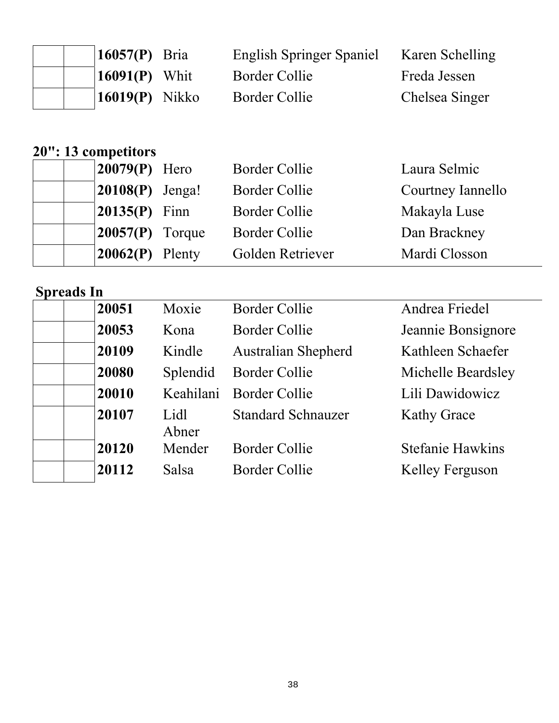|  | 16057(P) Bria               | <b>English Springer Spaniel</b> | Karen Schelling |
|--|-----------------------------|---------------------------------|-----------------|
|  | $\mid$ <b>16091(P)</b> Whit | Border Collie                   | Freda Jessen    |
|  | $16019(P)$ Nikko            | Border Collie                   | Chelsea Singer  |

#### **20": 13 competitors**

| $\vert 20079(P) \vert$ Hero | <b>Border Collie</b> | Laura Selmic      |
|-----------------------------|----------------------|-------------------|
| $ 20108(P)$ Jenga!          | <b>Border Collie</b> | Courtney Iannello |
| $ 20135(P)$ Finn            | Border Collie        | Makayla Luse      |
| $ 20057(P)$ Torque          | Border Collie        | Dan Brackney      |
| $20062(P)$ Plenty           | Golden Retriever     | Mardi Closson     |

| $v_{\mu}$ van $m$ |               |                            |                         |
|-------------------|---------------|----------------------------|-------------------------|
| 20051             | Moxie         | <b>Border Collie</b>       | Andrea Friedel          |
| 20053             | Kona          | Border Collie              | Jeannie Bonsignore      |
| 20109             | Kindle        | <b>Australian Shepherd</b> | Kathleen Schaefer       |
| 20080             | Splendid      | <b>Border Collie</b>       | Michelle Beardsley      |
| 20010             |               | Keahilani Border Collie    | Lili Dawidowicz         |
| 20107             | Lidl<br>Abner | <b>Standard Schnauzer</b>  | <b>Kathy Grace</b>      |
| 20120             | Mender        | Border Collie              | <b>Stefanie Hawkins</b> |
| 20112             | Salsa         | Border Collie              | Kelley Ferguson         |
|                   |               |                            |                         |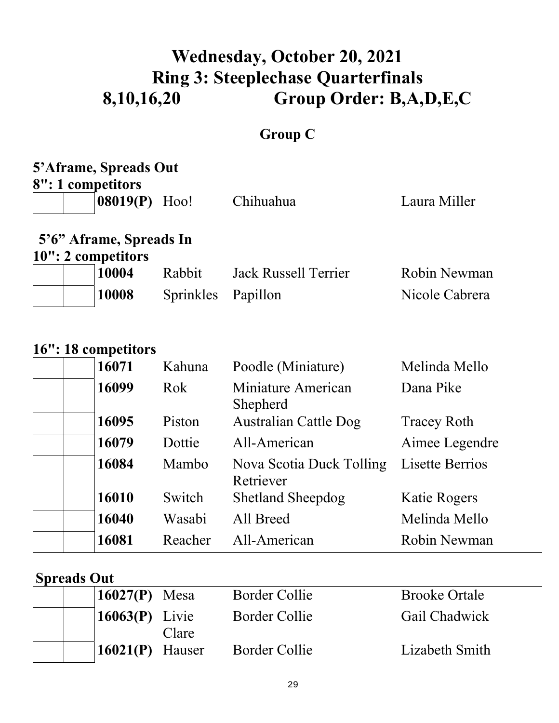# **Wednesday, October 20, 2021 Ring 3: Steeplechase Quarterfinals 8,10,16,20 Group Order: B,A,D,E,C**

## **Group C**

# **5'Aframe, Spreads Out**

**8": 1 competitors** 

| $ 08019(P)$ Hoo!        | Chihuahua | Laura Miller |
|-------------------------|-----------|--------------|
| 5'6" Aframe, Spreads In |           |              |

**10": 2 competitors** 

|  | 10004 | Rabbit             | Jack Russell Terrier | Robin Newman   |
|--|-------|--------------------|----------------------|----------------|
|  | 10008 | Sprinkles Papillon |                      | Nicole Cabrera |

### **16": 18 competitors**

| 16071 | Kahuna  | Poodle (Miniature)                    | Melinda Mello          |
|-------|---------|---------------------------------------|------------------------|
| 16099 | Rok     | Miniature American<br>Shepherd        | Dana Pike              |
| 16095 | Piston  | <b>Australian Cattle Dog</b>          | <b>Tracey Roth</b>     |
| 16079 | Dottie  | All-American                          | Aimee Legendre         |
| 16084 | Mambo   | Nova Scotia Duck Tolling<br>Retriever | <b>Lisette Berrios</b> |
| 16010 | Switch  | <b>Shetland Sheepdog</b>              | <b>Katie Rogers</b>    |
| 16040 | Wasabi  | All Breed                             | Melinda Mello          |
| 16081 | Reacher | All-American                          | Robin Newman           |
|       |         |                                       |                        |

#### **Spreads Out**

| 16027 $(P)$ Mesa                | Border Collie | <b>Brooke Ortale</b> |
|---------------------------------|---------------|----------------------|
| $\left  16063(P) \right $ Livie | Border Collie | Gail Chadwick        |
| Clare                           |               |                      |
| $\vert 16021(P) \vert$ Hauser   | Border Collie | Lizabeth Smith       |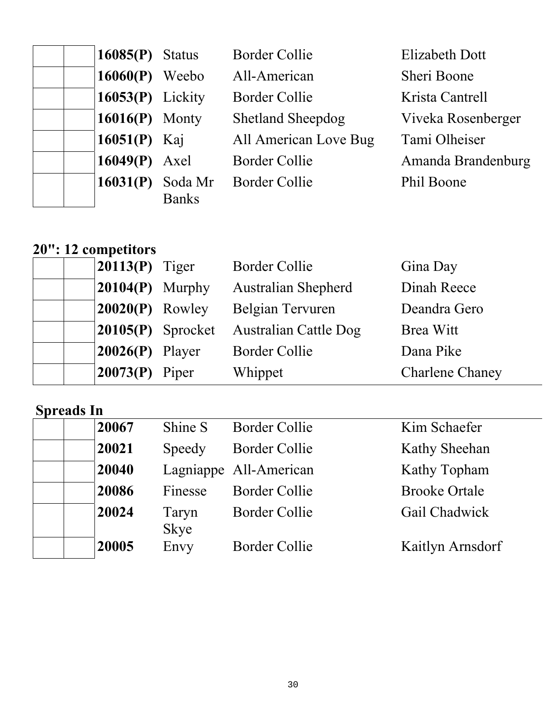| $16085(P)$ Status   | <b>Border Collie</b>     | <b>Elizabeth Dott</b> |
|---------------------|--------------------------|-----------------------|
| $16060(P)$ Weebo    | All-American             | Sheri Boone           |
| $16053(P)$ Lickity  | Border Collie            | Krista Cantrell       |
| $16016(P)$ Monty    | <b>Shetland Sheepdog</b> | Viveka Rosenberger    |
| 16051(P) Kaj        | All American Love Bug    | Tami Olheiser         |
| $16049(P)$ Axel     | <b>Border Collie</b>     | Amanda Brandenburg    |
| 16031(P)<br>Soda Mr | <b>Border Collie</b>     | Phil Boone            |
| <b>Banks</b>        |                          |                       |

## **20": 12 competitors**

| $\vert 20113(P)$ Tiger       |                      | <b>Border Collie</b>         | Gina Day               |
|------------------------------|----------------------|------------------------------|------------------------|
| $ 20104(P)$ Murphy           |                      | <b>Australian Shepherd</b>   | Dinah Reece            |
| $20020(P)$ Rowley            |                      | Belgian Tervuren             | Deandra Gero           |
|                              | $ 20105(P)$ Sprocket | <b>Australian Cattle Dog</b> | Brea Witt              |
| $20026(P)$ Player            |                      | <b>Border Collie</b>         | Dana Pike              |
| $\vert 20073(P) \vert$ Piper |                      | Whippet                      | <b>Charlene Chaney</b> |

| 20067 | Shine S       | <b>Border Collie</b> | Kim Schaefer           |
|-------|---------------|----------------------|------------------------|
| 20021 | Speedy        | <b>Border Collie</b> | Kathy Sheehan          |
| 20040 |               |                      | Kathy Topham           |
| 20086 | Finesse       | <b>Border Collie</b> | <b>Brooke Ortale</b>   |
| 20024 | Taryn<br>Skye | <b>Border Collie</b> | Gail Chadwick          |
| 20005 | Envy          | <b>Border Collie</b> | Kaitlyn Arnsdorf       |
|       |               |                      | Lagniappe All-American |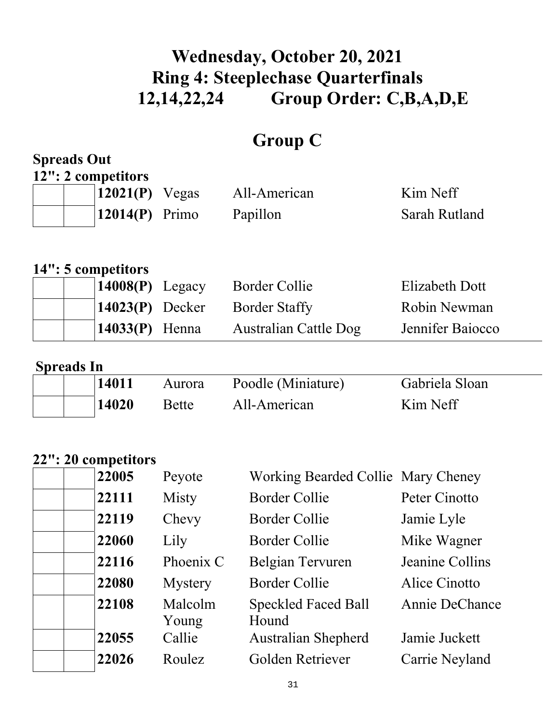# **Wednesday, October 20, 2021 Ring 4: Steeplechase Quarterfinals 12,14,22,24 Group Order: C,B,A,D,E**

## **Group C**

#### **Spreads Out 12": 2 competitors**

| $\mathbf{I} = \mathbf{V} = \mathbf{V}$ | $\vert 12021(P)$ Vegas       | All-American | Kim Neff      |
|----------------------------------------|------------------------------|--------------|---------------|
|                                        | $\vert 12014(P) \vert$ Primo | Papillon     | Sarah Rutland |

### **14": 5 competitors**

| $14008(P)$ Legacy | <b>Border Collie</b>            | Elizabeth Dott   |
|-------------------|---------------------------------|------------------|
|                   | $14023(P)$ Decker Border Staffy | Robin Newman     |
| $14033(P)$ Henna  | Australian Cattle Dog           | Jennifer Baiocco |

#### **Spreads In**

| 14011 | Aurora       | Poodle (Miniature) | Gabriela Sloan |
|-------|--------------|--------------------|----------------|
| 14020 | <b>Bette</b> | All-American       | Kim Neff       |

### **22": 20 competitors**

| 22005 | Peyote           | Working Bearded Collie Mary Cheney  |                 |
|-------|------------------|-------------------------------------|-----------------|
| 22111 | Misty            | <b>Border Collie</b>                | Peter Cinotto   |
| 22119 | Chevy            | <b>Border Collie</b>                | Jamie Lyle      |
| 22060 | Lily             | Border Collie                       | Mike Wagner     |
| 22116 | Phoenix C        | Belgian Tervuren                    | Jeanine Collins |
| 22080 | <b>Mystery</b>   | <b>Border Collie</b>                | Alice Cinotto   |
| 22108 | Malcolm<br>Young | <b>Speckled Faced Ball</b><br>Hound | Annie DeChance  |
| 22055 | Callie           | <b>Australian Shepherd</b>          | Jamie Juckett   |
| 22026 | Roulez           | Golden Retriever                    | Carrie Neyland  |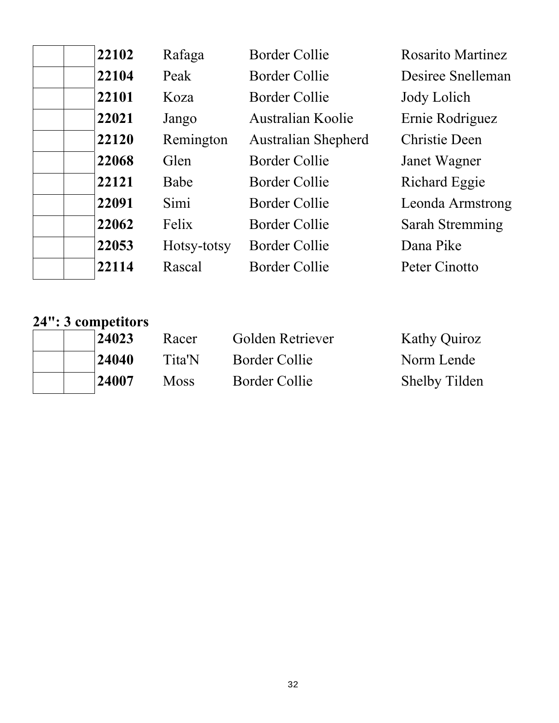| 22102 | Rafaga      | <b>Border Collie</b>       | <b>Rosarito Martinez</b> |
|-------|-------------|----------------------------|--------------------------|
| 22104 | Peak        | Border Collie              | Desiree Snelleman        |
| 22101 | Koza        | Border Collie              | Jody Lolich              |
| 22021 | Jango       | Australian Koolie          | Ernie Rodriguez          |
| 22120 | Remington   | <b>Australian Shepherd</b> | Christie Deen            |
| 22068 | Glen        | <b>Border Collie</b>       | Janet Wagner             |
| 22121 | Babe        | <b>Border Collie</b>       | Richard Eggie            |
| 22091 | Simi        | Border Collie              | Leonda Armstrong         |
| 22062 | Felix       | Border Collie              | <b>Sarah Stremming</b>   |
| 22053 | Hotsy-totsy | Border Collie              | Dana Pike                |
| 22114 | Rascal      | Border Collie              | Peter Cinotto            |

# **24": 3 competitors**

| 24023 | Racer       | Golden Retriever | <b>Kathy Quiroz</b>  |
|-------|-------------|------------------|----------------------|
| 24040 | Tita'N      | Border Collie    | Norm Lende           |
| 24007 | <b>Moss</b> | Border Collie    | <b>Shelby Tilden</b> |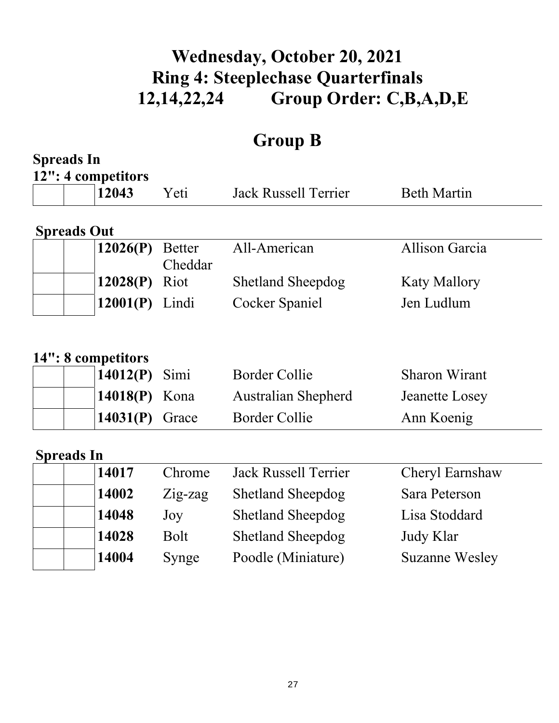# **Wednesday, October 20, 2021 Ring 4: Steeplechase Quarterfinals 12,14,22,24 Group Order: C,B,A,D,E**

# **Group B**

| <b>Spreads In</b>  |                                                        |                          |                                                                            |                                                      |
|--------------------|--------------------------------------------------------|--------------------------|----------------------------------------------------------------------------|------------------------------------------------------|
|                    | 12": 4 competitors<br>12043                            | Yeti                     | <b>Jack Russell Terrier</b>                                                | <b>Beth Martin</b>                                   |
| <b>Spreads Out</b> |                                                        |                          |                                                                            |                                                      |
|                    | 12026(P)                                               | <b>Better</b><br>Cheddar | All-American                                                               | Allison Garcia                                       |
|                    | 12028(P)                                               | Riot                     | <b>Shetland Sheepdog</b>                                                   | <b>Katy Mallory</b>                                  |
|                    | 12001(P)                                               | Lindi                    | Cocker Spaniel                                                             | Jen Ludlum                                           |
|                    | 14": 8 competitors<br>14012(P)<br>14018(P)<br>14031(P) | Simi<br>Kona<br>Grace    | <b>Border Collie</b><br><b>Australian Shepherd</b><br><b>Border Collie</b> | <b>Sharon Wirant</b><br>Jeanette Losey<br>Ann Koenig |
| <b>Spreads In</b>  |                                                        |                          |                                                                            |                                                      |
|                    | 14017                                                  | Chrome                   | <b>Jack Russell Terrier</b>                                                | Cheryl Earnshaw                                      |
|                    | 14002                                                  | Zig-zag                  | <b>Shetland Sheepdog</b>                                                   | Sara Peterson                                        |
|                    | 14048                                                  | Joy                      | <b>Shetland Sheepdog</b>                                                   | Lisa Stoddard                                        |
|                    | 14028                                                  | <b>Bolt</b>              | <b>Shetland Sheepdog</b>                                                   | Judy Klar                                            |
|                    | 14004                                                  | Synge                    | Poodle (Miniature)                                                         | <b>Suzanne Wesley</b>                                |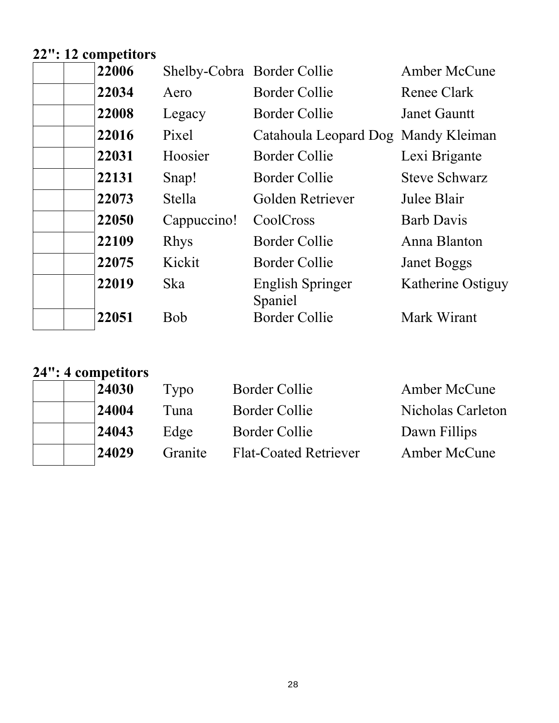# **22": 12 competitors**

| 22006 | Shelby-Cobra Border Collie |                                     | Amber McCune         |
|-------|----------------------------|-------------------------------------|----------------------|
| 22034 | Aero                       | <b>Border Collie</b>                | Renee Clark          |
| 22008 | Legacy                     | <b>Border Collie</b>                | <b>Janet Gauntt</b>  |
| 22016 | Pixel                      | Catahoula Leopard Dog Mandy Kleiman |                      |
| 22031 | Hoosier                    | Border Collie                       | Lexi Brigante        |
| 22131 | Snap!                      | Border Collie                       | <b>Steve Schwarz</b> |
| 22073 | <b>Stella</b>              | Golden Retriever                    | Julee Blair          |
| 22050 | Cappuccino!                | CoolCross                           | <b>Barb Davis</b>    |
| 22109 | <b>Rhys</b>                | Border Collie                       | Anna Blanton         |
| 22075 | Kickit                     | Border Collie                       | <b>Janet Boggs</b>   |
| 22019 | <b>Ska</b>                 | <b>English Springer</b><br>Spaniel  | Katherine Ostiguy    |
| 22051 | Bob                        | <b>Border Collie</b>                | Mark Wirant          |

# **24": 4 competitors**

| 24030 | Typo    | <b>Border Collie</b>         | <b>Amber McCune</b> |
|-------|---------|------------------------------|---------------------|
| 24004 | Tuna    | Border Collie                | Nicholas Carleton   |
| 24043 | Edge    | Border Collie                | Dawn Fillips        |
| 24029 | Granite | <b>Flat-Coated Retriever</b> | Amber McCune        |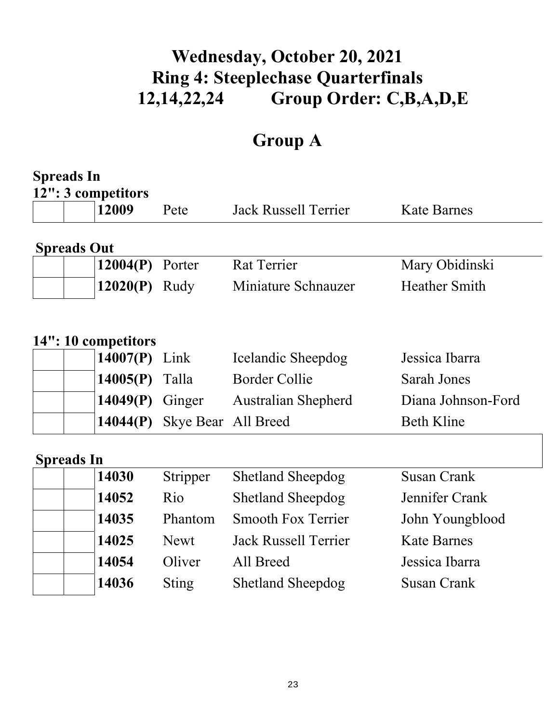# **Wednesday, October 20, 2021 Ring 4: Steeplechase Quarterfinals 12,14,22,24 Group Order: C,B,A,D,E**

# **Group A**

| <b>Spreads In</b>           |                     |                             |                      |
|-----------------------------|---------------------|-----------------------------|----------------------|
| 12": 3 competitors<br>12009 | Pete                | <b>Jack Russell Terrier</b> | <b>Kate Barnes</b>   |
| <b>Spreads Out</b>          |                     |                             |                      |
| 12004(P)                    | Porter              | <b>Rat Terrier</b>          | Mary Obidinski       |
| 12020(P)                    | Rudy                | Miniature Schnauzer         | <b>Heather Smith</b> |
|                             |                     |                             |                      |
| 14": 10 competitors         |                     |                             |                      |
| 14007(P)                    | Link                | Icelandic Sheepdog          | Jessica Ibarra       |
| 14005(P)                    | Talla               | <b>Border Collie</b>        | <b>Sarah Jones</b>   |
| 14049(P)                    | Ginger              | <b>Australian Shepherd</b>  | Diana Johnson-Ford   |
| 14044(P)                    | Skye Bear All Breed |                             | <b>Beth Kline</b>    |
| <b>Spreads In</b>           |                     |                             |                      |
| 14030                       | Stripper            | <b>Shetland Sheepdog</b>    | <b>Susan Crank</b>   |
| 14052                       | Rio                 | <b>Shetland Sheepdog</b>    | Jennifer Crank       |
| 14035                       | Phantom             | <b>Smooth Fox Terrier</b>   | John Youngblood      |
| 14025                       | <b>Newt</b>         | <b>Jack Russell Terrier</b> | <b>Kate Barnes</b>   |
| 14054                       | Oliver              | All Breed                   | Jessica Ibarra       |
| 14036                       | <b>Sting</b>        | <b>Shetland Sheepdog</b>    | <b>Susan Crank</b>   |
|                             |                     |                             |                      |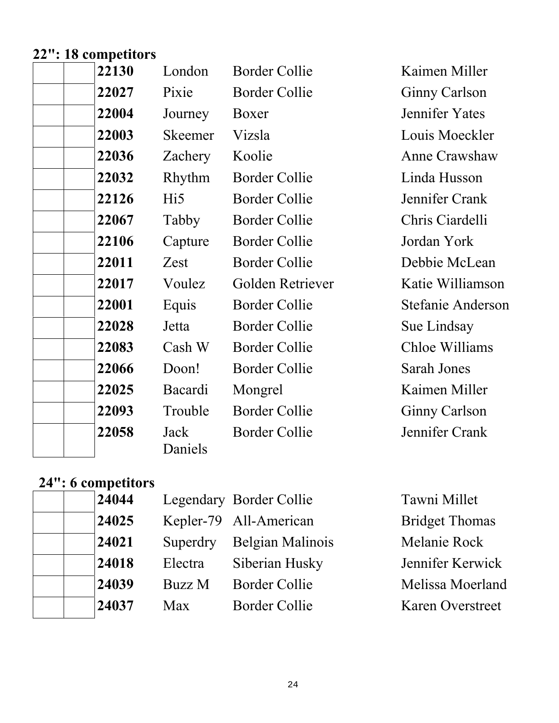### **22": 18 competitors**

| 22130 | London          | <b>Border Collie</b> |
|-------|-----------------|----------------------|
| 22027 | Pixie           | <b>Border Collie</b> |
| 22004 | Journey         | Boxer                |
| 22003 | Skeemer         | Vizsla               |
| 22036 | Zachery         | Koolie               |
| 22032 | Rhythm          | <b>Border Collie</b> |
| 22126 | Hi5             | Border Collie        |
| 22067 | Tabby           | <b>Border Collie</b> |
| 22106 | Capture         | <b>Border Collie</b> |
| 22011 | Zest            | <b>Border Collie</b> |
| 22017 | Voulez          | Golden Retriever     |
| 22001 | Equis           | <b>Border Collie</b> |
| 22028 | Jetta           | <b>Border Collie</b> |
| 22083 | Cash W          | <b>Border Collie</b> |
| 22066 | Doon!           | <b>Border Collie</b> |
| 22025 | Bacardi         | Mongrel              |
| 22093 | Trouble         | <b>Border Collie</b> |
| 22058 | Jack<br>Daniels | <b>Border Collie</b> |

**Kaimen Miller Ginny Carlson Jennifer Yates** Louis Moeckler **Anne Crawshaw** Linda Husson **Jennifer Crank Chris Ciardelli** Jordan York Debbie McLean **Katie Williamson Stefanie Anderson Sue Lindsay Chloe Williams Sarah Jones Kaimen Miller Ginny Carlson** Jennifer Crank

## **24": 6 competitors**

| 24044 |          | Legendary Border Collie | Tawni Millet          |
|-------|----------|-------------------------|-----------------------|
| 24025 |          | Kepler-79 All-American  | <b>Bridget Thomas</b> |
| 24021 | Superdry | Belgian Malinois        | Melanie Rock          |
| 24018 | Electra  | Siberian Husky          | Jennifer Kerwick      |
| 24039 | Buzz M   | <b>Border Collie</b>    | Melissa Moerland      |
| 24037 | Max      | <b>Border Collie</b>    | Karen Overstreet      |
|       |          |                         |                       |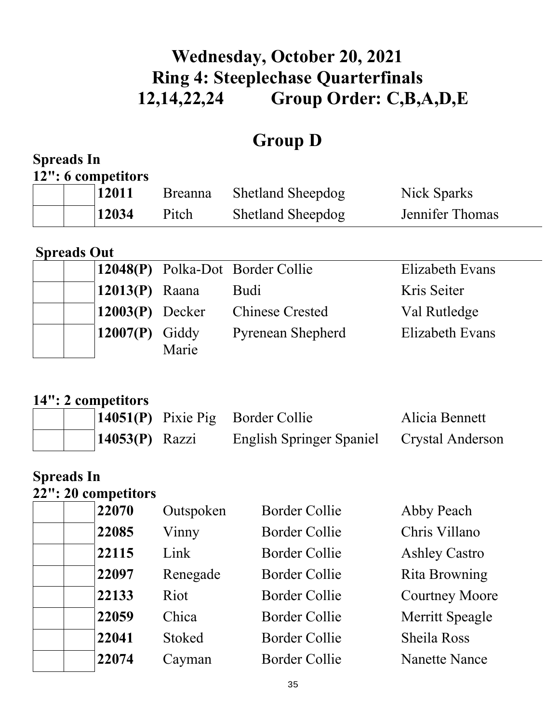# **Wednesday, October 20, 2021 Ring 4: Steeplechase Quarterfinals 12,14,22,24 Group Order: C,B,A,D,E**

# **Group D**

| <b>Spreads In</b>                          |                    |                                                         |                                    |
|--------------------------------------------|--------------------|---------------------------------------------------------|------------------------------------|
| 12": 6 competitors                         |                    |                                                         |                                    |
| 12011                                      | <b>Breanna</b>     | <b>Shetland Sheepdog</b>                                | Nick Sparks                        |
| 12034                                      | Pitch              | <b>Shetland Sheepdog</b>                                | Jennifer Thomas                    |
| <b>Spreads Out</b>                         |                    |                                                         |                                    |
| 12048(P)                                   |                    | Polka-Dot Border Collie                                 | <b>Elizabeth Evans</b>             |
| 12013(P)                                   | Raana              | <b>Budi</b>                                             | Kris Seiter                        |
| 12003(P)                                   | Decker             | <b>Chinese Crested</b>                                  | Val Rutledge                       |
| 12007(P)                                   | Giddy<br>Marie     | <b>Pyrenean Shepherd</b>                                | <b>Elizabeth Evans</b>             |
| 14": 2 competitors<br>14051(P)<br>14053(P) | Pixie Pig<br>Razzi | <b>Border Collie</b><br><b>English Springer Spaniel</b> | Alicia Bennett<br>Crystal Anderson |
| <b>Spreads In</b><br>22": 20 competitors   |                    |                                                         |                                    |
| 22070                                      | Outspoken          | <b>Border Collie</b>                                    | Abby Peach                         |
| 22085                                      | Vinny              | <b>Border Collie</b>                                    | Chris Villano                      |
| 22115                                      | Link               | <b>Border Collie</b>                                    | <b>Ashley Castro</b>               |
| 22097                                      | Renegade           | <b>Border Collie</b>                                    | Rita Browning                      |
| 22133                                      | Riot               | <b>Border Collie</b>                                    | <b>Courtney Moore</b>              |
| 22059                                      | Chica              | <b>Border Collie</b>                                    | <b>Merritt Speagle</b>             |
| 22041                                      | <b>Stoked</b>      | <b>Border Collie</b>                                    | <b>Sheila Ross</b>                 |
| 22074                                      | Cayman             | <b>Border Collie</b>                                    | <b>Nanette Nance</b>               |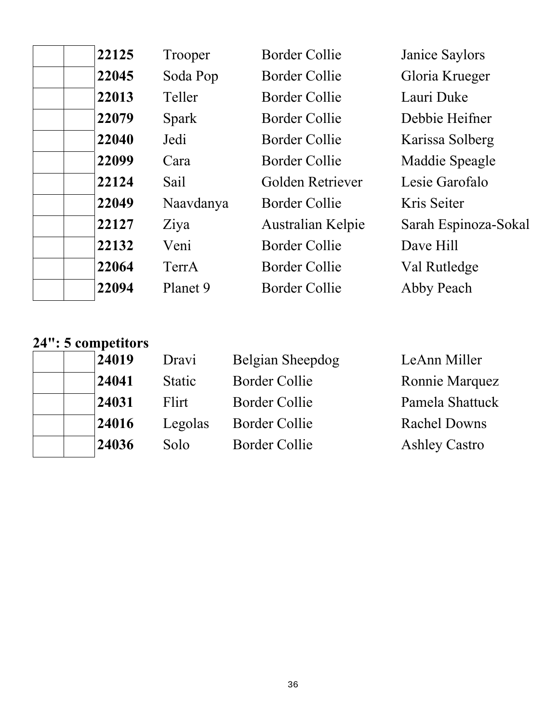| 22125 | Trooper      | <b>Border Collie</b> | Janice Saylors       |
|-------|--------------|----------------------|----------------------|
| 22045 | Soda Pop     | Border Collie        | Gloria Krueger       |
| 22013 | Teller       | Border Collie        | Lauri Duke           |
| 22079 | <b>Spark</b> | Border Collie        | Debbie Heifner       |
| 22040 | Jedi         | Border Collie        | Karissa Solberg      |
| 22099 | Cara         | Border Collie        | Maddie Speagle       |
| 22124 | Sail         | Golden Retriever     | Lesie Garofalo       |
| 22049 | Naavdanya    | Border Collie        | Kris Seiter          |
| 22127 | Ziya         | Australian Kelpie    | Sarah Espinoza-Sokal |
| 22132 | Veni         | Border Collie        | Dave Hill            |
| 22064 | TerrA        | Border Collie        | Val Rutledge         |
| 22094 | Planet 9     | Border Collie        | Abby Peach           |
|       |              |                      |                      |

### **24": 5 competitors**

| 24019 | Dravi         | Belgian Sheepdog     | LeAnn Miller         |
|-------|---------------|----------------------|----------------------|
| 24041 | <b>Static</b> | <b>Border Collie</b> | Ronnie Marquez       |
| 24031 | Flirt         | <b>Border Collie</b> | Pamela Shattuck      |
| 24016 | Legolas       | <b>Border Collie</b> | <b>Rachel Downs</b>  |
| 24036 | Solo          | <b>Border Collie</b> | <b>Ashley Castro</b> |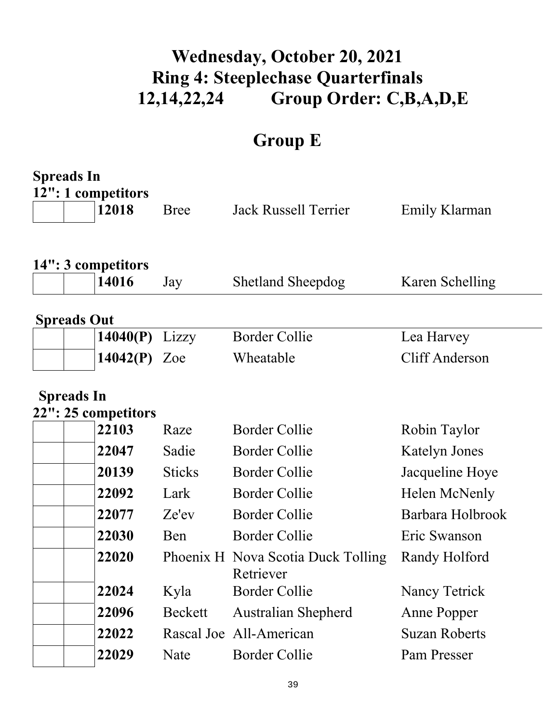# **Wednesday, October 20, 2021 Ring 4: Steeplechase Quarterfinals 12,14,22,24 Group Order: C,B,A,D,E**

# **Group E**

| <b>Spreads In</b>                        |               |                                    |                      |  |  |
|------------------------------------------|---------------|------------------------------------|----------------------|--|--|
| 12": 1 competitors<br>12018              | Bree          | <b>Jack Russell Terrier</b>        | Emily Klarman        |  |  |
|                                          |               |                                    |                      |  |  |
|                                          |               |                                    |                      |  |  |
| 14": 3 competitors                       |               |                                    |                      |  |  |
| 14016                                    | Jay           | <b>Shetland Sheepdog</b>           | Karen Schelling      |  |  |
| <b>Spreads Out</b>                       |               |                                    |                      |  |  |
| 14040(P)                                 | Lizzy         | <b>Border Collie</b>               | Lea Harvey           |  |  |
| 14042(P)                                 | Zoe           | Wheatable                          | Cliff Anderson       |  |  |
|                                          |               |                                    |                      |  |  |
| <b>Spreads In</b><br>22": 25 competitors |               |                                    |                      |  |  |
| 22103                                    | Raze          | <b>Border Collie</b>               | Robin Taylor         |  |  |
| 22047                                    | Sadie         | <b>Border Collie</b>               | <b>Katelyn Jones</b> |  |  |
| 20139                                    | <b>Sticks</b> | <b>Border Collie</b>               | Jacqueline Hoye      |  |  |
| 22092                                    | Lark          | <b>Border Collie</b>               | Helen McNenly        |  |  |
| 22077                                    | Ze'ev         | <b>Border Collie</b>               | Barbara Holbrook     |  |  |
| 22030                                    | Ben           | <b>Border Collie</b>               | Eric Swanson         |  |  |
| 22020                                    |               | Phoenix H Nova Scotia Duck Tolling | Randy Holford        |  |  |
| 22024                                    | Kyla          | Retriever<br><b>Border Collie</b>  | Nancy Tetrick        |  |  |
| 22096                                    | Beckett       | <b>Australian Shepherd</b>         | Anne Popper          |  |  |
| 22022                                    |               | Rascal Joe All-American            | <b>Suzan Roberts</b> |  |  |
| 22029                                    | Nate          | <b>Border Collie</b>               | Pam Presser          |  |  |
|                                          |               |                                    |                      |  |  |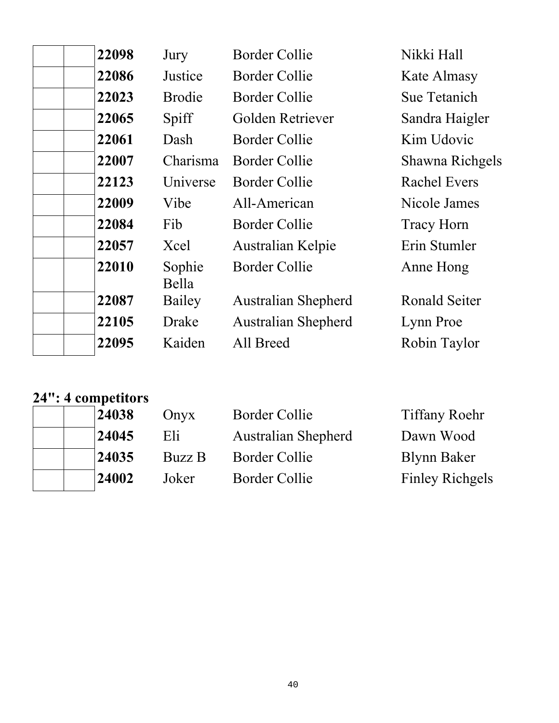| 22098 | Jury            | <b>Border Collie</b>       | Nikki Hall           |
|-------|-----------------|----------------------------|----------------------|
| 22086 | Justice         | Border Collie              | Kate Almasy          |
| 22023 | <b>Brodie</b>   | Border Collie              | Sue Tetanich         |
| 22065 | Spiff           | Golden Retriever           | Sandra Haigler       |
| 22061 | Dash            | <b>Border Collie</b>       | Kim Udovic           |
| 22007 | Charisma        | Border Collie              | Shawna Richgels      |
| 22123 | Universe        | <b>Border Collie</b>       | <b>Rachel Evers</b>  |
| 22009 | Vibe            | All-American               | Nicole James         |
| 22084 | Fib             | <b>Border Collie</b>       | <b>Tracy Horn</b>    |
| 22057 | Xcel            | Australian Kelpie          | Erin Stumler         |
| 22010 | Sophie<br>Bella | <b>Border Collie</b>       | Anne Hong            |
| 22087 | Bailey          | <b>Australian Shepherd</b> | <b>Ronald Seiter</b> |
| 22105 | Drake           | <b>Australian Shepherd</b> | Lynn Proe            |
| 22095 | Kaiden          | All Breed                  | Robin Taylor         |

# **24": 4 competitors**

| 24038 | Onyx   | <b>Border Collie</b>       | <b>Tiffany Roehr</b>   |
|-------|--------|----------------------------|------------------------|
| 24045 | Eli    | <b>Australian Shepherd</b> | Dawn Wood              |
| 24035 | Buzz B | <b>Border Collie</b>       | <b>Blynn Baker</b>     |
| 24002 | Joker  | Border Collie              | <b>Finley Richgels</b> |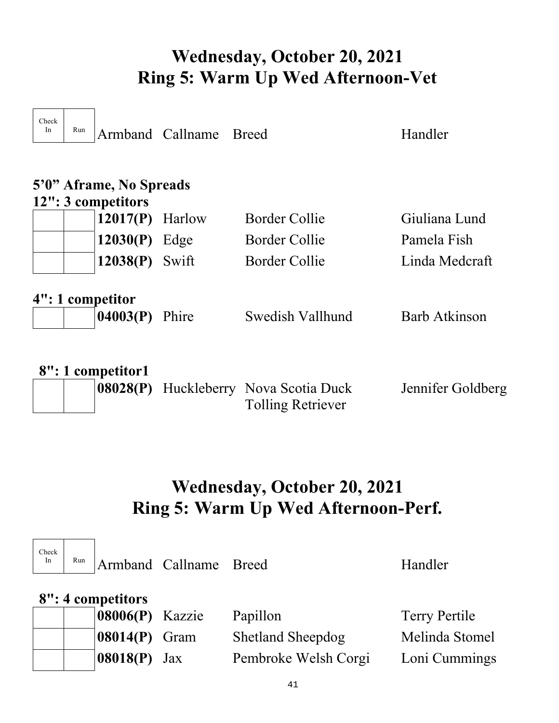# **Wednesday, October 20, 2021 Ring 5: Warm Up Wed Afternoon-Vet**

| Check<br>In                                   | Run               |                                           | Armband Callname Breed |                      | Handler        |  |
|-----------------------------------------------|-------------------|-------------------------------------------|------------------------|----------------------|----------------|--|
| 5'0" Aframe, No Spreads<br>12": 3 competitors |                   |                                           |                        |                      |                |  |
|                                               |                   | $12017(P)$ Harlow                         |                        | <b>Border Collie</b> | Giuliana Lund  |  |
|                                               |                   | $12030(P)$ Edge                           |                        | Border Collie        | Pamela Fish    |  |
|                                               |                   | 12038(P)                                  | Swift                  | Border Collie        | Linda Medcraft |  |
|                                               |                   | 4": 1 competitor<br><b>04003(P)</b> Phire |                        | Swedish Vallhund     | Barb Atkinson  |  |
|                                               | 8": 1 competitor1 |                                           |                        |                      |                |  |

| . |  | <b>08028(P)</b> Huckleberry Nova Scotia Duck | Jennifer Goldberg |
|---|--|----------------------------------------------|-------------------|
|   |  | <b>Tolling Retriever</b>                     |                   |

# **Wednesday, October 20, 2021 Ring 5: Warm Up Wed Afternoon-Perf.**

| Check<br>In | Run               |                                  | Armband Callname Breed |                          | Handler              |  |  |
|-------------|-------------------|----------------------------------|------------------------|--------------------------|----------------------|--|--|
|             | 8": 4 competitors |                                  |                        |                          |                      |  |  |
|             |                   | $\left  08006(P) \right $ Kazzie |                        | Papillon                 | <b>Terry Pertile</b> |  |  |
|             |                   | 08014(P)                         | Gram                   | <b>Shetland Sheepdog</b> | Melinda Stomel       |  |  |
|             |                   | 08018(P)                         | Jax                    | Pembroke Welsh Corgi     | Loni Cummings        |  |  |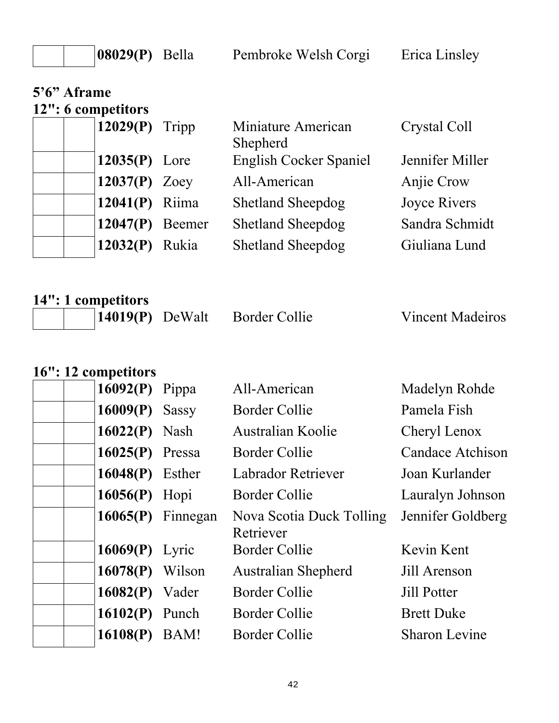**08029(P)** Bella Pembroke Welsh Corgi Erica Linsley

| 5'6" Aframe<br>12": 6 competitors |                   |                                |                     |
|-----------------------------------|-------------------|--------------------------------|---------------------|
| 12029 $(P)$ Tripp                 |                   | Miniature American<br>Shepherd | Crystal Coll        |
| $12035(P)$ Lore                   |                   | <b>English Cocker Spaniel</b>  | Jennifer Miller     |
| 12037 $(P)$ Zoey                  |                   | All-American                   | Anjie Crow          |
| $12041(P)$ Riima                  |                   | <b>Shetland Sheepdog</b>       | <b>Joyce Rivers</b> |
|                                   | $12047(P)$ Beemer | <b>Shetland Sheepdog</b>       | Sandra Schmidt      |
| 12032(P)                          | Rukia             | <b>Shetland Sheepdog</b>       | Giuliana Lund       |

**14": 1 competitors**  14019(P) DeWalt Border Collie Vincent Madeiros

### **16": 12 competitors**

|          | 16092(P) Pippa      | All-American                          | Madelyn Rohde           |
|----------|---------------------|---------------------------------------|-------------------------|
| 16009(P) | <b>Sassy</b>        | Border Collie                         | Pamela Fish             |
|          | $16022(P)$ Nash     | <b>Australian Koolie</b>              | Cheryl Lenox            |
|          | $16025(P)$ Pressa   | <b>Border Collie</b>                  | <b>Candace Atchison</b> |
|          | 16048(P) Esther     | Labrador Retriever                    | Joan Kurlander          |
|          | $16056(P)$ Hopi     | <b>Border Collie</b>                  | Lauralyn Johnson        |
|          | $16065(P)$ Finnegan | Nova Scotia Duck Tolling<br>Retriever | Jennifer Goldberg       |
|          | $16069(P)$ Lyric    | Border Collie                         | Kevin Kent              |
|          | $16078(P)$ Wilson   | <b>Australian Shepherd</b>            | Jill Arenson            |
|          | $16082(P)$ Vader    | <b>Border Collie</b>                  | <b>Jill Potter</b>      |
|          | $16102(P)$ Punch    | Border Collie                         | <b>Brett Duke</b>       |
| 16108(P) | BAM!                | <b>Border Collie</b>                  | <b>Sharon Levine</b>    |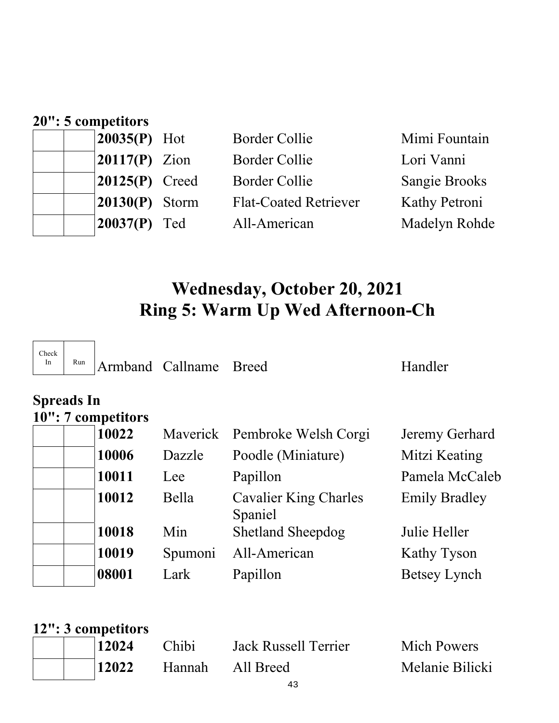| 20": 5 competitors |                  |                              |                      |  |  |
|--------------------|------------------|------------------------------|----------------------|--|--|
|                    | $20035(P)$ Hot   | <b>Border Collie</b>         | Mimi Fountain        |  |  |
|                    | $20117(P)$ Zion  | <b>Border Collie</b>         | Lori Vanni           |  |  |
|                    | $20125(P)$ Creed | <b>Border Collie</b>         | <b>Sangie Brooks</b> |  |  |
|                    | $20130(P)$ Storm | <b>Flat-Coated Retriever</b> | Kathy Petroni        |  |  |
|                    | $20037(P)$ Ted   | All-American                 | Madelyn Rohde        |  |  |

# **Wednesday, October 20, 2021 Ring 5: Warm Up Wed Afternoon-Ch**

| Check | Run | Armbai |
|-------|-----|--------|
|       |     |        |

nd Callname Breed Handler

### **Spreads In 10": 7 competitors**

| 10022 |         | Maverick Pembroke Welsh Corgi           | Jeremy Gerhard       |
|-------|---------|-----------------------------------------|----------------------|
| 10006 | Dazzle  | Poodle (Miniature)                      | Mitzi Keating        |
| 10011 | Lee     | Papillon                                | Pamela McCaleb       |
| 10012 | Bella   | <b>Cavalier King Charles</b><br>Spaniel | <b>Emily Bradley</b> |
| 10018 | Min     | <b>Shetland Sheepdog</b>                | Julie Heller         |
| 10019 | Spumoni | All-American                            | Kathy Tyson          |
| 08001 | Lark    | Papillon                                | <b>Betsey Lynch</b>  |

| 12": 3 competitors |       |                      |                 |
|--------------------|-------|----------------------|-----------------|
| 12024              | Chibi | Jack Russell Terrier | Mich Powers     |
| 12022              |       | Hannah All Breed     | Melanie Bilicki |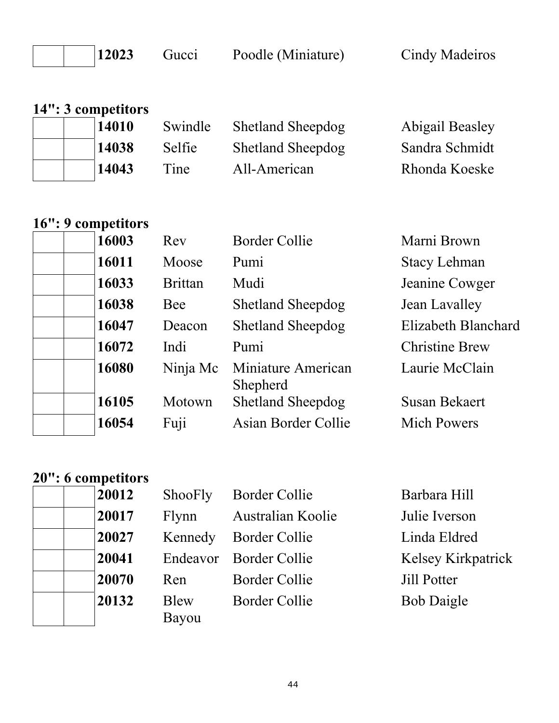12023 Gucci Poodle (Miniature) Cindy Madeiros

| 14": 3 competitors |  |       |         |                          |                 |  |
|--------------------|--|-------|---------|--------------------------|-----------------|--|
|                    |  | 14010 | Swindle | <b>Shetland Sheepdog</b> | Abigail Beasley |  |
|                    |  | 14038 | Selfie  | <b>Shetland Sheepdog</b> | Sandra Schmidt  |  |
|                    |  | 14043 | Tine    | All-American             | Rhonda Koeske   |  |

### **16": 9 competitors**

|  | 16003 |
|--|-------|
|  | 16011 |
|  | 16033 |
|  | 16038 |
|  | 16047 |
|  | 16072 |
|  | 16080 |
|  |       |
|  | 16105 |
|  | 16054 |

| 16003 | Rev            | <b>Border Collie</b>           | Marni Brown           |
|-------|----------------|--------------------------------|-----------------------|
| 16011 | Moose          | Pumi                           | <b>Stacy Lehman</b>   |
| 16033 | <b>Brittan</b> | Mudi                           | Jeanine Cowger        |
| 16038 | Bee            | <b>Shetland Sheepdog</b>       | Jean Lavalley         |
| 16047 | Deacon         | <b>Shetland Sheepdog</b>       | Elizabeth Blanchard   |
| 16072 | Indi           | Pumi                           | <b>Christine Brew</b> |
| 16080 | Ninja Mc       | Miniature American<br>Shepherd | Laurie McClain        |
| 16105 | Motown         | <b>Shetland Sheepdog</b>       | <b>Susan Bekaert</b>  |
| 16054 | Fuji           | Asian Border Collie            | <b>Mich Powers</b>    |
|       |                |                                |                       |

## **20": 6 competitors**

| 20012 | Shool |
|-------|-------|
| 20017 | Flynn |
| 20027 | Kenne |
| 20041 | Endea |
| 20070 | Ren   |
| 20132 | Blew  |
|       | Bayou |

| $\mathbf{2}^-$ | ShooFly | Border Collie            | Barbara Hill              |
|----------------|---------|--------------------------|---------------------------|
|                | Flynn   | <b>Australian Koolie</b> | Julie Iverson             |
|                |         | Kennedy Border Collie    | Linda Eldred              |
| 1              |         | Endeavor Border Collie   | <b>Kelsey Kirkpatrick</b> |
| 0              | Ren     | <b>Border Collie</b>     | Jill Potter               |
| $\mathbf{2}^-$ | Blew    | <b>Border Collie</b>     | <b>Bob Daigle</b>         |
|                | Bayou   |                          |                           |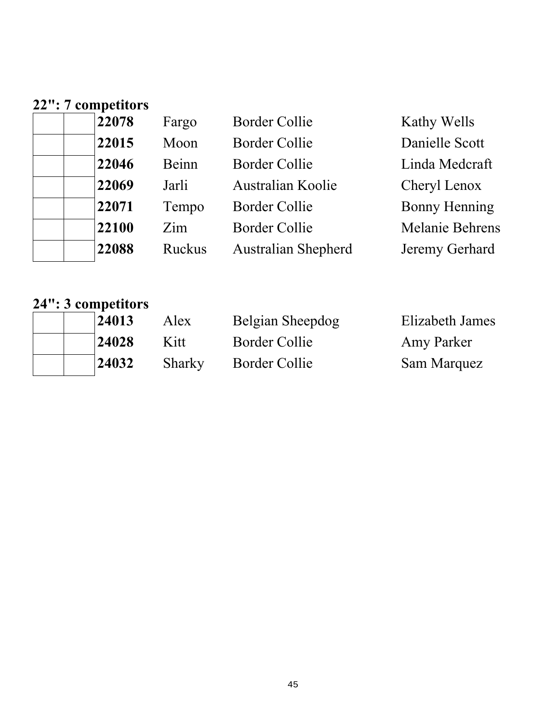|  | 22": 7 competitors |
|--|--------------------|
|  | 22078              |

| 22078 | Fargo  | <b>Border Collie</b>       | Kathy Wells          |
|-------|--------|----------------------------|----------------------|
| 22015 | Moon   | <b>Border Collie</b>       | Danielle Scott       |
| 22046 | Beinn  | <b>Border Collie</b>       | Linda Medcraft       |
| 22069 | Jarli  | <b>Australian Koolie</b>   | Cheryl Lenox         |
| 22071 | Tempo  | <b>Border Collie</b>       | <b>Bonny Henning</b> |
| 22100 | Zim    | <b>Border Collie</b>       | Melanie Behrens      |
| 22088 | Ruckus | <b>Australian Shepherd</b> | Jeremy Gerhard       |

# **24": 3 competitors**

| 24013 | Alex   | Belgian Sheepdog     | <b>Elizabeth James</b> |
|-------|--------|----------------------|------------------------|
| 24028 | Kitt   | Border Collie        | Amy Parker             |
| 24032 | Sharky | <b>Border Collie</b> | Sam Marquez            |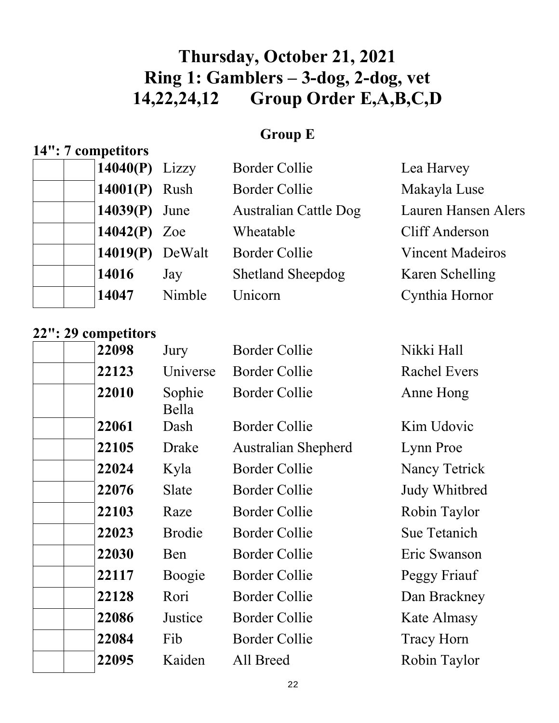# **Thursday, October 21, 2021 Ring 1: Gamblers – 3-dog, 2-dog, vet 14,22,24,12 Group Order E,A,B,C,D**

## **Group E**

## **14": 7 competitors**

| $14040(P)$ Lizzy  |        | <b>Border Collie</b>         | Lea Harvey                 |
|-------------------|--------|------------------------------|----------------------------|
| 14001(P) Rush     |        | <b>Border Collie</b>         | Makayla Luse               |
| $14039(P)$ June   |        | <b>Australian Cattle Dog</b> | <b>Lauren Hansen Alers</b> |
| 14042 $(P)$ Zoe   |        | Wheatable                    | <b>Cliff Anderson</b>      |
| $14019(P)$ DeWalt |        | <b>Border Collie</b>         | <b>Vincent Madeiros</b>    |
| 14016             | Jay    | <b>Shetland Sheepdog</b>     | Karen Schelling            |
| 14047             | Nimble | Unicorn                      | Cynthia Hornor             |

### **22": 29 competitors**

| 22098 | Jury            | <b>Border Collie</b>       | Nikki Hall          |
|-------|-----------------|----------------------------|---------------------|
| 22123 | Universe        | Border Collie              | <b>Rachel Evers</b> |
| 22010 | Sophie<br>Bella | <b>Border Collie</b>       | Anne Hong           |
| 22061 | Dash            | <b>Border Collie</b>       | Kim Udovic          |
| 22105 | Drake           | <b>Australian Shepherd</b> | Lynn Proe           |
| 22024 | Kyla            | <b>Border Collie</b>       | Nancy Tetrick       |
| 22076 | Slate           | <b>Border Collie</b>       | Judy Whitbred       |
| 22103 | Raze            | <b>Border Collie</b>       | Robin Taylor        |
| 22023 | <b>Brodie</b>   | <b>Border Collie</b>       | Sue Tetanich        |
| 22030 | Ben             | <b>Border Collie</b>       | Eric Swanson        |
| 22117 | Boogie          | <b>Border Collie</b>       | Peggy Friauf        |
| 22128 | Rori            | <b>Border Collie</b>       | Dan Brackney        |
| 22086 | Justice         | <b>Border Collie</b>       | Kate Almasy         |
| 22084 | Fib             | <b>Border Collie</b>       | Tracy Horn          |
| 22095 | Kaiden          | All Breed                  | Robin Taylor        |
|       |                 |                            |                     |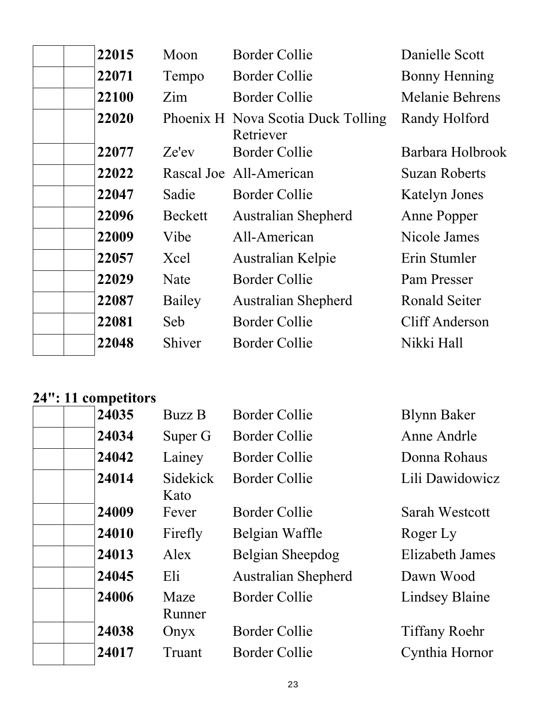| 22015 | Moon    | <b>Border Collie</b>       | Danielle Scott                                                |
|-------|---------|----------------------------|---------------------------------------------------------------|
| 22071 | Tempo   | <b>Border Collie</b>       | <b>Bonny Henning</b>                                          |
| 22100 | Zim     | Border Collie              | Melanie Behrens                                               |
| 22020 |         | Retriever                  | Randy Holford                                                 |
| 22077 | Ze'ev   | <b>Border Collie</b>       | Barbara Holbrook                                              |
| 22022 |         |                            | <b>Suzan Roberts</b>                                          |
| 22047 | Sadie   | Border Collie              | <b>Katelyn Jones</b>                                          |
| 22096 | Beckett | <b>Australian Shepherd</b> | Anne Popper                                                   |
| 22009 | Vibe    | All-American               | Nicole James                                                  |
| 22057 | Xcel    | Australian Kelpie          | Erin Stumler                                                  |
| 22029 | Nate    | <b>Border Collie</b>       | Pam Presser                                                   |
| 22087 | Bailey  | <b>Australian Shepherd</b> | Ronald Seiter                                                 |
| 22081 | Seb     | <b>Border Collie</b>       | Cliff Anderson                                                |
| 22048 | Shiver  | <b>Border Collie</b>       | Nikki Hall                                                    |
|       |         |                            | Phoenix H Nova Scotia Duck Tolling<br>Rascal Joe All-American |

### **24": 11 competitors**

| 24035 | <b>Buzz B</b>    | Border Collie              | <b>Blynn Baker</b>    |
|-------|------------------|----------------------------|-----------------------|
| 24034 | Super G          | Border Collie              | Anne Andrle           |
| 24042 | Lainey           | <b>Border Collie</b>       | Donna Rohaus          |
| 24014 | Sidekick<br>Kato | <b>Border Collie</b>       | Lili Dawidowicz       |
| 24009 | Fever            | Border Collie              | Sarah Westcott        |
| 24010 | Firefly          | Belgian Waffle             | Roger Ly              |
| 24013 | Alex             | Belgian Sheepdog           | Elizabeth James       |
| 24045 | Eli              | <b>Australian Shepherd</b> | Dawn Wood             |
| 24006 | Maze<br>Runner   | <b>Border Collie</b>       | <b>Lindsey Blaine</b> |
| 24038 | Onyx             | <b>Border Collie</b>       | <b>Tiffany Roehr</b>  |
| 24017 | Truant           | Border Collie              | Cynthia Hornor        |
|       |                  |                            |                       |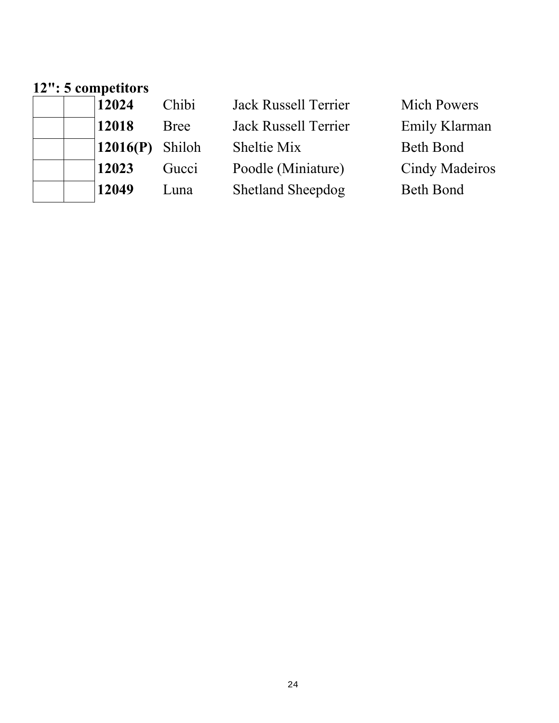### **12": 5 competitors**

| 12024    | Chibi       | <b>Jack Russell Terrier</b> | <b>Mich Powers</b> |
|----------|-------------|-----------------------------|--------------------|
| 12018    | <b>Bree</b> | <b>Jack Russell Terrier</b> | Emily Klarman      |
| 12016(P) | Shiloh      | Sheltie Mix                 | <b>Beth Bond</b>   |
| 12023    | Gucci       | Poodle (Miniature)          | Cindy Madeiros     |
| 12049    | Luna        | <b>Shetland Sheepdog</b>    | <b>Beth Bond</b>   |
|          |             |                             |                    |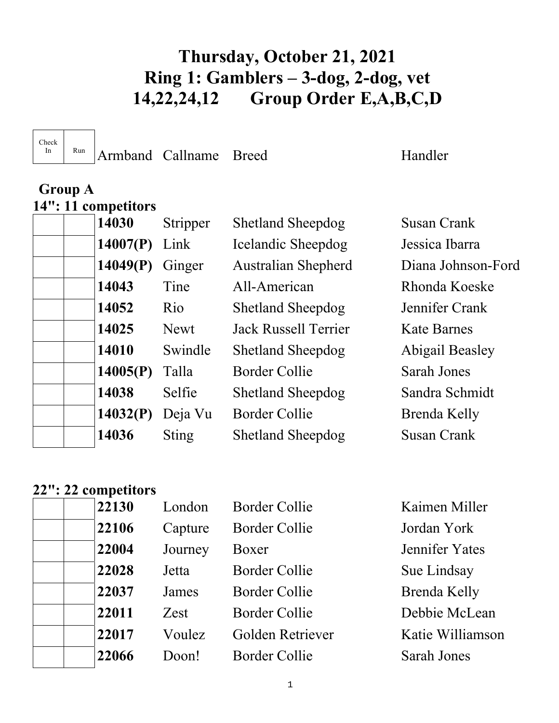# **Thursday, October 21, 2021 Ring 1: Gamblers – 3-dog, 2-dog, vet 14,22,24,12 Group Order E,A,B,C,D**

Check

In Run Armband Callname Breed Handler

## **Group A 14": 11 competitors**

| 14007(P)<br>Link<br>Icelandic Sheepdog<br>Jessica Ibarra<br>14049(P)<br><b>Australian Shepherd</b><br>Diana Johnson-Ford<br>Ginger<br>14043<br>Tine<br>All-American<br>Rhonda Koeske<br>14052<br><b>Rio</b><br><b>Shetland Sheepdog</b><br>Jennifer Crank<br>14025<br><b>Jack Russell Terrier</b><br><b>Newt</b><br><b>Kate Barnes</b><br>14010<br>Swindle<br>Abigail Beasley<br><b>Shetland Sheepdog</b><br>14005(P)<br><b>Border Collie</b><br>Talla<br>Sarah Jones<br>14038<br>Selfie<br><b>Shetland Sheepdog</b><br>Sandra Schmidt<br>14032(P)<br>Deja Vu<br>Border Collie<br>Brenda Kelly<br>14036<br><b>Susan Crank</b><br><b>Sting</b><br><b>Shetland Sheepdog</b> | 14030 | Stripper | <b>Shetland Sheepdog</b> | Susan Crank |
|---------------------------------------------------------------------------------------------------------------------------------------------------------------------------------------------------------------------------------------------------------------------------------------------------------------------------------------------------------------------------------------------------------------------------------------------------------------------------------------------------------------------------------------------------------------------------------------------------------------------------------------------------------------------------|-------|----------|--------------------------|-------------|
|                                                                                                                                                                                                                                                                                                                                                                                                                                                                                                                                                                                                                                                                           |       |          |                          |             |
|                                                                                                                                                                                                                                                                                                                                                                                                                                                                                                                                                                                                                                                                           |       |          |                          |             |
|                                                                                                                                                                                                                                                                                                                                                                                                                                                                                                                                                                                                                                                                           |       |          |                          |             |
|                                                                                                                                                                                                                                                                                                                                                                                                                                                                                                                                                                                                                                                                           |       |          |                          |             |
|                                                                                                                                                                                                                                                                                                                                                                                                                                                                                                                                                                                                                                                                           |       |          |                          |             |
|                                                                                                                                                                                                                                                                                                                                                                                                                                                                                                                                                                                                                                                                           |       |          |                          |             |
|                                                                                                                                                                                                                                                                                                                                                                                                                                                                                                                                                                                                                                                                           |       |          |                          |             |
|                                                                                                                                                                                                                                                                                                                                                                                                                                                                                                                                                                                                                                                                           |       |          |                          |             |
|                                                                                                                                                                                                                                                                                                                                                                                                                                                                                                                                                                                                                                                                           |       |          |                          |             |
|                                                                                                                                                                                                                                                                                                                                                                                                                                                                                                                                                                                                                                                                           |       |          |                          |             |

### **22": 22 competitors**

|  | 22130 | London  | <b>Border Collie</b> | Kaimen Miller      |
|--|-------|---------|----------------------|--------------------|
|  | 22106 | Capture | <b>Border Collie</b> | Jordan York        |
|  | 22004 | Journey | Boxer                | Jennifer Yates     |
|  | 22028 | Jetta   | <b>Border Collie</b> | Sue Lindsay        |
|  | 22037 | James   | Border Collie        | Brenda Kelly       |
|  | 22011 | Zest    | <b>Border Collie</b> | Debbie McLean      |
|  | 22017 | Voulez  | Golden Retriever     | Katie Williamson   |
|  | 22066 | Doon!   | Border Collie        | <b>Sarah Jones</b> |
|  |       |         |                      |                    |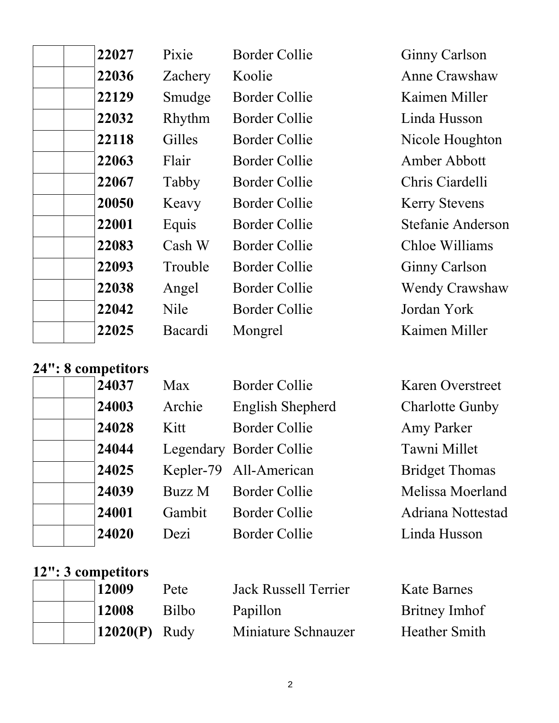| 22027 | Pixie       | <b>Border Collie</b> | <b>Ginny Carlson</b>  |
|-------|-------------|----------------------|-----------------------|
| 22036 | Zachery     | Koolie               | <b>Anne Crawshaw</b>  |
| 22129 | Smudge      | Border Collie        | Kaimen Miller         |
| 22032 | Rhythm      | <b>Border Collie</b> | Linda Husson          |
| 22118 | Gilles      | Border Collie        | Nicole Houghton       |
| 22063 | Flair       | Border Collie        | Amber Abbott          |
| 22067 | Tabby       | <b>Border Collie</b> | Chris Ciardelli       |
| 20050 | Keavy       | Border Collie        | <b>Kerry Stevens</b>  |
| 22001 | Equis       | Border Collie        | Stefanie Anderson     |
| 22083 | Cash W      | Border Collie        | Chloe Williams        |
| 22093 | Trouble     | Border Collie        | <b>Ginny Carlson</b>  |
| 22038 | Angel       | <b>Border Collie</b> | <b>Wendy Crawshaw</b> |
| 22042 | <b>Nile</b> | Border Collie        | Jordan York           |
| 22025 | Bacardi     | Mongrel              | Kaimen Miller         |
|       |             |                      |                       |

## **24": 8 competitors**

| 24003 |  |
|-------|--|
| 24028 |  |
| 24044 |  |
| 24025 |  |
| 24039 |  |
| 24001 |  |
| 24020 |  |

| Max    | <b>Border Collie</b>    | <b>Karen Overstreet</b> |
|--------|-------------------------|-------------------------|
| Archie | English Shepherd        | <b>Charlotte Gunby</b>  |
| Kitt   | Border Collie           | Amy Parker              |
|        | Legendary Border Collie | Tawni Millet            |
|        | Kepler-79 All-American  | <b>Bridget Thomas</b>   |
| Buzz M | <b>Border Collie</b>    | Melissa Moerland        |
| Gambit | <b>Border Collie</b>    | Adriana Nottestad       |
| Dezi   | <b>Border Collie</b>    | Linda Husson            |

#### **12": 3 competitors**

|  | 12009           | Pete  | <b>Jack Russell Terrier</b> | Kate Barnes          |
|--|-----------------|-------|-----------------------------|----------------------|
|  | 12008           | Bilbo | Papillon                    | <b>Britney Imhof</b> |
|  | $12020(P)$ Rudy |       | Miniature Schnauzer         | <b>Heather Smith</b> |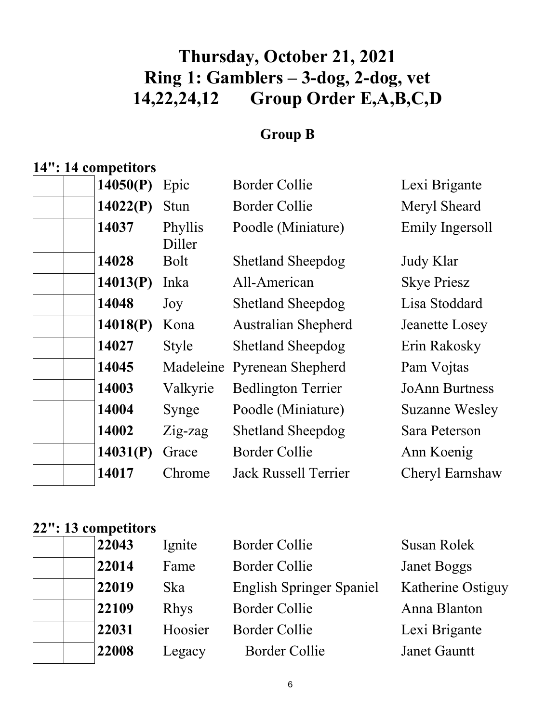# **Thursday, October 21, 2021 Ring 1: Gamblers – 3-dog, 2-dog, vet 14,22,24,12 Group Order E,A,B,C,D**

## **Group B**

## **14": 14 competitors**

| 14050(P) | Epic              | <b>Border Collie</b>        | Lexi Brigante         |
|----------|-------------------|-----------------------------|-----------------------|
| 14022(P) | Stun              | <b>Border Collie</b>        | Meryl Sheard          |
| 14037    | Phyllis<br>Diller | Poodle (Miniature)          | Emily Ingersoll       |
| 14028    | Bolt              | <b>Shetland Sheepdog</b>    | Judy Klar             |
| 14013(P) | Inka              | All-American                | <b>Skye Priesz</b>    |
| 14048    | Joy               | <b>Shetland Sheepdog</b>    | Lisa Stoddard         |
| 14018(P) | Kona              | <b>Australian Shepherd</b>  | Jeanette Losey        |
| 14027    | <b>Style</b>      | <b>Shetland Sheepdog</b>    | Erin Rakosky          |
| 14045    | Madeleine         | <b>Pyrenean Shepherd</b>    | Pam Vojtas            |
| 14003    | Valkyrie          | <b>Bedlington Terrier</b>   | <b>JoAnn Burtness</b> |
| 14004    | Synge             | Poodle (Miniature)          | <b>Suzanne Wesley</b> |
| 14002    | $Z$ ig-zag        | <b>Shetland Sheepdog</b>    | Sara Peterson         |
| 14031(P) | Grace             | <b>Border Collie</b>        | Ann Koenig            |
| 14017    | Chrome            | <b>Jack Russell Terrier</b> | Cheryl Earnshaw       |
|          |                   |                             |                       |

## **22": 13 competitors**

| 22043 | Ignite      | <b>Border Collie</b>            | Susan Rolek        |
|-------|-------------|---------------------------------|--------------------|
| 22014 | Fame        | <b>Border Collie</b>            | <b>Janet Boggs</b> |
| 22019 | <b>Ska</b>  | <b>English Springer Spaniel</b> | Katherine Ostiguy  |
| 22109 | <b>Rhys</b> | <b>Border Collie</b>            | Anna Blanton       |
| 22031 | Hoosier     | <b>Border Collie</b>            | Lexi Brigante      |
| 22008 | Legacy      | <b>Border Collie</b>            | Janet Gauntt       |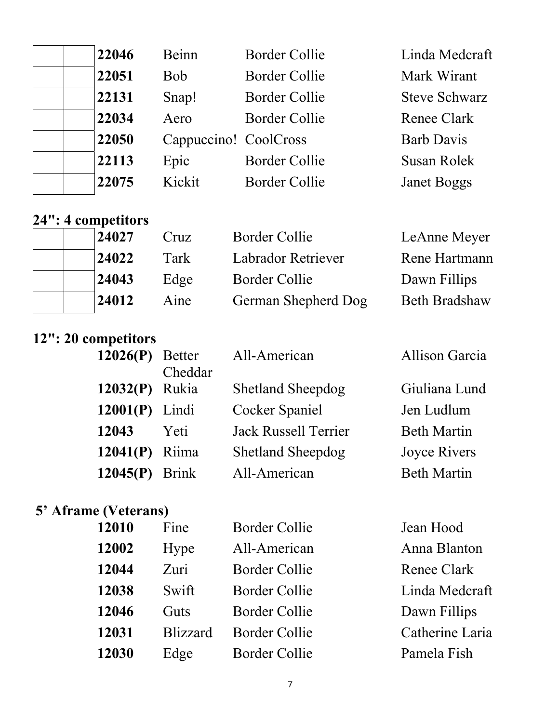| 22046 | <b>Beinn</b>          | Border Collie        | Linda Medcraft       |
|-------|-----------------------|----------------------|----------------------|
| 22051 | <b>Bob</b>            | Border Collie        | Mark Wirant          |
| 22131 | Snap!                 | Border Collie        | <b>Steve Schwarz</b> |
| 22034 | Aero                  | <b>Border Collie</b> | Renee Clark          |
| 22050 | Cappuccino! CoolCross |                      | <b>Barb Davis</b>    |
| 22113 | Epic                  | Border Collie        | Susan Rolek          |
| 22075 | Kickit                | Border Collie        | <b>Janet Boggs</b>   |

## **24": 4 competitors**

| 24027 | Cruz | Border Collie       | LeAnne Meyer         |
|-------|------|---------------------|----------------------|
| 24022 | Tark | Labrador Retriever  | Rene Hartmann        |
| 24043 | Edge | Border Collie       | Dawn Fillips         |
| 24012 | Aine | German Shepherd Dog | <b>Beth Bradshaw</b> |

# **12": 20 competitors**

| $12026(P)$ Better |              | All-American                | <b>Allison Garcia</b> |
|-------------------|--------------|-----------------------------|-----------------------|
|                   | Cheddar      |                             |                       |
| 12032(P) Rukia    |              | <b>Shetland Sheepdog</b>    | Giuliana Lund         |
| 12001(P)          | Lindi        | Cocker Spaniel              | Jen Ludlum            |
| 12043             | Yeti         | <b>Jack Russell Terrier</b> | <b>Beth Martin</b>    |
| $12041(P)$ Riima  |              | <b>Shetland Sheepdog</b>    | Joyce Rivers          |
| 12045(P)          | <b>Brink</b> | All-American                | <b>Beth Martin</b>    |
|                   |              |                             |                       |

# **5' Aframe (Veterans)**

| 12010 | Fine            | <b>Border Collie</b> | Jean Hood       |
|-------|-----------------|----------------------|-----------------|
| 12002 | Hype            | All-American         | Anna Blanton    |
| 12044 | Zuri            | <b>Border Collie</b> | Renee Clark     |
| 12038 | Swift           | <b>Border Collie</b> | Linda Medcraft  |
| 12046 | Guts            | <b>Border Collie</b> | Dawn Fillips    |
| 12031 | <b>Blizzard</b> | <b>Border Collie</b> | Catherine Laria |
| 12030 | Edge            | <b>Border Collie</b> | Pamela Fish     |
|       |                 |                      |                 |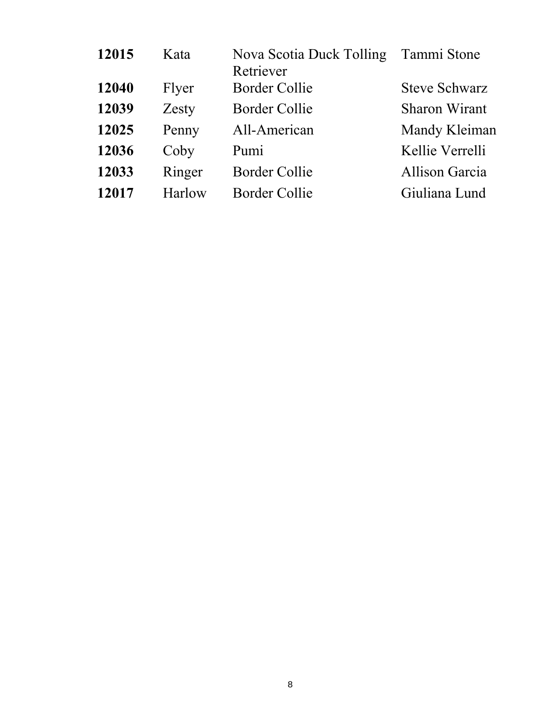| 12015 | Kata   | Nova Scotia Duck Tolling<br>Retriever | Tammi Stone           |
|-------|--------|---------------------------------------|-----------------------|
| 12040 | Flyer  | <b>Border Collie</b>                  | <b>Steve Schwarz</b>  |
| 12039 | Zesty  | Border Collie                         | <b>Sharon Wirant</b>  |
| 12025 | Penny  | All-American                          | Mandy Kleiman         |
| 12036 | Coby   | Pumi                                  | Kellie Verrelli       |
| 12033 | Ringer | <b>Border Collie</b>                  | <b>Allison Garcia</b> |
| 12017 | Harlow | Border Collie                         | Giuliana Lund         |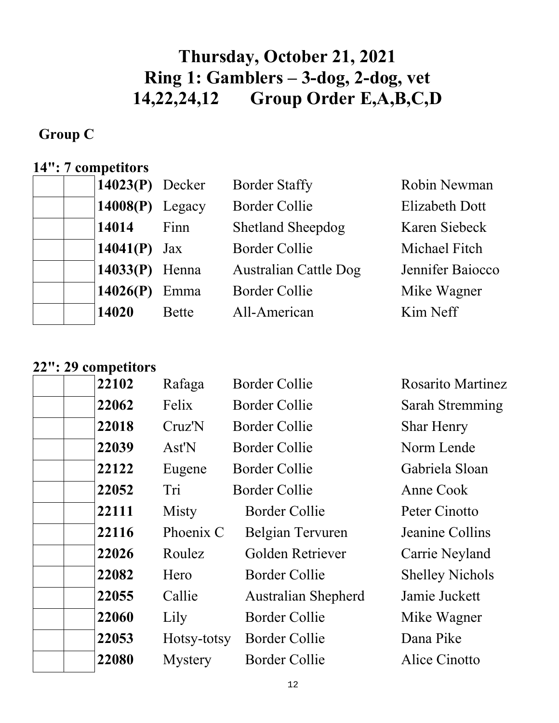# **Thursday, October 21, 2021 Ring 1: Gamblers – 3-dog, 2-dog, vet 14,22,24,12 Group Order E,A,B,C,D**

## **Group C**

# **14": 7 competitors**

| $14023(P)$ Decker |              | <b>Border Staffy</b>         | Robin Newman          |
|-------------------|--------------|------------------------------|-----------------------|
| $14008(P)$ Legacy |              | <b>Border Collie</b>         | <b>Elizabeth Dott</b> |
| 14014             | Finn         | <b>Shetland Sheepdog</b>     | Karen Siebeck         |
| 14041(P) $Jax$    |              | <b>Border Collie</b>         | Michael Fitch         |
| $14033(P)$ Henna  |              | <b>Australian Cattle Dog</b> | Jennifer Baiocco      |
| 14026(P)          | Emma         | <b>Border Collie</b>         | Mike Wagner           |
| 14020             | <b>Bette</b> | All-American                 | Kim Neff              |

### **22": 29 competitors**

| 22102 | Rafaga         | Border Collie              | <b>Rosarito Martinez</b> |
|-------|----------------|----------------------------|--------------------------|
| 22062 | Felix          | Border Collie              | Sarah Stremming          |
| 22018 | Cruz'N         | <b>Border Collie</b>       | <b>Shar Henry</b>        |
| 22039 | Ast'N          | Border Collie              | Norm Lende               |
| 22122 | Eugene         | Border Collie              | Gabriela Sloan           |
| 22052 | Tri            | Border Collie              | Anne Cook                |
| 22111 | Misty          | <b>Border Collie</b>       | Peter Cinotto            |
| 22116 | Phoenix C      | Belgian Tervuren           | Jeanine Collins          |
| 22026 | Roulez         | Golden Retriever           | Carrie Neyland           |
| 22082 | Hero           | <b>Border Collie</b>       | <b>Shelley Nichols</b>   |
| 22055 | Callie         | <b>Australian Shepherd</b> | Jamie Juckett            |
| 22060 | Lily           | <b>Border Collie</b>       | Mike Wagner              |
| 22053 | Hotsy-totsy    | <b>Border Collie</b>       | Dana Pike                |
| 22080 | <b>Mystery</b> | <b>Border Collie</b>       | Alice Cinotto            |
|       |                |                            |                          |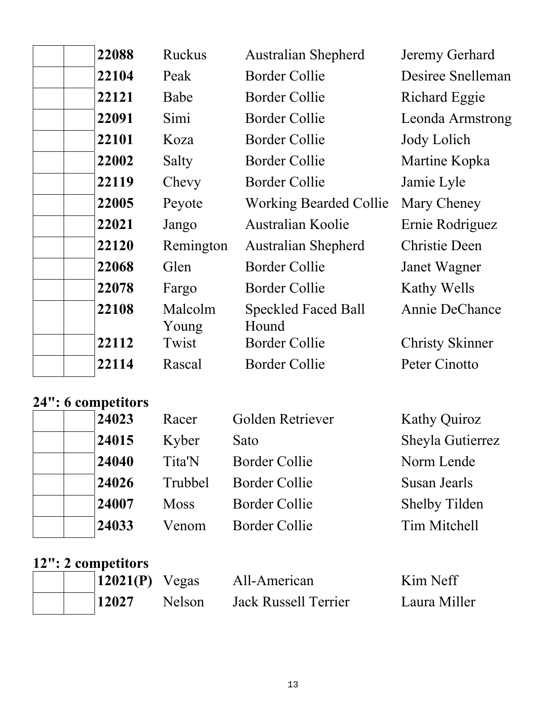| 22088 | <b>Ruckus</b>    | <b>Australian Shepherd</b>          | Jeremy Gerhard         |
|-------|------------------|-------------------------------------|------------------------|
| 22104 | Peak             | <b>Border Collie</b>                | Desiree Snelleman      |
| 22121 | Babe             | <b>Border Collie</b>                | Richard Eggie          |
| 22091 | Simi             | Border Collie                       | Leonda Armstrong       |
| 22101 | Koza             | <b>Border Collie</b>                | Jody Lolich            |
| 22002 | Salty            | <b>Border Collie</b>                | Martine Kopka          |
| 22119 | Chevy            | <b>Border Collie</b>                | Jamie Lyle             |
| 22005 | Peyote           | <b>Working Bearded Collie</b>       | Mary Cheney            |
| 22021 | Jango            | Australian Koolie                   | Ernie Rodriguez        |
| 22120 | Remington        | <b>Australian Shepherd</b>          | <b>Christie Deen</b>   |
| 22068 | Glen             | Border Collie                       | Janet Wagner           |
| 22078 | Fargo            | <b>Border Collie</b>                | Kathy Wells            |
| 22108 | Malcolm<br>Young | <b>Speckled Faced Ball</b><br>Hound | <b>Annie DeChance</b>  |
| 22112 | Twist            | <b>Border Collie</b>                | <b>Christy Skinner</b> |
| 22114 | Rascal           | <b>Border Collie</b>                | Peter Cinotto          |

### **24": 6 competitors**

| 24023 | Racer       | Golden Retriever     | <b>Kathy Quiroz</b>  |
|-------|-------------|----------------------|----------------------|
| 24015 | Kyber       | Sato                 | Sheyla Gutierrez     |
| 24040 | Tita'N      | Border Collie        | Norm Lende           |
| 24026 | Trubbel     | <b>Border Collie</b> | Susan Jearls         |
| 24007 | <b>Moss</b> | Border Collie        | <b>Shelby Tilden</b> |
| 24033 | Venom       | Border Collie        | Tim Mitchell         |
|       |             |                      |                      |

### **12": 2 competitors**

|  | $12021(P)$ Vegas |               | All-American         | Kim Neff     |
|--|------------------|---------------|----------------------|--------------|
|  | $\vert$ 12027    | <b>Nelson</b> | Jack Russell Terrier | Laura Miller |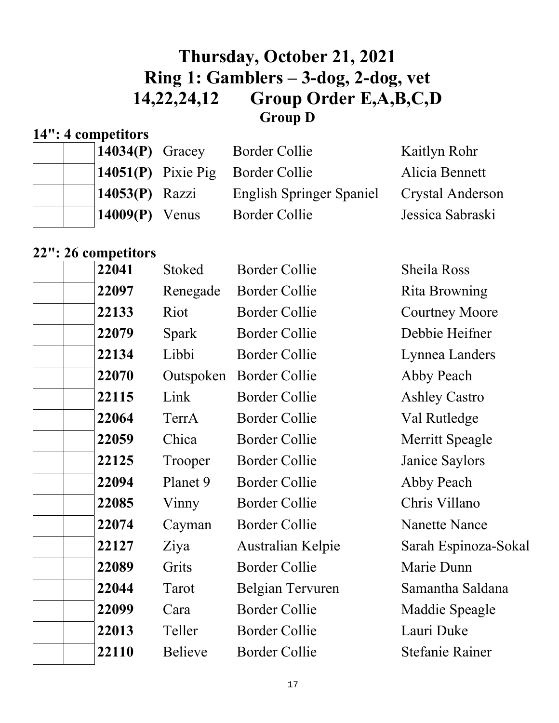## **Thursday, October 21, 2021 Ring 1: Gamblers – 3-dog, 2-dog, vet 14,22,24,12 Group Order E,A,B,C,D Group D**

## **14": 4 competitors**

| $\vert 14034(P)$ Gracey | Border Collie                      | Kaitlyn Rohr            |
|-------------------------|------------------------------------|-------------------------|
|                         | $14051(P)$ Pixie Pig Border Collie | Alicia Bennett          |
| $14053(P)$ Razzi        | <b>English Springer Spaniel</b>    | <b>Crystal Anderson</b> |
| $14009(P)$ Venus        | Border Collie                      | Jessica Sabraski        |

# **22": 26 competitors**

| 22041 | <b>Stoked</b>  | <b>Border Collie</b> | <b>Sheila Ross</b>     |
|-------|----------------|----------------------|------------------------|
| 22097 | Renegade       | <b>Border Collie</b> | Rita Browning          |
| 22133 | Riot           | <b>Border Collie</b> | <b>Courtney Moore</b>  |
| 22079 | Spark          | <b>Border Collie</b> | Debbie Heifner         |
| 22134 | Libbi          | <b>Border Collie</b> | Lynnea Landers         |
| 22070 | Outspoken      | <b>Border Collie</b> | Abby Peach             |
| 22115 | Link           | <b>Border Collie</b> | <b>Ashley Castro</b>   |
| 22064 | TerrA          | <b>Border Collie</b> | Val Rutledge           |
| 22059 | Chica          | <b>Border Collie</b> | Merritt Speagle        |
| 22125 | Trooper        | <b>Border Collie</b> | Janice Saylors         |
| 22094 | Planet 9       | <b>Border Collie</b> | Abby Peach             |
| 22085 | Vinny          | <b>Border Collie</b> | Chris Villano          |
| 22074 | Cayman         | <b>Border Collie</b> | <b>Nanette Nance</b>   |
| 22127 | Ziya           | Australian Kelpie    | Sarah Espinoza-Sokal   |
| 22089 | Grits          | <b>Border Collie</b> | Marie Dunn             |
| 22044 | Tarot          | Belgian Tervuren     | Samantha Saldana       |
| 22099 | Cara           | <b>Border Collie</b> | Maddie Speagle         |
| 22013 | Teller         | <b>Border Collie</b> | Lauri Duke             |
| 22110 | <b>Believe</b> | <b>Border Collie</b> | <b>Stefanie Rainer</b> |
|       |                |                      |                        |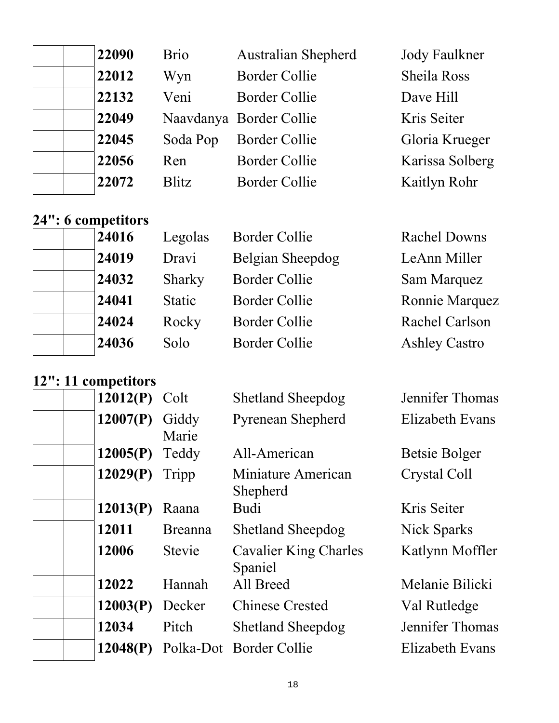|  | 22090 | <b>Brio</b>  | <b>Australian Shepherd</b> | <b>Jody Faulkner</b> |
|--|-------|--------------|----------------------------|----------------------|
|  | 22012 | Wyn          | <b>Border Collie</b>       | <b>Sheila Ross</b>   |
|  | 22132 | Veni         | <b>Border Collie</b>       | Dave Hill            |
|  | 22049 |              | Naavdanya Border Collie    | Kris Seiter          |
|  | 22045 | Soda Pop     | <b>Border Collie</b>       | Gloria Krueger       |
|  | 22056 | Ren          | <b>Border Collie</b>       | Karissa Solberg      |
|  | 22072 | <b>Blitz</b> | <b>Border Collie</b>       | Kaitlyn Rohr         |
|  |       |              |                            |                      |

## **24": 6 competitors**

|  | 24016 |
|--|-------|
|  | 24019 |
|  | 24032 |
|  | 24041 |
|  | 24024 |
|  | 24036 |

| Legolas      |
|--------------|
| Dravi        |
| Sharky       |
| Static       |
| Rocky        |
| $S_{\Omega}$ |

**2416** Border Collie **2416** Rachel Downs **2411 Belgian Sheepdog LeAnn Miller<br>
<b>2411 Belgian Sheepdog LeAnn Miller**<br> **2411 Belgian Sam Marquez 2411** Border Collie **2412** Ronnie Marquez **2412 Border Collie Rachel Carlson 2415 Solo Border Collie Ashley Castro** 

**Sam Marquez** 

### **12": 11 competitors**

| 12012(P) | Colt           | <b>Shetland Sheepdog</b>                | Jennifer Thomas |
|----------|----------------|-----------------------------------------|-----------------|
| 12007(P) | Giddy<br>Marie | <b>Pyrenean Shepherd</b>                | Elizabeth Evans |
| 12005(P) | Teddy          | All-American                            | Betsie Bolger   |
| 12029(P) | Tripp          | Miniature American<br>Shepherd          | Crystal Coll    |
| 12013(P) | Raana          | Budi                                    | Kris Seiter     |
| 12011    | <b>Breanna</b> | <b>Shetland Sheepdog</b>                | Nick Sparks     |
| 12006    | <b>Stevie</b>  | <b>Cavalier King Charles</b><br>Spaniel | Katlynn Moffler |
| 12022    | Hannah         | All Breed                               | Melanie Bilicki |
| 12003(P) | Decker         | <b>Chinese Crested</b>                  | Val Rutledge    |
| 12034    | Pitch          | <b>Shetland Sheepdog</b>                | Jennifer Thomas |
| 12048(P) |                | Polka-Dot Border Collie                 | Elizabeth Evans |
|          |                |                                         |                 |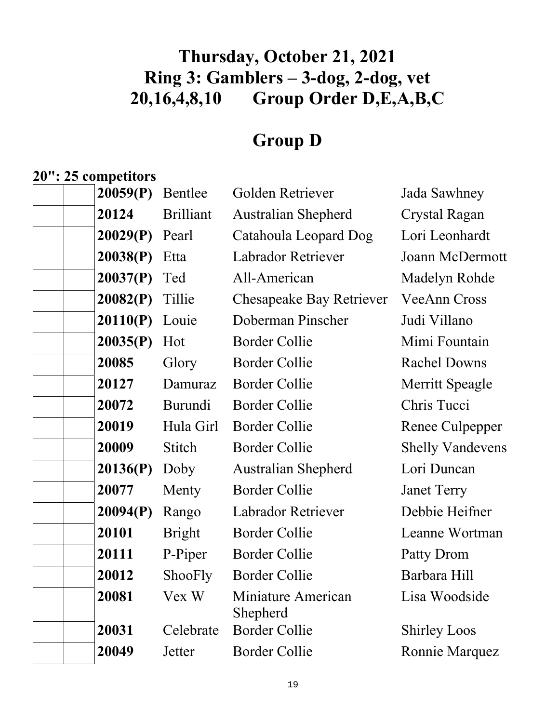# **Thursday, October 21, 2021 Ring 3: Gamblers – 3-dog, 2-dog, vet 20,16,4,8,10 Group Order D,E,A,B,C**

# **Group D**

# **20": 25 competitors**

| 20059(P) | Bentlee          | Golden Retriever               | Jada Sawhney            |
|----------|------------------|--------------------------------|-------------------------|
| 20124    | <b>Brilliant</b> | <b>Australian Shepherd</b>     | <b>Crystal Ragan</b>    |
| 20029(P) | Pearl            | Catahoula Leopard Dog          | Lori Leonhardt          |
| 20038(P) | Etta             | Labrador Retriever             | <b>Joann McDermott</b>  |
| 20037(P) | Ted              | All-American                   | Madelyn Rohde           |
| 20082(P) | Tillie           | Chesapeake Bay Retriever       | VeeAnn Cross            |
| 20110(P) | Louie            | Doberman Pinscher              | Judi Villano            |
| 20035(P) | Hot              | <b>Border Collie</b>           | Mimi Fountain           |
| 20085    | Glory            | <b>Border Collie</b>           | <b>Rachel Downs</b>     |
| 20127    | Damuraz          | <b>Border Collie</b>           | <b>Merritt Speagle</b>  |
| 20072    | Burundi          | <b>Border Collie</b>           | Chris Tucci             |
| 20019    | Hula Girl        | <b>Border Collie</b>           | Renee Culpepper         |
| 20009    | <b>Stitch</b>    | <b>Border Collie</b>           | <b>Shelly Vandevens</b> |
| 20136(P) | Doby             | <b>Australian Shepherd</b>     | Lori Duncan             |
| 20077    | Menty            | <b>Border Collie</b>           | <b>Janet Terry</b>      |
| 20094(P) | Rango            | Labrador Retriever             | Debbie Heifner          |
| 20101    | <b>Bright</b>    | <b>Border Collie</b>           | Leanne Wortman          |
| 20111    | P-Piper          | <b>Border Collie</b>           | Patty Drom              |
| 20012    | ShooFly          | <b>Border Collie</b>           | Barbara Hill            |
| 20081    | Vex W            | Miniature American<br>Shepherd | Lisa Woodside           |
| 20031    | Celebrate        | <b>Border Collie</b>           | <b>Shirley Loos</b>     |
| 20049    | Jetter           | <b>Border Collie</b>           | Ronnie Marquez          |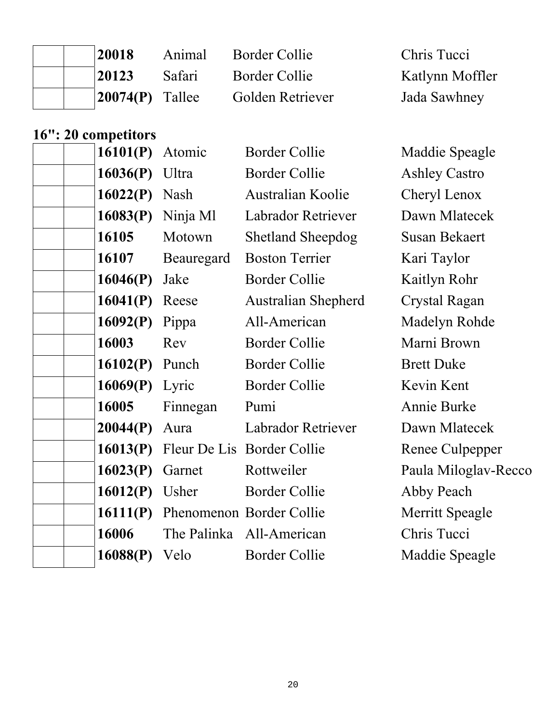| 20018                         | Animal | <b>Border Collie</b> | Chris Tucci     |
|-------------------------------|--------|----------------------|-----------------|
| 20123                         | Safari | Border Collie        | Katlynn Moffler |
| $\vert 20074(P) \vert$ Tallee |        | Golden Retriever     | Jada Sawhney    |

# **16": 20 competitors**

| 16101(P) | Atomic     | <b>Border Collie</b>       | Maddie Speagle       |
|----------|------------|----------------------------|----------------------|
| 16036(P) | Ultra      | <b>Border Collie</b>       | <b>Ashley Castro</b> |
| 16022(P) | Nash       | Australian Koolie          | Cheryl Lenox         |
| 16083(P) | Ninja Ml   | Labrador Retriever         | Dawn Mlatecek        |
| 16105    | Motown     | <b>Shetland Sheepdog</b>   | <b>Susan Bekaert</b> |
| 16107    | Beauregard | <b>Boston Terrier</b>      | Kari Taylor          |
| 16046(P) | Jake       | <b>Border Collie</b>       | Kaitlyn Rohr         |
| 16041(P) | Reese      | <b>Australian Shepherd</b> | Crystal Ragan        |
| 16092(P) | Pippa      | All-American               | Madelyn Rohde        |
| 16003    | Rev        | <b>Border Collie</b>       | Marni Brown          |
| 16102(P) | Punch      | <b>Border Collie</b>       | <b>Brett Duke</b>    |
| 16069(P) | Lyric      | <b>Border Collie</b>       | Kevin Kent           |
| 16005    | Finnegan   | Pumi                       | Annie Burke          |
| 20044(P) | Aura       | <b>Labrador Retriever</b>  | Dawn Mlatecek        |
| 16013(P) |            | Fleur De Lis Border Collie | Renee Culpepper      |
| 16023(P) | Garnet     | Rottweiler                 | Paula Miloglav-Recco |
| 16012(P) | Usher      | <b>Border Collie</b>       | Abby Peach           |
| 16111(P) |            | Phenomenon Border Collie   | Merritt Speagle      |
| 16006    |            | The Palinka All-American   | Chris Tucci          |
| 16088(P) | Velo       | <b>Border Collie</b>       | Maddie Speagle       |
|          |            |                            |                      |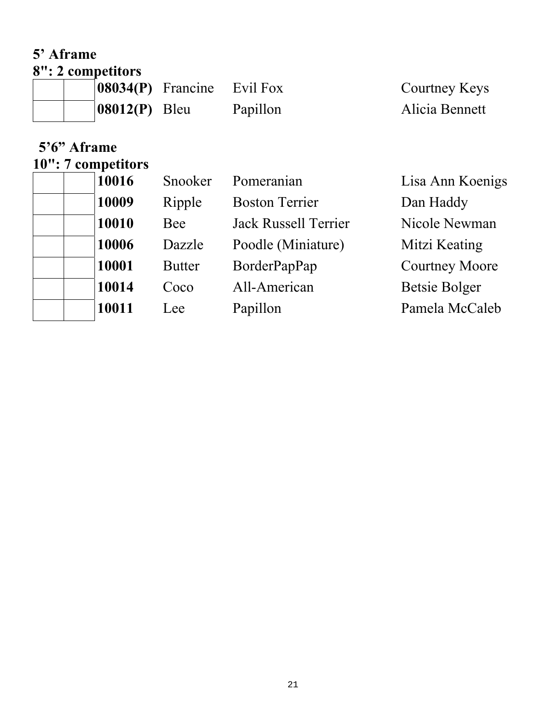### **5' Aframe 8": 2 competitors**

|                  | $ 08034(P)$ Francine Evil Fox |          | Courtney Keys  |
|------------------|-------------------------------|----------|----------------|
| $ 08012(P)$ Bleu |                               | Papillon | Alicia Bennett |

# **5'6" Aframe**

# **10": 7 competitors**

|  | 10016 | Snooker       | Pomeranian            | Lisa Ann Koenigs      |
|--|-------|---------------|-----------------------|-----------------------|
|  | 10009 | Ripple        | <b>Boston Terrier</b> | Dan Haddy             |
|  | 10010 | Bee           | Jack Russell Terrier  | Nicole Newman         |
|  | 10006 | Dazzle        | Poodle (Miniature)    | Mitzi Keating         |
|  | 10001 | <b>Butter</b> | BorderPapPap          | <b>Courtney Moore</b> |
|  | 10014 | Coco          | All-American          | Betsie Bolger         |
|  | 10011 | Lee           | Papillon              | Pamela McCaleb        |
|  |       |               |                       |                       |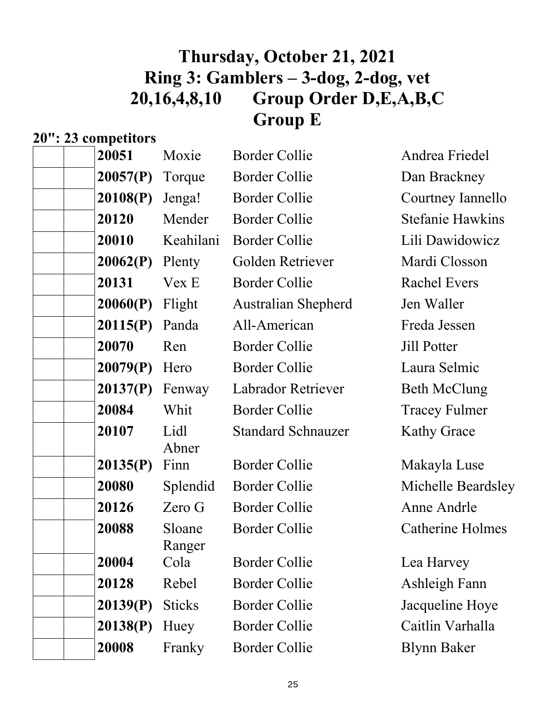# **Thursday, October 21, 2021 Ring 3: Gamblers – 3-dog, 2-dog, vet 20,16,4,8,10 Group Order D,E,A,B,C Group E**

# **20": 23 competitors**

| 20051    | Moxie            | <b>Border Collie</b>       | Andrea Friedel          |
|----------|------------------|----------------------------|-------------------------|
| 20057(P) | Torque           | <b>Border Collie</b>       | Dan Brackney            |
| 20108(P) | Jenga!           | <b>Border Collie</b>       | Courtney Iannello       |
| 20120    | Mender           | <b>Border Collie</b>       | <b>Stefanie Hawkins</b> |
| 20010    | Keahilani        | <b>Border Collie</b>       | Lili Dawidowicz         |
| 20062(P) | Plenty           | Golden Retriever           | Mardi Closson           |
| 20131    | Vex E            | <b>Border Collie</b>       | <b>Rachel Evers</b>     |
| 20060(P) | Flight           | <b>Australian Shepherd</b> | Jen Waller              |
| 20115(P) | Panda            | All-American               | Freda Jessen            |
| 20070    | Ren              | <b>Border Collie</b>       | Jill Potter             |
| 20079(P) | Hero             | <b>Border Collie</b>       | Laura Selmic            |
| 20137(P) | Fenway           | Labrador Retriever         | <b>Beth McClung</b>     |
| 20084    | Whit             | <b>Border Collie</b>       | <b>Tracey Fulmer</b>    |
| 20107    | Lidl<br>Abner    | <b>Standard Schnauzer</b>  | <b>Kathy Grace</b>      |
| 20135(P) | Finn             | <b>Border Collie</b>       | Makayla Luse            |
| 20080    | Splendid         | <b>Border Collie</b>       | Michelle Beardsley      |
| 20126    | Zero G           | <b>Border Collie</b>       | Anne Andrle             |
| 20088    | Sloane<br>Ranger | <b>Border Collie</b>       | Catherine Holmes        |
| 20004    | Cola             | <b>Border Collie</b>       | Lea Harvey              |
| 20128    | Rebel            | <b>Border Collie</b>       | Ashleigh Fann           |
| 20139(P) | <b>Sticks</b>    | <b>Border Collie</b>       | Jacqueline Hoye         |
| 20138(P) | Huey             | <b>Border Collie</b>       | Caitlin Varhalla        |
| 20008    | Franky           | <b>Border Collie</b>       | <b>Blynn Baker</b>      |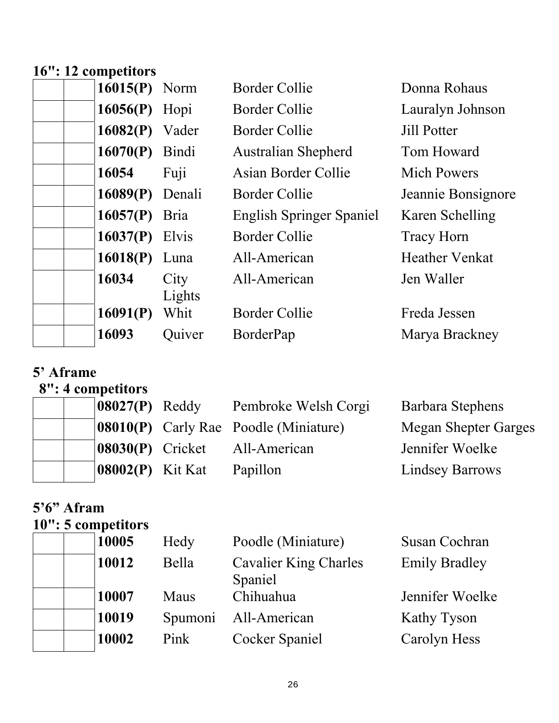## **16": 12 competitors**

| $16015(P)$ Norm   |                | <b>Border Collie</b>            | Donna Rohaus          |
|-------------------|----------------|---------------------------------|-----------------------|
| 16056(P) Hopi     |                | <b>Border Collie</b>            | Lauralyn Johnson      |
| $16082(P)$ Vader  |                | <b>Border Collie</b>            | <b>Jill Potter</b>    |
| 16070(P) Bindi    |                | <b>Australian Shepherd</b>      | Tom Howard            |
| 16054             | Fuji           | Asian Border Collie             | <b>Mich Powers</b>    |
| $16089(P)$ Denali |                | <b>Border Collie</b>            | Jeannie Bonsignore    |
| $16057(P)$ Bria   |                | <b>English Springer Spaniel</b> | Karen Schelling       |
| $16037(P)$ Elvis  |                | <b>Border Collie</b>            | <b>Tracy Horn</b>     |
| 16018(P) Luna     |                | All-American                    | <b>Heather Venkat</b> |
| 16034             | City<br>Lights | All-American                    | Jen Waller            |
| 16091(P)          | Whit           | <b>Border Collie</b>            | Freda Jessen          |
| 16093             | Quiver         | BorderPap                       | Marya Brackney        |

## **5' Aframe**

# **8": 4 competitors**

| $\left  08027(P) \right $ Reddy   | Pembroke Welsh Corgi                         | Barbara Stephens            |
|-----------------------------------|----------------------------------------------|-----------------------------|
|                                   | <b>08010(P)</b> Carly Rae Poodle (Miniature) | <b>Megan Shepter Garges</b> |
| $ 08030(P)$ Cricket               | All-American                                 | Jennifer Woelke             |
| $\left  08002(P) \right $ Kit Kat | Papillon                                     | <b>Lindsey Barrows</b>      |

## **5'6" Afram 10": 5 competitors**

| 10005 | Hedy    | Poodle (Miniature)                      | Susan Cochran        |
|-------|---------|-----------------------------------------|----------------------|
| 10012 | Bella   | <b>Cavalier King Charles</b><br>Spaniel | <b>Emily Bradley</b> |
| 10007 | Maus    | Chihuahua                               | Jennifer Woelke      |
| 10019 | Spumoni | All-American                            | Kathy Tyson          |
| 10002 | Pink    | Cocker Spaniel                          | Carolyn Hess         |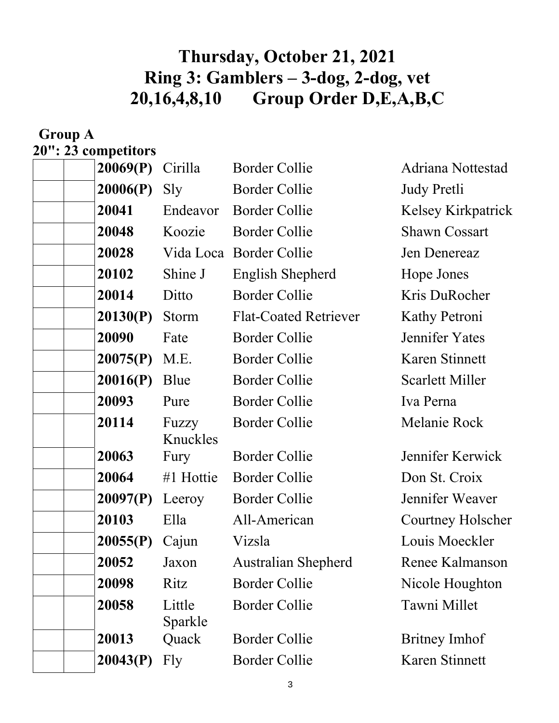# **Thursday, October 21, 2021 Ring 3: Gamblers – 3-dog, 2-dog, vet 20,16,4,8,10 Group Order D,E,A,B,C**

| <b>Group A</b>      |                   |                              |                           |
|---------------------|-------------------|------------------------------|---------------------------|
| 20": 23 competitors |                   |                              |                           |
| 20069(P)            | Cirilla           | <b>Border Collie</b>         | Adriana Nottestad         |
| 20006(P)            | Sly               | <b>Border Collie</b>         | <b>Judy Pretli</b>        |
| 20041               | Endeavor          | <b>Border Collie</b>         | <b>Kelsey Kirkpatrick</b> |
| 20048               | Koozie            | <b>Border Collie</b>         | <b>Shawn Cossart</b>      |
| 20028               |                   | Vida Loca Border Collie      | Jen Denereaz              |
| 20102               | Shine J           | English Shepherd             | Hope Jones                |
| 20014               | Ditto             | <b>Border Collie</b>         | Kris DuRocher             |
| 20130(P)            | Storm             | <b>Flat-Coated Retriever</b> | Kathy Petroni             |
| 20090               | Fate              | <b>Border Collie</b>         | Jennifer Yates            |
| 20075(P)            | M.E.              | <b>Border Collie</b>         | Karen Stinnett            |
| 20016(P)            | Blue              | <b>Border Collie</b>         | <b>Scarlett Miller</b>    |
| 20093               | Pure              | <b>Border Collie</b>         | Iva Perna                 |
| 20114               | Fuzzy<br>Knuckles | <b>Border Collie</b>         | Melanie Rock              |
| 20063               | Fury              | <b>Border Collie</b>         | Jennifer Kerwick          |
| 20064               | #1 Hottie         | <b>Border Collie</b>         | Don St. Croix             |
|                     | $20097(P)$ Leeroy | <b>Border Collie</b>         | Jennifer Weaver           |
| 20103               | Ella              | All-American                 | Courtney Holscher         |
| 20055(P)            | Cajun             | Vizsla                       | Louis Moeckler            |
| 20052               | Jaxon             | <b>Australian Shepherd</b>   | Renee Kalmanson           |
| 20098               | Ritz              | <b>Border Collie</b>         | Nicole Houghton           |
| 20058               | Little<br>Sparkle | <b>Border Collie</b>         | Tawni Millet              |
| 20013               | Quack             | <b>Border Collie</b>         | Britney Imhof             |
| 20043(P)            | Fly               | <b>Border Collie</b>         | Karen Stinnett            |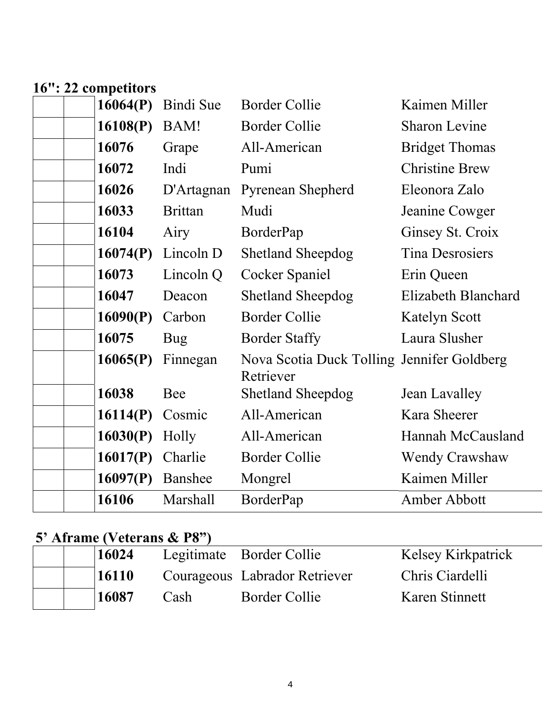### **16": 22 competitors**

| 16064(P) | Bindi Sue      | <b>Border Collie</b>                                    | Kaimen Miller          |
|----------|----------------|---------------------------------------------------------|------------------------|
| 16108(P) | BAM!           | <b>Border Collie</b>                                    | <b>Sharon Levine</b>   |
| 16076    | Grape          | All-American                                            | <b>Bridget Thomas</b>  |
| 16072    | Indi           | Pumi                                                    | <b>Christine Brew</b>  |
| 16026    | D'Artagnan     | <b>Pyrenean Shepherd</b>                                | Eleonora Zalo          |
| 16033    | <b>Brittan</b> | Mudi                                                    | Jeanine Cowger         |
| 16104    | Airy           | BorderPap                                               | Ginsey St. Croix       |
| 16074(P) | Lincoln D      | <b>Shetland Sheepdog</b>                                | <b>Tina Desrosiers</b> |
| 16073    | Lincoln Q      | Cocker Spaniel                                          | Erin Queen             |
| 16047    | Deacon         | <b>Shetland Sheepdog</b>                                | Elizabeth Blanchard    |
| 16090(P) | Carbon         | <b>Border Collie</b>                                    | <b>Katelyn Scott</b>   |
| 16075    | Bug            | <b>Border Staffy</b>                                    | Laura Slusher          |
| 16065(P) | Finnegan       | Nova Scotia Duck Tolling Jennifer Goldberg<br>Retriever |                        |
| 16038    | Bee            | <b>Shetland Sheepdog</b>                                | Jean Lavalley          |
| 16114(P) | Cosmic         | All-American                                            | Kara Sheerer           |
| 16030(P) | Holly          | All-American                                            | Hannah McCausland      |
| 16017(P) | Charlie        | <b>Border Collie</b>                                    | <b>Wendy Crawshaw</b>  |
| 16097(P) | Banshee        | Mongrel                                                 | Kaimen Miller          |
| 16106    | Marshall       | BorderPap                                               | Amber Abbott           |

## **5' Aframe (Veterans & P8")**

| 16024 |      | Legitimate Border Collie      | <b>Kelsey Kirkpatrick</b> |
|-------|------|-------------------------------|---------------------------|
| 16110 |      | Courageous Labrador Retriever | Chris Ciardelli           |
| 16087 | Cash | Border Collie                 | Karen Stinnett            |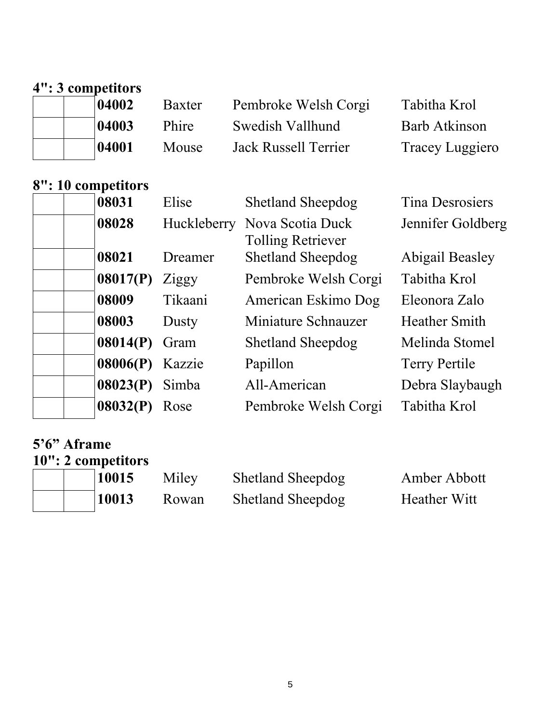## **4": 3 competitors**

|  | 04002 | Baxter | Pembroke Welsh Corgi | Tabitha Krol         |
|--|-------|--------|----------------------|----------------------|
|  | 04003 | Phire  | Swedish Vallhund     | <b>Barb Atkinson</b> |
|  | 04001 | Mouse  | Jack Russell Terrier | Tracey Luggiero      |

## **8": 10 competitors**

| <b>Tina Desrosiers</b> |
|------------------------|
| Jennifer Goldberg      |
| <b>Abigail Beasley</b> |
| Tabitha Krol           |
| Eleonora Zalo          |
| <b>Heather Smith</b>   |
| Melinda Stomel         |
|                        |
| Debra Slaybaugh        |
|                        |
|                        |

### **5'6" Aframe**

|  | 10": 2 competitors |       |                          |                     |
|--|--------------------|-------|--------------------------|---------------------|
|  | 10015              | Miley | <b>Shetland Sheepdog</b> | Amber Abbott        |
|  | 10013              | Rowan | <b>Shetland Sheepdog</b> | <b>Heather Witt</b> |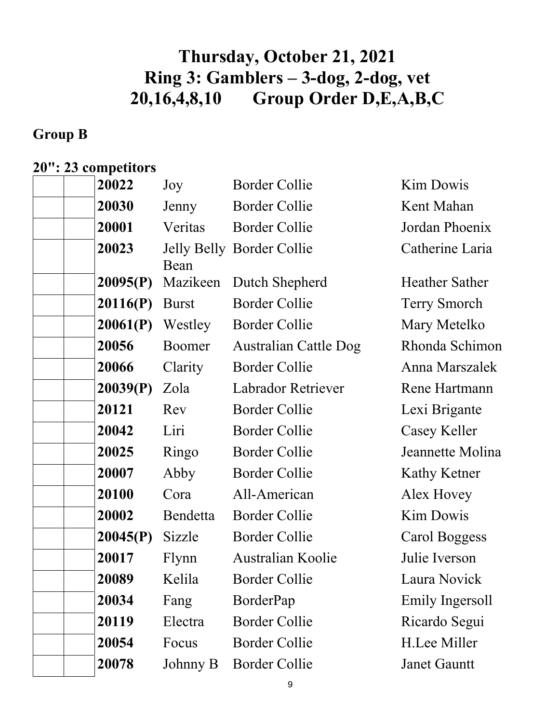# **Thursday, October 21, 2021 Ring 3: Gamblers – 3-dog, 2-dog, vet 20,16,4,8,10 Group Order D,E,A,B,C**

## **Group B**

## **20": 23 competitors**

| 20022    | Joy          | <b>Border Collie</b>         | Kim Dowis             |
|----------|--------------|------------------------------|-----------------------|
| 20030    | Jenny        | Border Collie                | Kent Mahan            |
| 20001    | Veritas      | <b>Border Collie</b>         | Jordan Phoenix        |
| 20023    | Bean         | Jelly Belly Border Collie    | Catherine Laria       |
| 20095(P) | Mazikeen     | Dutch Shepherd               | <b>Heather Sather</b> |
| 20116(P) | <b>Burst</b> | <b>Border Collie</b>         | Terry Smorch          |
| 20061(P) | Westley      | <b>Border Collie</b>         | Mary Metelko          |
| 20056    | Boomer       | <b>Australian Cattle Dog</b> | Rhonda Schimon        |
| 20066    | Clarity      | <b>Border Collie</b>         | Anna Marszalek        |
| 20039(P) | Zola         | Labrador Retriever           | Rene Hartmann         |
| 20121    | Rev          | <b>Border Collie</b>         | Lexi Brigante         |
| 20042    | Liri         | <b>Border Collie</b>         | Casey Keller          |
| 20025    | Ringo        | <b>Border Collie</b>         | Jeannette Molina      |
| 20007    | Abby         | <b>Border Collie</b>         | Kathy Ketner          |
| 20100    | Cora         | All-American                 | Alex Hovey            |
| 20002    | Bendetta     | <b>Border Collie</b>         | <b>Kim Dowis</b>      |
| 20045(P) | Sizzle       | <b>Border Collie</b>         | Carol Boggess         |
| 20017    | Flynn        | <b>Australian Koolie</b>     | Julie Iverson         |
| 20089    | Kelila       | <b>Border Collie</b>         | Laura Novick          |
| 20034    | Fang         | BorderPap                    | Emily Ingersoll       |
| 20119    | Electra      | <b>Border Collie</b>         | Ricardo Segui         |
| 20054    | Focus        | <b>Border Collie</b>         | H.Lee Miller          |
| 20078    | Johnny B     | <b>Border Collie</b>         | <b>Janet Gauntt</b>   |
|          |              |                              |                       |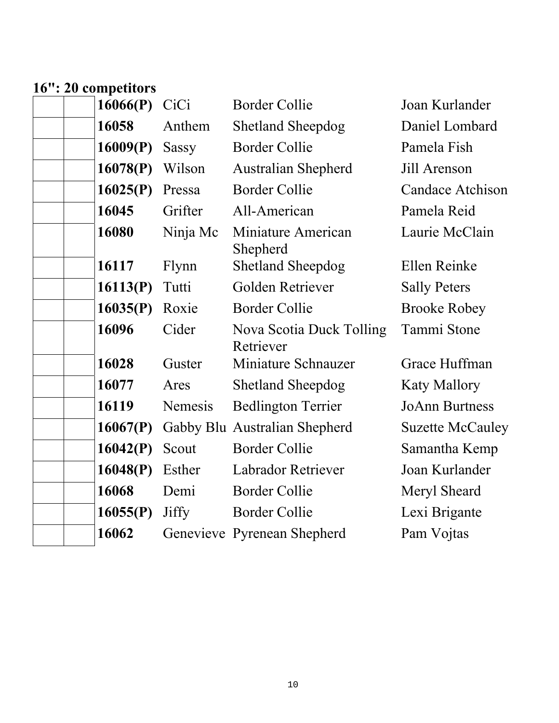## **16": 20 competitors**

| 16066(P) | CiCi         | <b>Border Collie</b>                  | Joan Kurlander          |
|----------|--------------|---------------------------------------|-------------------------|
| 16058    | Anthem       | <b>Shetland Sheepdog</b>              | Daniel Lombard          |
| 16009(P) | <b>Sassy</b> | <b>Border Collie</b>                  | Pamela Fish             |
| 16078(P) | Wilson       | <b>Australian Shepherd</b>            | Jill Arenson            |
| 16025(P) | Pressa       | <b>Border Collie</b>                  | <b>Candace Atchison</b> |
| 16045    | Grifter      | All-American                          | Pamela Reid             |
| 16080    | Ninja Mc     | Miniature American<br>Shepherd        | Laurie McClain          |
| 16117    | Flynn        | <b>Shetland Sheepdog</b>              | Ellen Reinke            |
| 16113(P) | Tutti        | Golden Retriever                      | <b>Sally Peters</b>     |
| 16035(P) | Roxie        | <b>Border Collie</b>                  | <b>Brooke Robey</b>     |
| 16096    | Cider        | Nova Scotia Duck Tolling<br>Retriever | Tammi Stone             |
| 16028    | Guster       | Miniature Schnauzer                   | Grace Huffman           |
| 16077    | Ares         | <b>Shetland Sheepdog</b>              | <b>Katy Mallory</b>     |
| 16119    | Nemesis      | <b>Bedlington Terrier</b>             | <b>JoAnn Burtness</b>   |
| 16067(P) |              | Gabby Blu Australian Shepherd         | <b>Suzette McCauley</b> |
| 16042(P) | Scout        | <b>Border Collie</b>                  | Samantha Kemp           |
| 16048(P) | Esther       | Labrador Retriever                    | Joan Kurlander          |
| 16068    | Demi         | <b>Border Collie</b>                  | Meryl Sheard            |
| 16055(P) | Jiffy        | <b>Border Collie</b>                  | Lexi Brigante           |
| 16062    |              | Genevieve Pyrenean Shepherd           | Pam Vojtas              |
|          |              |                                       |                         |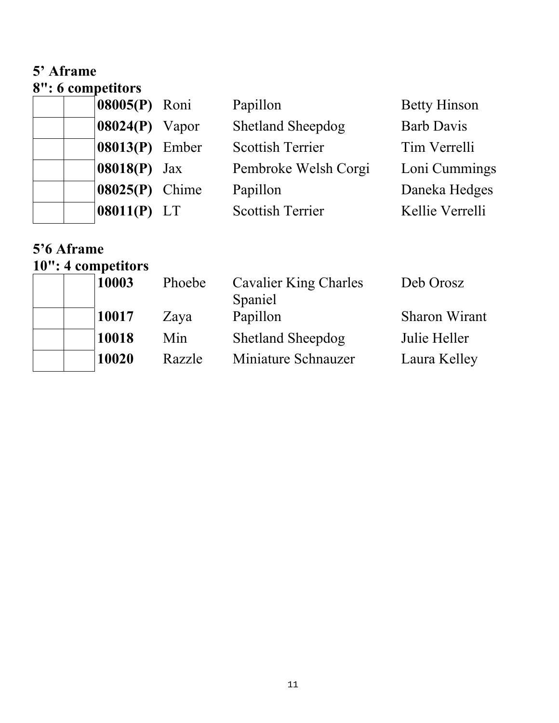### **5' Aframe 8": 6 competitors**

| $\upsilon$ . $\upsilon$ competitors |                     |                          |                     |
|-------------------------------------|---------------------|--------------------------|---------------------|
|                                     | 08005(P) Roni       | Papillon                 | <b>Betty Hinson</b> |
|                                     | $08024(P)$ Vapor    | <b>Shetland Sheepdog</b> | <b>Barb Davis</b>   |
|                                     | 08013(P) Ember      | <b>Scottish Terrier</b>  | Tim Verrelli        |
|                                     | <b>08018(P)</b> Jax | Pembroke Welsh Corgi     | Loni Cummings       |
|                                     | 08025(P) Chime      | Papillon                 | Daneka Hedges       |
|                                     | $ 08011(P)$ LT      | <b>Scottish Terrier</b>  | Kellie Verrelli     |
|                                     |                     |                          |                     |

### **5'6 Aframe 10": 4 competitors**

| 10003 | Phoebe | <b>Cavalier King Charles</b><br>Spaniel | Deb Orosz            |
|-------|--------|-----------------------------------------|----------------------|
| 10017 | Zaya   | Papillon                                | <b>Sharon Wirant</b> |
| 10018 | Min    | <b>Shetland Sheepdog</b>                | Julie Heller         |
| 10020 | Razzle | Miniature Schnauzer                     | Laura Kelley         |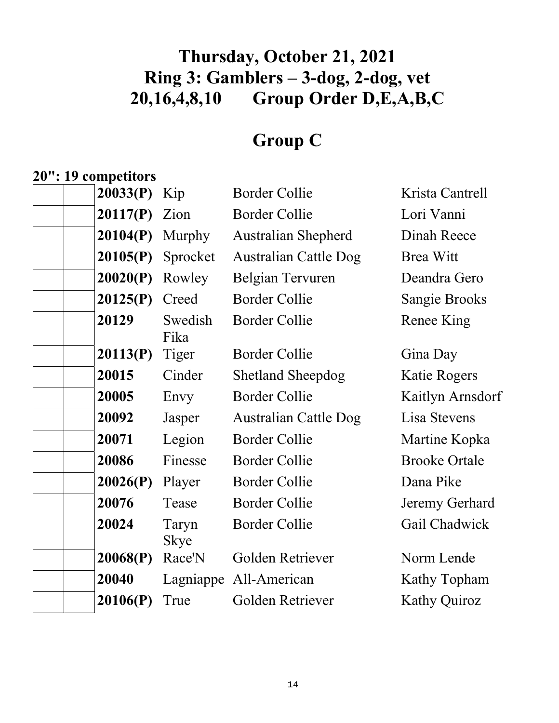# **Thursday, October 21, 2021 Ring 3: Gamblers – 3-dog, 2-dog, vet 20,16,4,8,10 Group Order D,E,A,B,C**

# **Group C**

# **20": 19 competitors**

| 20033(P) | Kip                  | <b>Border Collie</b>         | Krista Cantrell      |
|----------|----------------------|------------------------------|----------------------|
| 20117(P) | Zion                 | <b>Border Collie</b>         | Lori Vanni           |
| 20104(P) | Murphy               | <b>Australian Shepherd</b>   | Dinah Reece          |
| 20105(P) | Sprocket             | <b>Australian Cattle Dog</b> | <b>Brea Witt</b>     |
| 20020(P) | Rowley               | Belgian Tervuren             | Deandra Gero         |
| 20125(P) | Creed                | <b>Border Collie</b>         | Sangie Brooks        |
| 20129    | Swedish<br>Fika      | <b>Border Collie</b>         | Renee King           |
| 20113(P) | Tiger                | <b>Border Collie</b>         | Gina Day             |
| 20015    | Cinder               | <b>Shetland Sheepdog</b>     | Katie Rogers         |
| 20005    | Envy                 | <b>Border Collie</b>         | Kaitlyn Arnsdorf     |
| 20092    | Jasper               | <b>Australian Cattle Dog</b> | Lisa Stevens         |
| 20071    | Legion               | <b>Border Collie</b>         | Martine Kopka        |
| 20086    | Finesse              | <b>Border Collie</b>         | <b>Brooke Ortale</b> |
| 20026(P) | Player               | <b>Border Collie</b>         | Dana Pike            |
| 20076    | Tease                | <b>Border Collie</b>         | Jeremy Gerhard       |
| 20024    | Taryn<br><b>Skye</b> | <b>Border Collie</b>         | Gail Chadwick        |
| 20068(P) | Race'N               | Golden Retriever             | Norm Lende           |
| 20040    | Lagniappe            | All-American                 | Kathy Topham         |
| 20106(P) | True                 | Golden Retriever             | <b>Kathy Quiroz</b>  |
|          |                      |                              |                      |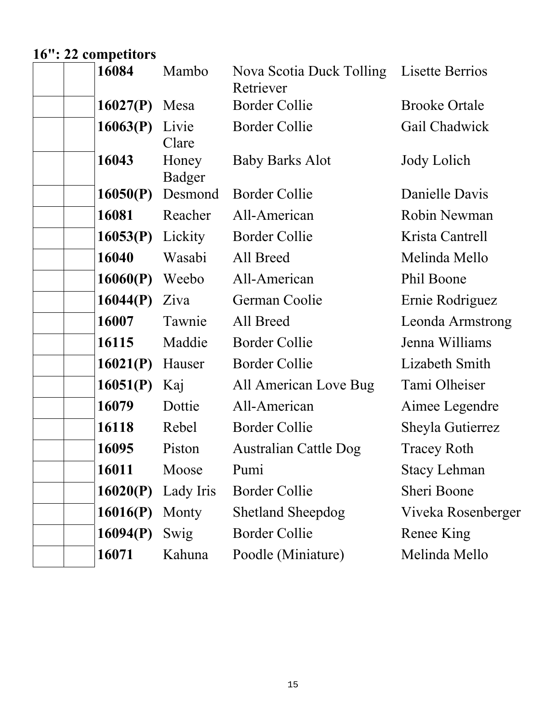# **16": 22 competitors**

| 16084    | Mambo           | Nova Scotia Duck Tolling Lisette Berrios<br>Retriever |                      |
|----------|-----------------|-------------------------------------------------------|----------------------|
| 16027(P) | Mesa            | <b>Border Collie</b>                                  | <b>Brooke Ortale</b> |
| 16063(P) | Livie<br>Clare  | <b>Border Collie</b>                                  | Gail Chadwick        |
| 16043    | Honey<br>Badger | <b>Baby Barks Alot</b>                                | Jody Lolich          |
| 16050(P) | Desmond         | <b>Border Collie</b>                                  | Danielle Davis       |
| 16081    | Reacher         | All-American                                          | Robin Newman         |
| 16053(P) | Lickity         | <b>Border Collie</b>                                  | Krista Cantrell      |
| 16040    | Wasabi          | All Breed                                             | Melinda Mello        |
| 16060(P) | Weebo           | All-American                                          | Phil Boone           |
| 16044(P) | Ziva            | German Coolie                                         | Ernie Rodriguez      |
| 16007    | Tawnie          | All Breed                                             | Leonda Armstrong     |
| 16115    | Maddie          | <b>Border Collie</b>                                  | Jenna Williams       |
| 16021(P) | Hauser          | <b>Border Collie</b>                                  | Lizabeth Smith       |
| 16051(P) | Kaj             | All American Love Bug                                 | Tami Olheiser        |
| 16079    | Dottie          | All-American                                          | Aimee Legendre       |
| 16118    | Rebel           | <b>Border Collie</b>                                  | Sheyla Gutierrez     |
| 16095    | Piston          | <b>Australian Cattle Dog</b>                          | <b>Tracey Roth</b>   |
| 16011    | Moose           | Pumi                                                  | <b>Stacy Lehman</b>  |
| 16020(P) | Lady Iris       | Border Collie                                         | Sheri Boone          |
| 16016(P) | Monty           | <b>Shetland Sheepdog</b>                              | Viveka Rosenberger   |
| 16094(P) | Swig            | <b>Border Collie</b>                                  | Renee King           |
| 16071    | Kahuna          | Poodle (Miniature)                                    | Melinda Mello        |
|          |                 |                                                       |                      |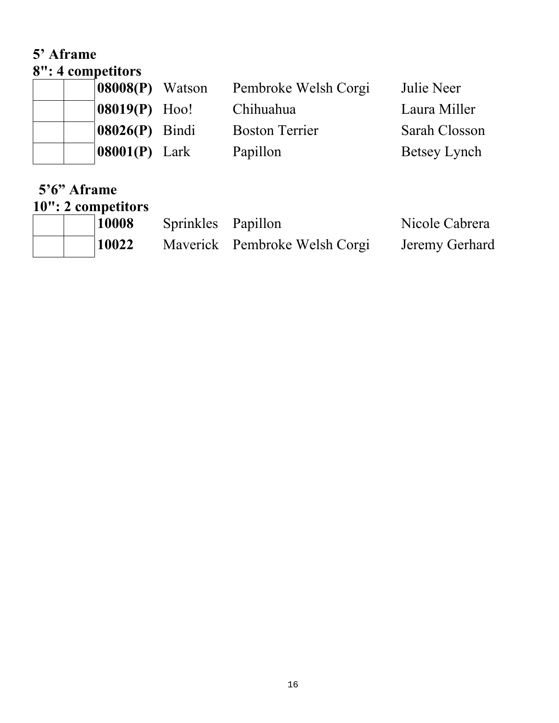#### **5' Aframe 8": 4 competitors**

| $\sigma$ . Trompetitors |                                                                                                                      |               |
|-------------------------|----------------------------------------------------------------------------------------------------------------------|---------------|
|                         | Pembroke Welsh Corgi                                                                                                 | Julie Neer    |
|                         | Chihuahua                                                                                                            | Laura Miller  |
|                         | <b>Boston Terrier</b>                                                                                                | Sarah Closson |
|                         | Papillon                                                                                                             | Betsey Lynch  |
|                         | $\left 08008(P)\right $ Watson<br>$ 08019(P)$ Hoo!<br>$\left  08026(P) \right $ Bindi<br>$\vert 08001(P) \vert$ Lark |               |

### **5'6" Aframe 10": 2 competitors**

| 10008 | Sprinkles Papillon |                               | Nicole Cabrera |
|-------|--------------------|-------------------------------|----------------|
| 10022 |                    | Maverick Pembroke Welsh Corgi | Jeremy Gerhard |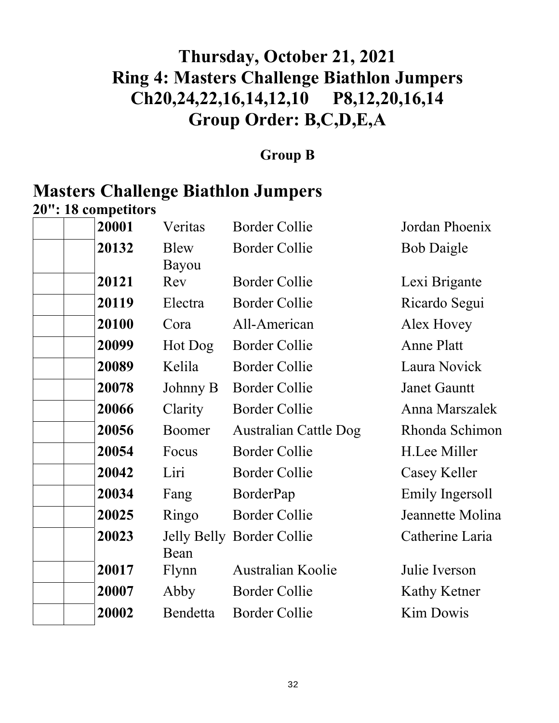# **Thursday, October 21, 2021 Ring 4: Masters Challenge Biathlon Jumpers Ch20,24,22,16,14,12,10 P8,12,20,16,14 Group Order: B,C,D,E,A**

### **Group B**

# **Masters Challenge Biathlon Jumpers**

**20": 18 competitors 20001** Veritas Border Collie Jordan Phoenix  **20132** Blew Bayou Border Collie Bob Daigle **20121** Rev Border Collie Lexi Brigante 20119 Electra Border Collie Ricardo Segui **20100** Cora All-American Alex Hovey  **20099** Hot Dog Border Collie Anne Platt  **20089** Kelila Border Collie Laura Novick  **20078** Johnny B Border Collie Janet Gauntt 20066 Clarity Border Collie Anna Marszalek  **20056** Boomer Australian Cattle Dog Rhonda Schimon  **20054** Focus Border Collie H.Lee Miller 20042 Liri Border Collie Casey Keller 20034 Fang BorderPap Emily Ingersoll  **20025** Ringo Border Collie Jeannette Molina **20023** Jelly Belly Border Collie Catherine Laria Bean  **20017** Flynn Australian Koolie Julie Iverson **20007** Abby Border Collie Kathy Ketner 20002 Bendetta Border Collie Kim Dowis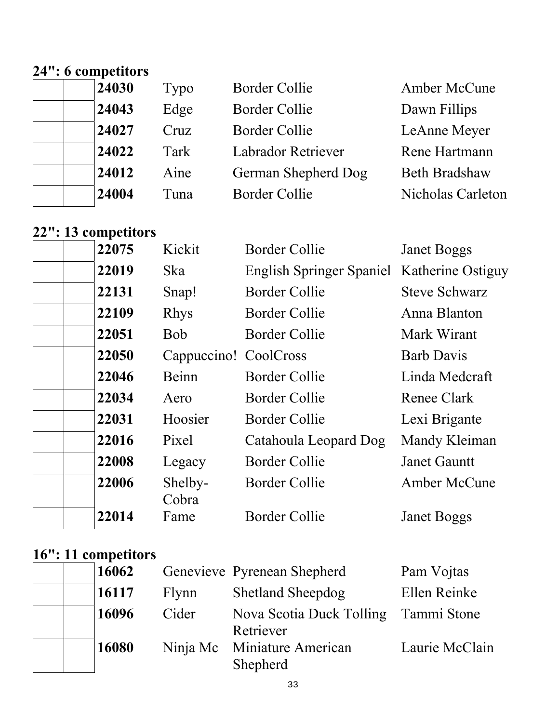# **24": 6 competitors**

| 24030 | Typo | <b>Border Collie</b> | Amber McCune         |
|-------|------|----------------------|----------------------|
| 24043 | Edge | <b>Border Collie</b> | Dawn Fillips         |
| 24027 | Cruz | Border Collie        | LeAnne Meyer         |
| 24022 | Tark | Labrador Retriever   | Rene Hartmann        |
| 24012 | Aine | German Shepherd Dog  | <b>Beth Bradshaw</b> |
| 24004 | Tuna | <b>Border Collie</b> | Nicholas Carleton    |

## **22": 13 competitors**

| 22075 | Kickit                | <b>Border Collie</b>                       | <b>Janet Boggs</b>   |
|-------|-----------------------|--------------------------------------------|----------------------|
| 22019 | Ska                   | English Springer Spaniel Katherine Ostiguy |                      |
| 22131 | Snap!                 | <b>Border Collie</b>                       | <b>Steve Schwarz</b> |
| 22109 | <b>Rhys</b>           | <b>Border Collie</b>                       | Anna Blanton         |
| 22051 | <b>Bob</b>            | <b>Border Collie</b>                       | Mark Wirant          |
| 22050 | Cappuccino! CoolCross |                                            | <b>Barb Davis</b>    |
| 22046 | Beinn                 | Border Collie                              | Linda Medcraft       |
| 22034 | Aero                  | <b>Border Collie</b>                       | Renee Clark          |
| 22031 | Hoosier               | <b>Border Collie</b>                       | Lexi Brigante        |
| 22016 | Pixel                 | Catahoula Leopard Dog                      | Mandy Kleiman        |
| 22008 | Legacy                | <b>Border Collie</b>                       | <b>Janet Gauntt</b>  |
| 22006 | Shelby-<br>Cobra      | <b>Border Collie</b>                       | Amber McCune         |
| 22014 | Fame                  | <b>Border Collie</b>                       | <b>Janet Boggs</b>   |
|       |                       |                                            |                      |

### **16": 11 competitors**

| 16062 |          | Genevieve Pyrenean Shepherd                       | Pam Vojtas     |
|-------|----------|---------------------------------------------------|----------------|
| 16117 | Flynn    | <b>Shetland Sheepdog</b>                          | Ellen Reinke   |
| 16096 | Cider    | Nova Scotia Duck Tolling Tammi Stone<br>Retriever |                |
| 16080 | Ninja Mc | <b>Miniature American</b><br>Shepherd             | Laurie McClain |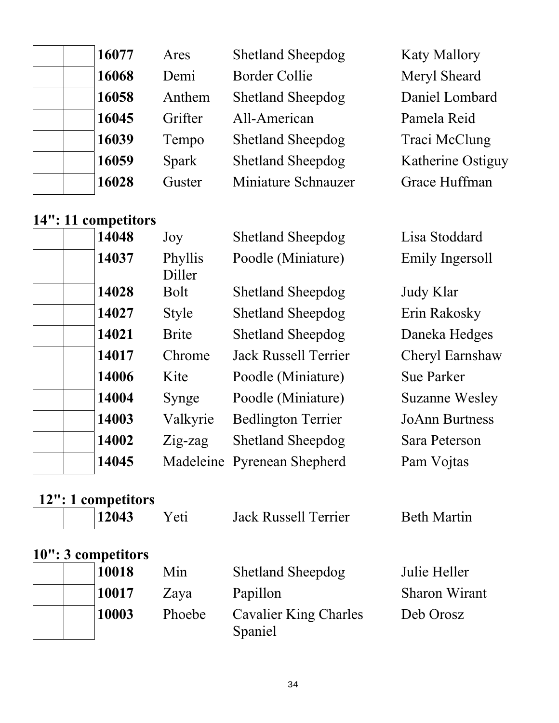| 16077 | Ares    | <b>Shetland Sheepdog</b> | <b>Katy Mallory</b> |
|-------|---------|--------------------------|---------------------|
| 16068 | Demi    | <b>Border Collie</b>     | Meryl Sheard        |
| 16058 | Anthem  | <b>Shetland Sheepdog</b> | Daniel Lombard      |
| 16045 | Grifter | All-American             | Pamela Reid         |
| 16039 | Tempo   | <b>Shetland Sheepdog</b> | Traci McClung       |
| 16059 | Spark   | <b>Shetland Sheepdog</b> | Katherine Ostiguy   |
| 16028 | Guster  | Miniature Schnauzer      | Grace Huffman       |

### **14": 11 competitors**

| 14048 | Joy               | <b>Shetland Sheepdog</b>    | Lisa Stoddard         |
|-------|-------------------|-----------------------------|-----------------------|
| 14037 | Phyllis<br>Diller | Poodle (Miniature)          | Emily Ingersoll       |
| 14028 | <b>Bolt</b>       | <b>Shetland Sheepdog</b>    | Judy Klar             |
| 14027 | <b>Style</b>      | <b>Shetland Sheepdog</b>    | Erin Rakosky          |
| 14021 | <b>Brite</b>      | <b>Shetland Sheepdog</b>    | Daneka Hedges         |
| 14017 | Chrome            | <b>Jack Russell Terrier</b> | Cheryl Earnshaw       |
| 14006 | Kite              | Poodle (Miniature)          | <b>Sue Parker</b>     |
| 14004 | Synge             | Poodle (Miniature)          | <b>Suzanne Wesley</b> |
| 14003 | Valkyrie          | <b>Bedlington Terrier</b>   | <b>JoAnn Burtness</b> |
| 14002 | $Z$ ig-zag        | <b>Shetland Sheepdog</b>    | Sara Peterson         |
| 14045 |                   | Madeleine Pyrenean Shepherd | Pam Vojtas            |
|       |                   |                             |                       |

| 12": 1 competitors |        |                                         |                    |
|--------------------|--------|-----------------------------------------|--------------------|
| 12043              | Yeti   | <b>Jack Russell Terrier</b>             | <b>Beth Martin</b> |
| 10": 3 competitors |        |                                         |                    |
| 10018              | Min    | <b>Shetland Sheepdog</b>                | Julie Heller       |
| 10017              | Zaya   | Papillon                                | Sharon Wirant      |
| 10003              | Phoebe | <b>Cavalier King Charles</b><br>Spaniel | Deb Orosz          |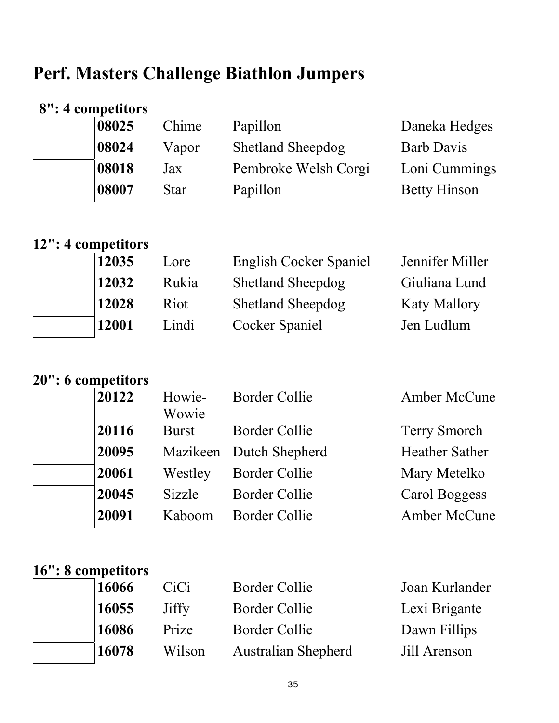# **Perf. Masters Challenge Biathlon Jumpers**

## **8": 4 competitors**

|  | 08025 | Chime       | Papillon                 | Daneka Hedges       |
|--|-------|-------------|--------------------------|---------------------|
|  | 08024 | Vapor       | <b>Shetland Sheepdog</b> | <b>Barb Davis</b>   |
|  | 08018 | Jax         | Pembroke Welsh Corgi     | Loni Cummings       |
|  | 08007 | <b>Star</b> | Papillon                 | <b>Betty Hinson</b> |

## **12": 4 competitors**

| 12035 | Lore  | English Cocker Spaniel   | Jennifer Miller     |
|-------|-------|--------------------------|---------------------|
| 12032 | Rukia | <b>Shetland Sheepdog</b> | Giuliana Lund       |
| 12028 | Riot  | <b>Shetland Sheepdog</b> | <b>Katy Mallory</b> |
| 12001 | Lindi | Cocker Spaniel           | Jen Ludlum          |

## **20": 6 competitors**

|  | 20122 | Howie-<br>Wowie | <b>Border Collie</b>    | Amber McCune          |
|--|-------|-----------------|-------------------------|-----------------------|
|  | 20116 | <b>Burst</b>    | <b>Border Collie</b>    | <b>Terry Smorch</b>   |
|  | 20095 |                 | Mazikeen Dutch Shepherd | <b>Heather Sather</b> |
|  | 20061 | Westley         | <b>Border Collie</b>    | Mary Metelko          |
|  | 20045 | Sizzle          | Border Collie           | Carol Boggess         |
|  | 20091 | Kaboom          | <b>Border Collie</b>    | Amber McCune          |
|  |       |                 |                         |                       |

# **16": 8 competitors**

| 16066 | CiCi   | <b>Border Collie</b>       | Joan Kurlander |
|-------|--------|----------------------------|----------------|
| 16055 | Jiffy  | Border Collie              | Lexi Brigante  |
| 16086 | Prize  | Border Collie              | Dawn Fillips   |
| 16078 | Wilson | <b>Australian Shepherd</b> | Jill Arenson   |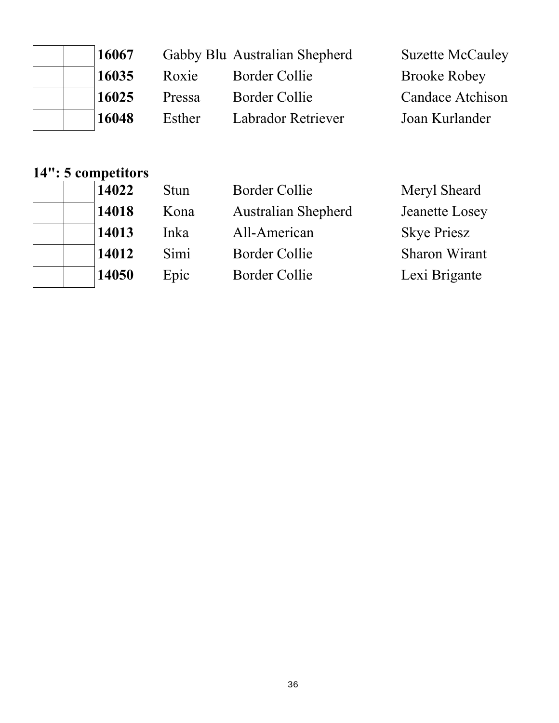| 16067 |        |                    | <b>Suzette McCauley</b>       |
|-------|--------|--------------------|-------------------------------|
| 16035 | Roxie  | Border Collie      | <b>Brooke Robey</b>           |
| 16025 | Pressa | Border Collie      | <b>Candace Atchison</b>       |
| 16048 | Esther | Labrador Retriever | Joan Kurlander                |
|       |        |                    | Gabby Blu Australian Shepherd |

# **14": 5 competitors**

| 14022 |
|-------|
| 14018 |
| 14013 |
| 14012 |
| 14050 |

| 14022 | Stun | <b>Border Collie</b>       | Meryl Sheard       |
|-------|------|----------------------------|--------------------|
| 14018 | Kona | <b>Australian Shepherd</b> | Jeanette Losey     |
| 14013 | Inka | All-American               | <b>Skye Priesz</b> |
| 14012 | Simi | <b>Border Collie</b>       | Sharon Wirant      |
| 14050 | Epic | <b>Border Collie</b>       | Lexi Brigante      |
|       |      |                            |                    |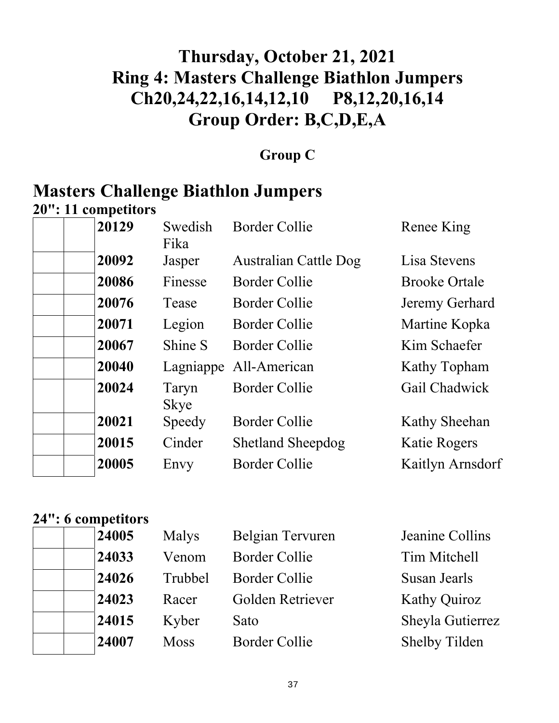# **Thursday, October 21, 2021 Ring 4: Masters Challenge Biathlon Jumpers Ch20,24,22,16,14,12,10 P8,12,20,16,14 Group Order: B,C,D,E,A**

## **Group C**

# **Masters Challenge Biathlon Jumpers**

**20": 11 competitors** 

| 20129 | Swedish<br>Fika      | <b>Border Collie</b>         | Renee King           |
|-------|----------------------|------------------------------|----------------------|
| 20092 | Jasper               | <b>Australian Cattle Dog</b> | Lisa Stevens         |
| 20086 | Finesse              | <b>Border Collie</b>         | <b>Brooke Ortale</b> |
| 20076 | Tease                | <b>Border Collie</b>         | Jeremy Gerhard       |
| 20071 | Legion               | <b>Border Collie</b>         | Martine Kopka        |
| 20067 | Shine S              | <b>Border Collie</b>         | Kim Schaefer         |
| 20040 |                      | Lagniappe All-American       | Kathy Topham         |
| 20024 | Taryn<br><b>Skye</b> | <b>Border Collie</b>         | Gail Chadwick        |
| 20021 | Speedy               | <b>Border Collie</b>         | Kathy Sheehan        |
| 20015 | Cinder               | <b>Shetland Sheepdog</b>     | Katie Rogers         |
| 20005 | Envy                 | <b>Border Collie</b>         | Kaitlyn Arnsdorf     |

## **24": 6 competitors**

| 24005 | Malys       | Belgian Tervuren     | Jeanine Collins      |
|-------|-------------|----------------------|----------------------|
| 24033 | Venom       | <b>Border Collie</b> | Tim Mitchell         |
| 24026 | Trubbel     | <b>Border Collie</b> | Susan Jearls         |
| 24023 | Racer       | Golden Retriever     | <b>Kathy Quiroz</b>  |
| 24015 | Kyber       | Sato                 | Sheyla Gutierrez     |
| 24007 | <b>Moss</b> | <b>Border Collie</b> | <b>Shelby Tilden</b> |
|       |             |                      |                      |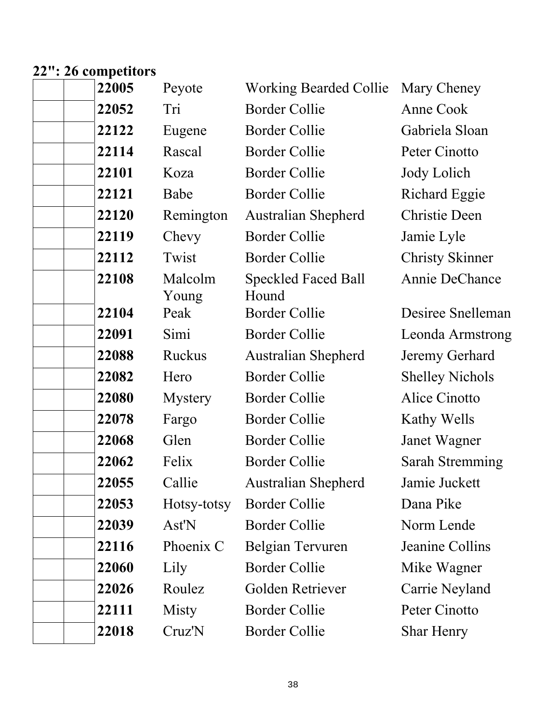### **22": 26 competitors**

| 22005 | Peyote           | <b>Working Bearded Collie</b>       | Mary Cheney            |
|-------|------------------|-------------------------------------|------------------------|
| 22052 | Tri              | <b>Border Collie</b>                | Anne Cook              |
| 22122 | Eugene           | <b>Border Collie</b>                | Gabriela Sloan         |
| 22114 | Rascal           | <b>Border Collie</b>                | Peter Cinotto          |
| 22101 | Koza             | <b>Border Collie</b>                | Jody Lolich            |
| 22121 | Babe             | <b>Border Collie</b>                | <b>Richard Eggie</b>   |
| 22120 | Remington        | <b>Australian Shepherd</b>          | <b>Christie Deen</b>   |
| 22119 | Chevy            | <b>Border Collie</b>                | Jamie Lyle             |
| 22112 | Twist            | <b>Border Collie</b>                | <b>Christy Skinner</b> |
| 22108 | Malcolm<br>Young | <b>Speckled Faced Ball</b><br>Hound | Annie DeChance         |
| 22104 | Peak             | <b>Border Collie</b>                | Desiree Snelleman      |
| 22091 | Simi             | <b>Border Collie</b>                | Leonda Armstrong       |
| 22088 | Ruckus           | <b>Australian Shepherd</b>          | Jeremy Gerhard         |
| 22082 | Hero             | <b>Border Collie</b>                | <b>Shelley Nichols</b> |
| 22080 | <b>Mystery</b>   | <b>Border Collie</b>                | Alice Cinotto          |
| 22078 | Fargo            | <b>Border Collie</b>                | Kathy Wells            |
| 22068 | Glen             | <b>Border Collie</b>                | Janet Wagner           |
| 22062 | Felix            | <b>Border Collie</b>                | Sarah Stremming        |
| 22055 | Callie           | <b>Australian Shepherd</b>          | Jamie Juckett          |
| 22053 | Hotsy-totsy      | <b>Border Collie</b>                | Dana Pike              |
| 22039 | Ast'N            | <b>Border Collie</b>                | Norm Lende             |
| 22116 | Phoenix C        | Belgian Tervuren                    | Jeanine Collins        |
| 22060 | Lily             | <b>Border Collie</b>                | Mike Wagner            |
| 22026 | Roulez           | Golden Retriever                    | Carrie Neyland         |
| 22111 | Misty            | <b>Border Collie</b>                | Peter Cinotto          |
| 22018 | Cruz'N           | <b>Border Collie</b>                | <b>Shar Henry</b>      |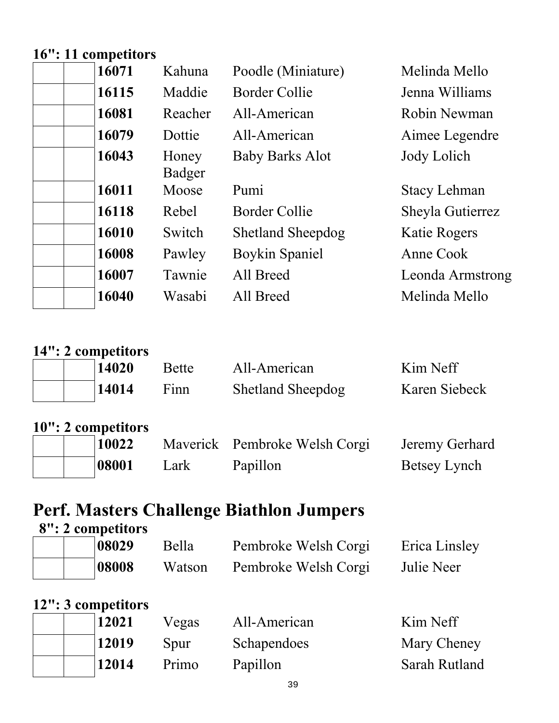## **16": 11 competitors**

| 16071 | Kahuna          | Poodle (Miniature)       | Melinda Mello       |
|-------|-----------------|--------------------------|---------------------|
| 16115 | Maddie          | <b>Border Collie</b>     | Jenna Williams      |
| 16081 | Reacher         | All-American             | Robin Newman        |
| 16079 | Dottie          | All-American             | Aimee Legendre      |
| 16043 | Honey<br>Badger | <b>Baby Barks Alot</b>   | Jody Lolich         |
| 16011 | Moose           | Pumi                     | <b>Stacy Lehman</b> |
| 16118 | Rebel           | <b>Border Collie</b>     | Sheyla Gutierrez    |
| 16010 | Switch          | <b>Shetland Sheepdog</b> | <b>Katie Rogers</b> |
| 16008 | Pawley          | <b>Boykin Spaniel</b>    | Anne Cook           |
| 16007 | Tawnie          | All Breed                | Leonda Armstrong    |
| 16040 | Wasabi          | All Breed                | Melinda Mello       |

| 14": 2 competitors |              |                               |                |
|--------------------|--------------|-------------------------------|----------------|
| 14020              | <b>Bette</b> | All-American                  | Kim Neff       |
| 14014              | Finn         | <b>Shetland Sheepdog</b>      | Karen Siebeck  |
| 10": 2 competitors |              |                               |                |
| 10022              |              | Maverick Pembroke Welsh Corgi | Jeremy Gerhard |
| 08001              | Lark         | Papillon                      | Betsey Lynch   |

# **Perf. Masters Challenge Biathlon Jumpers**

| 8": 2 competitors |       |        |                      |               |  |
|-------------------|-------|--------|----------------------|---------------|--|
|                   | 08029 | Bella  | Pembroke Welsh Corgi | Erica Linsley |  |
|                   | 08008 | Watson | Pembroke Welsh Corgi | Julie Neer    |  |

## **12": 3 competitors**

|  | 12021 | Vegas | All-American | Kim Neff      |
|--|-------|-------|--------------|---------------|
|  | 12019 | Spur  | Schapendoes  | Mary Cheney   |
|  | 12014 | Primo | Papillon     | Sarah Rutland |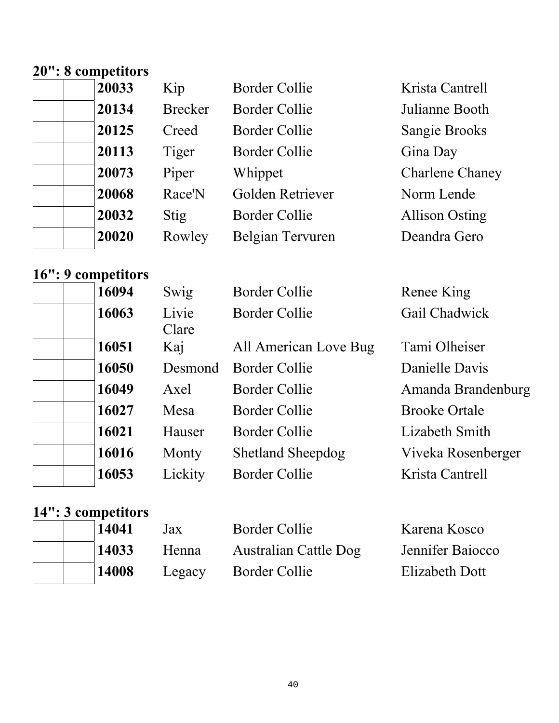# **20": 8 competitors**

| 20033 | Kip            | <b>Border Collie</b> | Krista Cantrell        |
|-------|----------------|----------------------|------------------------|
| 20134 | <b>Brecker</b> | <b>Border Collie</b> | Julianne Booth         |
| 20125 | Creed          | <b>Border Collie</b> | <b>Sangie Brooks</b>   |
| 20113 | Tiger          | <b>Border Collie</b> | Gina Day               |
| 20073 | Piper          | Whippet              | <b>Charlene Chaney</b> |
| 20068 | Race'N         | Golden Retriever     | Norm Lende             |
| 20032 | Stig           | <b>Border Collie</b> | <b>Allison Osting</b>  |
| 20020 | Rowley         | Belgian Tervuren     | Deandra Gero           |

# **16": 9 competitors**

| 16094 | Swig   |
|-------|--------|
| 16063 | Livie  |
|       | Clare  |
| 16051 | Kaj    |
| 16050 | Desm   |
| 16049 | Axel   |
| 16027 | Mesa   |
| 16021 | Hause  |
| 16016 | Monty  |
| 16053 | Lickit |
|       |        |

| 16094 | Swig           | <b>Border Collie</b>     | Renee King           |
|-------|----------------|--------------------------|----------------------|
| 16063 | Livie<br>Clare | <b>Border Collie</b>     | Gail Chadwick        |
| 16051 | Kaj            | All American Love Bug    | Tami Olheiser        |
| 16050 | Desmond        | <b>Border Collie</b>     | Danielle Davis       |
| 16049 | Axel           | Border Collie            | Amanda Brandenburg   |
| 16027 | Mesa           | Border Collie            | <b>Brooke Ortale</b> |
| 16021 | Hauser         | Border Collie            | Lizabeth Smith       |
| 16016 | Monty          | <b>Shetland Sheepdog</b> | Viveka Rosenberger   |
| 16053 | Lickity        | Border Collie            | Krista Cantrell      |
|       |                |                          |                      |

# **14": 3 competitors**

|  | 14041 | Jax    | Border Collie         | Karena Kosco     |
|--|-------|--------|-----------------------|------------------|
|  | 14033 | Henna  | Australian Cattle Dog | Jennifer Baiocco |
|  | 14008 | Legacy | Border Collie         | Elizabeth Dott   |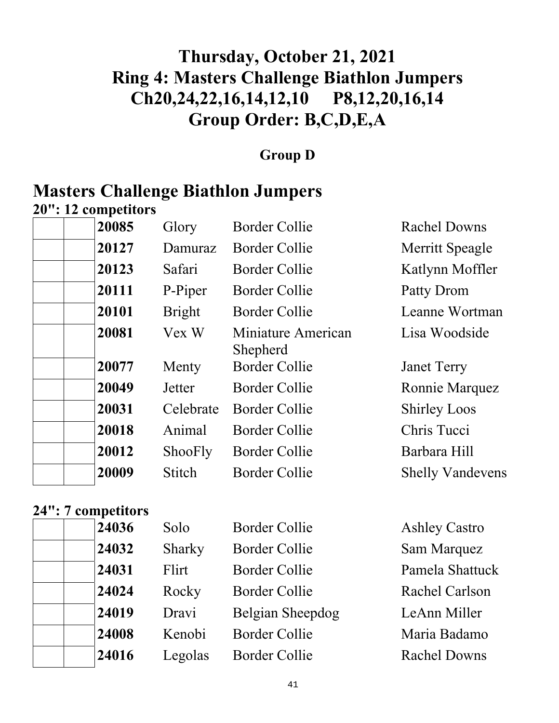# **Thursday, October 21, 2021 Ring 4: Masters Challenge Biathlon Jumpers Ch20,24,22,16,14,12,10 P8,12,20,16,14 Group Order: B,C,D,E,A**

### **Group D**

# **Masters Challenge Biathlon Jumpers**

**20": 12 competitors** 

|  | 20085 | Glory         | <b>Border Collie</b>           | <b>Rachel Downs</b>     |
|--|-------|---------------|--------------------------------|-------------------------|
|  | 20127 | Damuraz       | <b>Border Collie</b>           | Merritt Speagle         |
|  | 20123 | Safari        | <b>Border Collie</b>           | Katlynn Moffler         |
|  | 20111 | P-Piper       | <b>Border Collie</b>           | Patty Drom              |
|  | 20101 | <b>Bright</b> | <b>Border Collie</b>           | Leanne Wortman          |
|  | 20081 | Vex W         | Miniature American<br>Shepherd | Lisa Woodside           |
|  | 20077 | Menty         | <b>Border Collie</b>           | <b>Janet Terry</b>      |
|  | 20049 | Jetter        | <b>Border Collie</b>           | Ronnie Marquez          |
|  | 20031 | Celebrate     | <b>Border Collie</b>           | <b>Shirley Loos</b>     |
|  | 20018 | Animal        | <b>Border Collie</b>           | Chris Tucci             |
|  | 20012 | ShooFly       | <b>Border Collie</b>           | Barbara Hill            |
|  | 20009 | <b>Stitch</b> | Border Collie                  | <b>Shelly Vandevens</b> |
|  |       |               |                                |                         |

## **24": 7 competitors**

| 24036 | Solo    | <b>Border Collie</b> | <b>Ashley Castro</b>  |
|-------|---------|----------------------|-----------------------|
| 24032 | Sharky  | <b>Border Collie</b> | Sam Marquez           |
| 24031 | Flirt   | <b>Border Collie</b> | Pamela Shattuck       |
| 24024 | Rocky   | <b>Border Collie</b> | <b>Rachel Carlson</b> |
| 24019 | Dravi   | Belgian Sheepdog     | LeAnn Miller          |
| 24008 | Kenobi  | <b>Border Collie</b> | Maria Badamo          |
| 24016 | Legolas | <b>Border Collie</b> | <b>Rachel Downs</b>   |
|       |         |                      |                       |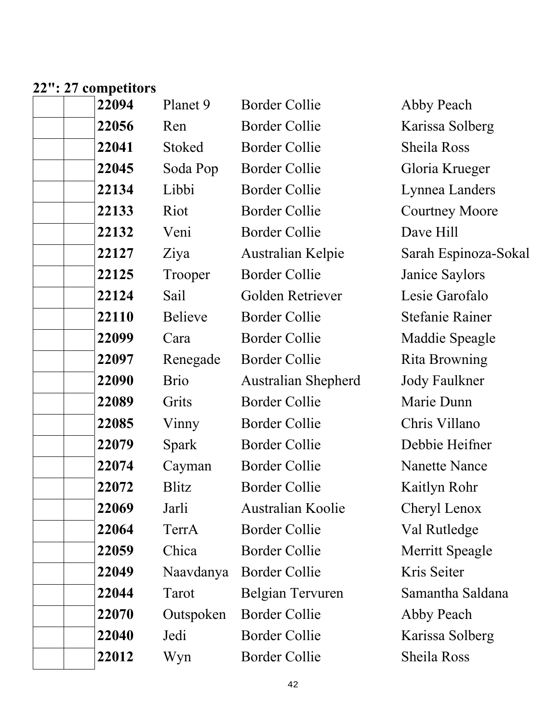#### **22": 27 competitors**

| 22094 | Planet 9       | <b>Border Collie</b>       | Abby Peach             |
|-------|----------------|----------------------------|------------------------|
| 22056 | Ren            | <b>Border Collie</b>       | Karissa Solberg        |
| 22041 | Stoked         | <b>Border Collie</b>       | Sheila Ross            |
| 22045 | Soda Pop       | <b>Border Collie</b>       | Gloria Krueger         |
| 22134 | Libbi          | <b>Border Collie</b>       | Lynnea Landers         |
| 22133 | Riot           | <b>Border Collie</b>       | <b>Courtney Moore</b>  |
| 22132 | Veni           | <b>Border Collie</b>       | Dave Hill              |
| 22127 | Ziya           | Australian Kelpie          | Sarah Espinoza-Sokal   |
| 22125 | Trooper        | <b>Border Collie</b>       | Janice Saylors         |
| 22124 | Sail           | Golden Retriever           | Lesie Garofalo         |
| 22110 | <b>Believe</b> | <b>Border Collie</b>       | <b>Stefanie Rainer</b> |
| 22099 | Cara           | <b>Border Collie</b>       | Maddie Speagle         |
| 22097 | Renegade       | <b>Border Collie</b>       | Rita Browning          |
| 22090 | <b>Brio</b>    | <b>Australian Shepherd</b> | <b>Jody Faulkner</b>   |
| 22089 | Grits          | <b>Border Collie</b>       | Marie Dunn             |
| 22085 | Vinny          | <b>Border Collie</b>       | Chris Villano          |
| 22079 | Spark          | <b>Border Collie</b>       | Debbie Heifner         |
| 22074 | Cayman         | <b>Border Collie</b>       | <b>Nanette Nance</b>   |
| 22072 | Blitz          | <b>Border Collie</b>       | Kaitlyn Rohr           |
| 22069 | Jarli          | Australian Koolie          | Cheryl Lenox           |
| 22064 | TerrA          | <b>Border Collie</b>       | Val Rutledge           |
| 22059 | Chica          | <b>Border Collie</b>       | Merritt Speagle        |
| 22049 | Naavdanya      | <b>Border Collie</b>       | Kris Seiter            |
| 22044 | Tarot          | Belgian Tervuren           | Samantha Saldana       |
| 22070 | Outspoken      | <b>Border Collie</b>       | Abby Peach             |
| 22040 | Jedi           | <b>Border Collie</b>       | Karissa Solberg        |
| 22012 | Wyn            | <b>Border Collie</b>       | Sheila Ross            |
|       |                |                            |                        |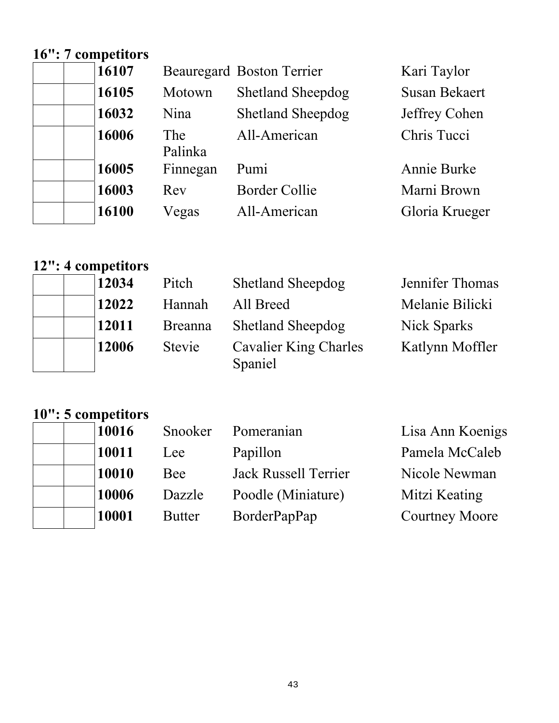## **16": 7 competitors**

| $\cdots$ $\cdots$ |            |
|-------------------|------------|
| 16107             | Beat       |
| 16105             | Mote       |
| 16032             | Nina       |
| 16006             | <b>The</b> |
|                   | Palir      |
| 16005             | Finn       |
| 16003             | Rev        |
| 16100             | Vega       |
|                   |            |

|          | <b>Beauregard Boston Terrier</b> | Kari Taylor          |
|----------|----------------------------------|----------------------|
| Motown   | <b>Shetland Sheepdog</b>         | <b>Susan Bekaert</b> |
| Nina     | <b>Shetland Sheepdog</b>         | Jeffrey Cohen        |
| The      | All-American                     | Chris Tucci          |
| Palinka  |                                  |                      |
| Finnegan | Pumi                             | Annie Burke          |
| Rev      | <b>Border Collie</b>             | Marni Brown          |
| Vegas    | All-American                     | Gloria Krueger       |

**Gloria Krueger** 

# **12": 4 competitors**

| 12034 | Pitch          | <b>Shetland Sheepdog</b>         | Jennifer Thomas |
|-------|----------------|----------------------------------|-----------------|
| 12022 | Hannah         | All Breed                        | Melanie Bilicki |
| 12011 | <b>Breanna</b> | <b>Shetland Sheepdog</b>         | Nick Sparks     |
| 12006 | Stevie         | Cavalier King Charles<br>Spaniel | Katlynn Moffler |

## **10": 5 competitors**

| 10016 | Snooker       | Pomeranian                  | Lisa Ann Koenigs      |
|-------|---------------|-----------------------------|-----------------------|
| 10011 | Lee           | Papillon                    | Pamela McCaleb        |
| 10010 | Bee           | <b>Jack Russell Terrier</b> | Nicole Newman         |
| 10006 | Dazzle        | Poodle (Miniature)          | Mitzi Keating         |
| 10001 | <b>Butter</b> | BorderPapPap                | <b>Courtney Moore</b> |
|       |               |                             |                       |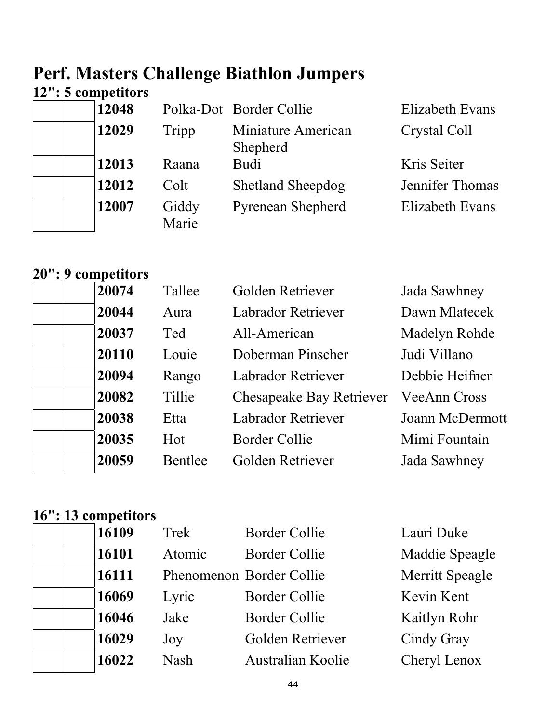# **Perf. Masters Challenge Biathlon Jumpers**

## **12": 5 competitors**

| 12048 |                | Polka-Dot Border Collie        | Elizabeth Evans |
|-------|----------------|--------------------------------|-----------------|
| 12029 | Tripp          | Miniature American<br>Shepherd | Crystal Coll    |
| 12013 | Raana          | Budi                           | Kris Seiter     |
| 12012 | Colt           | <b>Shetland Sheepdog</b>       | Jennifer Thomas |
| 12007 | Giddy<br>Marie | <b>Pyrenean Shepherd</b>       | Elizabeth Evans |

### **20": 9 competitors**

|  | 20074 | Tallee  | Golden Retriever                | Jada Sawhney        |
|--|-------|---------|---------------------------------|---------------------|
|  | 20044 | Aura    | Labrador Retriever              | Dawn Mlatecek       |
|  | 20037 | Ted     | All-American                    | Madelyn Rohde       |
|  | 20110 | Louie   | Doberman Pinscher               | Judi Villano        |
|  | 20094 | Rango   | Labrador Retriever              | Debbie Heifner      |
|  | 20082 | Tillie  | <b>Chesapeake Bay Retriever</b> | <b>VeeAnn Cross</b> |
|  | 20038 | Etta    | <b>Labrador Retriever</b>       | Joann McDermott     |
|  | 20035 | Hot     | <b>Border Collie</b>            | Mimi Fountain       |
|  | 20059 | Bentlee | Golden Retriever                | Jada Sawhney        |
|  |       |         |                                 |                     |

# **16": 13 competitors**

| 16109 | Trek        | <b>Border Collie</b> | Lauri Duke               |
|-------|-------------|----------------------|--------------------------|
| 16101 | Atomic      | <b>Border Collie</b> | Maddie Speagle           |
| 16111 |             |                      | Merritt Speagle          |
| 16069 | Lyric       | <b>Border Collie</b> | Kevin Kent               |
| 16046 | Jake        | <b>Border Collie</b> | Kaitlyn Rohr             |
| 16029 | Joy         | Golden Retriever     | Cindy Gray               |
| 16022 | <b>Nash</b> | Australian Koolie    | Cheryl Lenox             |
|       |             |                      | Phenomenon Border Collie |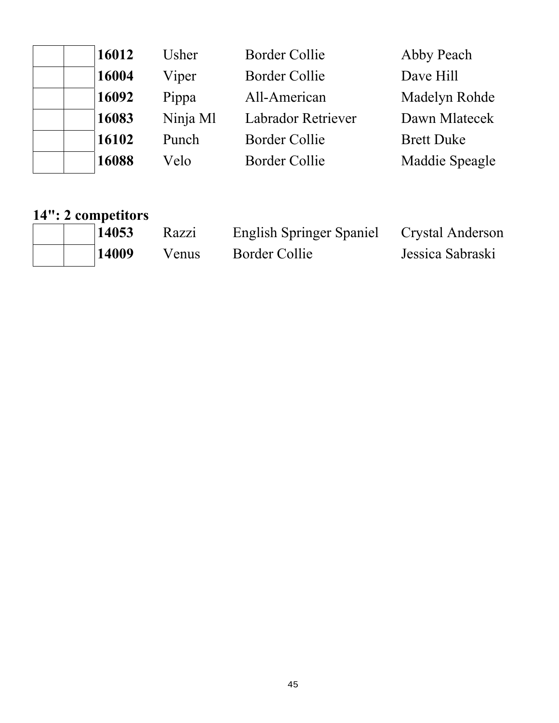| 16012 | Usher    | <b>Border Collie</b>      | Abby Peach        |
|-------|----------|---------------------------|-------------------|
| 16004 | Viper    | <b>Border Collie</b>      | Dave Hill         |
| 16092 | Pippa    | All-American              | Madelyn Rohde     |
| 16083 | Ninja Ml | <b>Labrador Retriever</b> | Dawn Mlatecek     |
| 16102 | Punch    | <b>Border Collie</b>      | <b>Brett Duke</b> |
| 16088 | Velo     | <b>Border Collie</b>      | Maddie Speagle    |

### **14": 2 competitors**

| 14053 | Razzi | English Springer Spaniel Crystal Anderson |                  |
|-------|-------|-------------------------------------------|------------------|
| 14009 | Venus | Border Collie                             | Jessica Sabraski |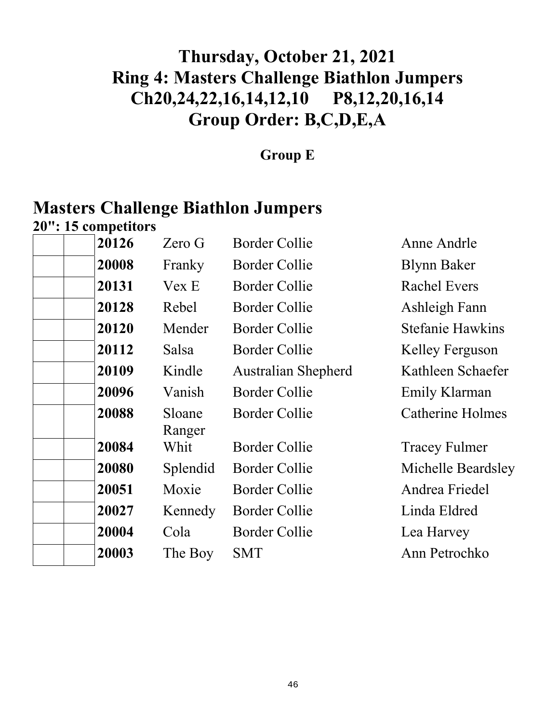# **Thursday, October 21, 2021 Ring 4: Masters Challenge Biathlon Jumpers Ch20,24,22,16,14,12,10 P8,12,20,16,14 Group Order: B,C,D,E,A**

### **Group E**

# **Masters Challenge Biathlon Jumpers**

**20": 15 competitors** 

| 20126 | Zero G           | <b>Border Collie</b>       | Anne Andrle             |
|-------|------------------|----------------------------|-------------------------|
| 20008 | Franky           | Border Collie              | <b>Blynn Baker</b>      |
| 20131 | Vex E            | <b>Border Collie</b>       | <b>Rachel Evers</b>     |
| 20128 | Rebel            | Border Collie              | Ashleigh Fann           |
| 20120 | Mender           | <b>Border Collie</b>       | <b>Stefanie Hawkins</b> |
| 20112 | Salsa            | <b>Border Collie</b>       | Kelley Ferguson         |
| 20109 | Kindle           | <b>Australian Shepherd</b> | Kathleen Schaefer       |
| 20096 | Vanish           | <b>Border Collie</b>       | Emily Klarman           |
| 20088 | Sloane<br>Ranger | <b>Border Collie</b>       | <b>Catherine Holmes</b> |
| 20084 | Whit             | <b>Border Collie</b>       | <b>Tracey Fulmer</b>    |
| 20080 | Splendid         | Border Collie              | Michelle Beardsley      |
| 20051 | Moxie            | <b>Border Collie</b>       | Andrea Friedel          |
| 20027 | Kennedy          | <b>Border Collie</b>       | Linda Eldred            |
| 20004 | Cola             | <b>Border Collie</b>       | Lea Harvey              |
| 20003 | The Boy          | <b>SMT</b>                 | Ann Petrochko           |
|       |                  |                            |                         |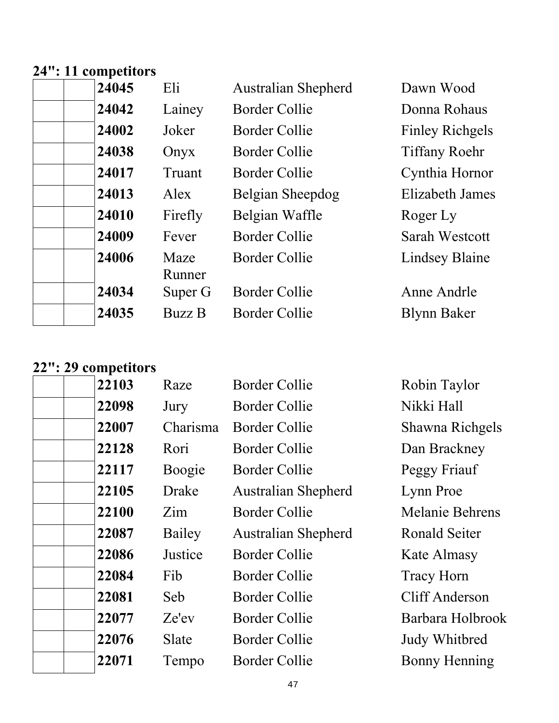#### **24": 11 competitors**

| 24045 | Eli            | <b>Australian Shepherd</b> | Dawn Wood              |
|-------|----------------|----------------------------|------------------------|
| 24042 | Lainey         | <b>Border Collie</b>       | Donna Rohaus           |
| 24002 | Joker          | <b>Border Collie</b>       | <b>Finley Richgels</b> |
| 24038 | Onyx           | Border Collie              | <b>Tiffany Roehr</b>   |
| 24017 | Truant         | Border Collie              | Cynthia Hornor         |
| 24013 | Alex           | Belgian Sheepdog           | Elizabeth James        |
| 24010 | Firefly        | Belgian Waffle             | Roger Ly               |
| 24009 | Fever          | <b>Border Collie</b>       | <b>Sarah Westcott</b>  |
| 24006 | Maze<br>Runner | <b>Border Collie</b>       | <b>Lindsey Blaine</b>  |
| 24034 | Super G        | <b>Border Collie</b>       | Anne Andrle            |
| 24035 | <b>Buzz B</b>  | <b>Border Collie</b>       | <b>Blynn Baker</b>     |

### **22": 29 competitors**

| 22103 | Raze     | <b>Border Collie</b>       | Robin Taylor           |
|-------|----------|----------------------------|------------------------|
| 22098 | Jury     | Border Collie              | Nikki Hall             |
| 22007 | Charisma | Border Collie              | Shawna Richgels        |
| 22128 | Rori     | <b>Border Collie</b>       | Dan Brackney           |
| 22117 | Boogie   | Border Collie              | Peggy Friauf           |
| 22105 | Drake    | <b>Australian Shepherd</b> | Lynn Proe              |
| 22100 | Zim      | <b>Border Collie</b>       | <b>Melanie Behrens</b> |
| 22087 | Bailey   | <b>Australian Shepherd</b> | Ronald Seiter          |
| 22086 | Justice  | <b>Border Collie</b>       | Kate Almasy            |
| 22084 | Fib      | Border Collie              | <b>Tracy Horn</b>      |
| 22081 | Seb      | Border Collie              | <b>Cliff Anderson</b>  |
| 22077 | Ze'ev    | Border Collie              | Barbara Holbrook       |
| 22076 | Slate    | Border Collie              | Judy Whitbred          |
| 22071 | Tempo    | <b>Border Collie</b>       | <b>Bonny Henning</b>   |
|       |          |                            |                        |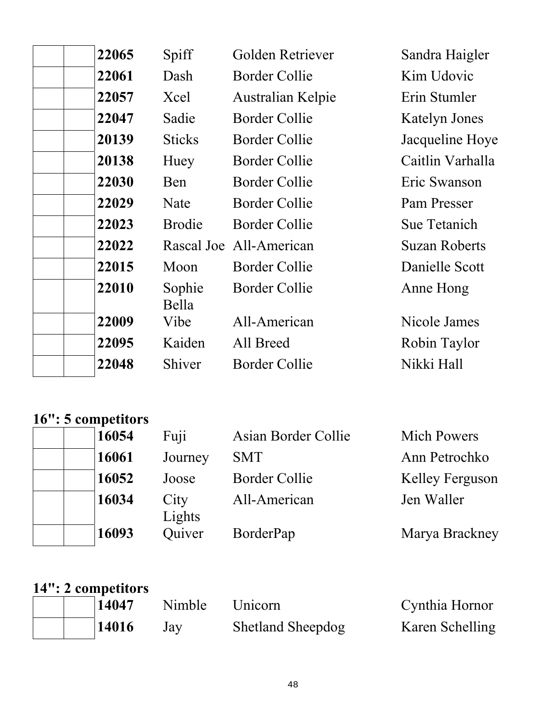| 22065 | Spiff           | Golden Retriever        | Sandra Haigler       |
|-------|-----------------|-------------------------|----------------------|
| 22061 | Dash            | <b>Border Collie</b>    | Kim Udovic           |
| 22057 | Xcel            | Australian Kelpie       | Erin Stumler         |
| 22047 | Sadie           | <b>Border Collie</b>    | <b>Katelyn Jones</b> |
| 20139 | <b>Sticks</b>   | <b>Border Collie</b>    | Jacqueline Hoye      |
| 20138 | Huey            | <b>Border Collie</b>    | Caitlin Varhalla     |
| 22030 | Ben             | Border Collie           | Eric Swanson         |
| 22029 | Nate            | Border Collie           | Pam Presser          |
| 22023 | <b>Brodie</b>   | <b>Border Collie</b>    | Sue Tetanich         |
| 22022 |                 | Rascal Joe All-American | <b>Suzan Roberts</b> |
| 22015 | Moon            | <b>Border Collie</b>    | Danielle Scott       |
| 22010 | Sophie<br>Bella | <b>Border Collie</b>    | Anne Hong            |
| 22009 | Vibe            | All-American            | Nicole James         |
| 22095 | Kaiden          | All Breed               | Robin Taylor         |
| 22048 | Shiver          | <b>Border Collie</b>    | Nikki Hall           |

#### **16": 5 competitors**

| 16054 | Fuji           | Asian Border Collie  | <b>Mich Powers</b>     |
|-------|----------------|----------------------|------------------------|
| 16061 | Journey        | <b>SMT</b>           | Ann Petrochko          |
| 16052 | Joose          | <b>Border Collie</b> | <b>Kelley Ferguson</b> |
| 16034 | City<br>Lights | All-American         | Jen Waller             |
| 16093 | Quiver         | BorderPap            | Marya Brackney         |

#### **14": 2 competitors**

| 14047 | Nimble | Unicorn                  | Cynthia Hornor  |
|-------|--------|--------------------------|-----------------|
| 14016 | Jay    | <b>Shetland Sheepdog</b> | Karen Schelling |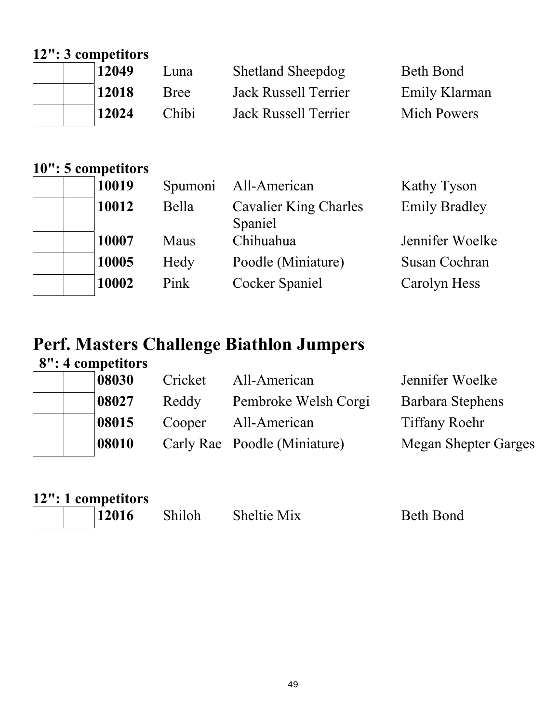## **12": 3 competitors**

|  | 12049 | Luna        | <b>Shetland Sheepdog</b> | Beth Bond          |
|--|-------|-------------|--------------------------|--------------------|
|  | 12018 | <b>Bree</b> | Jack Russell Terrier     | Emily Klarman      |
|  | 12024 | Chibi       | Jack Russell Terrier     | <b>Mich Powers</b> |

## **10": 5 competitors**

| 10019 | Spumoni | All-American                     | Kathy Tyson          |
|-------|---------|----------------------------------|----------------------|
| 10012 | Bella   | Cavalier King Charles<br>Spaniel | <b>Emily Bradley</b> |
| 10007 | Maus    | Chihuahua                        | Jennifer Woelke      |
| 10005 | Hedy    | Poodle (Miniature)               | <b>Susan Cochran</b> |
| 10002 | Pink    | <b>Cocker Spaniel</b>            | Carolyn Hess         |

### **Perf. Masters Challenge Biathlon Jumpers 8": 4 competitors**

| 08030 | Cricket | All-American                 | Jennifer Woelke             |
|-------|---------|------------------------------|-----------------------------|
| 08027 | Reddy   | Pembroke Welsh Corgi         | Barbara Stephens            |
| 08015 | Cooper  | All-American                 | <b>Tiffany Roehr</b>        |
| 08010 |         | Carly Rae Poodle (Miniature) | <b>Megan Shepter Garges</b> |
|       |         |                              |                             |

|  | 12": 1 competitors |
|--|--------------------|
|  |                    |

Shiloh Sheltie Mix Beth Bond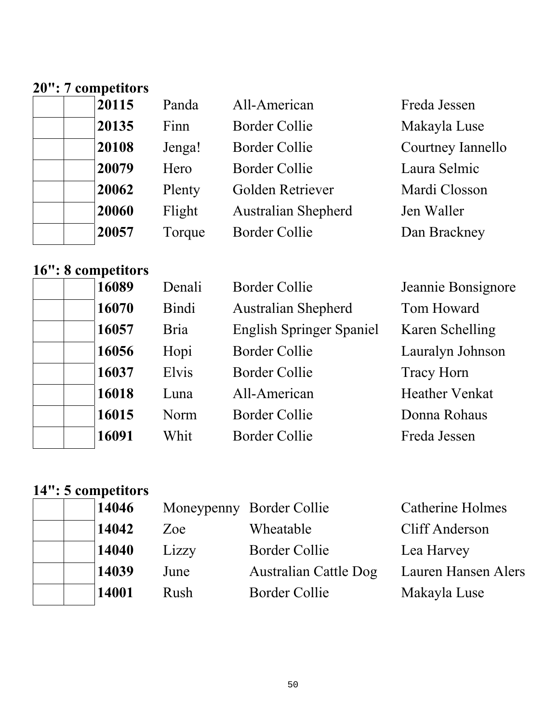#### **20": 7 competitors**

| 20115 | Panda  | All-American               | Freda Jessen      |
|-------|--------|----------------------------|-------------------|
| 20135 | Finn   | <b>Border Collie</b>       | Makayla Luse      |
| 20108 | Jenga! | <b>Border Collie</b>       | Courtney Iannello |
| 20079 | Hero   | <b>Border Collie</b>       | Laura Selmic      |
| 20062 | Plenty | Golden Retriever           | Mardi Closson     |
| 20060 | Flight | <b>Australian Shepherd</b> | Jen Waller        |
| 20057 | Torque | <b>Border Collie</b>       | Dan Brackney      |

#### **16": 8 competitors**

| 16089 | Denali      | <b>Border Collie</b>            | Jeannie Bonsignore    |
|-------|-------------|---------------------------------|-----------------------|
| 16070 | Bindi       | <b>Australian Shepherd</b>      | Tom Howard            |
| 16057 | <b>Bria</b> | <b>English Springer Spaniel</b> | Karen Schelling       |
| 16056 | Hopi        | <b>Border Collie</b>            | Lauralyn Johnson      |
| 16037 | Elvis       | <b>Border Collie</b>            | <b>Tracy Horn</b>     |
| 16018 | Luna        | All-American                    | <b>Heather Venkat</b> |
| 16015 | Norm        | <b>Border Collie</b>            | Donna Rohaus          |
| 16091 | Whit        | Border Collie                   | Freda Jessen          |
|       |             |                                 |                       |

## **14": 5 competitors**

| 14046 |       | Moneypenny Border Collie     | <b>Catherine Holmes</b> |
|-------|-------|------------------------------|-------------------------|
| 14042 | Zoe   | Wheatable                    | Cliff Anderson          |
| 14040 | Lizzy | <b>Border Collie</b>         | Lea Harvey              |
| 14039 | June  | <b>Australian Cattle Dog</b> | Lauren Hansen Alers     |
| 14001 | Rush  | <b>Border Collie</b>         | Makayla Luse            |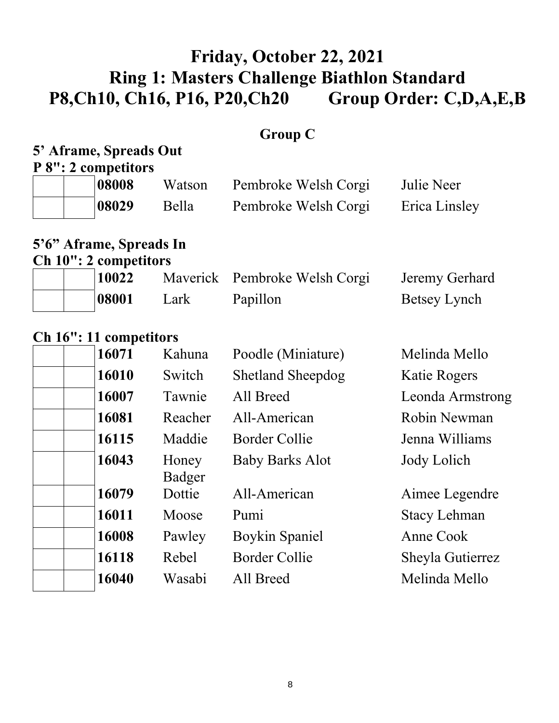## **Friday, October 22, 2021 Ring 1: Masters Challenge Biathlon Standard P8,Ch10, Ch16, P16, P20,Ch20 Group Order: C,D,A,E,B**

## **Group C**

## **5' Aframe, Spreads Out**

**P 8": 2 competitors** 

| 08008 | Watson | Pembroke Welsh Corgi | Julie Neer    |
|-------|--------|----------------------|---------------|
| 08029 | Bella  | Pembroke Welsh Corgi | Erica Linsley |

## **5'6" Aframe, Spreads In**

**Ch 10": 2 competitors** 

|  | 10022 |      | Maverick Pembroke Welsh Corgi | Jeremy Gerhard |
|--|-------|------|-------------------------------|----------------|
|  | 08001 | Lark | Papillon                      | Betsey Lynch   |

#### **Ch 16": 11 competitors**

| 16071 | Kahuna          | Poodle (Miniature)       | Melinda Mello       |
|-------|-----------------|--------------------------|---------------------|
| 16010 | Switch          | <b>Shetland Sheepdog</b> | Katie Rogers        |
| 16007 | Tawnie          | All Breed                | Leonda Armstrong    |
| 16081 | Reacher         | All-American             | Robin Newman        |
| 16115 | Maddie          | <b>Border Collie</b>     | Jenna Williams      |
| 16043 | Honey<br>Badger | <b>Baby Barks Alot</b>   | Jody Lolich         |
| 16079 | Dottie          | All-American             | Aimee Legendre      |
| 16011 | Moose           | Pumi                     | <b>Stacy Lehman</b> |
| 16008 | Pawley          | Boykin Spaniel           | Anne Cook           |
| 16118 | Rebel           | <b>Border Collie</b>     | Sheyla Gutierrez    |
| 16040 | Wasabi          | All Breed                | Melinda Mello       |
|       |                 |                          |                     |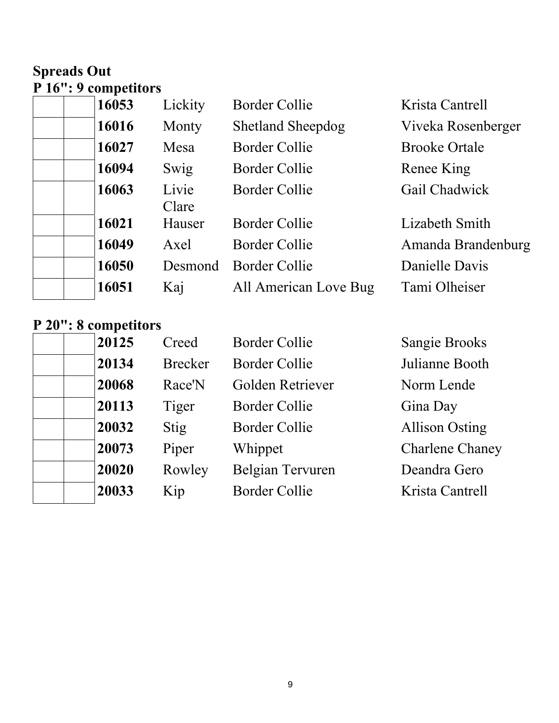## **Spreads Out P 16": 9 competitors**

| 16053 | Lickity        | <b>Border Collie</b>     | Krista Cantrell      |
|-------|----------------|--------------------------|----------------------|
| 16016 | Monty          | <b>Shetland Sheepdog</b> | Viveka Rosenberger   |
| 16027 | Mesa           | <b>Border Collie</b>     | <b>Brooke Ortale</b> |
| 16094 | Swig           | <b>Border Collie</b>     | Renee King           |
| 16063 | Livie<br>Clare | <b>Border Collie</b>     | Gail Chadwick        |
| 16021 | Hauser         | <b>Border Collie</b>     | Lizabeth Smith       |
| 16049 | Axel           | Border Collie            | Amanda Brandenburg   |
| 16050 | Desmond        | Border Collie            | Danielle Davis       |
| 16051 | Kaj            | All American Love Bug    | Tami Olheiser        |

#### **P 20": 8 competitors**

| 20125 | Creed          | <b>Border Collie</b> | <b>Sangie Brooks</b>   |
|-------|----------------|----------------------|------------------------|
| 20134 | <b>Brecker</b> | <b>Border Collie</b> | Julianne Booth         |
| 20068 | Race'N         | Golden Retriever     | Norm Lende             |
| 20113 | Tiger          | <b>Border Collie</b> | Gina Day               |
| 20032 | Stig           | <b>Border Collie</b> | <b>Allison Osting</b>  |
| 20073 | Piper          | Whippet              | <b>Charlene Chaney</b> |
| 20020 | Rowley         | Belgian Tervuren     | Deandra Gero           |
| 20033 | Kip            | <b>Border Collie</b> | Krista Cantrell        |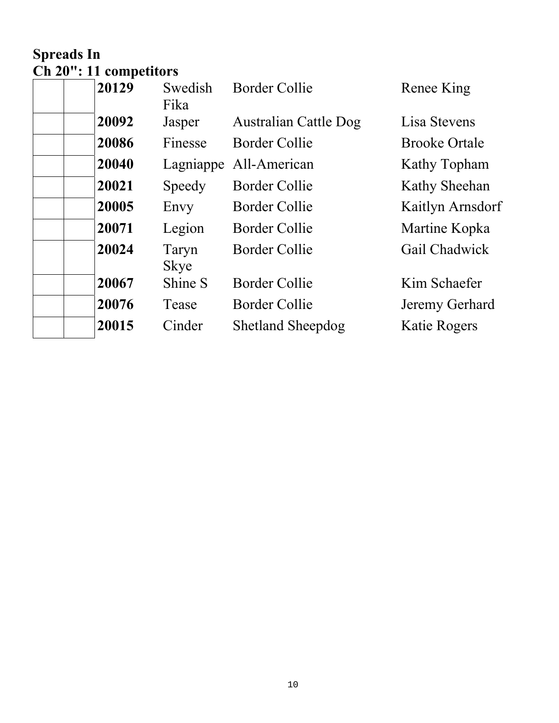## **Spreads In Ch 20": 11 competitors**

| 20129 | Swedish<br>Fika      | <b>Border Collie</b>         | Renee King           |
|-------|----------------------|------------------------------|----------------------|
| 20092 | Jasper               | <b>Australian Cattle Dog</b> | Lisa Stevens         |
| 20086 | Finesse              | <b>Border Collie</b>         | <b>Brooke Ortale</b> |
| 20040 | Lagniappe            | All-American                 | Kathy Topham         |
| 20021 | Speedy               | Border Collie                | Kathy Sheehan        |
| 20005 | Envy                 | <b>Border Collie</b>         | Kaitlyn Arnsdorf     |
| 20071 | Legion               | Border Collie                | Martine Kopka        |
| 20024 | Taryn<br><b>Skye</b> | <b>Border Collie</b>         | Gail Chadwick        |
| 20067 | Shine S              | <b>Border Collie</b>         | Kim Schaefer         |
| 20076 | Tease                | <b>Border Collie</b>         | Jeremy Gerhard       |
| 20015 | Cinder               | <b>Shetland Sheepdog</b>     | Katie Rogers         |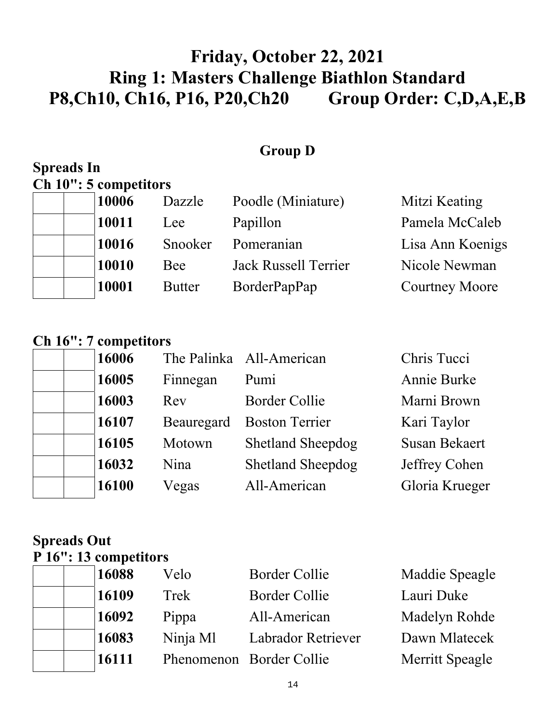# **Friday, October 22, 2021 Ring 1: Masters Challenge Biathlon Standard P8,Ch10, Ch16, P16, P20,Ch20 Group Order: C,D,A,E,B**

### **Group D**

### **Spreads In Ch 10": 5 competitors**

| 10006 | Dazzle        | Poodle (Miniature)   | Mitzi Keating         |
|-------|---------------|----------------------|-----------------------|
| 10011 | Lee           | Papillon             | Pamela McCaleb        |
| 10016 | Snooker       | Pomeranian           | Lisa Ann Koenigs      |
| 10010 | Bee           | Jack Russell Terrier | Nicole Newman         |
| 10001 | <b>Butter</b> | BorderPapPap         | <b>Courtney Moore</b> |

## **Ch 16": 7 competitors**

| 16006 |            | The Palinka All-American | Chris Tucci          |
|-------|------------|--------------------------|----------------------|
| 16005 | Finnegan   | Pumi                     | Annie Burke          |
| 16003 | Rev        | <b>Border Collie</b>     | Marni Brown          |
| 16107 | Beauregard | <b>Boston Terrier</b>    | Kari Taylor          |
| 16105 | Motown     | <b>Shetland Sheepdog</b> | <b>Susan Bekaert</b> |
| 16032 | Nina       | <b>Shetland Sheepdog</b> | Jeffrey Cohen        |
| 16100 | Vegas      | All-American             | Gloria Krueger       |

#### **Spreads Out P 16": 13 competitors**

| Maddie Speagle  |
|-----------------|
| Lauri Duke      |
| Madelyn Rohde   |
| Dawn Mlatecek   |
| Merritt Speagle |
|                 |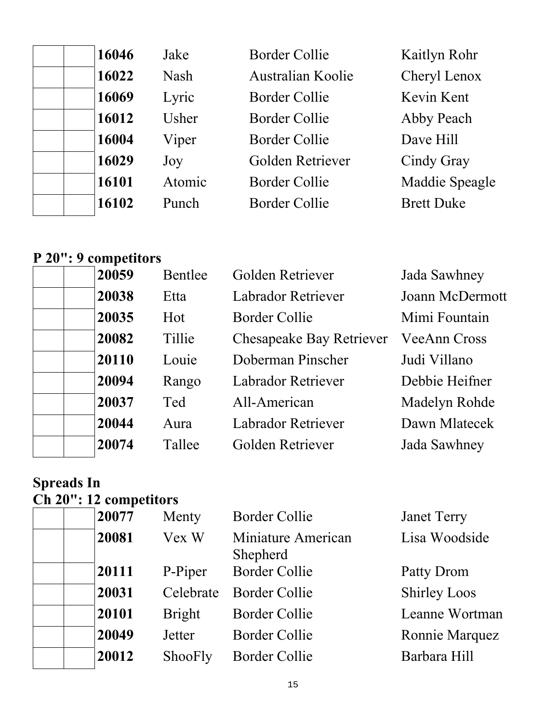| 16046 | Jake        | <b>Border Collie</b> | Kaitlyn Rohr      |
|-------|-------------|----------------------|-------------------|
| 16022 | <b>Nash</b> | Australian Koolie    | Cheryl Lenox      |
| 16069 | Lyric       | <b>Border Collie</b> | Kevin Kent        |
| 16012 | Usher       | <b>Border Collie</b> | Abby Peach        |
| 16004 | Viper       | <b>Border Collie</b> | Dave Hill         |
| 16029 | Joy         | Golden Retriever     | Cindy Gray        |
| 16101 | Atomic      | <b>Border Collie</b> | Maddie Speagle    |
| 16102 | Punch       | <b>Border Collie</b> | <b>Brett Duke</b> |

## **P 20": 9 competitors**

| 20059 | Bentlee | Golden Retriever                | Jada Sawhney        |
|-------|---------|---------------------------------|---------------------|
| 20038 | Etta    | Labrador Retriever              | Joann McDermott     |
| 20035 | Hot     | <b>Border Collie</b>            | Mimi Fountain       |
| 20082 | Tillie  | <b>Chesapeake Bay Retriever</b> | <b>VeeAnn Cross</b> |
| 20110 | Louie   | Doberman Pinscher               | Judi Villano        |
| 20094 | Rango   | <b>Labrador Retriever</b>       | Debbie Heifner      |
| 20037 | Ted     | All-American                    | Madelyn Rohde       |
| 20044 | Aura    | Labrador Retriever              | Dawn Mlatecek       |
| 20074 | Tallee  | Golden Retriever                | Jada Sawhney        |

#### **Spreads In**

#### **Ch 20": 12 competitors**

| 20077 | Menty         | <b>Border Collie</b>           | <b>Janet Terry</b>  |
|-------|---------------|--------------------------------|---------------------|
| 20081 | Vex W         | Miniature American<br>Shepherd | Lisa Woodside       |
| 20111 | P-Piper       | <b>Border Collie</b>           | Patty Drom          |
| 20031 | Celebrate     | <b>Border Collie</b>           | <b>Shirley Loos</b> |
| 20101 | <b>Bright</b> | <b>Border Collie</b>           | Leanne Wortman      |
| 20049 | Jetter        | <b>Border Collie</b>           | Ronnie Marquez      |
| 20012 | ShooFly       | <b>Border Collie</b>           | Barbara Hill        |
|       |               |                                |                     |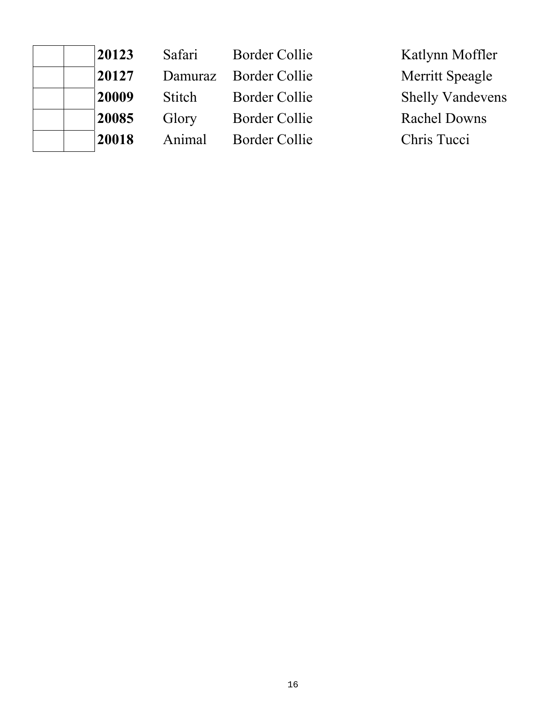| 20123 | Safari        | <b>Border Collie</b> | Katlynn Moffler         |
|-------|---------------|----------------------|-------------------------|
| 20127 | Damuraz       | <b>Border Collie</b> | Merritt Speagle         |
| 20009 | <b>Stitch</b> | <b>Border Collie</b> | <b>Shelly Vandevens</b> |
| 20085 | Glory         | Border Collie        | <b>Rachel Downs</b>     |
| 20018 | Animal        | Border Collie        | Chris Tucci             |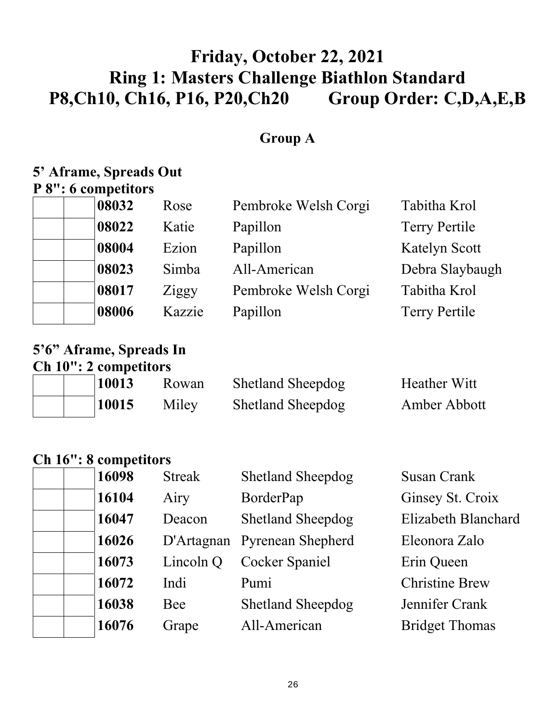# **Friday, October 22, 2021 Ring 1: Masters Challenge Biathlon Standard P8,Ch10, Ch16, P16, P20,Ch20 Group Order: C,D,A,E,B**

## **Group A**

#### **5' Aframe, Spreads Out P 8": 6 competitors**

| 08032 | Rose   | Pembroke Welsh Corgi | Tabitha Krol         |
|-------|--------|----------------------|----------------------|
| 08022 | Katie  | Papillon             | <b>Terry Pertile</b> |
| 08004 | Ezion  | Papillon             | <b>Katelyn Scott</b> |
| 08023 | Simba  | All-American         | Debra Slaybaugh      |
| 08017 | Ziggy  | Pembroke Welsh Corgi | Tabitha Krol         |
| 08006 | Kazzie | Papillon             | <b>Terry Pertile</b> |

#### **5'6" Aframe, Spreads In Ch 10": 2 competitors**

| 10013 | Rowan | <b>Shetland Sheepdog</b> | Heather Witt |
|-------|-------|--------------------------|--------------|
| 10015 | Miley | <b>Shetland Sheepdog</b> | Amber Abbott |

### **Ch 16": 8 competitors**

| 16098 | <b>Streak</b> | <b>Shetland Sheepdog</b>     | <b>Susan Crank</b>    |
|-------|---------------|------------------------------|-----------------------|
| 16104 | Airy          | BorderPap                    | Ginsey St. Croix      |
| 16047 | Deacon        | <b>Shetland Sheepdog</b>     | Elizabeth Blanchard   |
| 16026 |               | D'Artagnan Pyrenean Shepherd | Eleonora Zalo         |
| 16073 | Lincoln Q     | <b>Cocker Spaniel</b>        | Erin Queen            |
| 16072 | Indi          | Pumi                         | <b>Christine Brew</b> |
| 16038 | Bee           | <b>Shetland Sheepdog</b>     | Jennifer Crank        |
| 16076 | Grape         | All-American                 | <b>Bridget Thomas</b> |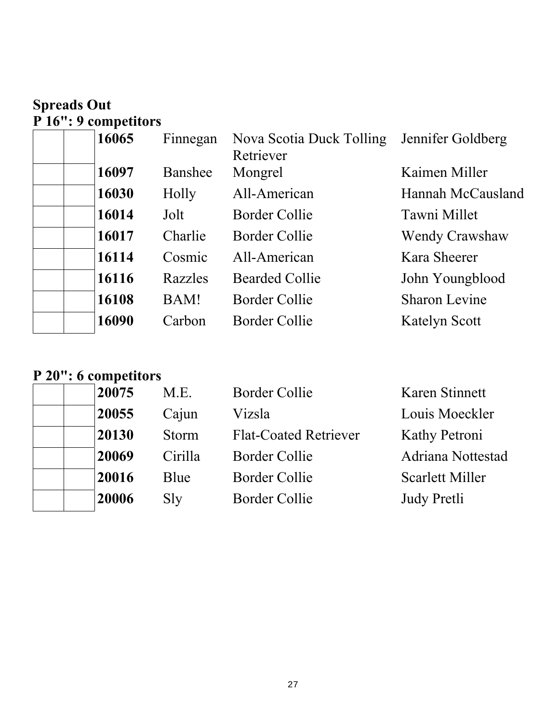## **Spreads Out P 16": 9 competitors**

| 16065 | Finnegan | Nova Scotia Duck Tolling<br>Retriever | Jennifer Goldberg    |
|-------|----------|---------------------------------------|----------------------|
| 16097 | Banshee  | Mongrel                               | Kaimen Miller        |
| 16030 | Holly    | All-American                          | Hannah McCausland    |
| 16014 | Jolt     | Border Collie                         | Tawni Millet         |
| 16017 | Charlie  | Border Collie                         | Wendy Crawshaw       |
| 16114 | Cosmic   | All-American                          | Kara Sheerer         |
| 16116 | Razzles  | <b>Bearded Collie</b>                 | John Youngblood      |
| 16108 | BAM!     | Border Collie                         | <b>Sharon Levine</b> |
| 16090 | Carbon   | <b>Border Collie</b>                  | Katelyn Scott        |

#### **P 20": 6 competitors**

|  | 20075 | M.E.         | <b>Border Collie</b>         | Karen Stinnett       |
|--|-------|--------------|------------------------------|----------------------|
|  | 20055 | Cajun        | Vizsla                       | Louis Moeckler       |
|  | 20130 | <b>Storm</b> | <b>Flat-Coated Retriever</b> | <b>Kathy Petroni</b> |
|  | 20069 | Cirilla      | Border Collie                | Adriana Nottestad    |
|  | 20016 | Blue         | Border Collie                | Scarlett Miller      |
|  | 20006 | Sly          | <b>Border Collie</b>         | Judy Pretli          |
|  |       |              |                              |                      |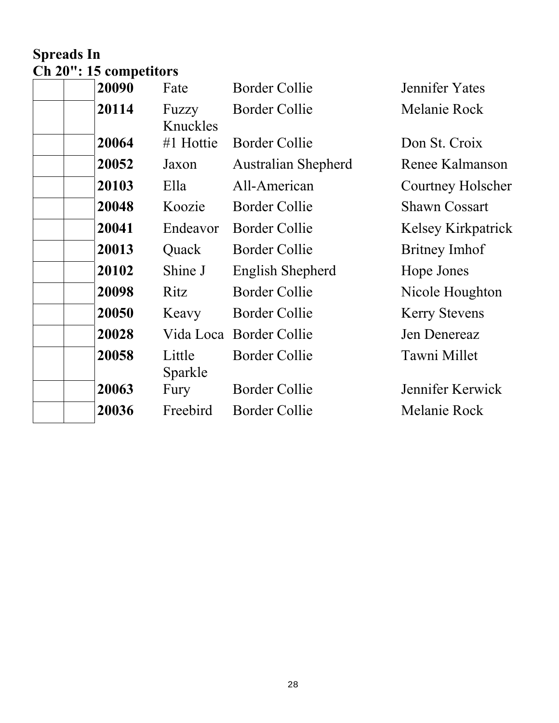## **Spreads In Ch 20": 15 competitors**

| 20090 | Fate              | <b>Border Collie</b>       | Jennifer Yates       |
|-------|-------------------|----------------------------|----------------------|
| 20114 | Fuzzy<br>Knuckles | <b>Border Collie</b>       | Melanie Rock         |
| 20064 | #1 Hottie         | Border Collie              | Don St. Croix        |
| 20052 | Jaxon             | <b>Australian Shepherd</b> | Renee Kalmanson      |
| 20103 | Ella              | All-American               | Courtney Holscher    |
| 20048 | Koozie            | <b>Border Collie</b>       | <b>Shawn Cossart</b> |
| 20041 | Endeavor          | <b>Border Collie</b>       | Kelsey Kirkpatrick   |
| 20013 | Quack             | <b>Border Collie</b>       | Britney Imhof        |
| 20102 | Shine J           | English Shepherd           | Hope Jones           |
| 20098 | Ritz              | <b>Border Collie</b>       | Nicole Houghton      |
| 20050 | Keavy             | <b>Border Collie</b>       | <b>Kerry Stevens</b> |
| 20028 |                   | Vida Loca Border Collie    | Jen Denereaz         |
| 20058 | Little<br>Sparkle | <b>Border Collie</b>       | Tawni Millet         |
| 20063 | Fury              | <b>Border Collie</b>       | Jennifer Kerwick     |
| 20036 | Freebird          | <b>Border Collie</b>       | Melanie Rock         |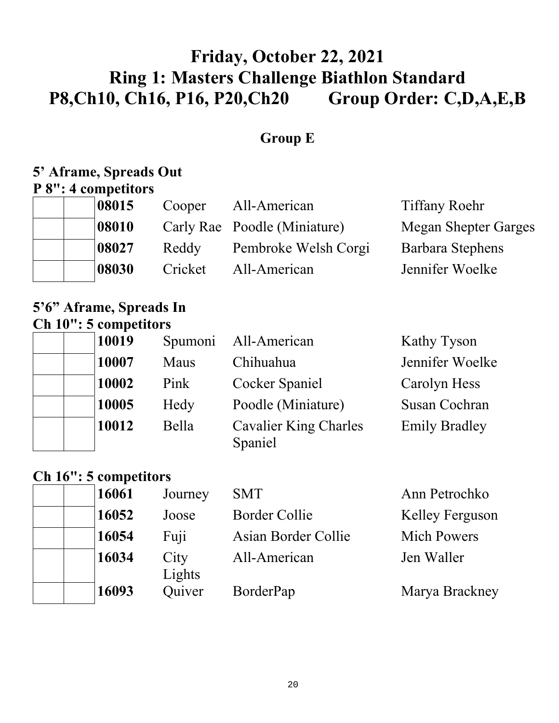# **Friday, October 22, 2021 Ring 1: Masters Challenge Biathlon Standard P8,Ch10, Ch16, P16, P20,Ch20 Group Order: C,D,A,E,B**

## **Group E**

#### **5' Aframe, Spreads Out P 8": 4 competitors**

| 08015 | Cooper  | All-American                 | <b>Tiffany Roehr</b>        |
|-------|---------|------------------------------|-----------------------------|
| 08010 |         | Carly Rae Poodle (Miniature) | <b>Megan Shepter Garges</b> |
| 08027 | Reddy   | Pembroke Welsh Corgi         | Barbara Stephens            |
| 08030 | Cricket | All-American                 | Jennifer Woelke             |

### **5'6" Aframe, Spreads In Ch 10": 5 competitors**

| 10019 |       | Spumoni All-American                    | Kathy Tyson          |
|-------|-------|-----------------------------------------|----------------------|
| 10007 | Maus  | Chihuahua                               | Jennifer Woelke      |
| 10002 | Pink  | Cocker Spaniel                          | Carolyn Hess         |
| 10005 | Hedy  | Poodle (Miniature)                      | <b>Susan Cochran</b> |
| 10012 | Bella | <b>Cavalier King Charles</b><br>Spaniel | <b>Emily Bradley</b> |

### **Ch 16": 5 competitors**

| 16061 | Journey        | <b>SMT</b>          | Ann Petrochko      |
|-------|----------------|---------------------|--------------------|
| 16052 | Joose          | Border Collie       | Kelley Ferguson    |
| 16054 | Fuji           | Asian Border Collie | <b>Mich Powers</b> |
| 16034 | City<br>Lights | All-American        | Jen Waller         |
| 16093 | Quiver         | BorderPap           | Marya Brackney     |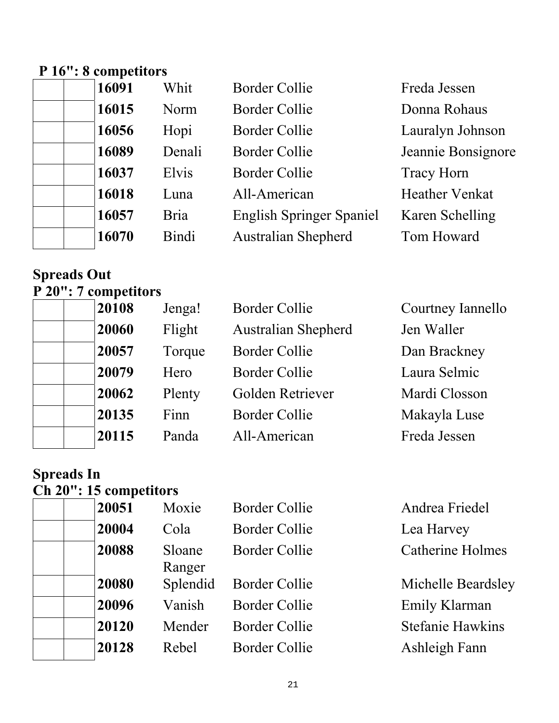## **P 16": 8 competitors**

| 16091 | Whit        | <b>Border Collie</b>            | Freda Jessen          |
|-------|-------------|---------------------------------|-----------------------|
| 16015 | Norm        | <b>Border Collie</b>            | Donna Rohaus          |
| 16056 | Hopi        | <b>Border Collie</b>            | Lauralyn Johnson      |
| 16089 | Denali      | Border Collie                   | Jeannie Bonsignore    |
| 16037 | Elvis       | Border Collie                   | <b>Tracy Horn</b>     |
| 16018 | Luna        | All-American                    | <b>Heather Venkat</b> |
| 16057 | <b>Bria</b> | <b>English Springer Spaniel</b> | Karen Schelling       |
| 16070 | Bindi       | <b>Australian Shepherd</b>      | Tom Howard            |

#### **Spreads Out P 20": 7 competitors**

| $1 - 0$ . To component $\frac{1}{2}$ |        |                            |                   |
|--------------------------------------|--------|----------------------------|-------------------|
| 20108                                | Jenga! | <b>Border Collie</b>       | Courtney Iannello |
| 20060                                | Flight | <b>Australian Shepherd</b> | Jen Waller        |
| 20057                                | Torque | <b>Border Collie</b>       | Dan Brackney      |
| 20079                                | Hero   | <b>Border Collie</b>       | Laura Selmic      |
| 20062                                | Plenty | Golden Retriever           | Mardi Closson     |
| 20135                                | Finn   | <b>Border Collie</b>       | Makayla Luse      |
| 20115                                | Panda  | All-American               | Freda Jessen      |
|                                      |        |                            |                   |

#### **Spreads In Ch 20": 15 competitors**

| $\frac{1}{20}$ . To competitors |                  |                      |                |
|---------------------------------|------------------|----------------------|----------------|
| 20051                           | Moxie            | <b>Border Collie</b> | Andrea Friedel |
| 20004                           | Cola             | <b>Border Collie</b> | Lea Harvey     |
| 20088                           | Sloane<br>Ranger | <b>Border Collie</b> | Catherine Holn |
| 20080                           | Splendid         | <b>Border Collie</b> | Michelle Beard |
| 20096                           | Vanish           | <b>Border Collie</b> | Emily Klarman  |
| 20120                           | Mender           | <b>Border Collie</b> | Stefanie Hawki |
| 20128                           | Rebel            | <b>Border Collie</b> | Ashleigh Fann  |
|                                 |                  |                      |                |

**Andrea Friedel** Lea Harvey Catherine Holmes

**Michelle Beardsley Emily Klarman Stefanie Hawkins**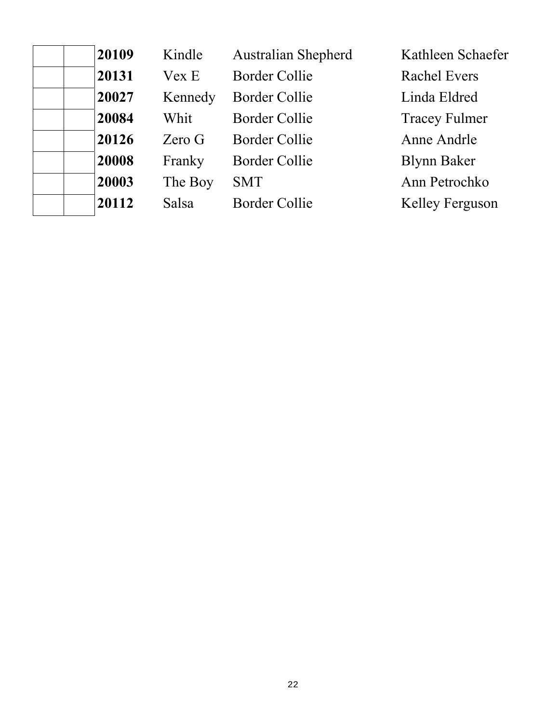| 20109 | Kindle  | <b>Australian Shepherd</b> | Kathleen Schaefer    |
|-------|---------|----------------------------|----------------------|
| 20131 | Vex E   | <b>Border Collie</b>       | <b>Rachel Evers</b>  |
| 20027 | Kennedy | <b>Border Collie</b>       | Linda Eldred         |
| 20084 | Whit    | <b>Border Collie</b>       | <b>Tracey Fulmer</b> |
| 20126 | Zero G  | <b>Border Collie</b>       | Anne Andrle          |
| 20008 | Franky  | <b>Border Collie</b>       | <b>Blynn Baker</b>   |
| 20003 | The Boy | <b>SMT</b>                 | Ann Petrochko        |
| 20112 | Salsa   | <b>Border Collie</b>       | Kelley Ferguson      |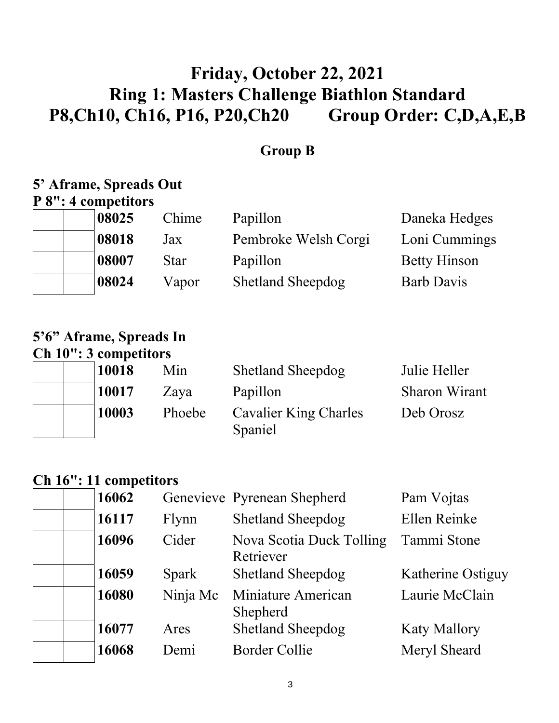# **Friday, October 22, 2021 Ring 1: Masters Challenge Biathlon Standard P8,Ch10, Ch16, P16, P20,Ch20 Group Order: C,D,A,E,B**

### **Group B**

# **5' Aframe, Spreads Out**

|  | P 8": 4 competitors |  |
|--|---------------------|--|
|  |                     |  |

| 08025 | Chime       | Papillon                 | Daneka Hedges       |
|-------|-------------|--------------------------|---------------------|
| 08018 | Jax         | Pembroke Welsh Corgi     | Loni Cummings       |
| 08007 | <b>Star</b> | Papillon                 | <b>Betty Hinson</b> |
| 08024 | Vapor       | <b>Shetland Sheepdog</b> | <b>Barb Davis</b>   |

## **5'6" Aframe, Spreads In Ch 10": 3 competitors**

| 10018 | Min    | <b>Shetland Sheepdog</b>     | Julie Heller         |
|-------|--------|------------------------------|----------------------|
| 10017 | Zaya   | Papillon                     | <b>Sharon Wirant</b> |
| 10003 | Phoebe | <b>Cavalier King Charles</b> | Deb Orosz            |
|       |        | Spaniel                      |                      |

## **Ch 16": 11 competitors**

| 16062 |              | Genevieve Pyrenean Shepherd           | Pam Vojtas          |
|-------|--------------|---------------------------------------|---------------------|
| 16117 | Flynn        | <b>Shetland Sheepdog</b>              | Ellen Reinke        |
| 16096 | Cider        | Nova Scotia Duck Tolling<br>Retriever | Tammi Stone         |
| 16059 | <b>Spark</b> | <b>Shetland Sheepdog</b>              | Katherine Ostiguy   |
| 16080 | Ninja Mc     | Miniature American<br>Shepherd        | Laurie McClain      |
| 16077 | Ares         | <b>Shetland Sheepdog</b>              | <b>Katy Mallory</b> |
| 16068 | Demi         | <b>Border Collie</b>                  | Meryl Sheard        |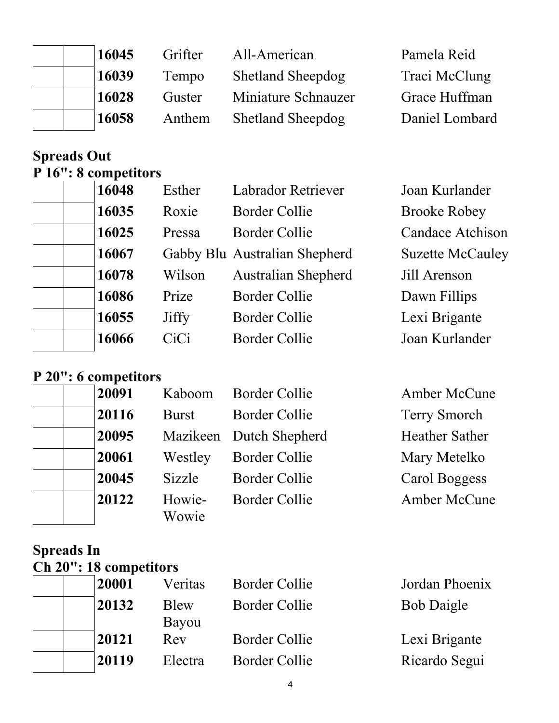| 16045 | Grifter | All-American             | Pamela Reid    |
|-------|---------|--------------------------|----------------|
| 16039 | Tempo   | <b>Shetland Sheepdog</b> | Traci McClung  |
| 16028 | Guster  | Miniature Schnauzer      | Grace Huffman  |
| 16058 | Anthem  | <b>Shetland Sheepdog</b> | Daniel Lombard |

**16048** Esther Labrador Retriever

16067 Gabby Blu Australian Shepherd

16078 Wilson Australian Shepherd

16035 Roxie Border Collie

16025 Pressa Border Collie

16086 Prize Border Collie

16055 Jiffy Border Collie

16066 CiCi Border Collie

## **Spreads Out P 16": 8 competitors**

| Joan Kurlander          |
|-------------------------|
| <b>Brooke Robey</b>     |
| Candace Atchison        |
| <b>Suzette McCauley</b> |
| Jill Arenson            |
| Dawn Fillips            |
| Lexi Brigante           |
| Joan Kurlander          |

#### **P 20": 6 competitors**

| 20091 | Kaboom          | <b>Border Collie</b>    | Amber McCune          |
|-------|-----------------|-------------------------|-----------------------|
| 20116 | <b>Burst</b>    | Border Collie           | <b>Terry Smorch</b>   |
| 20095 |                 | Mazikeen Dutch Shepherd | <b>Heather Sather</b> |
| 20061 | Westley         | Border Collie           | Mary Metelko          |
| 20045 | Sizzle          | <b>Border Collie</b>    | Carol Boggess         |
| 20122 | Howie-<br>Wowie | Border Collie           | Amber McCune          |

### **Spreads In Ch 20": 18 competitors**

| 20001 | Veritas | <b>Border Collie</b> | Jordan Phoenix    |
|-------|---------|----------------------|-------------------|
| 20132 | Blew    | <b>Border Collie</b> | <b>Bob Daigle</b> |
|       | Bayou   |                      |                   |
| 20121 | Rev     | <b>Border Collie</b> | Lexi Brigante     |
| 20119 | Electra | <b>Border Collie</b> | Ricardo Segui     |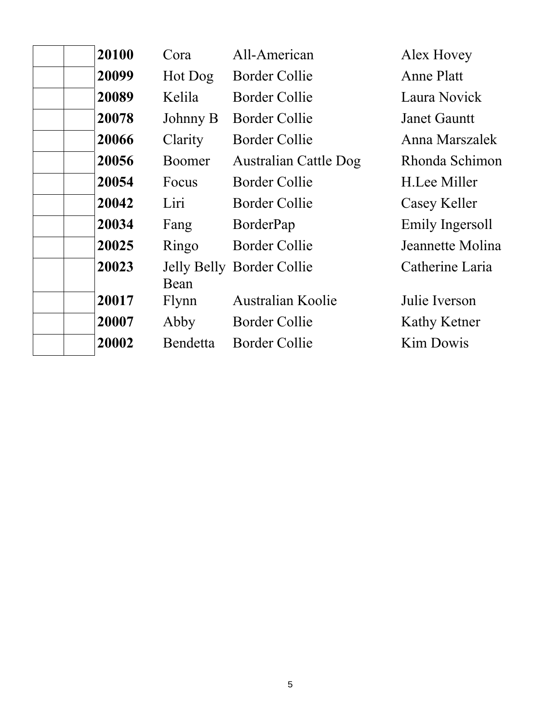| 20100 | Cora          | All-American                 | Alex Hovey          |
|-------|---------------|------------------------------|---------------------|
| 20099 | Hot Dog       | <b>Border Collie</b>         | Anne Platt          |
| 20089 | Kelila        | <b>Border Collie</b>         | Laura Novick        |
| 20078 | Johnny B      | Border Collie                | <b>Janet Gauntt</b> |
| 20066 | Clarity       | Border Collie                | Anna Marszalek      |
| 20056 | <b>Boomer</b> | <b>Australian Cattle Dog</b> | Rhonda Schimon      |
| 20054 | Focus         | <b>Border Collie</b>         | H.Lee Miller        |
| 20042 | Liri          | <b>Border Collie</b>         | Casey Keller        |
| 20034 | Fang          | BorderPap                    | Emily Ingersoll     |
| 20025 | Ringo         | <b>Border Collie</b>         | Jeannette Molina    |
| 20023 | Bean          | Jelly Belly Border Collie    | Catherine Laria     |
| 20017 | Flynn         | <b>Australian Koolie</b>     | Julie Iverson       |
| 20007 | Abby          | <b>Border Collie</b>         | Kathy Ketner        |
| 20002 | Bendetta      | Border Collie                | <b>Kim Dowis</b>    |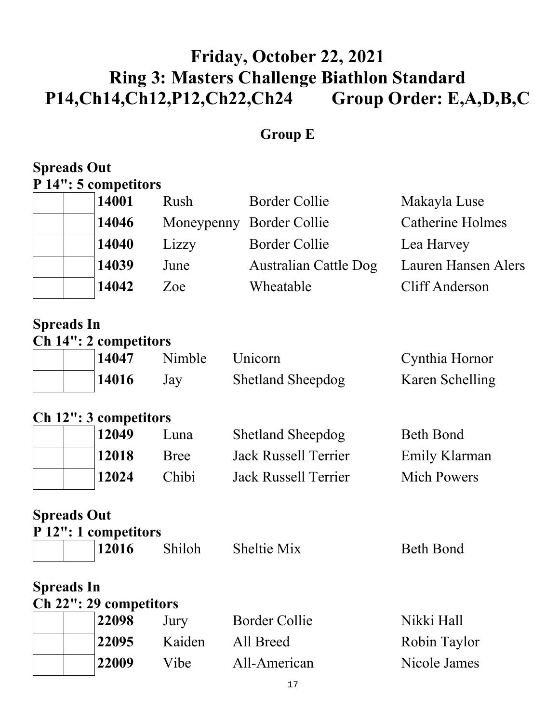# **Friday, October 22, 2021 Ring 3: Masters Challenge Biathlon Standard P14,Ch14,Ch12,P12,Ch22,Ch24 Group Order: E,A,D,B,C**

## **Group E**

#### **Spreads Out P 14": 5 competitors**

| 14001 | Rush  | <b>Border Collie</b>         | Makayla Luse            |
|-------|-------|------------------------------|-------------------------|
| 14046 |       | Moneypenny Border Collie     | <b>Catherine Holmes</b> |
| 14040 | Lizzy | <b>Border Collie</b>         | Lea Harvey              |
| 14039 | June  | <b>Australian Cattle Dog</b> | Lauren Hansen Alers     |
| 14042 | Zoe:  | Wheatable                    | Cliff Anderson          |

#### **Spreads In Ch 14": 2 competitors**

| $\mathbf{C}_{\mathbf{H}}$ $\mathbf{I}$ $\mathbf{I}$ $\mathbf{I}$ $\mathbf{I}$ $\mathbf{I}$ $\mathbf{I}$ $\mathbf{I}$ $\mathbf{I}$ $\mathbf{I}$ $\mathbf{I}$ $\mathbf{I}$ $\mathbf{I}$ $\mathbf{I}$ $\mathbf{I}$ $\mathbf{I}$ $\mathbf{I}$ $\mathbf{I}$ $\mathbf{I}$ $\mathbf{I}$ $\mathbf{I}$ $\mathbf{I}$ $\mathbf{I}$ $\mathbf{I}$ |       |        |                          |                 |  |
|--------------------------------------------------------------------------------------------------------------------------------------------------------------------------------------------------------------------------------------------------------------------------------------------------------------------------------------|-------|--------|--------------------------|-----------------|--|
|                                                                                                                                                                                                                                                                                                                                      | 14047 | Nimble | Unicorn                  | Cynthia Hornor  |  |
|                                                                                                                                                                                                                                                                                                                                      | 14016 | Jay    | <b>Shetland Sheepdog</b> | Karen Schelling |  |

#### **Ch 12": 3 competitors**

| 12049 | Luna        | <b>Shetland Sheepdog</b>    | Beth Bond          |
|-------|-------------|-----------------------------|--------------------|
| 12018 | <b>Bree</b> | <b>Jack Russell Terrier</b> | Emily Klarman      |
| 12024 | Chibi       | Jack Russell Terrier        | <b>Mich Powers</b> |

**Spreads Out** 

|  |  |  | P 12": 1 competitors |  |
|--|--|--|----------------------|--|
|  |  |  |                      |  |

|  | 12016 | Shiloh | Sheltie Mix | <b>Beth Bond</b> |
|--|-------|--------|-------------|------------------|
|  |       |        |             |                  |

### **Spreads In**

| Ch 22": 29 competitors |        |               |              |  |  |
|------------------------|--------|---------------|--------------|--|--|
| 22098                  | Jury   | Border Collie | Nikki Hall   |  |  |
| 22095                  | Kaiden | All Breed     | Robin Taylor |  |  |
| 22009                  | Vibe   | All-American  | Nicole James |  |  |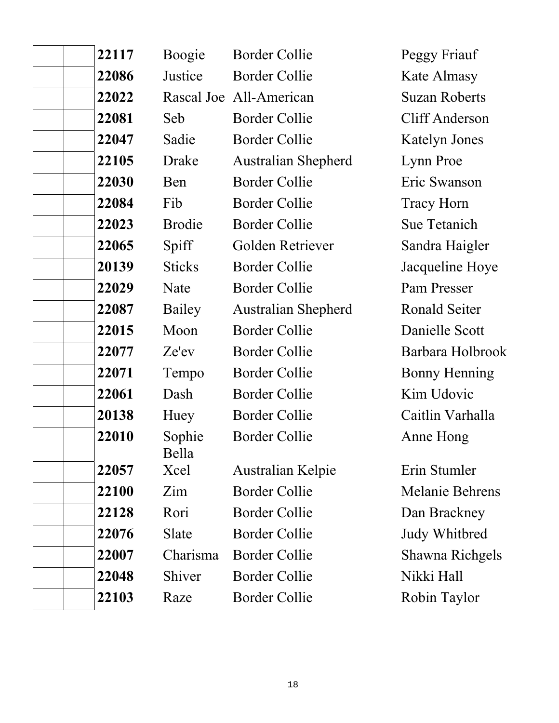| 22117 | Boogie          | <b>Border Collie</b>       | Peggy Friauf           |
|-------|-----------------|----------------------------|------------------------|
| 22086 | Justice         | <b>Border Collie</b>       | Kate Almasy            |
| 22022 |                 | Rascal Joe All-American    | <b>Suzan Roberts</b>   |
| 22081 | Seb             | <b>Border Collie</b>       | <b>Cliff Anderson</b>  |
| 22047 | Sadie           | <b>Border Collie</b>       | <b>Katelyn Jones</b>   |
| 22105 | Drake           | <b>Australian Shepherd</b> | Lynn Proe              |
| 22030 | Ben             | <b>Border Collie</b>       | Eric Swanson           |
| 22084 | Fib             | <b>Border Collie</b>       | <b>Tracy Horn</b>      |
| 22023 | <b>Brodie</b>   | <b>Border Collie</b>       | <b>Sue Tetanich</b>    |
| 22065 | Spiff           | Golden Retriever           | Sandra Haigler         |
| 20139 | <b>Sticks</b>   | <b>Border Collie</b>       | Jacqueline Hoye        |
| 22029 | Nate            | <b>Border Collie</b>       | Pam Presser            |
| 22087 | Bailey          | <b>Australian Shepherd</b> | <b>Ronald Seiter</b>   |
| 22015 | Moon            | <b>Border Collie</b>       | Danielle Scott         |
| 22077 | Ze'ev           | <b>Border Collie</b>       | Barbara Holbrook       |
| 22071 | Tempo           | <b>Border Collie</b>       | <b>Bonny Henning</b>   |
| 22061 | Dash            | <b>Border Collie</b>       | Kim Udovic             |
| 20138 | Huey            | <b>Border Collie</b>       | Caitlin Varhalla       |
| 22010 | Sophie<br>Bella | <b>Border Collie</b>       | Anne Hong              |
| 22057 | Xcel            | Australian Kelpie          | Erin Stumler           |
| 22100 | Zim             | <b>Border Collie</b>       | <b>Melanie Behrens</b> |
| 22128 | Rori            | <b>Border Collie</b>       | Dan Brackney           |
| 22076 | Slate           | <b>Border Collie</b>       | <b>Judy Whitbred</b>   |
| 22007 | Charisma        | <b>Border Collie</b>       | <b>Shawna Richgels</b> |
| 22048 | Shiver          | <b>Border Collie</b>       | Nikki Hall             |
| 22103 | Raze            | <b>Border Collie</b>       | Robin Taylor           |
|       |                 |                            |                        |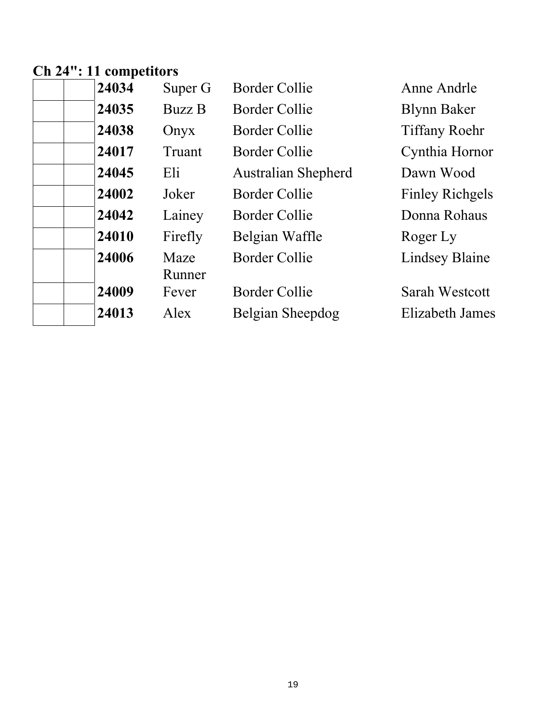# **Ch 24": 11 competitors**

| 24034 | Super G        | <b>Border Collie</b>       | Anne Andrle            |
|-------|----------------|----------------------------|------------------------|
| 24035 | <b>Buzz B</b>  | Border Collie              | <b>Blynn Baker</b>     |
| 24038 | Onyx           | Border Collie              | <b>Tiffany Roehr</b>   |
| 24017 | Truant         | Border Collie              | Cynthia Hornor         |
| 24045 | Eli            | <b>Australian Shepherd</b> | Dawn Wood              |
| 24002 | Joker          | <b>Border Collie</b>       | <b>Finley Richgels</b> |
| 24042 | Lainey         | <b>Border Collie</b>       | Donna Rohaus           |
| 24010 | Firefly        | Belgian Waffle             | Roger Ly               |
| 24006 | Maze<br>Runner | <b>Border Collie</b>       | <b>Lindsey Blaine</b>  |
| 24009 | Fever          | Border Collie              | Sarah Westcott         |
| 24013 | Alex           | Belgian Sheepdog           | Elizabeth James        |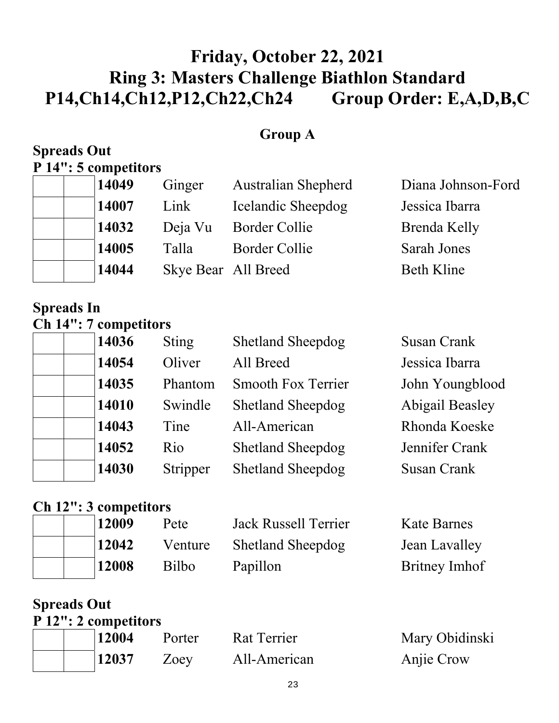# **Friday, October 22, 2021 Ring 3: Masters Challenge Biathlon Standard P14,Ch14,Ch12,P12,Ch22,Ch24 Group Order: E,A,D,B,C**

#### **Group A**

#### **Spreads Out P 14": 5 competitors**

| 14049 | Ginger              | <b>Australian Shepherd</b> | Diana Johnson-Ford |
|-------|---------------------|----------------------------|--------------------|
| 14007 | Link                | Icelandic Sheepdog         | Jessica Ibarra     |
| 14032 | Deja Vu             | <b>Border Collie</b>       | Brenda Kelly       |
| 14005 | Talla               | <b>Border Collie</b>       | <b>Sarah Jones</b> |
| 14044 | Skye Bear All Breed |                            | <b>Beth Kline</b>  |

### **Spreads In Ch 14": 7 competitors**

| 14036 | <b>Sting</b> | <b>Shetland Sheepdog</b>  | <b>Susan Crank</b>     |
|-------|--------------|---------------------------|------------------------|
| 14054 | Oliver       | All Breed                 | Jessica Ibarra         |
| 14035 | Phantom      | <b>Smooth Fox Terrier</b> | John Youngblood        |
| 14010 | Swindle      | <b>Shetland Sheepdog</b>  | <b>Abigail Beasley</b> |
| 14043 | Tine         | All-American              | Rhonda Koeske          |
| 14052 | Rio          | <b>Shetland Sheepdog</b>  | Jennifer Crank         |
| 14030 | Stripper     | <b>Shetland Sheepdog</b>  | <b>Susan Crank</b>     |

## **Ch 12": 3 competitors**

|  | 12009 | Pete    | <b>Jack Russell Terrier</b> | <b>Kate Barnes</b> |
|--|-------|---------|-----------------------------|--------------------|
|  | 12042 | Venture | <b>Shetland Sheepdog</b>    | Jean Lavalley      |
|  | 12008 | Bilbo   | Papillon                    | Britney Imhof      |

## **Spreads Out**

|  | P 12": 2 competitors |        |              |                |
|--|----------------------|--------|--------------|----------------|
|  | 12004                | Porter | Rat Terrier  | Mary Obidinski |
|  | 12037                | Zoey   | All-American | Anjie Crow     |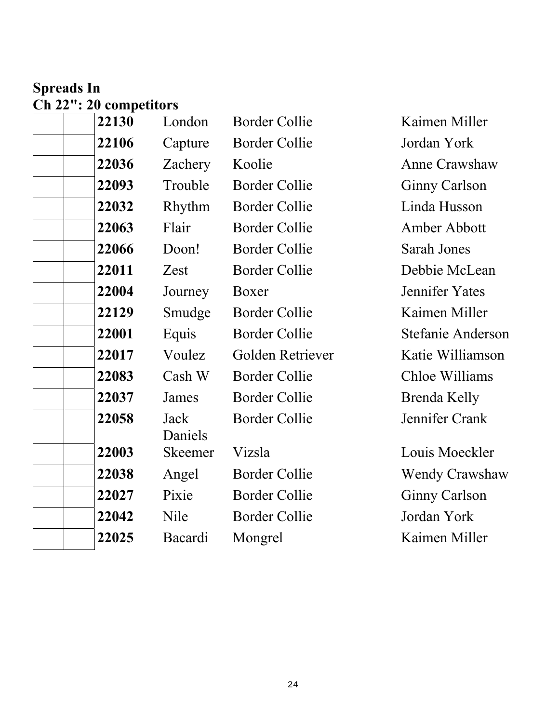## **Spreads In Ch 22": 20 competitors**

| 22130 | London          | <b>Border Collie</b> | Kaimen Miller        |
|-------|-----------------|----------------------|----------------------|
| 22106 | Capture         | <b>Border Collie</b> | Jordan York          |
| 22036 | Zachery         | Koolie               | Anne Crawshay        |
| 22093 | Trouble         | <b>Border Collie</b> | <b>Ginny Carlson</b> |
| 22032 | Rhythm          | <b>Border Collie</b> | Linda Husson         |
| 22063 | Flair           | <b>Border Collie</b> | Amber Abbott         |
| 22066 | Doon!           | <b>Border Collie</b> | Sarah Jones          |
| 22011 | Zest            | <b>Border Collie</b> | Debbie McLea         |
| 22004 | Journey         | Boxer                | Jennifer Yates       |
| 22129 | Smudge          | <b>Border Collie</b> | Kaimen Miller        |
| 22001 | Equis           | <b>Border Collie</b> | Stefanie Ander       |
| 22017 | Voulez          | Golden Retriever     | Katie Williams       |
| 22083 | Cash W          | <b>Border Collie</b> | Chloe Williams       |
| 22037 | James           | <b>Border Collie</b> | Brenda Kelly         |
| 22058 | Jack<br>Daniels | <b>Border Collie</b> | Jennifer Crank       |
| 22003 | Skeemer         | Vizsla               | Louis Moeckle        |
| 22038 | Angel           | <b>Border Collie</b> | <b>Wendy Crawsh</b>  |
| 22027 | Pixie           | <b>Border Collie</b> | <b>Ginny Carlson</b> |
| 22042 | Nile            | <b>Border Collie</b> | Jordan York          |
| 22025 | Bacardi         | Mongrel              | Kaimen Miller        |
|       |                 |                      |                      |

**Kaimen Miller** Jordan York **Anne Crawshaw Ginny Carlson** Linda Husson **Amber Abbott Sarah Jones** Debbie McLean **Jennifer Yates Kaimen Miller Stefanie Anderson Katie Williamson Chloe Williams Brenda Kelly** Jennifer Crank

Louis Moeckler **Wendy Crawshaw Ginny Carlson** Jordan York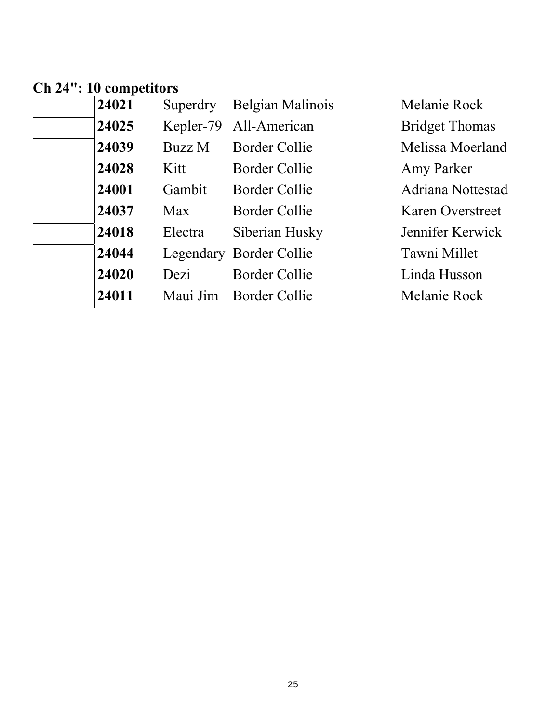## **Ch 24": 10 competitors**

| 24021 | Superdry | Belgian Malinois        | Melanie Rock            |
|-------|----------|-------------------------|-------------------------|
| 24025 |          | Kepler-79 All-American  | <b>Bridget Thomas</b>   |
| 24039 | Buzz M   | <b>Border Collie</b>    | Melissa Moerland        |
| 24028 | Kitt     | Border Collie           | Amy Parker              |
| 24001 | Gambit   | <b>Border Collie</b>    | Adriana Nottestad       |
| 24037 | Max      | <b>Border Collie</b>    | <b>Karen Overstreet</b> |
| 24018 | Electra  | Siberian Husky          | Jennifer Kerwick        |
| 24044 |          | Legendary Border Collie | Tawni Millet            |
| 24020 | Dezi     | <b>Border Collie</b>    | Linda Husson            |
| 24011 |          | Maui Jim Border Collie  | Melanie Rock            |
|       |          |                         |                         |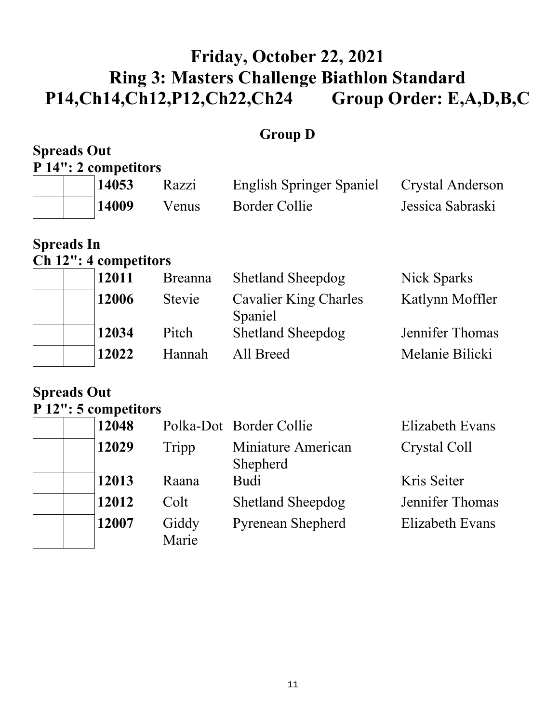# **Friday, October 22, 2021 Ring 3: Masters Challenge Biathlon Standard P14,Ch14,Ch12,P12,Ch22,Ch24 Group Order: E,A,D,B,C**

## **Group D**

| <b>Spreads Out</b> | P 14": 2 competitors |       |                          |                  |
|--------------------|----------------------|-------|--------------------------|------------------|
|                    | 14053                | Razzi | English Springer Spaniel | Crystal Anderson |
|                    | 14009                | Venus | Border Collie            | Jessica Sabraski |

## **Spreads In**

## **Ch 12": 4 competitors**

| 12011 | <b>Breanna</b> | <b>Shetland Sheepdog</b>         | Nick Sparks     |
|-------|----------------|----------------------------------|-----------------|
| 12006 | Stevie         | Cavalier King Charles<br>Spaniel | Katlynn Moffler |
| 12034 | Pitch          | <b>Shetland Sheepdog</b>         | Jennifer Thomas |
| 12022 | Hannah         | All Breed                        | Melanie Bilicki |

#### **Spreads Out P 12": 5 competitors**

| 12048 |                | Polka-Dot Border Collie        | Elizabeth Evans |
|-------|----------------|--------------------------------|-----------------|
| 12029 | Tripp          | Miniature American<br>Shepherd | Crystal Coll    |
| 12013 | Raana          | <b>Budi</b>                    | Kris Seiter     |
| 12012 | Colt           | <b>Shetland Sheepdog</b>       | Jennifer Thomas |
| 12007 | Giddy<br>Marie | <b>Pyrenean Shepherd</b>       | Elizabeth Evans |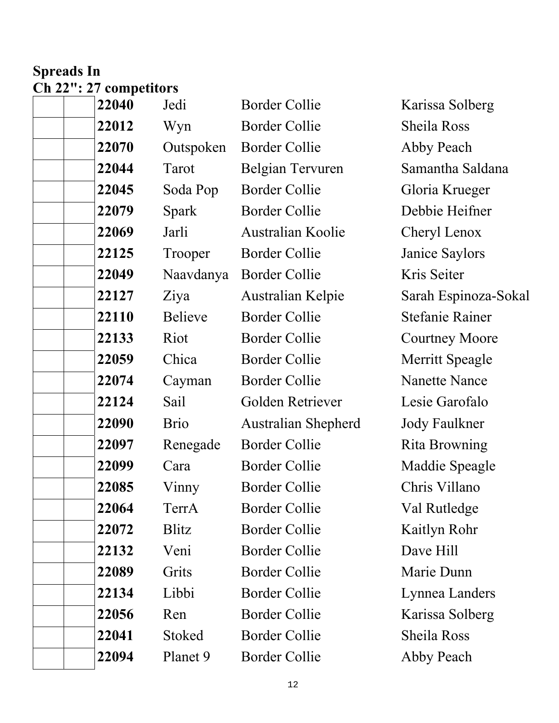## **Spreads In Ch 22": 27 competitors**

| 22040 | Jedi           | <b>Border Collie</b>       | Karissa Solberg        |
|-------|----------------|----------------------------|------------------------|
| 22012 | Wyn            | <b>Border Collie</b>       | Sheila Ross            |
| 22070 | Outspoken      | <b>Border Collie</b>       | Abby Peach             |
| 22044 | Tarot          | Belgian Tervuren           | Samantha Saldana       |
| 22045 | Soda Pop       | Border Collie              | Gloria Krueger         |
| 22079 | <b>Spark</b>   | <b>Border Collie</b>       | Debbie Heifner         |
| 22069 | Jarli          | <b>Australian Koolie</b>   | Cheryl Lenox           |
| 22125 | Trooper        | <b>Border Collie</b>       | Janice Saylors         |
| 22049 | Naavdanya      | <b>Border Collie</b>       | Kris Seiter            |
| 22127 | Ziya           | Australian Kelpie          | Sarah Espinoza-Sokal   |
| 22110 | <b>Believe</b> | <b>Border Collie</b>       | <b>Stefanie Rainer</b> |
| 22133 | Riot           | <b>Border Collie</b>       | <b>Courtney Moore</b>  |
| 22059 | Chica          | <b>Border Collie</b>       | <b>Merritt Speagle</b> |
| 22074 | Cayman         | <b>Border Collie</b>       | <b>Nanette Nance</b>   |
| 22124 | Sail           | Golden Retriever           | Lesie Garofalo         |
| 22090 | <b>Brio</b>    | <b>Australian Shepherd</b> | <b>Jody Faulkner</b>   |
| 22097 | Renegade       | <b>Border Collie</b>       | Rita Browning          |
| 22099 | Cara           | Border Collie              | Maddie Speagle         |
| 22085 | Vinny          | <b>Border Collie</b>       | Chris Villano          |
| 22064 | TerrA          | Border Collie              | Val Rutledge           |
| 22072 | Blitz          | <b>Border Collie</b>       | Kaitlyn Rohr           |
| 22132 | Veni           | <b>Border Collie</b>       | Dave Hill              |
| 22089 | Grits          | <b>Border Collie</b>       | Marie Dunn             |
| 22134 | Libbi          | <b>Border Collie</b>       | Lynnea Landers         |
| 22056 | Ren            | <b>Border Collie</b>       | Karissa Solberg        |
| 22041 | Stoked         | <b>Border Collie</b>       | Sheila Ross            |
| 22094 | Planet 9       | <b>Border Collie</b>       | Abby Peach             |
|       |                |                            |                        |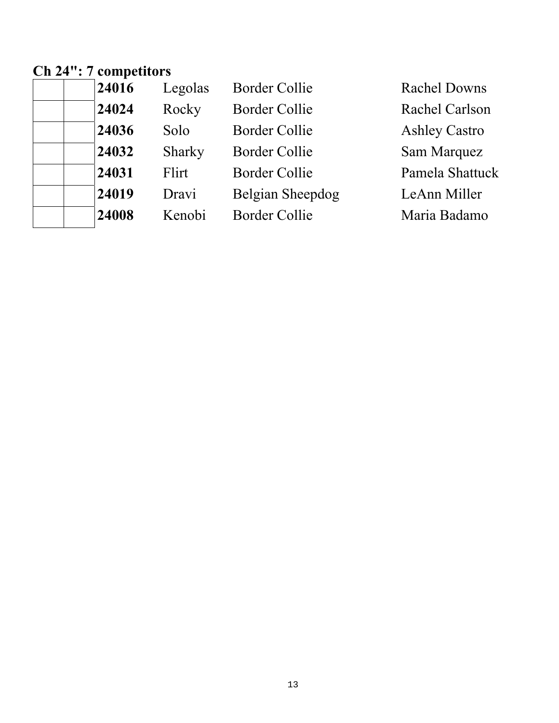#### **Ch 24": 7 competitors**

| 24024<br>Rocky<br><b>Border Collie</b><br>Rachel Carlson      | <b>Rachel Downs</b> |
|---------------------------------------------------------------|---------------------|
|                                                               |                     |
| 24036<br><b>Border Collie</b><br><b>Ashley Castro</b><br>Solo |                     |
| 24032<br><b>Border Collie</b><br>Sam Marquez<br>Sharky        |                     |
| 24031<br><b>Border Collie</b><br>Pamela Shattuck<br>Flirt     |                     |
| 24019<br>Belgian Sheepdog<br>Dravi<br>LeAnn Miller            |                     |
| 24008<br><b>Border Collie</b><br>Kenobi<br>Maria Badamo       |                     |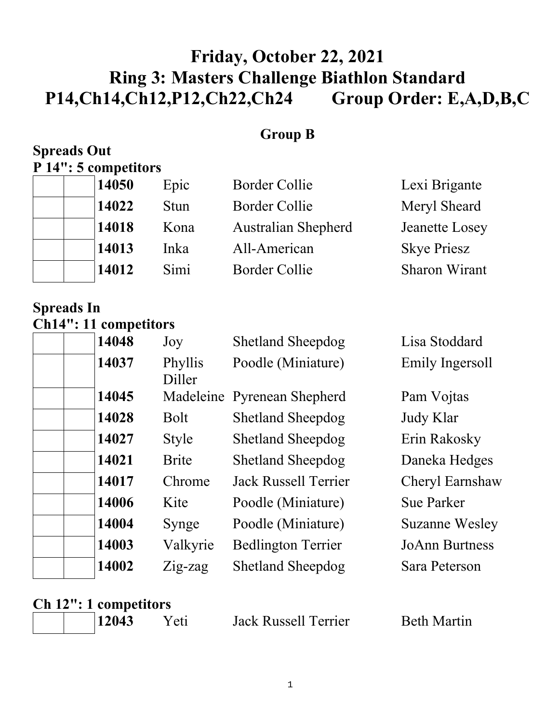# **Friday, October 22, 2021 Ring 3: Masters Challenge Biathlon Standard P14,Ch14,Ch12,P12,Ch22,Ch24 Group Order: E,A,D,B,C**

#### **Group B**

#### **Spreads Out P 14": 5 competitors**

| 14050 | Epic        | <b>Border Collie</b>       | Lexi Brigante         |
|-------|-------------|----------------------------|-----------------------|
| 14022 | <b>Stun</b> | <b>Border Collie</b>       | Meryl Sheard          |
| 14018 | Kona        | <b>Australian Shepherd</b> | <b>Jeanette Losey</b> |
| 14013 | Inka        | All-American               | <b>Skye Priesz</b>    |
| 14012 | Simi        | <b>Border Collie</b>       | <b>Sharon Wirant</b>  |

**Spreads In Ch14": 11 competitors** 

|  | 14048 | Joy               | <b>Shetland Sheepdog</b>    | Lisa Stoddard         |
|--|-------|-------------------|-----------------------------|-----------------------|
|  | 14037 | Phyllis<br>Diller | Poodle (Miniature)          | Emily Ingersoll       |
|  | 14045 |                   | Madeleine Pyrenean Shepherd | Pam Vojtas            |
|  | 14028 | Bolt              | <b>Shetland Sheepdog</b>    | Judy Klar             |
|  | 14027 | <b>Style</b>      | <b>Shetland Sheepdog</b>    | Erin Rakosky          |
|  | 14021 | <b>Brite</b>      | <b>Shetland Sheepdog</b>    | Daneka Hedges         |
|  | 14017 | Chrome            | <b>Jack Russell Terrier</b> | Cheryl Earnshaw       |
|  | 14006 | Kite              | Poodle (Miniature)          | <b>Sue Parker</b>     |
|  | 14004 | Synge             | Poodle (Miniature)          | <b>Suzanne Wesley</b> |
|  | 14003 | Valkyrie          | <b>Bedlington Terrier</b>   | <b>JoAnn Burtness</b> |
|  | 14002 | $Zig$ -zag        | <b>Shetland Sheepdog</b>    | Sara Peterson         |
|  |       |                   |                             |                       |

## **Ch 12": 1 competitors**

| 12043 |
|-------|
|-------|

Yeti Jack Russell Terrier Beth Martin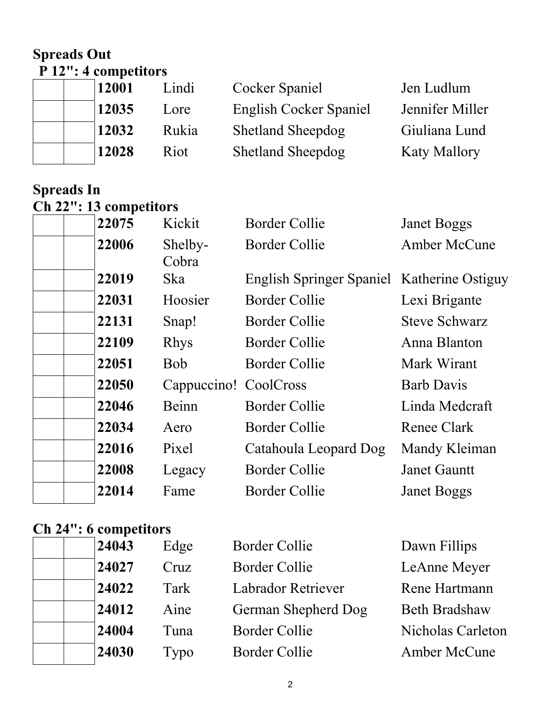### **Spreads Out P 12": 4 competitors**

| 12001 | Lindi | Cocker Spaniel           | Jen Ludlum          |  |
|-------|-------|--------------------------|---------------------|--|
| 12035 | Lore  | English Cocker Spaniel   | Jennifer Miller     |  |
| 12032 | Rukia | <b>Shetland Sheepdog</b> | Giuliana Lund       |  |
| 12028 | Riot  | <b>Shetland Sheepdog</b> | <b>Katy Mallory</b> |  |
|       |       |                          |                     |  |

### **Spreads In Ch 22": 13 competitors**

| 22075 | Kickit                | <b>Border Collie</b>                       | <b>Janet Boggs</b>   |
|-------|-----------------------|--------------------------------------------|----------------------|
| 22006 | Shelby-<br>Cobra      | <b>Border Collie</b>                       | <b>Amber McCune</b>  |
| 22019 | Ska                   | English Springer Spaniel Katherine Ostiguy |                      |
| 22031 | Hoosier               | <b>Border Collie</b>                       | Lexi Brigante        |
| 22131 | Snap!                 | Border Collie                              | <b>Steve Schwarz</b> |
| 22109 | <b>Rhys</b>           | <b>Border Collie</b>                       | Anna Blanton         |
| 22051 | <b>Bob</b>            | <b>Border Collie</b>                       | Mark Wirant          |
| 22050 | Cappuccino! CoolCross |                                            | <b>Barb Davis</b>    |
| 22046 | Beinn                 | <b>Border Collie</b>                       | Linda Medcraft       |
| 22034 | Aero                  | <b>Border Collie</b>                       | Renee Clark          |
| 22016 | Pixel                 | Catahoula Leopard Dog                      | Mandy Kleiman        |
| 22008 | Legacy                | <b>Border Collie</b>                       | <b>Janet Gauntt</b>  |
| 22014 | Fame                  | <b>Border Collie</b>                       | <b>Janet Boggs</b>   |

## **Ch 24": 6 competitors**

| 24043 | Edge | <b>Border Collie</b> | Dawn Fillips         |
|-------|------|----------------------|----------------------|
| 24027 | Cruz | Border Collie        | LeAnne Meyer         |
| 24022 | Tark | Labrador Retriever   | Rene Hartmann        |
| 24012 | Aine | German Shepherd Dog  | <b>Beth Bradshaw</b> |
| 24004 | Tuna | <b>Border Collie</b> | Nicholas Carleton    |
| 24030 | Typo | <b>Border Collie</b> | <b>Amber McCune</b>  |
|       |      |                      |                      |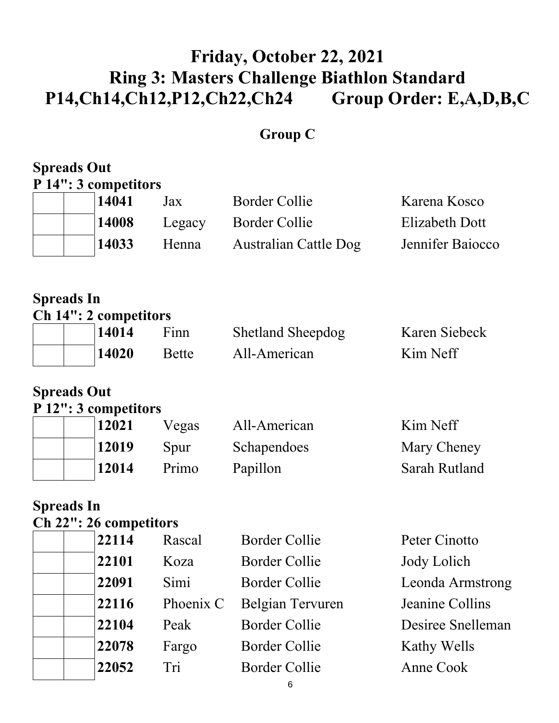# **Friday, October 22, 2021 Ring 3: Masters Challenge Biathlon Standard P14,Ch14,Ch12,P12,Ch22,Ch24 Group Order: E,A,D,B,C**

## **Group C**

# **Spreads Out P 14": 3 competitors 14041** Jax Border Collie Karena Kosco 14008 Legacy Border Collie Elizabeth Dott  **14033** Henna Australian Cattle Dog Jennifer Baiocco **Spreads In Ch 14": 2 competitors**  14014 Finn Shetland Sheepdog Karen Siebeck **14020** Bette All-American Kim Neff **Spreads Out P 12": 3 competitors**  12021 Vegas All-American Kim Neff **12019** Spur Schapendoes Mary Cheney **12014** Primo Papillon Sarah Rutland **Spreads In Ch 22": 26 competitors 22114** Rascal Border Collie Peter Cinotto 22101 Koza Border Collie Jody Lolich **22091** Simi Border Collie Leonda Armstrong 22116 Phoenix C Belgian Tervuren Jeanine Collins **22104** Peak Border Collie Desiree Snelleman

**22078** Fargo Border Collie Kathy Wells

 **22052** Tri Border Collie Anne Cook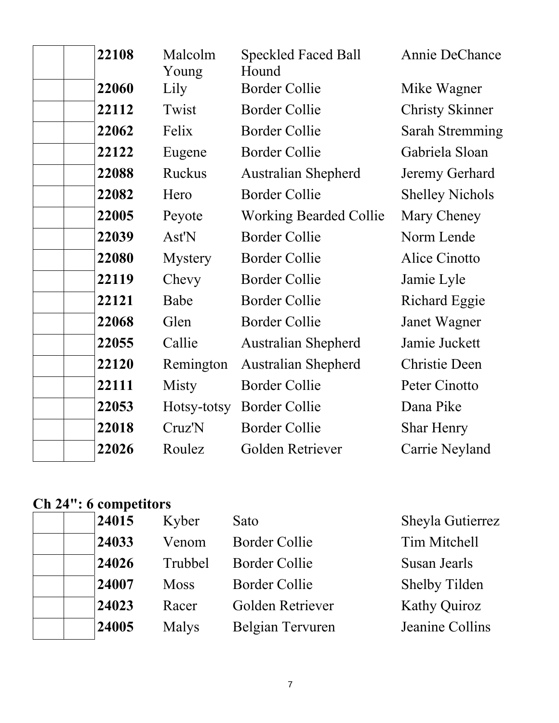| 22108 | Malcolm<br>Young | <b>Speckled Faced Ball</b><br>Hound | Annie DeChance         |
|-------|------------------|-------------------------------------|------------------------|
| 22060 | Lily             | <b>Border Collie</b>                | Mike Wagner            |
| 22112 | Twist            | <b>Border Collie</b>                | <b>Christy Skinner</b> |
| 22062 | Felix            | <b>Border Collie</b>                | <b>Sarah Stremming</b> |
| 22122 | Eugene           | <b>Border Collie</b>                | Gabriela Sloan         |
| 22088 | Ruckus           | <b>Australian Shepherd</b>          | Jeremy Gerhard         |
| 22082 | Hero             | <b>Border Collie</b>                | <b>Shelley Nichols</b> |
| 22005 | Peyote           | <b>Working Bearded Collie</b>       | Mary Cheney            |
| 22039 | Ast'N            | <b>Border Collie</b>                | Norm Lende             |
| 22080 | <b>Mystery</b>   | <b>Border Collie</b>                | Alice Cinotto          |
| 22119 | Chevy            | <b>Border Collie</b>                | Jamie Lyle             |
| 22121 | Babe             | <b>Border Collie</b>                | <b>Richard Eggie</b>   |
| 22068 | Glen             | <b>Border Collie</b>                | Janet Wagner           |
| 22055 | Callie           | <b>Australian Shepherd</b>          | Jamie Juckett          |
| 22120 | Remington        | <b>Australian Shepherd</b>          | <b>Christie Deen</b>   |
| 22111 | Misty            | <b>Border Collie</b>                | Peter Cinotto          |
| 22053 | Hotsy-totsy      | <b>Border Collie</b>                | Dana Pike              |
| 22018 | Cruz'N           | <b>Border Collie</b>                | <b>Shar Henry</b>      |
| 22026 | Roulez           | Golden Retriever                    | Carrie Neyland         |

#### **Ch 24": 6 competitors**

|  | 24015 | Kyber       | Sato                 | Sheyla Gutierrez     |
|--|-------|-------------|----------------------|----------------------|
|  | 24033 | Venom       | <b>Border Collie</b> | Tim Mitchell         |
|  | 24026 | Trubbel     | <b>Border Collie</b> | Susan Jearls         |
|  | 24007 | <b>Moss</b> | <b>Border Collie</b> | <b>Shelby Tilden</b> |
|  | 24023 | Racer       | Golden Retriever     | <b>Kathy Quiroz</b>  |
|  | 24005 | Malys       | Belgian Tervuren     | Jeanine Collins      |
|  |       |             |                      |                      |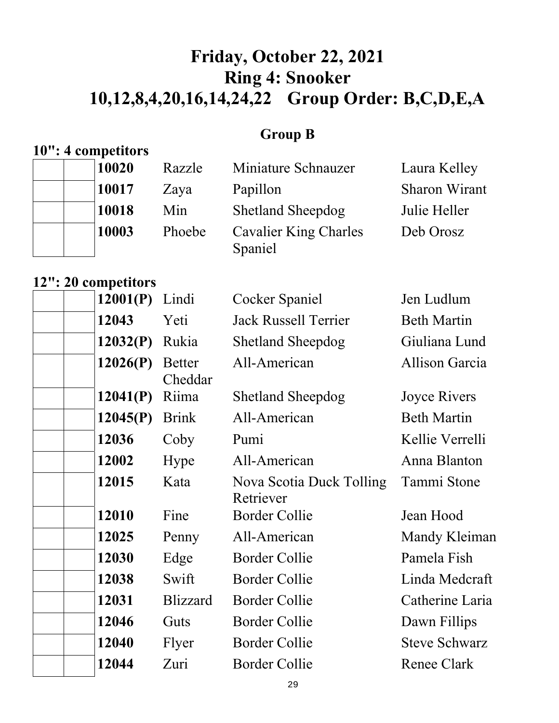# **Friday, October 22, 2021 Ring 4: Snooker 10,12,8,4,20,16,14,24,22 Group Order: B,C,D,E,A**

## **Group B**

## **10": 4 competitors**

| 10020 | Razzle | Miniature Schnauzer                     | Laura Kelley         |
|-------|--------|-----------------------------------------|----------------------|
| 10017 | Zaya   | Papillon                                | <b>Sharon Wirant</b> |
| 10018 | Min    | <b>Shetland Sheepdog</b>                | Julie Heller         |
| 10003 | Phoebe | <b>Cavalier King Charles</b><br>Spaniel | Deb Orosz            |

#### **12": 20 competitors**

| <b>Beth Martin</b><br>Giuliana Lund<br><b>Allison Garcia</b><br>Joyce Rivers |
|------------------------------------------------------------------------------|
|                                                                              |
|                                                                              |
|                                                                              |
|                                                                              |
| <b>Beth Martin</b>                                                           |
| Kellie Verrelli                                                              |
| Anna Blanton                                                                 |
| Tammi Stone                                                                  |
| Jean Hood                                                                    |
| Mandy Kleiman                                                                |
| Pamela Fish                                                                  |
| Linda Medcraft                                                               |
| Catherine Laria                                                              |
| Dawn Fillips                                                                 |
| <b>Steve Schwarz</b>                                                         |
| <b>Renee Clark</b>                                                           |
|                                                                              |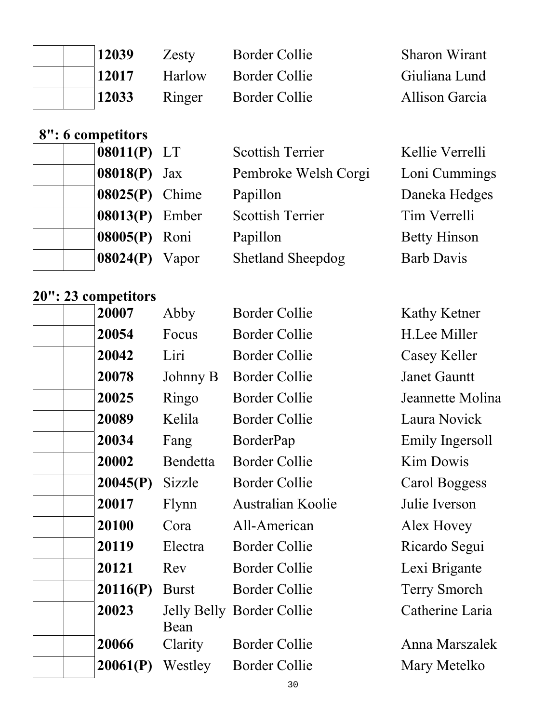| 12039 | Zesty  | Border Collie        | <b>Sharon Wirant</b> |
|-------|--------|----------------------|----------------------|
| 12017 | Harlow | <b>Border Collie</b> | Giuliana Lund        |
| 12033 | Ringer | Border Collie        | Allison Garcia       |

# **8": 6 competitors**

| $08011(P)$ LT                   | <b>Scottish Terrier</b>  | Kellie Verrelli     |
|---------------------------------|--------------------------|---------------------|
| $\left  08018(P) \right $ Jax   | Pembroke Welsh Corgi     | Loni Cummings       |
| $ 08025(P)$ Chime               | Papillon                 | Daneka Hedges       |
| $\left  08013(P) \right $ Ember | <b>Scottish Terrier</b>  | Tim Verrelli        |
| 08005(P) Roni                   | Papillon                 | <b>Betty Hinson</b> |
| $08024(P)$ Vapor                | <b>Shetland Sheepdog</b> | <b>Barb Davis</b>   |
|                                 |                          |                     |

# **20": 23 competitors**

| 20007    | Abby         | <b>Border Collie</b>      | Kathy Ketner        |
|----------|--------------|---------------------------|---------------------|
| 20054    | Focus        | Border Collie             | H.Lee Miller        |
| 20042    | Liri         | <b>Border Collie</b>      | Casey Keller        |
| 20078    | Johnny B     | <b>Border Collie</b>      | <b>Janet Gauntt</b> |
| 20025    | Ringo        | <b>Border Collie</b>      | Jeannette Molina    |
| 20089    | Kelila       | <b>Border Collie</b>      | Laura Novick        |
| 20034    | Fang         | BorderPap                 | Emily Ingersoll     |
| 20002    | Bendetta     | <b>Border Collie</b>      | Kim Dowis           |
| 20045(P) | Sizzle       | <b>Border Collie</b>      | Carol Boggess       |
| 20017    | Flynn        | Australian Koolie         | Julie Iverson       |
| 20100    | Cora         | All-American              | Alex Hovey          |
| 20119    | Electra      | <b>Border Collie</b>      | Ricardo Segui       |
| 20121    | Rev          | <b>Border Collie</b>      | Lexi Brigante       |
| 20116(P) | <b>Burst</b> | <b>Border Collie</b>      | <b>Terry Smorch</b> |
| 20023    | Bean         | Jelly Belly Border Collie | Catherine Laria     |
| 20066    | Clarity      | <b>Border Collie</b>      | Anna Marszalek      |
| 20061(P) | Westley      | <b>Border Collie</b>      | Mary Metelko        |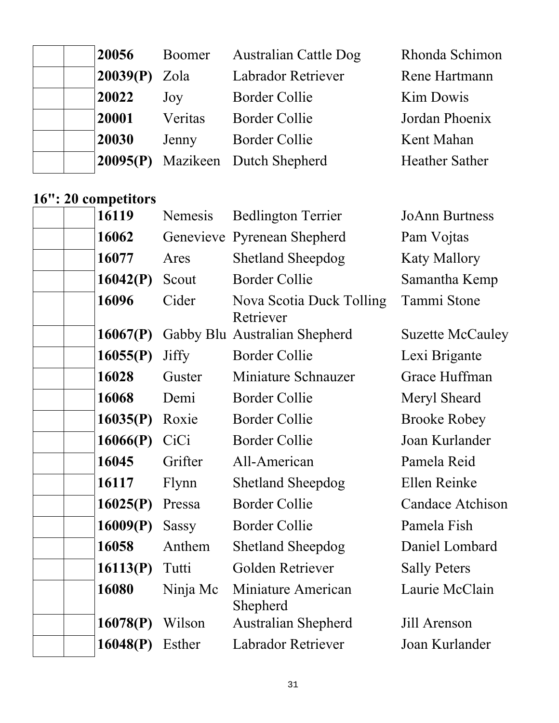| 20056           | Boomer  | <b>Australian Cattle Dog</b>     | Rhonda Schimon        |
|-----------------|---------|----------------------------------|-----------------------|
| $20039(P)$ Zola |         | Labrador Retriever               | Rene Hartmann         |
| 20022           | Joy     | Border Collie                    | <b>Kim Dowis</b>      |
| 20001           | Veritas | Border Collie                    | Jordan Phoenix        |
| 20030           | Jenny   | <b>Border Collie</b>             | Kent Mahan            |
|                 |         | 20095(P) Mazikeen Dutch Shepherd | <b>Heather Sather</b> |

### **16": 20 competitors**

| 16119    | Nemesis      | <b>Bedlington Terrier</b>             | <b>JoAnn Burtness</b>   |
|----------|--------------|---------------------------------------|-------------------------|
| 16062    |              | Genevieve Pyrenean Shepherd           | Pam Vojtas              |
| 16077    | Ares         | <b>Shetland Sheepdog</b>              | <b>Katy Mallory</b>     |
| 16042(P) | Scout        | <b>Border Collie</b>                  | Samantha Kemp           |
| 16096    | Cider        | Nova Scotia Duck Tolling<br>Retriever | Tammi Stone             |
| 16067(P) |              | Gabby Blu Australian Shepherd         | <b>Suzette McCauley</b> |
| 16055(P) | <b>Jiffy</b> | <b>Border Collie</b>                  | Lexi Brigante           |
| 16028    | Guster       | Miniature Schnauzer                   | Grace Huffman           |
| 16068    | Demi         | <b>Border Collie</b>                  | Meryl Sheard            |
| 16035(P) | Roxie        | <b>Border Collie</b>                  | <b>Brooke Robey</b>     |
| 16066(P) | CiCi         | <b>Border Collie</b>                  | Joan Kurlander          |
| 16045    | Grifter      | All-American                          | Pamela Reid             |
| 16117    | Flynn        | <b>Shetland Sheepdog</b>              | Ellen Reinke            |
| 16025(P) | Pressa       | <b>Border Collie</b>                  | <b>Candace Atchison</b> |
| 16009(P) | <b>Sassy</b> | <b>Border Collie</b>                  | Pamela Fish             |
| 16058    | Anthem       | <b>Shetland Sheepdog</b>              | Daniel Lombard          |
| 16113(P) | Tutti        | Golden Retriever                      | <b>Sally Peters</b>     |
| 16080    | Ninja Mc     | Miniature American<br>Shepherd        | Laurie McClain          |
| 16078(P) | Wilson       | <b>Australian Shepherd</b>            | Jill Arenson            |
| 16048(P) | Esther       | Labrador Retriever                    | Joan Kurlander          |
|          |              |                                       |                         |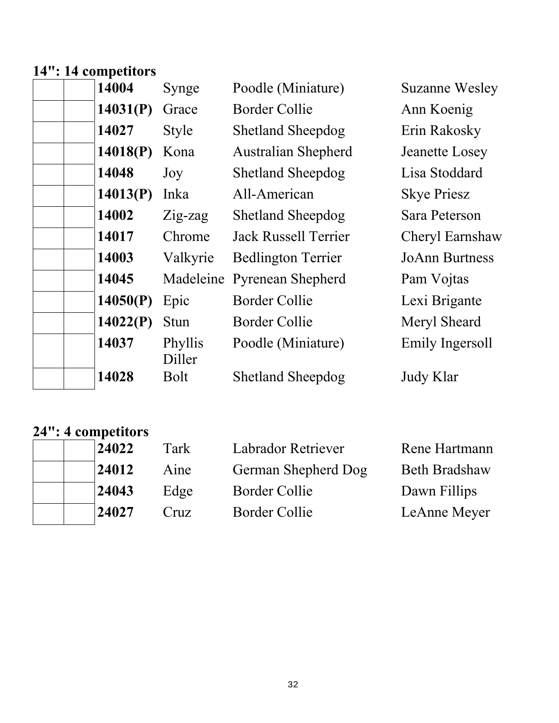#### **14": 14 competitors**

| 14004    | Synge             | Poodle (Miniature)          | <b>Suzanne Wesley</b> |
|----------|-------------------|-----------------------------|-----------------------|
| 14031(P) | Grace             | Border Collie               | Ann Koenig            |
| 14027    | <b>Style</b>      | <b>Shetland Sheepdog</b>    | Erin Rakosky          |
| 14018(P) | Kona              | <b>Australian Shepherd</b>  | Jeanette Losey        |
| 14048    | Joy               | <b>Shetland Sheepdog</b>    | Lisa Stoddard         |
| 14013(P) | Inka              | All-American                | <b>Skye Priesz</b>    |
| 14002    | $Zig$ -zag        | <b>Shetland Sheepdog</b>    | Sara Peterson         |
| 14017    | Chrome            | <b>Jack Russell Terrier</b> | Cheryl Earnshaw       |
| 14003    | Valkyrie          | <b>Bedlington Terrier</b>   | <b>JoAnn Burtness</b> |
| 14045    |                   | Madeleine Pyrenean Shepherd | Pam Vojtas            |
| 14050(P) | Epic              | <b>Border Collie</b>        | Lexi Brigante         |
| 14022(P) | <b>Stun</b>       | <b>Border Collie</b>        | Meryl Sheard          |
| 14037    | Phyllis<br>Diller | Poodle (Miniature)          | Emily Ingersoll       |
| 14028    | <b>Bolt</b>       | <b>Shetland Sheepdog</b>    | Judy Klar             |

#### **24": 4 competitors**

| 24022 | Tark | <b>Labrador Retriever</b> | Rene Hartmann        |
|-------|------|---------------------------|----------------------|
| 24012 | Aine | German Shepherd Dog       | <b>Beth Bradshaw</b> |
| 24043 | Edge | Border Collie             | Dawn Fillips         |
| 24027 | Cruz | Border Collie             | LeAnne Meyer         |
|       |      |                           |                      |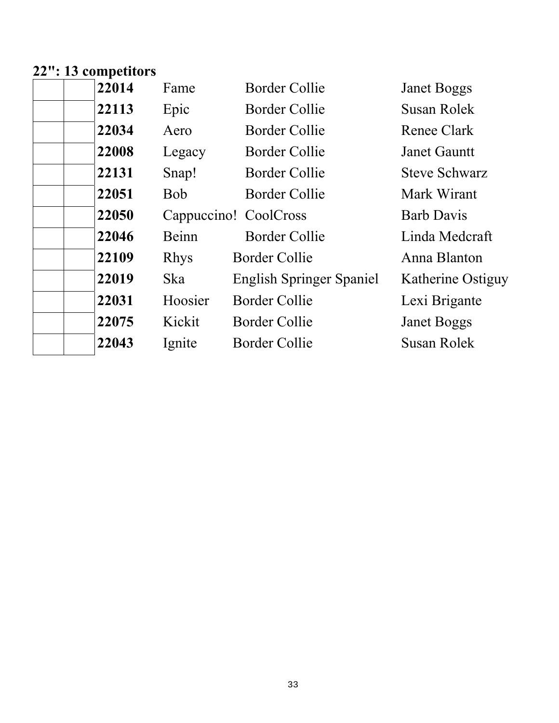#### **22": 13 competitors**

| 22113<br>Epic<br>Border Collie<br>Susan Rolek<br>22034<br>Border Collie<br>Renee Clark<br>Aero<br>22008<br><b>Border Collie</b><br>Legacy<br><b>Janet Gauntt</b><br>22131<br>Border Collie<br>Snap!<br><b>Steve Schwarz</b><br>22051<br><b>Bob</b><br>Border Collie<br>Mark Wirant<br>22050<br><b>Barb Davis</b><br>Cappuccino! CoolCross<br>22046<br>Beinn<br><b>Border Collie</b><br>Linda Medcraft<br>22109<br><b>Rhys</b><br><b>Border Collie</b><br>Anna Blanton<br>22019<br>Ska<br><b>English Springer Spaniel</b><br>22031<br>Hoosier<br><b>Border Collie</b><br>Lexi Brigante<br>22075<br>Kickit<br><b>Border Collie</b><br><b>Janet Boggs</b><br>22043<br>Susan Rolek<br>Ignite<br>Border Collie | 22014 | Fame | Border Collie | <b>Janet Boggs</b> |
|-----------------------------------------------------------------------------------------------------------------------------------------------------------------------------------------------------------------------------------------------------------------------------------------------------------------------------------------------------------------------------------------------------------------------------------------------------------------------------------------------------------------------------------------------------------------------------------------------------------------------------------------------------------------------------------------------------------|-------|------|---------------|--------------------|
|                                                                                                                                                                                                                                                                                                                                                                                                                                                                                                                                                                                                                                                                                                           |       |      |               |                    |
|                                                                                                                                                                                                                                                                                                                                                                                                                                                                                                                                                                                                                                                                                                           |       |      |               |                    |
|                                                                                                                                                                                                                                                                                                                                                                                                                                                                                                                                                                                                                                                                                                           |       |      |               |                    |
|                                                                                                                                                                                                                                                                                                                                                                                                                                                                                                                                                                                                                                                                                                           |       |      |               |                    |
|                                                                                                                                                                                                                                                                                                                                                                                                                                                                                                                                                                                                                                                                                                           |       |      |               |                    |
|                                                                                                                                                                                                                                                                                                                                                                                                                                                                                                                                                                                                                                                                                                           |       |      |               |                    |
|                                                                                                                                                                                                                                                                                                                                                                                                                                                                                                                                                                                                                                                                                                           |       |      |               |                    |
|                                                                                                                                                                                                                                                                                                                                                                                                                                                                                                                                                                                                                                                                                                           |       |      |               |                    |
|                                                                                                                                                                                                                                                                                                                                                                                                                                                                                                                                                                                                                                                                                                           |       |      |               | Katherine Ostiguy  |
|                                                                                                                                                                                                                                                                                                                                                                                                                                                                                                                                                                                                                                                                                                           |       |      |               |                    |
|                                                                                                                                                                                                                                                                                                                                                                                                                                                                                                                                                                                                                                                                                                           |       |      |               |                    |
|                                                                                                                                                                                                                                                                                                                                                                                                                                                                                                                                                                                                                                                                                                           |       |      |               |                    |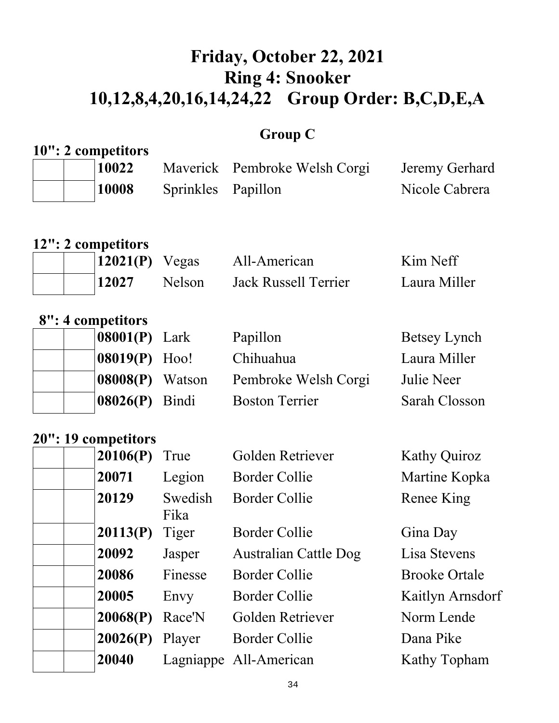# **Friday, October 22, 2021 Ring 4: Snooker 10,12,8,4,20,16,14,24,22 Group Order: B,C,D,E,A**

### **Group C**

|  | 10": 2 competitors |                               |                |  |  |  |
|--|--------------------|-------------------------------|----------------|--|--|--|
|  | 10022              | Maverick Pembroke Welsh Corgi | Jeremy Gerhard |  |  |  |
|  | 10008              | Sprinkles Papillon            | Nicole Cabrera |  |  |  |

### **12": 2 competitors**

| $12021(P)$ Vegas |               | All-American         | Kim Neff     |
|------------------|---------------|----------------------|--------------|
| 12027            | <b>Nelson</b> | Jack Russell Terrier | Laura Miller |

#### **8": 4 competitors**

| $ 08001(P)$ Lark   | Papillon              | Betsey Lynch  |
|--------------------|-----------------------|---------------|
| $ 08019(P)$ Hoo!   | Chihuahua             | Laura Miller  |
| $ 08008(P)$ Watson | Pembroke Welsh Corgi  | Julie Neer    |
| $ 08026(P)$ Bindi  | <b>Boston Terrier</b> | Sarah Closson |

#### **20": 19 competitors**

| 20106(P) | True            | Golden Retriever             | <b>Kathy Quiroz</b>  |
|----------|-----------------|------------------------------|----------------------|
| 20071    | Legion          | <b>Border Collie</b>         | Martine Kopka        |
| 20129    | Swedish<br>Fika | <b>Border Collie</b>         | Renee King           |
| 20113(P) | Tiger           | <b>Border Collie</b>         | Gina Day             |
| 20092    | Jasper          | <b>Australian Cattle Dog</b> | Lisa Stevens         |
| 20086    | Finesse         | <b>Border Collie</b>         | <b>Brooke Ortale</b> |
| 20005    | Envy            | <b>Border Collie</b>         | Kaitlyn Arnsdorf     |
| 20068(P) | Race'N          | Golden Retriever             | Norm Lende           |
| 20026(P) | Player          | <b>Border Collie</b>         | Dana Pike            |
| 20040    |                 | Lagniappe All-American       | <b>Kathy Topham</b>  |
|          |                 |                              |                      |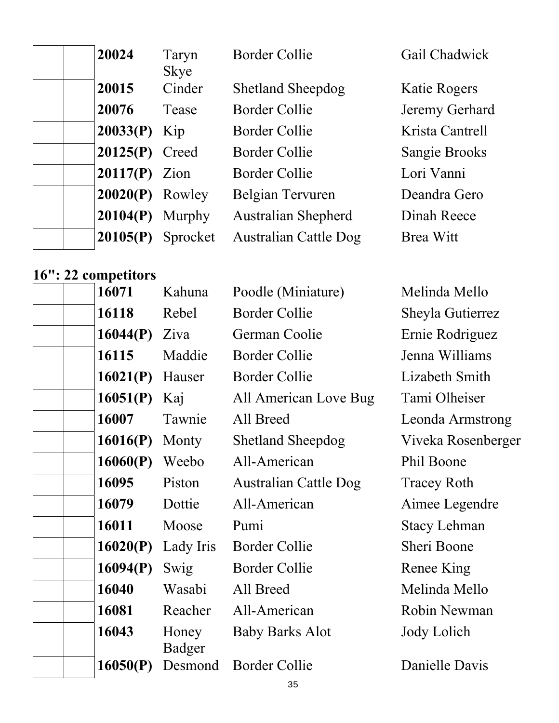| 20024             | Taryn<br><b>Skye</b> | <b>Border Collie</b>         | Gail Chadwick    |
|-------------------|----------------------|------------------------------|------------------|
| 20015             | Cinder               | <b>Shetland Sheepdog</b>     | Katie Rogers     |
| 20076             | Tease                | Border Collie                | Jeremy Gerhard   |
| $20033(P)$ Kip    |                      | Border Collie                | Krista Cantrell  |
| 20125(P) Creed    |                      | Border Collie                | Sangie Brooks    |
| $20117(P)$ Zion   |                      | <b>Border Collie</b>         | Lori Vanni       |
| $20020(P)$ Rowley |                      | Belgian Tervuren             | Deandra Gero     |
| 20104(P)          | Murphy               | <b>Australian Shepherd</b>   | Dinah Reece      |
| 20105(P)          | Sprocket             | <b>Australian Cattle Dog</b> | <b>Brea Witt</b> |

#### **16": 22 competitors**

| 16071    | Kahuna                 | Poodle (Miniature)           | Melinda Mello       |
|----------|------------------------|------------------------------|---------------------|
| 16118    | Rebel                  | <b>Border Collie</b>         | Sheyla Gutierrez    |
| 16044(P) | Ziva                   | German Coolie                | Ernie Rodriguez     |
| 16115    | Maddie                 | <b>Border Collie</b>         | Jenna Williams      |
| 16021(P) | Hauser                 | <b>Border Collie</b>         | Lizabeth Smith      |
| 16051(P) | Kaj                    | All American Love Bug        | Tami Olheiser       |
| 16007    | Tawnie                 | All Breed                    | Leonda Armstrong    |
| 16016(P) | Monty                  | <b>Shetland Sheepdog</b>     | Viveka Rosenberger  |
| 16060(P) | Weebo                  | All-American                 | Phil Boone          |
| 16095    | Piston                 | <b>Australian Cattle Dog</b> | <b>Tracey Roth</b>  |
| 16079    | Dottie                 | All-American                 | Aimee Legendre      |
| 16011    | Moose                  | Pumi                         | <b>Stacy Lehman</b> |
| 16020(P) | Lady Iris              | <b>Border Collie</b>         | Sheri Boone         |
| 16094(P) | Swig                   | <b>Border Collie</b>         | Renee King          |
| 16040    | Wasabi                 | All Breed                    | Melinda Mello       |
| 16081    | Reacher                | All-American                 | Robin Newman        |
| 16043    | Honey<br><b>Badger</b> | <b>Baby Barks Alot</b>       | Jody Lolich         |
| 16050(P) | Desmond                | <b>Border Collie</b>         | Danielle Davis      |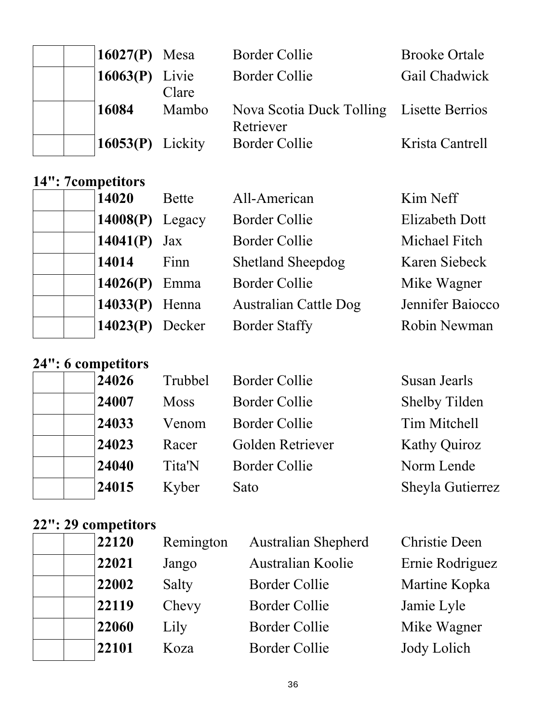| 16027 $(P)$ Mesa   |       | <b>Border Collie</b>                                  | <b>Brooke Ortale</b> |
|--------------------|-------|-------------------------------------------------------|----------------------|
| 16063 $(P)$ Livie  | Clare | <b>Border Collie</b>                                  | Gail Chadwick        |
| 16084              | Mambo | Nova Scotia Duck Tolling Lisette Berrios<br>Retriever |                      |
| $16053(P)$ Lickity |       | <b>Border Collie</b>                                  | Krista Cantrell      |

#### **14": 7competitors**

| 14020             | <b>Bette</b> | All-American                 | Kim Neff              |
|-------------------|--------------|------------------------------|-----------------------|
| $14008(P)$ Legacy |              | <b>Border Collie</b>         | <b>Elizabeth Dott</b> |
| 14041(P) $Jax$    |              | <b>Border Collie</b>         | <b>Michael Fitch</b>  |
| 14014             | Finn         | <b>Shetland Sheepdog</b>     | Karen Siebeck         |
| 14026(P) Emma     |              | <b>Border Collie</b>         | Mike Wagner           |
| $14033(P)$ Henna  |              | <b>Australian Cattle Dog</b> | Jennifer Baiocco      |
| $14023(P)$ Decker |              | <b>Border Staffy</b>         | Robin Newman          |

#### **24": 6 competitors**

| 24026 | Trubbel     | <b>Border Collie</b> | Susan Jearls         |
|-------|-------------|----------------------|----------------------|
| 24007 | <b>Moss</b> | <b>Border Collie</b> | <b>Shelby Tilden</b> |
| 24033 | Venom       | <b>Border Collie</b> | Tim Mitchell         |
| 24023 | Racer       | Golden Retriever     | <b>Kathy Quiroz</b>  |
| 24040 | Tita'N      | <b>Border Collie</b> | Norm Lende           |
| 24015 | Kyber       | Sato                 | Sheyla Gutierrez     |

# **22": 29 competitors**

| 22120 | Remington | <b>Australian Shepherd</b> | <b>Christie Deen</b> |
|-------|-----------|----------------------------|----------------------|
| 22021 | Jango     | <b>Australian Koolie</b>   | Ernie Rodriguez      |
| 22002 | Salty     | <b>Border Collie</b>       | Martine Kopka        |
| 22119 | Chevy     | <b>Border Collie</b>       | Jamie Lyle           |
| 22060 | Lily      | <b>Border Collie</b>       | Mike Wagner          |
| 22101 | Koza      | <b>Border Collie</b>       | Jody Lolich          |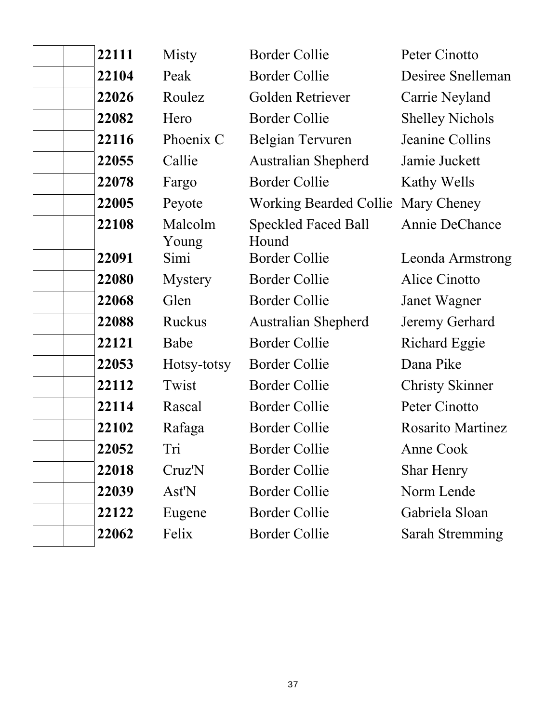| 22111 | Misty            | <b>Border Collie</b>                | Peter Cinotto            |
|-------|------------------|-------------------------------------|--------------------------|
| 22104 | Peak             | <b>Border Collie</b>                | Desiree Snelleman        |
| 22026 | Roulez           | Golden Retriever                    | Carrie Neyland           |
| 22082 | Hero             | <b>Border Collie</b>                | <b>Shelley Nichols</b>   |
| 22116 | Phoenix C        | Belgian Tervuren                    | Jeanine Collins          |
| 22055 | Callie           | <b>Australian Shepherd</b>          | Jamie Juckett            |
| 22078 | Fargo            | <b>Border Collie</b>                | Kathy Wells              |
| 22005 | Peyote           | Working Bearded Collie Mary Cheney  |                          |
| 22108 | Malcolm<br>Young | <b>Speckled Faced Ball</b><br>Hound | Annie DeChance           |
| 22091 | Simi             | <b>Border Collie</b>                | Leonda Armstrong         |
| 22080 | <b>Mystery</b>   | <b>Border Collie</b>                | Alice Cinotto            |
| 22068 | Glen             | <b>Border Collie</b>                | Janet Wagner             |
| 22088 | <b>Ruckus</b>    | <b>Australian Shepherd</b>          | Jeremy Gerhard           |
| 22121 | Babe             | <b>Border Collie</b>                | <b>Richard Eggie</b>     |
| 22053 | Hotsy-totsy      | <b>Border Collie</b>                | Dana Pike                |
| 22112 | Twist            | <b>Border Collie</b>                | <b>Christy Skinner</b>   |
| 22114 | Rascal           | <b>Border Collie</b>                | Peter Cinotto            |
| 22102 | Rafaga           | <b>Border Collie</b>                | <b>Rosarito Martinez</b> |
| 22052 | Tri              | <b>Border Collie</b>                | Anne Cook                |
| 22018 | Cruz'N           | <b>Border Collie</b>                | <b>Shar Henry</b>        |
| 22039 | Ast'N            | <b>Border Collie</b>                | Norm Lende               |
| 22122 | Eugene           | <b>Border Collie</b>                | Gabriela Sloan           |
| 22062 | Felix            | <b>Border Collie</b>                | <b>Sarah Stremming</b>   |
|       |                  |                                     |                          |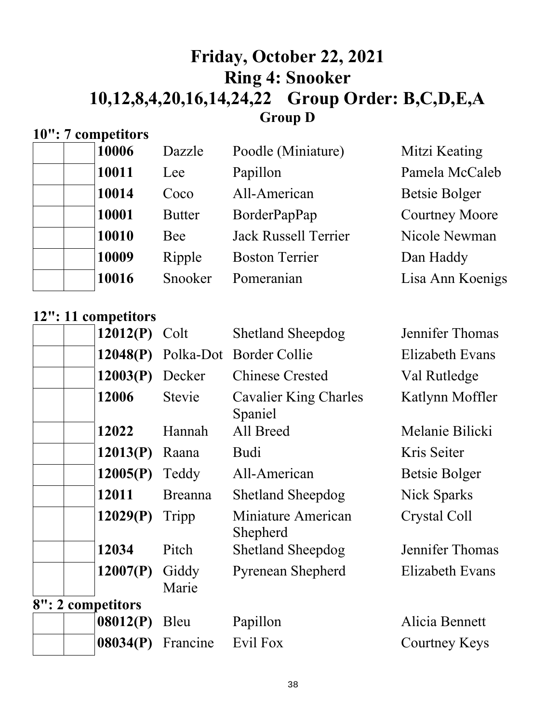### **Friday, October 22, 2021 Ring 4: Snooker 10,12,8,4,20,16,14,24,22 Group Order: B,C,D,E,A Group D**

### **10": 7 competitors**

|  | 10006 | Dazzle        | Poodle (Miniature)          | Mitzi Keating         |
|--|-------|---------------|-----------------------------|-----------------------|
|  | 10011 | Lee           | Papillon                    | Pamela McCaleb        |
|  | 10014 | Coco          | All-American                | Betsie Bolger         |
|  | 10001 | <b>Butter</b> | BorderPapPap                | <b>Courtney Moore</b> |
|  | 10010 | Bee           | <b>Jack Russell Terrier</b> | Nicole Newman         |
|  | 10009 | Ripple        | <b>Boston Terrier</b>       | Dan Haddy             |
|  | 10016 | Snooker       | Pomeranian                  | Lisa Ann Koenigs      |
|  |       |               |                             |                       |

#### **12": 11 competitors**

| 12012(P)          | Colt           | <b>Shetland Sheepdog</b>                | Jennifer Thomas        |
|-------------------|----------------|-----------------------------------------|------------------------|
| 12048(P)          |                | Polka-Dot Border Collie                 | <b>Elizabeth Evans</b> |
| 12003(P)          | Decker         | <b>Chinese Crested</b>                  | Val Rutledge           |
| 12006             | <b>Stevie</b>  | <b>Cavalier King Charles</b><br>Spaniel | Katlynn Moffler        |
| 12022             | Hannah         | All Breed                               | Melanie Bilicki        |
| 12013(P)          | Raana          | <b>Budi</b>                             | Kris Seiter            |
| 12005(P)          | Teddy          | All-American                            | Betsie Bolger          |
| 12011             | <b>Breanna</b> | <b>Shetland Sheepdog</b>                | Nick Sparks            |
| 12029(P)          | Tripp          | Miniature American<br>Shepherd          | Crystal Coll           |
| 12034             | Pitch          | <b>Shetland Sheepdog</b>                | Jennifer Thomas        |
| 12007(P)          | Giddy<br>Marie | <b>Pyrenean Shepherd</b>                | <b>Elizabeth Evans</b> |
| 8": 2 competitors |                |                                         |                        |
| 08012(P)          | Bleu           | Papillon                                | Alicia Bennett         |
| 08034(P)          | Francine       | Evil Fox                                | Courtney Keys          |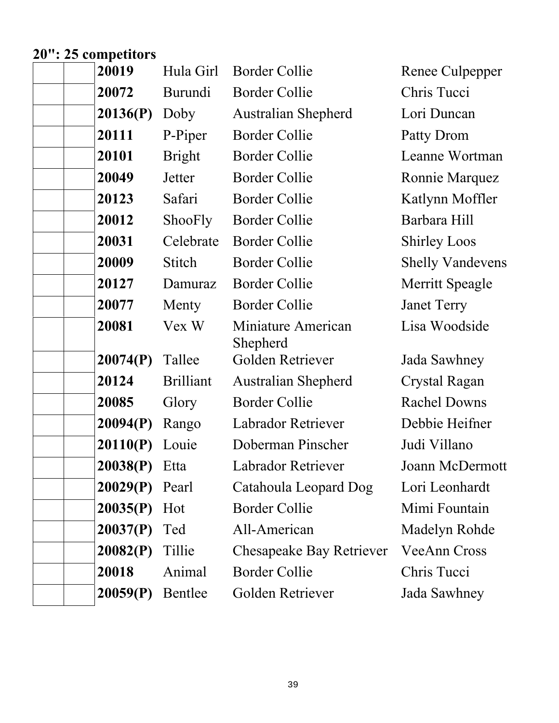# **20": 25 competitors**

| 20019    | Hula Girl        | <b>Border Collie</b>                  | Renee Culpepper         |
|----------|------------------|---------------------------------------|-------------------------|
| 20072    | Burundi          | <b>Border Collie</b>                  | Chris Tucci             |
| 20136(P) | Doby             | <b>Australian Shepherd</b>            | Lori Duncan             |
| 20111    | P-Piper          | <b>Border Collie</b>                  | Patty Drom              |
| 20101    | <b>Bright</b>    | <b>Border Collie</b>                  | Leanne Wortman          |
| 20049    | Jetter           | <b>Border Collie</b>                  | Ronnie Marquez          |
| 20123    | Safari           | <b>Border Collie</b>                  | Katlynn Moffler         |
| 20012    | ShooFly          | Border Collie                         | Barbara Hill            |
| 20031    | Celebrate        | <b>Border Collie</b>                  | <b>Shirley Loos</b>     |
| 20009    | Stitch           | <b>Border Collie</b>                  | <b>Shelly Vandevens</b> |
| 20127    | Damuraz          | <b>Border Collie</b>                  | Merritt Speagle         |
| 20077    | Menty            | <b>Border Collie</b>                  | <b>Janet Terry</b>      |
| 20081    | Vex W            | Miniature American<br><b>Shepherd</b> | Lisa Woodside           |
| 20074(P) | Tallee           | Golden Retriever                      | Jada Sawhney            |
| 20124    | <b>Brilliant</b> | <b>Australian Shepherd</b>            | Crystal Ragan           |
| 20085    | Glory            | <b>Border Collie</b>                  | <b>Rachel Downs</b>     |
| 20094(P) | Rango            | Labrador Retriever                    | Debbie Heifner          |
| 20110(P) | Louie            | Doberman Pinscher                     | Judi Villano            |
| 20038(P) | Etta             | <b>Labrador Retriever</b>             | Joann McDermott         |
| 20029(P) | Pearl            | Catahoula Leopard Dog                 | Lori Leonhardt          |
| 20035(P) | Hot              | <b>Border Collie</b>                  | Mimi Fountain           |
| 20037(P) | Ted              | All-American                          | Madelyn Rohde           |
| 20082(P) | Tillie           | <b>Chesapeake Bay Retriever</b>       | <b>VeeAnn Cross</b>     |
| 20018    | Animal           | <b>Border Collie</b>                  | Chris Tucci             |
| 20059(P) | Bentlee          | Golden Retriever                      | Jada Sawhney            |
|          |                  |                                       |                         |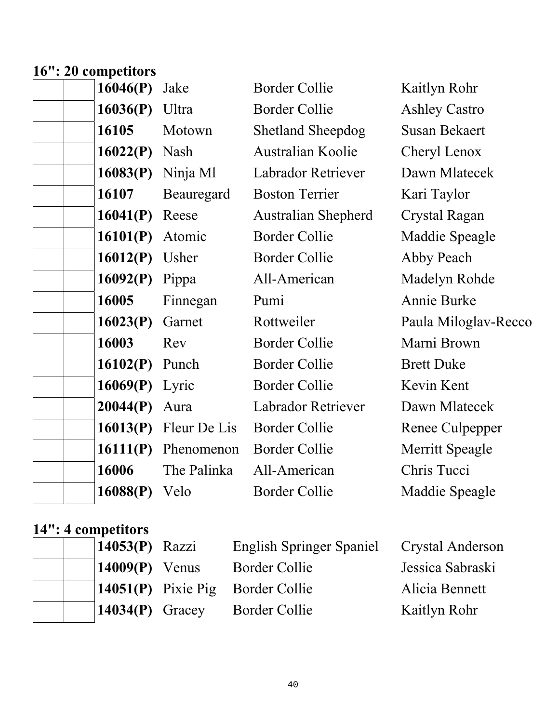### **16": 20 competitors**

| 16046(P) | Jake         | <b>Border Collie</b>       | Kaitlyn Rohr         |
|----------|--------------|----------------------------|----------------------|
| 16036(P) | Ultra        | <b>Border Collie</b>       | <b>Ashley Castro</b> |
| 16105    | Motown       | <b>Shetland Sheepdog</b>   | <b>Susan Bekaert</b> |
| 16022(P) | Nash         | Australian Koolie          | Cheryl Lenox         |
| 16083(P) | Ninja Ml     | Labrador Retriever         | Dawn Mlatecek        |
| 16107    | Beauregard   | <b>Boston Terrier</b>      | Kari Taylor          |
| 16041(P) | Reese        | <b>Australian Shepherd</b> | <b>Crystal Ragan</b> |
| 16101(P) | Atomic       | <b>Border Collie</b>       | Maddie Speagle       |
| 16012(P) | Usher        | <b>Border Collie</b>       | Abby Peach           |
| 16092(P) | Pippa        | All-American               | Madelyn Rohde        |
| 16005    | Finnegan     | Pumi                       | Annie Burke          |
| 16023(P) | Garnet       | Rottweiler                 | Paula Miloglav-Recco |
| 16003    | Rev          | <b>Border Collie</b>       | Marni Brown          |
| 16102(P) | Punch        | <b>Border Collie</b>       | <b>Brett Duke</b>    |
| 16069(P) | Lyric        | <b>Border Collie</b>       | Kevin Kent           |
| 20044(P) | Aura         | <b>Labrador Retriever</b>  | Dawn Mlatecek        |
| 16013(P) | Fleur De Lis | <b>Border Collie</b>       | Renee Culpepper      |
| 16111(P) | Phenomenon   | <b>Border Collie</b>       | Merritt Speagle      |
| 16006    | The Palinka  | All-American               | Chris Tucci          |
| 16088(P) | Velo         | <b>Border Collie</b>       | Maddie Speagle       |
|          |              |                            |                      |

#### **14": 4 competitors**

|  | $14053(P)$ Razzi        | <b>English Springer Spaniel</b>    | Crystal Anderson |
|--|-------------------------|------------------------------------|------------------|
|  | $14009(P)$ Venus        | Border Collie                      | Jessica Sabraski |
|  |                         | $14051(P)$ Pixie Pig Border Collie | Alicia Bennett   |
|  | $\vert 14034(P)$ Gracey | <b>Border Collie</b>               | Kaitlyn Rohr     |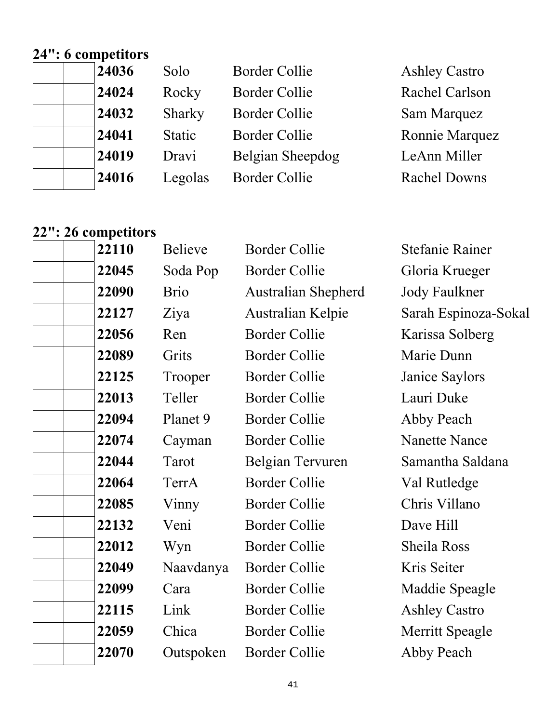### **24": 6 competitors**

| <b>Ashley Castro</b> |
|----------------------|
| Rachel Carlson       |
| Sam Marquez          |
| Ronnie Marquez       |
| LeAnn Miller         |
| <b>Rachel Downs</b>  |
|                      |

### **22": 26 competitors**

| 22110 | <b>Believe</b> | <b>Border Collie</b>       | <b>Stefanie Rainer</b> |
|-------|----------------|----------------------------|------------------------|
| 22045 | Soda Pop       | <b>Border Collie</b>       | Gloria Krueger         |
| 22090 | <b>Brio</b>    | <b>Australian Shepherd</b> | <b>Jody Faulkner</b>   |
| 22127 | Ziya           | Australian Kelpie          | Sarah Espinoza-Sokal   |
| 22056 | Ren            | <b>Border Collie</b>       | Karissa Solberg        |
| 22089 | Grits          | <b>Border Collie</b>       | Marie Dunn             |
| 22125 | Trooper        | <b>Border Collie</b>       | Janice Saylors         |
| 22013 | Teller         | <b>Border Collie</b>       | Lauri Duke             |
| 22094 | Planet 9       | <b>Border Collie</b>       | Abby Peach             |
| 22074 | Cayman         | <b>Border Collie</b>       | <b>Nanette Nance</b>   |
| 22044 | Tarot          | Belgian Tervuren           | Samantha Saldana       |
| 22064 | TerrA          | <b>Border Collie</b>       | Val Rutledge           |
| 22085 | Vinny          | <b>Border Collie</b>       | Chris Villano          |
| 22132 | Veni           | <b>Border Collie</b>       | Dave Hill              |
| 22012 | Wyn            | <b>Border Collie</b>       | <b>Sheila Ross</b>     |
| 22049 | Naavdanya      | <b>Border Collie</b>       | Kris Seiter            |
| 22099 | Cara           | <b>Border Collie</b>       | Maddie Speagle         |
| 22115 | Link           | <b>Border Collie</b>       | <b>Ashley Castro</b>   |
| 22059 | Chica          | <b>Border Collie</b>       | Merritt Speagle        |
| 22070 | Outspoken      | <b>Border Collie</b>       | Abby Peach             |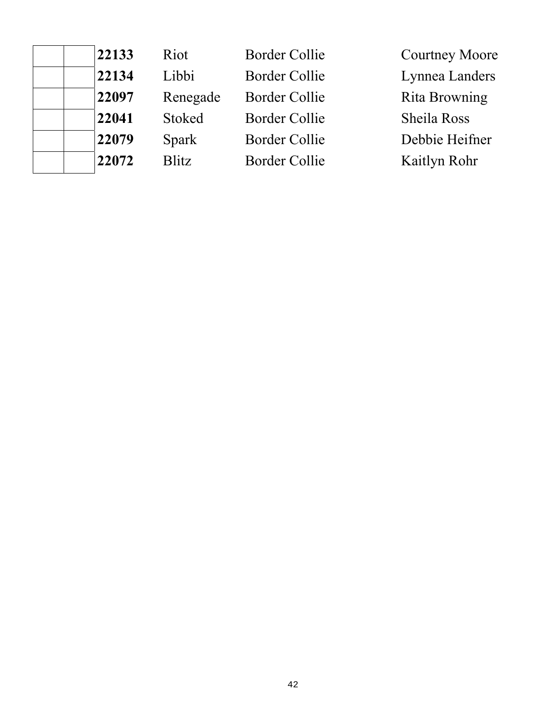| 22133 | Riot          | <b>Border Collie</b> | <b>Courtney Moore</b> |
|-------|---------------|----------------------|-----------------------|
| 22134 | Libbi         | Border Collie        | Lynnea Landers        |
| 22097 | Renegade      | Border Collie        | Rita Browning         |
| 22041 | <b>Stoked</b> | <b>Border Collie</b> | Sheila Ross           |
| 22079 | Spark         | <b>Border Collie</b> | Debbie Heifner        |
| 22072 | <b>Blitz</b>  | Border Collie        | Kaitlyn Rohr          |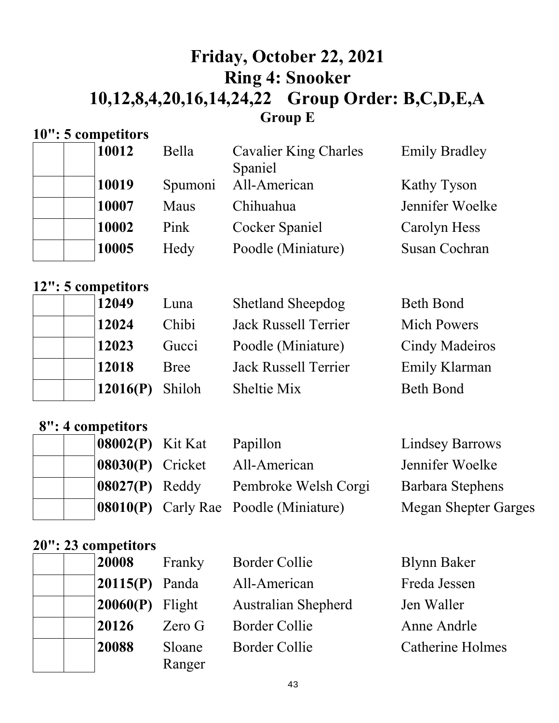### **Friday, October 22, 2021 Ring 4: Snooker 10,12,8,4,20,16,14,24,22 Group Order: B,C,D,E,A Group E**

### **10": 5 competitors**

| 10012 | Bella   | <b>Cavalier King Charles</b> | <b>Emily Bradley</b> |
|-------|---------|------------------------------|----------------------|
|       |         | Spaniel                      |                      |
| 10019 | Spumoni | All-American                 | Kathy Tyson          |
| 10007 | Maus    | Chihuahua                    | Jennifer Woelke      |
| 10002 | Pink    | <b>Cocker Spaniel</b>        | Carolyn Hess         |
| 10005 | Hedy    | Poodle (Miniature)           | <b>Susan Cochran</b> |

#### **12": 5 competitors**

| 12049    | Luna        | <b>Shetland Sheepdog</b>    | <b>Beth Bond</b>      |
|----------|-------------|-----------------------------|-----------------------|
| 12024    | Chibi       | <b>Jack Russell Terrier</b> | <b>Mich Powers</b>    |
| 12023    | Gucci       | Poodle (Miniature)          | <b>Cindy Madeiros</b> |
| 12018    | <b>Bree</b> | <b>Jack Russell Terrier</b> | <b>Emily Klarman</b>  |
| 12016(P) | Shiloh      | Sheltie Mix                 | <b>Beth Bond</b>      |

### **8": 4 competitors**

|  | $ 08002(P)$ Kit Kat | Papillon                                     | <b>Lindsey Barrows</b>      |
|--|---------------------|----------------------------------------------|-----------------------------|
|  | $ 08030(P)$ Cricket | All-American                                 | Jennifer Woelke             |
|  | $ 08027(P)$ Reddy   | Pembroke Welsh Corgi                         | <b>Barbara Stephens</b>     |
|  |                     | <b>08010(P)</b> Carly Rae Poodle (Miniature) | <b>Megan Shepter Garges</b> |

#### **20": 23 competitors**

| 20008              | Franky            | <b>Border Collie</b>       | <b>Blynn Baker</b>      |
|--------------------|-------------------|----------------------------|-------------------------|
| $ 20115(P)$ Panda  |                   | All-American               | Freda Jessen            |
| $ 20060(P)$ Flight |                   | <b>Australian Shepherd</b> | Jen Waller              |
| 20126              | Zero <sub>G</sub> | <b>Border Collie</b>       | Anne Andrle             |
| 20088              | Sloane<br>Ranger  | <b>Border Collie</b>       | <b>Catherine Holmes</b> |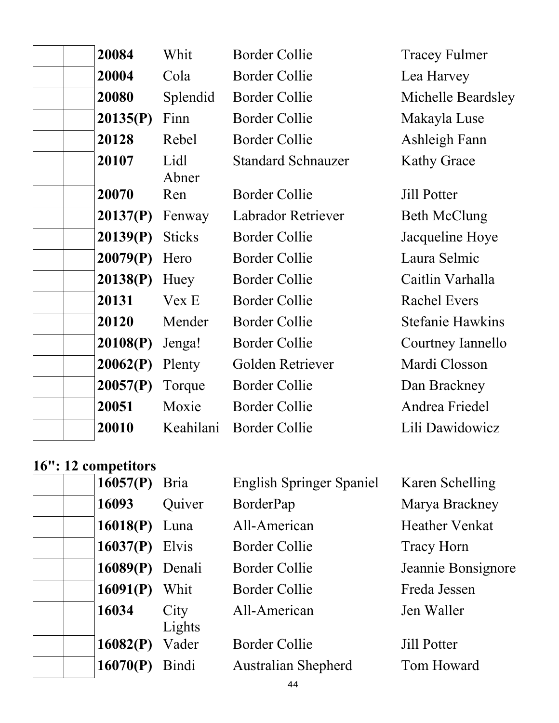| Lea Harvey<br>Michelle Beardsley<br>Makayla Luse |
|--------------------------------------------------|
|                                                  |
|                                                  |
|                                                  |
| Ashleigh Fann                                    |
| <b>Kathy Grace</b>                               |
| <b>Jill Potter</b>                               |
| <b>Beth McClung</b>                              |
| Jacqueline Hoye                                  |
| Laura Selmic                                     |
| Caitlin Varhalla                                 |
| <b>Rachel Evers</b>                              |
| <b>Stefanie Hawkins</b>                          |
| Courtney Iannello                                |
| Mardi Closson                                    |
| Dan Brackney                                     |
| Andrea Friedel                                   |
| Lili Dawidowicz                                  |
|                                                  |

### **16": 12 competitors**

| $10.12$ compenses |                |                                 |                       |
|-------------------|----------------|---------------------------------|-----------------------|
| 16057(P)          | <b>Bria</b>    | <b>English Springer Spaniel</b> | Karen Schelling       |
| 16093             | Quiver         | BorderPap                       | Marya Brackney        |
| $16018(P)$ Luna   |                | All-American                    | <b>Heather Venkat</b> |
| 16037(P)          | Elvis          | Border Collie                   | <b>Tracy Horn</b>     |
| 16089(P)          | Denali         | Border Collie                   | Jeannie Bonsignore    |
| 16091(P)          | Whit           | Border Collie                   | Freda Jessen          |
| 16034             | City<br>Lights | All-American                    | Jen Waller            |
| 16082(P)          | Vader          | <b>Border Collie</b>            | <b>Jill Potter</b>    |
| 16070(P)          | Bindi          | <b>Australian Shepherd</b>      | Tom Howard            |
|                   |                |                                 |                       |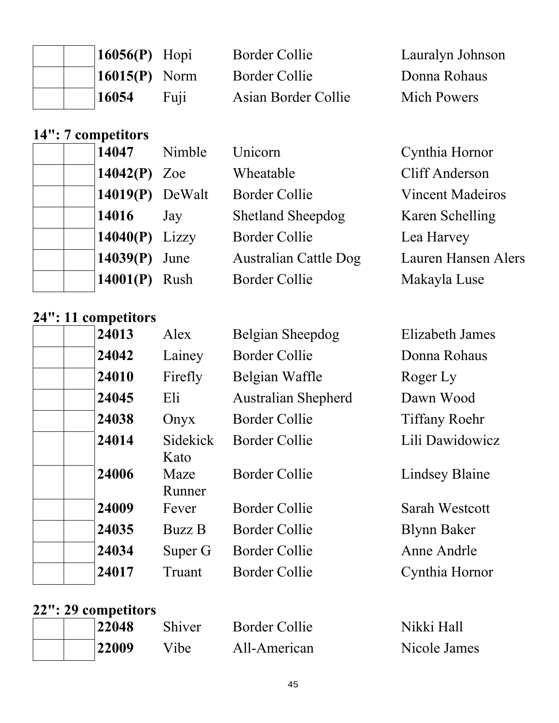|  | $\vert 16056(P)$ Hopi       |      | Border Collie       | Lauralyn Johnson   |
|--|-----------------------------|------|---------------------|--------------------|
|  | $\vert 16015(P) \vert$ Norm |      | Border Collie       | Donna Rohaus       |
|  | 16054                       | Fuji | Asian Border Collie | <b>Mich Powers</b> |

#### **14": 7 competitors**

| 14047             | Nimble | Unicorn                      | Cynthia Hornor             |
|-------------------|--------|------------------------------|----------------------------|
| 14042(P) Zoe      |        | Wheatable                    | <b>Cliff Anderson</b>      |
| $14019(P)$ DeWalt |        | <b>Border Collie</b>         | <b>Vincent Madeiros</b>    |
| 14016             | Jay    | <b>Shetland Sheepdog</b>     | Karen Schelling            |
| 14040 $(P)$ Lizzy |        | <b>Border Collie</b>         | Lea Harvey                 |
| 14039(P)          | June   | <b>Australian Cattle Dog</b> | <b>Lauren Hansen Alers</b> |
| 14001(P)          | Rush   | <b>Border Collie</b>         | Makayla Luse               |
|                   |        |                              |                            |

#### **24": 11 competitors**

| . THE COMPONSITY |                 |                            |                        |
|------------------|-----------------|----------------------------|------------------------|
| 24013            | Alex            | Belgian Sheepdog           | <b>Elizabeth James</b> |
| 24042            | Lainey          | <b>Border Collie</b>       | Donna Rohaus           |
| 24010            | Firefly         | Belgian Waffle             | Roger Ly               |
| 24045            | Eli             | <b>Australian Shepherd</b> | Dawn Wood              |
| 24038            | Onyx            | <b>Border Collie</b>       | <b>Tiffany Roehr</b>   |
| 24014            | <b>Sidekick</b> | <b>Border Collie</b>       | Lili Dawidowicz        |
|                  | Kato            |                            |                        |
| 24006            | Maze            | <b>Border Collie</b>       | <b>Lindsey Blaine</b>  |
|                  | Runner          |                            |                        |
| 24009            | Fever           | <b>Border Collie</b>       | <b>Sarah Westcott</b>  |
| 24035            | <b>Buzz B</b>   | <b>Border Collie</b>       | <b>Blynn Baker</b>     |
| 24034            | Super G         | <b>Border Collie</b>       | Anne Andrle            |
| 24017            | Truant          | Border Collie              | Cynthia Hornor         |
|                  |                 |                            |                        |

### **22": 29 competitors**

| 22048 | Shiver | Border Collie | Nikki Hall   |
|-------|--------|---------------|--------------|
| 22009 | Vibe   | All-American  | Nicole James |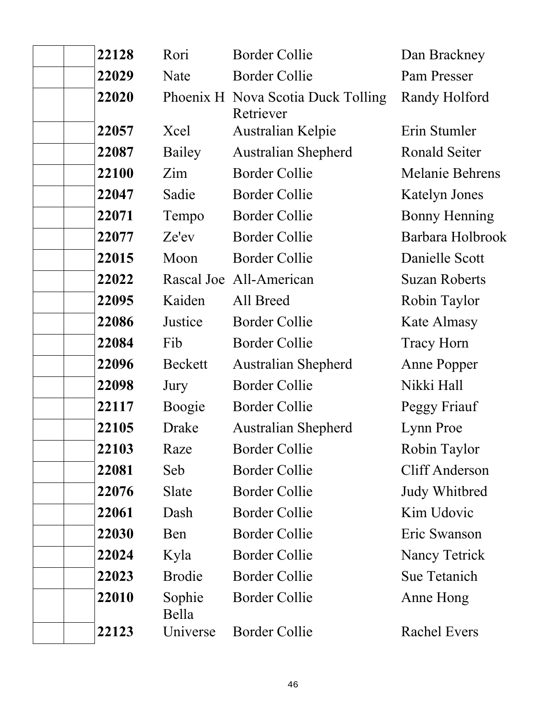| 22128 | Rori            | <b>Border Collie</b>                            | Dan Brackney          |
|-------|-----------------|-------------------------------------------------|-----------------------|
| 22029 | Nate            | <b>Border Collie</b>                            | Pam Presser           |
| 22020 |                 | Phoenix H Nova Scotia Duck Tolling<br>Retriever | Randy Holford         |
| 22057 | Xcel            | Australian Kelpie                               | Erin Stumler          |
| 22087 | Bailey          | <b>Australian Shepherd</b>                      | Ronald Seiter         |
| 22100 | Zim             | <b>Border Collie</b>                            | Melanie Behrens       |
| 22047 | Sadie           | <b>Border Collie</b>                            | <b>Katelyn Jones</b>  |
| 22071 | Tempo           | <b>Border Collie</b>                            | <b>Bonny Henning</b>  |
| 22077 | Ze'ev           | <b>Border Collie</b>                            | Barbara Holbrook      |
| 22015 | Moon            | <b>Border Collie</b>                            | Danielle Scott        |
| 22022 |                 | Rascal Joe All-American                         | <b>Suzan Roberts</b>  |
| 22095 | Kaiden          | All Breed                                       | Robin Taylor          |
| 22086 | Justice         | <b>Border Collie</b>                            | Kate Almasy           |
| 22084 | Fib             | <b>Border Collie</b>                            | <b>Tracy Horn</b>     |
| 22096 | Beckett         | <b>Australian Shepherd</b>                      | Anne Popper           |
| 22098 | Jury            | <b>Border Collie</b>                            | Nikki Hall            |
| 22117 | Boogie          | <b>Border Collie</b>                            | Peggy Friauf          |
| 22105 | Drake           | <b>Australian Shepherd</b>                      | Lynn Proe             |
| 22103 | Raze            | <b>Border Collie</b>                            | Robin Taylor          |
| 22081 | Seb             | <b>Border Collie</b>                            | <b>Cliff Anderson</b> |
| 22076 | Slate           | <b>Border Collie</b>                            | Judy Whitbred         |
| 22061 | Dash            | <b>Border Collie</b>                            | Kim Udovic            |
| 22030 | Ben             | <b>Border Collie</b>                            | Eric Swanson          |
| 22024 | Kyla            | <b>Border Collie</b>                            | Nancy Tetrick         |
| 22023 | <b>Brodie</b>   | <b>Border Collie</b>                            | <b>Sue Tetanich</b>   |
| 22010 | Sophie<br>Bella | <b>Border Collie</b>                            | Anne Hong             |
| 22123 | Universe        | <b>Border Collie</b>                            | <b>Rachel Evers</b>   |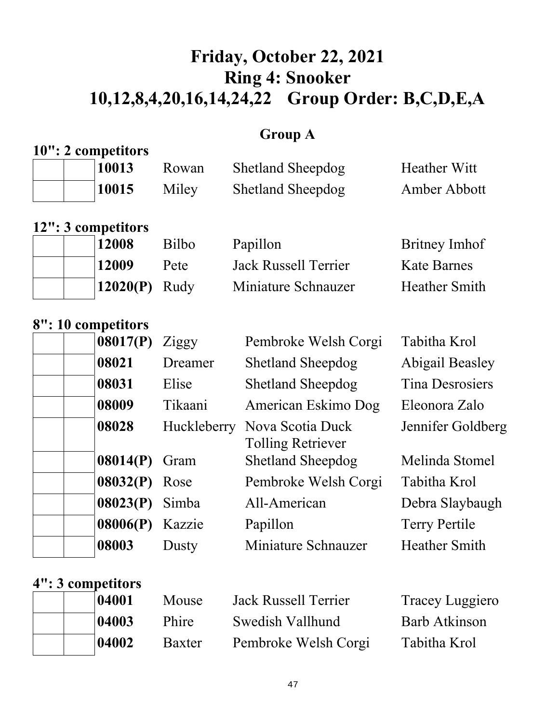# **Friday, October 22, 2021 Ring 4: Snooker 10,12,8,4,20,16,14,24,22 Group Order: B,C,D,E,A**

### **Group A**

|  | 10": 2 competitors |       |                          |              |
|--|--------------------|-------|--------------------------|--------------|
|  | 10013              | Rowan | <b>Shetland Sheepdog</b> | Heather Witt |
|  | 10015              | Miley | <b>Shetland Sheepdog</b> | Amber Abbott |

|  | 12": 3 competitors |  |
|--|--------------------|--|
|  | 12000              |  |

|  | 12008                       | <b>Bilbo</b> | Papillon             | Britney Imhof        |
|--|-----------------------------|--------------|----------------------|----------------------|
|  | 12009                       | Pete         | Jack Russell Terrier | <b>Kate Barnes</b>   |
|  | $\vert 12020(P) \vert$ Rudy |              | Miniature Schnauzer  | <b>Heather Smith</b> |

#### **8": 10 competitors**

| 08017(P)        | Ziggy       | Pembroke Welsh Corgi                         | Tabitha Krol         |
|-----------------|-------------|----------------------------------------------|----------------------|
| 08021           | Dreamer     | <b>Shetland Sheepdog</b>                     | Abigail Beasley      |
| 08031           | Elise       | <b>Shetland Sheepdog</b>                     | Tina Desrosiers      |
| 08009           | Tikaani     | American Eskimo Dog                          | Eleonora Zalo        |
| 08028           | Huckleberry | Nova Scotia Duck<br><b>Tolling Retriever</b> | Jennifer Goldberg    |
| 08014(P)        | Gram        | <b>Shetland Sheepdog</b>                     | Melinda Stomel       |
| $08032(P)$ Rose |             | Pembroke Welsh Corgi                         | Tabitha Krol         |
| 08023(P)        | Simba       | All-American                                 | Debra Slaybaugh      |
| 08006(P)        | Kazzie      | Papillon                                     | <b>Terry Pertile</b> |
| 08003           | Dusty       | Miniature Schnauzer                          | <b>Heather Smith</b> |
|                 |             |                                              |                      |

### **4": 3 competitors**

|  | 04001 | Mouse  | Jack Russell Terrier | Tracey Luggiero      |
|--|-------|--------|----------------------|----------------------|
|  | 04003 | Phire  | Swedish Vallhund     | <b>Barb Atkinson</b> |
|  | 04002 | Baxter | Pembroke Welsh Corgi | Tabitha Krol         |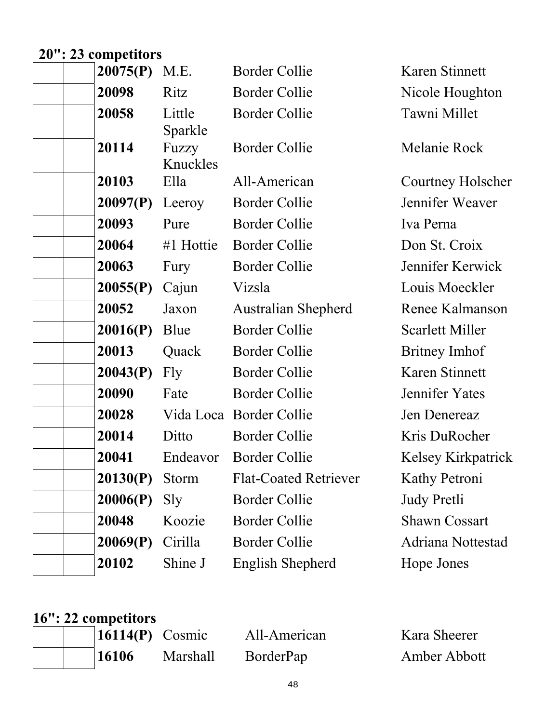# **20": 23 competitors**

| 20075(P) | M.E.              | <b>Border Collie</b>         | Karen Stinnett         |
|----------|-------------------|------------------------------|------------------------|
| 20098    | Ritz              | <b>Border Collie</b>         | Nicole Houghton        |
| 20058    | Little<br>Sparkle | <b>Border Collie</b>         | Tawni Millet           |
| 20114    | Fuzzy<br>Knuckles | <b>Border Collie</b>         | Melanie Rock           |
| 20103    | Ella              | All-American                 | Courtney Holscher      |
| 20097(P) | Leeroy            | <b>Border Collie</b>         | Jennifer Weaver        |
| 20093    | Pure              | <b>Border Collie</b>         | Iva Perna              |
| 20064    | #1 Hottie         | <b>Border Collie</b>         | Don St. Croix          |
| 20063    | Fury              | <b>Border Collie</b>         | Jennifer Kerwick       |
| 20055(P) | Cajun             | Vizsla                       | Louis Moeckler         |
| 20052    | Jaxon             | Australian Shepherd          | Renee Kalmanson        |
| 20016(P) | Blue              | <b>Border Collie</b>         | <b>Scarlett Miller</b> |
| 20013    | Quack             | <b>Border Collie</b>         | Britney Imhof          |
| 20043(P) | Fly               | <b>Border Collie</b>         | Karen Stinnett         |
| 20090    | Fate              | <b>Border Collie</b>         | Jennifer Yates         |
| 20028    |                   | Vida Loca Border Collie      | Jen Denereaz           |
| 20014    | Ditto             | <b>Border Collie</b>         | Kris DuRocher          |
| 20041    | Endeavor          | <b>Border Collie</b>         | Kelsey Kirkpatrick     |
| 20130(P) | Storm             | <b>Flat-Coated Retriever</b> | Kathy Petroni          |
| 20006(P) | Sly               | Border Collie                | <b>Judy Pretli</b>     |
| 20048    | Koozie            | <b>Border Collie</b>         | <b>Shawn Cossart</b>   |
| 20069(P) | Cirilla           | <b>Border Collie</b>         | Adriana Nottestad      |
| 20102    | Shine J           | English Shepherd             | Hope Jones             |
|          |                   |                              |                        |

#### **16": 22 competitors**

|  | $\vert 16114(P)$ Cosmic |                 | All-American | Kara Sheerer |
|--|-------------------------|-----------------|--------------|--------------|
|  | 16106                   | <b>Marshall</b> | BorderPap    | Amber Abbott |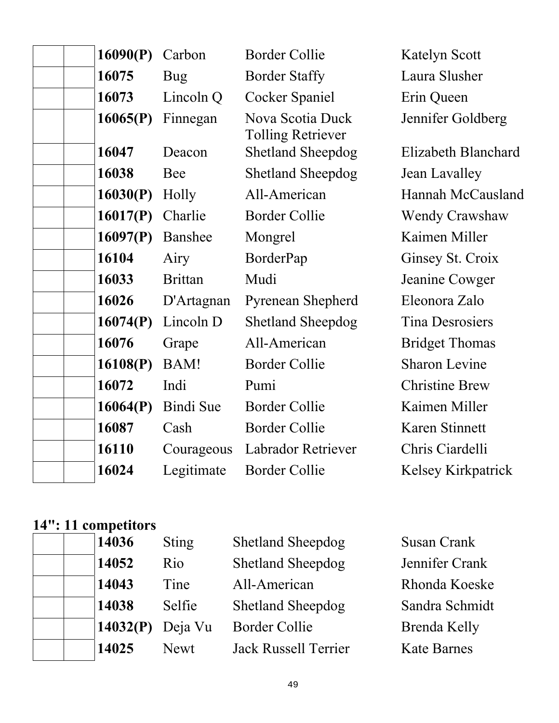| 16090(P) | Carbon           | <b>Border Collie</b>                         | <b>Katelyn Scott</b>   |
|----------|------------------|----------------------------------------------|------------------------|
| 16075    | Bug              | <b>Border Staffy</b>                         | Laura Slusher          |
| 16073    | Lincoln Q        | Cocker Spaniel                               | Erin Queen             |
| 16065(P) | Finnegan         | Nova Scotia Duck<br><b>Tolling Retriever</b> | Jennifer Goldberg      |
| 16047    | Deacon           | <b>Shetland Sheepdog</b>                     | Elizabeth Blanchard    |
| 16038    | Bee              | <b>Shetland Sheepdog</b>                     | Jean Lavalley          |
| 16030(P) | Holly            | All-American                                 | Hannah McCausland      |
| 16017(P) | Charlie          | <b>Border Collie</b>                         | <b>Wendy Crawshaw</b>  |
| 16097(P) | Banshee          | Mongrel                                      | Kaimen Miller          |
| 16104    | Airy             | BorderPap                                    | Ginsey St. Croix       |
| 16033    | <b>Brittan</b>   | Mudi                                         | Jeanine Cowger         |
| 16026    | D'Artagnan       | Pyrenean Shepherd                            | Eleonora Zalo          |
| 16074(P) | Lincoln D        | <b>Shetland Sheepdog</b>                     | <b>Tina Desrosiers</b> |
| 16076    | Grape            | All-American                                 | <b>Bridget Thomas</b>  |
| 16108(P) | BAM!             | <b>Border Collie</b>                         | <b>Sharon Levine</b>   |
| 16072    | Indi             | Pumi                                         | <b>Christine Brew</b>  |
| 16064(P) | <b>Bindi</b> Sue | <b>Border Collie</b>                         | Kaimen Miller          |
| 16087    | Cash             | <b>Border Collie</b>                         | Karen Stinnett         |
| 16110    | Courageous       | Labrador Retriever                           | Chris Ciardelli        |
| 16024    | Legitimate       | <b>Border Collie</b>                         | Kelsey Kirkpatrick     |
|          |                  |                                              |                        |

#### **14": 11 competitors**

| 14036    | <b>Sting</b> | <b>Shetland Sheepdog</b>    | <b>Susan Crank</b>  |
|----------|--------------|-----------------------------|---------------------|
| 14052    | Rio          | <b>Shetland Sheepdog</b>    | Jennifer Crank      |
| 14043    | Tine         | All-American                | Rhonda Koeske       |
| 14038    | Selfie       | <b>Shetland Sheepdog</b>    | Sandra Schmidt      |
| 14032(P) | Deja Vu      | <b>Border Collie</b>        | <b>Brenda Kelly</b> |
| 14025    | <b>Newt</b>  | <b>Jack Russell Terrier</b> | <b>Kate Barnes</b>  |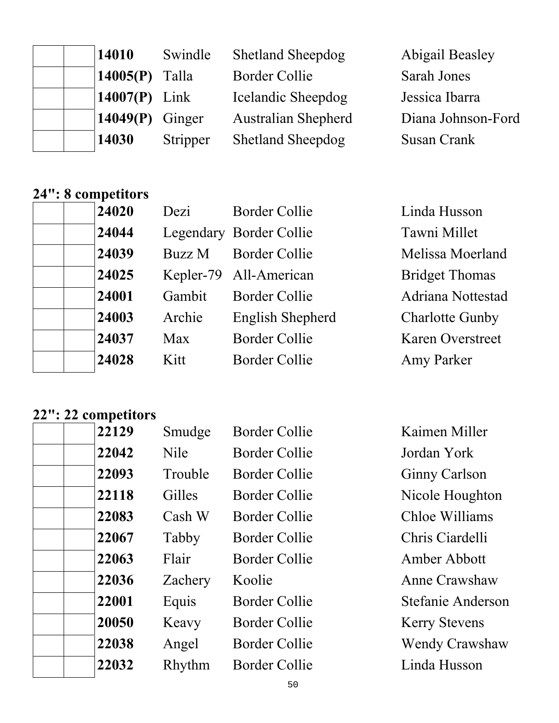| 14010             | Swindle  | <b>Shetland Sheepdog</b>   | <b>Abigail Beasley</b> |
|-------------------|----------|----------------------------|------------------------|
| 14005 $(P)$ Talla |          | <b>Border Collie</b>       | Sarah Jones            |
| 14007(P) Link     |          | Icelandic Sheepdog         | Jessica Ibarra         |
| 14049(P)          | Ginger   | <b>Australian Shepherd</b> | Diana Johnson-Ford     |
| 14030             | Stripper | <b>Shetland Sheepdog</b>   | <b>Susan Crank</b>     |

### **24": 8 competitors**

| 24020 | Dezi   | <b>Border Collie</b>    | Linda Husson            |
|-------|--------|-------------------------|-------------------------|
| 24044 |        | Legendary Border Collie | Tawni Millet            |
| 24039 | Buzz M | <b>Border Collie</b>    | Melissa Moerland        |
| 24025 |        | Kepler-79 All-American  | <b>Bridget Thomas</b>   |
| 24001 | Gambit | <b>Border Collie</b>    | Adriana Nottestad       |
| 24003 | Archie | English Shepherd        | <b>Charlotte Gunby</b>  |
| 24037 | Max    | <b>Border Collie</b>    | <b>Karen Overstreet</b> |
| 24028 | Kitt   | <b>Border Collie</b>    | <b>Amy Parker</b>       |

#### **22": 22 competitors**

| 22129 | Smudge      | <b>Border Collie</b> | Kaimen Miller         |
|-------|-------------|----------------------|-----------------------|
| 22042 | <b>Nile</b> | <b>Border Collie</b> | Jordan York           |
| 22093 | Trouble     | <b>Border Collie</b> | <b>Ginny Carlson</b>  |
| 22118 | Gilles      | <b>Border Collie</b> | Nicole Houghton       |
| 22083 | Cash W      | <b>Border Collie</b> | Chloe Williams        |
| 22067 | Tabby       | <b>Border Collie</b> | Chris Ciardelli       |
| 22063 | Flair       | Border Collie        | Amber Abbott          |
| 22036 | Zachery     | Koolie               | Anne Crawshaw         |
| 22001 | Equis       | <b>Border Collie</b> | Stefanie Anderson     |
| 20050 | Keavy       | <b>Border Collie</b> | <b>Kerry Stevens</b>  |
| 22038 | Angel       | Border Collie        | <b>Wendy Crawshaw</b> |
| 22032 | Rhythm      | Border Collie        | Linda Husson          |
|       |             |                      |                       |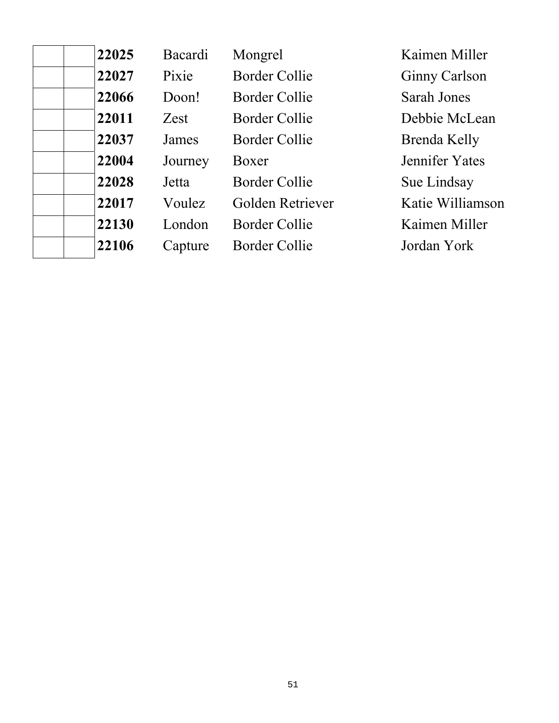| 22025 | Bacardi | Mongrel              | Kaimen Miller        |
|-------|---------|----------------------|----------------------|
| 22027 | Pixie   | <b>Border Collie</b> | <b>Ginny Carlson</b> |
| 22066 | Doon!   | Border Collie        | Sarah Jones          |
| 22011 | Zest    | <b>Border Collie</b> | Debbie McLean        |
| 22037 | James   | Border Collie        | Brenda Kelly         |
| 22004 | Journey | Boxer                | Jennifer Yates       |
| 22028 | Jetta   | Border Collie        | Sue Lindsay          |
| 22017 | Voulez  | Golden Retriever     | Katie Williamson     |
| 22130 | London  | Border Collie        | Kaimen Miller        |
| 22106 | Capture | Border Collie        | Jordan York          |
|       |         |                      |                      |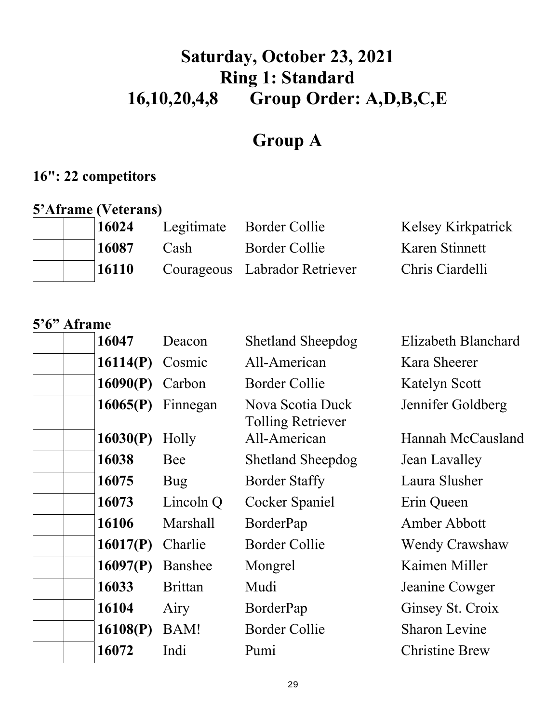# **Saturday, October 23, 2021 Ring 1: Standard 16,10,20,4,8 Group Order: A,D,B,C,E**

# **Group A**

### **16": 22 competitors**

#### **5'Aframe (Veterans)**

| 16024        |      | Legitimate Border Collie      | Kelsey Kirkpatrick |
|--------------|------|-------------------------------|--------------------|
| 16087        | Cash | Border Collie                 | Karen Stinnett     |
| <b>16110</b> |      | Courageous Labrador Retriever | Chris Ciardelli    |

#### **5'6" Aframe**

| 16047    | Deacon          | <b>Shetland Sheepdog</b>                     | Elizabeth Blanchard   |
|----------|-----------------|----------------------------------------------|-----------------------|
| 16114(P) | Cosmic          | All-American                                 | Kara Sheerer          |
| 16090(P) | Carbon          | Border Collie                                | Katelyn Scott         |
| 16065(P) | Finnegan        | Nova Scotia Duck<br><b>Tolling Retriever</b> | Jennifer Goldberg     |
| 16030(P) | Holly           | All-American                                 | Hannah McCausland     |
| 16038    | Bee             | <b>Shetland Sheepdog</b>                     | Jean Lavalley         |
| 16075    | Bug             | <b>Border Staffy</b>                         | Laura Slusher         |
| 16073    | Lincoln Q       | Cocker Spaniel                               | Erin Queen            |
| 16106    | <b>Marshall</b> | BorderPap                                    | Amber Abbott          |
| 16017(P) | Charlie         | Border Collie                                | <b>Wendy Crawshaw</b> |
| 16097(P) | Banshee         | Mongrel                                      | Kaimen Miller         |
| 16033    | <b>Brittan</b>  | Mudi                                         | Jeanine Cowger        |
| 16104    | Airy            | BorderPap                                    | Ginsey St. Croix      |
| 16108(P) | BAM!            | <b>Border Collie</b>                         | <b>Sharon Levine</b>  |
| 16072    | Indi            | Pumi                                         | <b>Christine Brew</b> |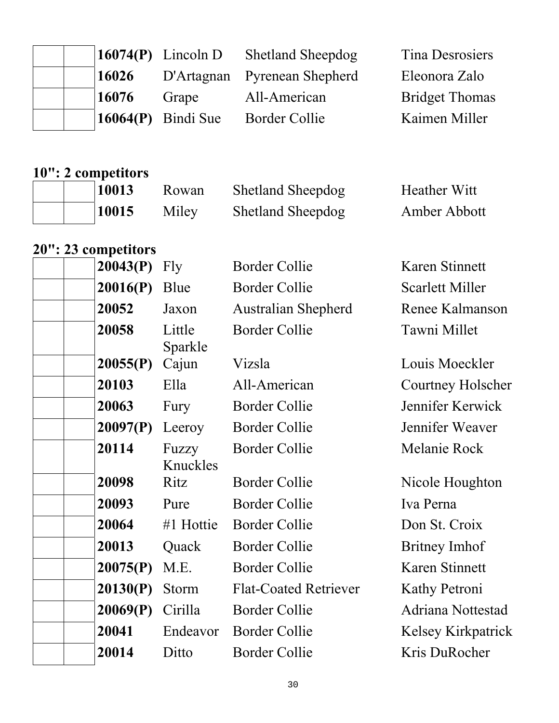|  |                |                            | Tina Desrosiers                                                        |
|--|----------------|----------------------------|------------------------------------------------------------------------|
|  |                |                            | Eleonora Zalo                                                          |
|  | Grape          | All-American               | <b>Bridget Thomas</b>                                                  |
|  |                | Border Collie              | Kaimen Miller                                                          |
|  | 16026<br>16076 | $\vert 16064(P)$ Bindi Sue | $16074(P)$ Lincoln D Shetland Sheepdog<br>D'Artagnan Pyrenean Shepherd |

# **10": 2 competitors**

| 10013 | Rowan | <b>Shetland Sheepdog</b> | <b>Heather Witt</b> |
|-------|-------|--------------------------|---------------------|
| 10015 | Miley | <b>Shetland Sheepdog</b> | Amber Abbott        |

#### **20": 23 competitors**

| 20043(P) | Fly               | <b>Border Collie</b>         | Karen Stinnett            |
|----------|-------------------|------------------------------|---------------------------|
| 20016(P) | Blue              | <b>Border Collie</b>         | <b>Scarlett Miller</b>    |
| 20052    | Jaxon             | <b>Australian Shepherd</b>   | Renee Kalmanson           |
| 20058    | Little<br>Sparkle | <b>Border Collie</b>         | Tawni Millet              |
| 20055(P) | Cajun             | Vizsla                       | Louis Moeckler            |
| 20103    | Ella              | All-American                 | <b>Courtney Holscher</b>  |
| 20063    | Fury              | <b>Border Collie</b>         | Jennifer Kerwick          |
| 20097(P) | Leeroy            | <b>Border Collie</b>         | Jennifer Weaver           |
| 20114    | Fuzzy<br>Knuckles | <b>Border Collie</b>         | Melanie Rock              |
| 20098    | Ritz              | <b>Border Collie</b>         | Nicole Houghton           |
| 20093    | Pure              | <b>Border Collie</b>         | Iva Perna                 |
| 20064    | #1 Hottie         | <b>Border Collie</b>         | Don St. Croix             |
| 20013    | Quack             | <b>Border Collie</b>         | Britney Imhof             |
| 20075(P) | M.E.              | <b>Border Collie</b>         | Karen Stinnett            |
| 20130(P) | Storm             | <b>Flat-Coated Retriever</b> | Kathy Petroni             |
| 20069(P) | Cirilla           | <b>Border Collie</b>         | Adriana Nottestad         |
| 20041    | Endeavor          | <b>Border Collie</b>         | <b>Kelsey Kirkpatrick</b> |
| 20014    | Ditto             | <b>Border Collie</b>         | Kris DuRocher             |
|          |                   |                              |                           |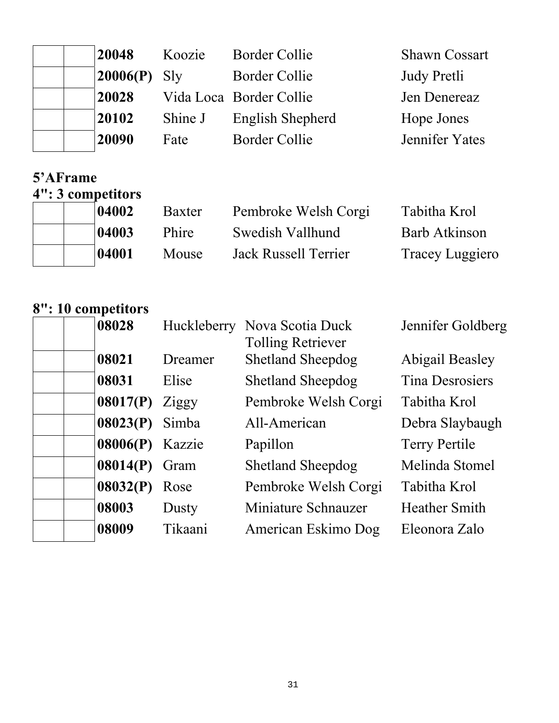| 20048    | Koozie  | <b>Border Collie</b>    | <b>Shawn Cossart</b> |
|----------|---------|-------------------------|----------------------|
| 20006(P) | Sly     | <b>Border Collie</b>    | Judy Pretli          |
| 20028    |         | Vida Loca Border Collie | Jen Denereaz         |
| 20102    | Shine J | English Shepherd        | Hope Jones           |
| 20090    | Fate    | <b>Border Collie</b>    | Jennifer Yates       |

### **5'AFrame**

**4": 3 competitors** 

|  | 04002 | Baxter | Pembroke Welsh Corgi | Tabitha Krol    |
|--|-------|--------|----------------------|-----------------|
|  | 04003 | Phire  | Swedish Vallhund     | Barb Atkinson   |
|  | 04001 | Mouse  | Jack Russell Terrier | Tracey Luggiero |

# **8": 10 competitors**

| 08028    |         | Huckleberry Nova Scotia Duck | Jennifer Goldberg      |
|----------|---------|------------------------------|------------------------|
|          |         | <b>Tolling Retriever</b>     |                        |
| 08021    | Dreamer | <b>Shetland Sheepdog</b>     | <b>Abigail Beasley</b> |
| 08031    | Elise   | <b>Shetland Sheepdog</b>     | <b>Tina Desrosiers</b> |
| 08017(P) | Ziggy   | Pembroke Welsh Corgi         | Tabitha Krol           |
| 08023(P) | Simba   | All-American                 | Debra Slaybaugh        |
| 08006(P) | Kazzie  | Papillon                     | <b>Terry Pertile</b>   |
| 08014(P) | Gram    | <b>Shetland Sheepdog</b>     | Melinda Stomel         |
| 08032(P) | Rose    | Pembroke Welsh Corgi         | Tabitha Krol           |
| 08003    | Dusty   | Miniature Schnauzer          | <b>Heather Smith</b>   |
| 08009    | Tikaani | American Eskimo Dog          | Eleonora Zalo          |
|          |         |                              |                        |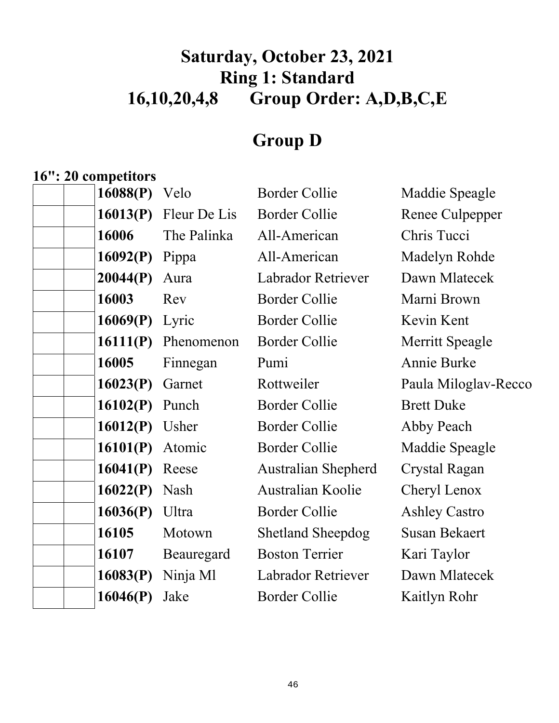# **Saturday, October 23, 2021 Ring 1: Standard 16,10,20,4,8 Group Order: A,D,B,C,E**

# **Group D**

# **16": 20 competitors**

| 16088(P) | Velo         | <b>Border Collie</b>       | Maddie Speagle       |
|----------|--------------|----------------------------|----------------------|
| 16013(P) | Fleur De Lis | <b>Border Collie</b>       | Renee Culpepper      |
| 16006    | The Palinka  | All-American               | Chris Tucci          |
| 16092(P) | Pippa        | All-American               | Madelyn Rohde        |
| 20044(P) | Aura         | <b>Labrador Retriever</b>  | Dawn Mlatecek        |
| 16003    | Rev          | <b>Border Collie</b>       | Marni Brown          |
| 16069(P) | Lyric        | <b>Border Collie</b>       | Kevin Kent           |
| 16111(P) | Phenomenon   | <b>Border Collie</b>       | Merritt Speagle      |
| 16005    | Finnegan     | Pumi                       | <b>Annie Burke</b>   |
| 16023(P) | Garnet       | Rottweiler                 | Paula Miloglav-Recco |
| 16102(P) | Punch        | <b>Border Collie</b>       | <b>Brett Duke</b>    |
| 16012(P) | Usher        | <b>Border Collie</b>       | Abby Peach           |
| 16101(P) | Atomic       | <b>Border Collie</b>       | Maddie Speagle       |
| 16041(P) | Reese        | <b>Australian Shepherd</b> | <b>Crystal Ragan</b> |
| 16022(P) | Nash         | Australian Koolie          | Cheryl Lenox         |
| 16036(P) | Ultra        | <b>Border Collie</b>       | <b>Ashley Castro</b> |
| 16105    | Motown       | <b>Shetland Sheepdog</b>   | <b>Susan Bekaert</b> |
| 16107    | Beauregard   | <b>Boston Terrier</b>      | Kari Taylor          |
| 16083(P) | Ninja Ml     | Labrador Retriever         | Dawn Mlatecek        |
| 16046(P) | Jake         | <b>Border Collie</b>       | Kaitlyn Rohr         |
|          |              |                            |                      |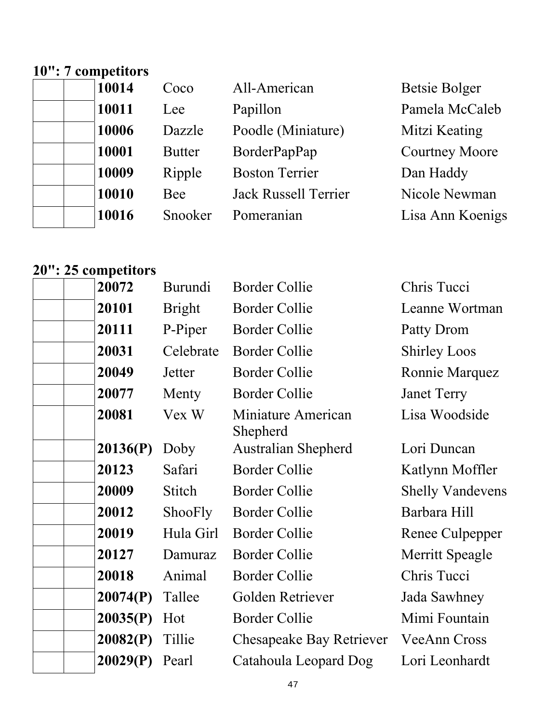# **10": 7 competitors**

| 10014 | Coco          | All-American                | <b>Betsie Bolger</b>  |
|-------|---------------|-----------------------------|-----------------------|
| 10011 | Lee           | Papillon                    | Pamela McCaleb        |
| 10006 | Dazzle        | Poodle (Miniature)          | Mitzi Keating         |
| 10001 | <b>Butter</b> | BorderPapPap                | <b>Courtney Moore</b> |
| 10009 | Ripple        | <b>Boston Terrier</b>       | Dan Haddy             |
| 10010 | Bee           | <b>Jack Russell Terrier</b> | Nicole Newman         |
| 10016 | Snooker       | Pomeranian                  | Lisa Ann Koenigs      |

#### **20": 25 competitors**

| 20072    | Burundi       | <b>Border Collie</b>           | Chris Tucci             |
|----------|---------------|--------------------------------|-------------------------|
| 20101    | <b>Bright</b> | <b>Border Collie</b>           | Leanne Wortman          |
| 20111    | P-Piper       | <b>Border Collie</b>           | Patty Drom              |
| 20031    | Celebrate     | <b>Border Collie</b>           | <b>Shirley Loos</b>     |
| 20049    | Jetter        | <b>Border Collie</b>           | Ronnie Marquez          |
| 20077    | Menty         | <b>Border Collie</b>           | <b>Janet Terry</b>      |
| 20081    | Vex W         | Miniature American<br>Shepherd | Lisa Woodside           |
| 20136(P) | Doby          | <b>Australian Shepherd</b>     | Lori Duncan             |
| 20123    | Safari        | <b>Border Collie</b>           | Katlynn Moffler         |
| 20009    | Stitch        | <b>Border Collie</b>           | <b>Shelly Vandevens</b> |
| 20012    | ShooFly       | <b>Border Collie</b>           | Barbara Hill            |
| 20019    | Hula Girl     | <b>Border Collie</b>           | Renee Culpepper         |
| 20127    | Damuraz       | <b>Border Collie</b>           | Merritt Speagle         |
| 20018    | Animal        | <b>Border Collie</b>           | Chris Tucci             |
| 20074(P) | Tallee        | Golden Retriever               | Jada Sawhney            |
| 20035(P) | Hot           | <b>Border Collie</b>           | Mimi Fountain           |
| 20082(P) | Tillie        | Chesapeake Bay Retriever       | <b>VeeAnn Cross</b>     |
| 20029(P) | Pearl         | Catahoula Leopard Dog          | Lori Leonhardt          |
|          |               |                                |                         |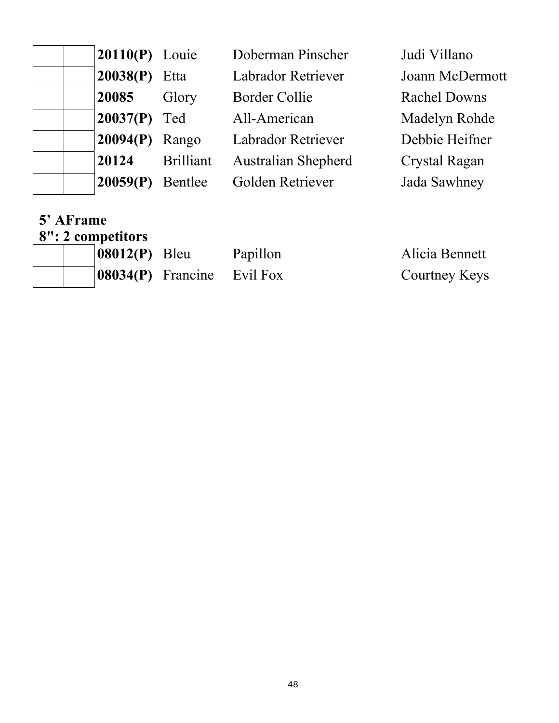| <b>20110(P)</b> Louie |                  | Doberman Pinscher         | Judi Villano         |
|-----------------------|------------------|---------------------------|----------------------|
| 20038(P)              | Etta             | <b>Labrador Retriever</b> | Joann McDermott      |
| 20085                 | Glory            | <b>Border Collie</b>      | <b>Rachel Downs</b>  |
| $20037(P)$ Ted        |                  | All-American              | Madelyn Rohde        |
| 20094(P)              | Rango            | <b>Labrador Retriever</b> | Debbie Heifner       |
| 20124                 | <b>Brilliant</b> | Australian Shepherd       | <b>Crystal Ragan</b> |
| 20059(P)              | Bentlee          | Golden Retriever          | Jada Sawhney         |

#### **5' AFrame 8": 2 competitors**

| $ 08012(P)$ Bleu |                               | Papillon | Alicia Bennett |
|------------------|-------------------------------|----------|----------------|
|                  | $ 08034(P)$ Francine Evil Fox |          | Courtney Keys  |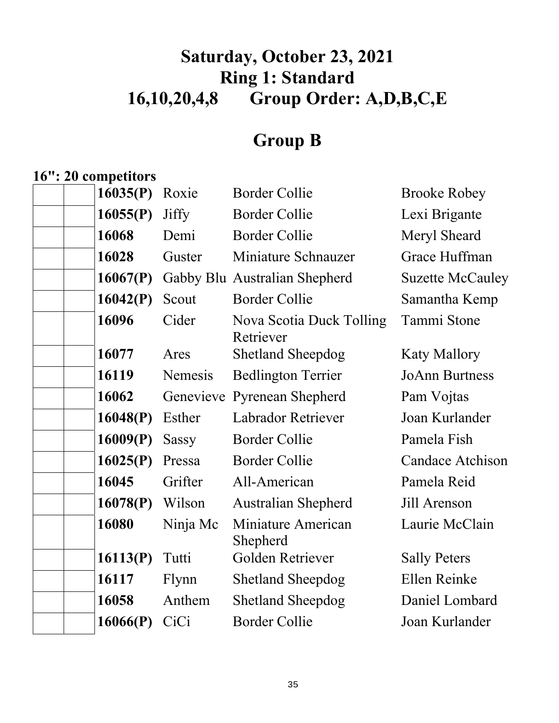# **Saturday, October 23, 2021 Ring 1: Standard 16,10,20,4,8 Group Order: A,D,B,C,E**

# **Group B**

### **16": 20 competitors**

| 16035(P) | Roxie        | <b>Border Collie</b>                  | <b>Brooke Robey</b>     |
|----------|--------------|---------------------------------------|-------------------------|
| 16055(P) | <b>Jiffy</b> | <b>Border Collie</b>                  | Lexi Brigante           |
| 16068    | Demi         | <b>Border Collie</b>                  | Meryl Sheard            |
| 16028    | Guster       | Miniature Schnauzer                   | Grace Huffman           |
| 16067(P) |              | Gabby Blu Australian Shepherd         | <b>Suzette McCauley</b> |
| 16042(P) | Scout        | <b>Border Collie</b>                  | Samantha Kemp           |
| 16096    | Cider        | Nova Scotia Duck Tolling<br>Retriever | Tammi Stone             |
| 16077    | Ares         | <b>Shetland Sheepdog</b>              | <b>Katy Mallory</b>     |
| 16119    | Nemesis      | <b>Bedlington Terrier</b>             | <b>JoAnn Burtness</b>   |
| 16062    | Genevieve    | <b>Pyrenean Shepherd</b>              | Pam Vojtas              |
| 16048(P) | Esther       | <b>Labrador Retriever</b>             | Joan Kurlander          |
| 16009(P) | <b>Sassy</b> | <b>Border Collie</b>                  | Pamela Fish             |
| 16025(P) | Pressa       | <b>Border Collie</b>                  | <b>Candace Atchison</b> |
| 16045    | Grifter      | All-American                          | Pamela Reid             |
| 16078(P) | Wilson       | <b>Australian Shepherd</b>            | Jill Arenson            |
| 16080    | Ninja Mc     | Miniature American<br>Shepherd        | Laurie McClain          |
| 16113(P) | Tutti        | Golden Retriever                      | <b>Sally Peters</b>     |
| 16117    | Flynn        | <b>Shetland Sheepdog</b>              | Ellen Reinke            |
| 16058    | Anthem       | <b>Shetland Sheepdog</b>              | Daniel Lombard          |
| 16066(P) | CiCi         | <b>Border Collie</b>                  | Joan Kurlander          |
|          |              |                                       |                         |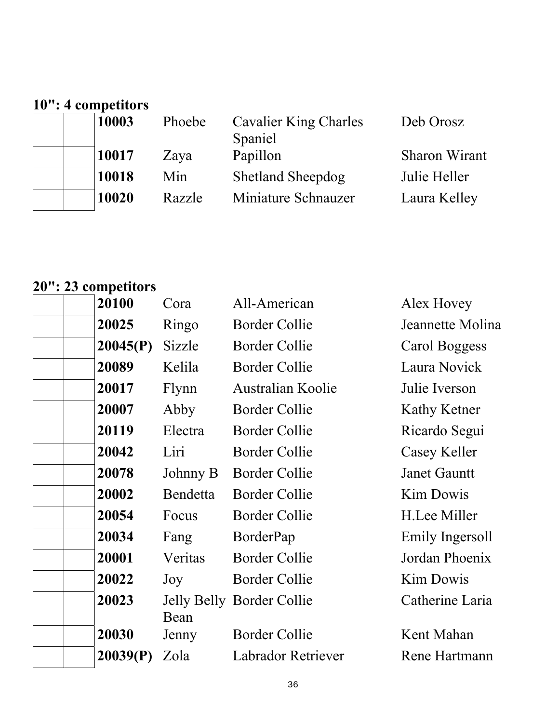# **10": 4 competitors**

| 10003 | Phoebe | <b>Cavalier King Charles</b><br>Spaniel | Deb Orosz            |
|-------|--------|-----------------------------------------|----------------------|
| 10017 | Zaya   | Papillon                                | <b>Sharon Wirant</b> |
| 10018 | Min    | <b>Shetland Sheepdog</b>                | Julie Heller         |
| 10020 | Razzle | Miniature Schnauzer                     | Laura Kelley         |

# **20": 23 competitors**

| 20100    | Cora     | All-American              | Alex Hovey          |
|----------|----------|---------------------------|---------------------|
| 20025    | Ringo    | <b>Border Collie</b>      | Jeannette Molina    |
| 20045(P) | Sizzle   | <b>Border Collie</b>      | Carol Boggess       |
| 20089    | Kelila   | <b>Border Collie</b>      | Laura Novick        |
| 20017    | Flynn    | <b>Australian Koolie</b>  | Julie Iverson       |
| 20007    | Abby     | <b>Border Collie</b>      | Kathy Ketner        |
| 20119    | Electra  | <b>Border Collie</b>      | Ricardo Segui       |
| 20042    | Liri     | <b>Border Collie</b>      | Casey Keller        |
| 20078    | Johnny B | <b>Border Collie</b>      | <b>Janet Gauntt</b> |
| 20002    | Bendetta | <b>Border Collie</b>      | <b>Kim Dowis</b>    |
| 20054    | Focus    | <b>Border Collie</b>      | H.Lee Miller        |
| 20034    | Fang     | BorderPap                 | Emily Ingersoll     |
| 20001    | Veritas  | <b>Border Collie</b>      | Jordan Phoenix      |
| 20022    | Joy      | Border Collie             | Kim Dowis           |
| 20023    | Bean     | Jelly Belly Border Collie | Catherine Laria     |
| 20030    | Jenny    | <b>Border Collie</b>      | Kent Mahan          |
| 20039(P) | Zola     | Labrador Retriever        | Rene Hartmann       |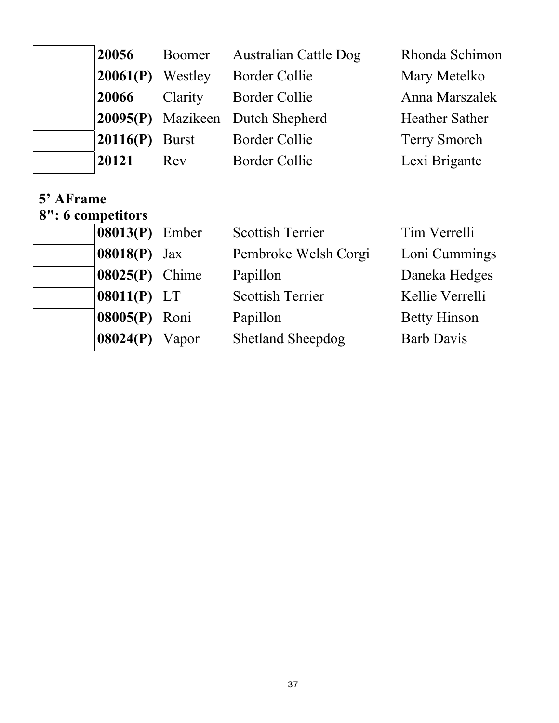| 20056            | Boomer             | <b>Australian Cattle Dog</b>            | Rhonda Schimon        |
|------------------|--------------------|-----------------------------------------|-----------------------|
|                  | $20061(P)$ Westley | <b>Border Collie</b>                    | Mary Metelko          |
| 20066            | Clarity            | <b>Border Collie</b>                    | Anna Marszalek        |
|                  |                    | <b>20095(P)</b> Mazikeen Dutch Shepherd | <b>Heather Sather</b> |
| $20116(P)$ Burst |                    | <b>Border Collie</b>                    | <b>Terry Smorch</b>   |
| 20121            | Rev                | <b>Border Collie</b>                    | Lexi Brigante         |

#### **5' AFrame 8": 6 competitors**

| препога        |       |                          |                     |
|----------------|-------|--------------------------|---------------------|
| 08013(P) Ember |       | <b>Scottish Terrier</b>  | Tim Verrelli        |
| $08018(P)$ Jax |       | Pembroke Welsh Corgi     | Loni Cummings       |
| 08025(P) Chime |       | Papillon                 | Daneka Hedges       |
| $08011(P)$ LT  |       | <b>Scottish Terrier</b>  | Kellie Verrelli     |
| 08005(P) Roni  |       | Papillon                 | <b>Betty Hinson</b> |
| 08024(P)       | Vapor | <b>Shetland Sheepdog</b> | <b>Barb Davis</b>   |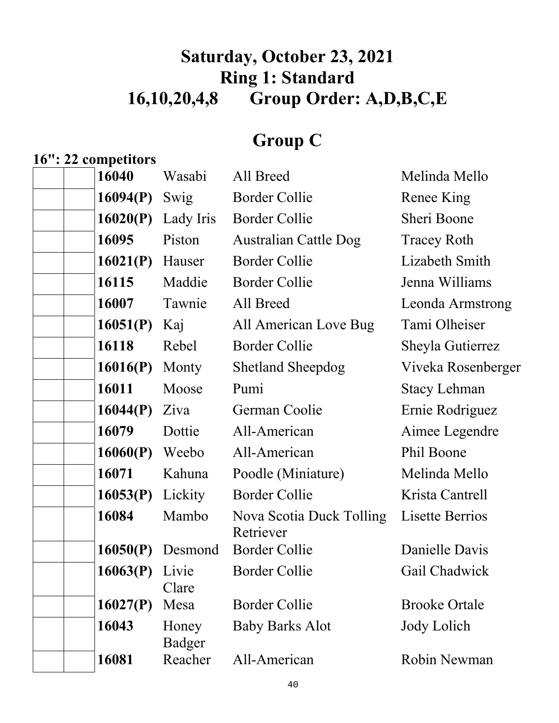# **Saturday, October 23, 2021 Ring 1: Standard 16,10,20,4,8 Group Order: A,D,B,C,E**

# **Group C**

#### **16": 22 competitors**

| 16040    | Wasabi          | All Breed                             | Melinda Mello        |
|----------|-----------------|---------------------------------------|----------------------|
| 16094(P) | Swig            | <b>Border Collie</b>                  | Renee King           |
| 16020(P) | Lady Iris       | <b>Border Collie</b>                  | Sheri Boone          |
| 16095    | Piston          | <b>Australian Cattle Dog</b>          | <b>Tracey Roth</b>   |
| 16021(P) | Hauser          | <b>Border Collie</b>                  | Lizabeth Smith       |
| 16115    | Maddie          | <b>Border Collie</b>                  | Jenna Williams       |
| 16007    | Tawnie          | All Breed                             | Leonda Armstrong     |
| 16051(P) | Kaj             | All American Love Bug                 | Tami Olheiser        |
| 16118    | Rebel           | <b>Border Collie</b>                  | Sheyla Gutierrez     |
| 16016(P) | Monty           | <b>Shetland Sheepdog</b>              | Viveka Rosenberger   |
| 16011    | Moose           | Pumi                                  | <b>Stacy Lehman</b>  |
| 16044(P) | Ziva            | German Coolie                         | Ernie Rodriguez      |
| 16079    | Dottie          | All-American                          | Aimee Legendre       |
| 16060(P) | Weebo           | All-American                          | Phil Boone           |
| 16071    | Kahuna          | Poodle (Miniature)                    | Melinda Mello        |
| 16053(P) | Lickity         | <b>Border Collie</b>                  | Krista Cantrell      |
| 16084    | Mambo           | Nova Scotia Duck Tolling<br>Retriever | Lisette Berrios      |
| 16050(P) | Desmond         | <b>Border Collie</b>                  | Danielle Davis       |
| 16063(P) | Livie<br>Clare  | <b>Border Collie</b>                  | Gail Chadwick        |
| 16027(P) | Mesa            | <b>Border Collie</b>                  | <b>Brooke Ortale</b> |
| 16043    | Honey<br>Badger | <b>Baby Barks Alot</b>                | Jody Lolich          |
| 16081    | Reacher         | All-American                          | Robin Newman         |
|          |                 |                                       |                      |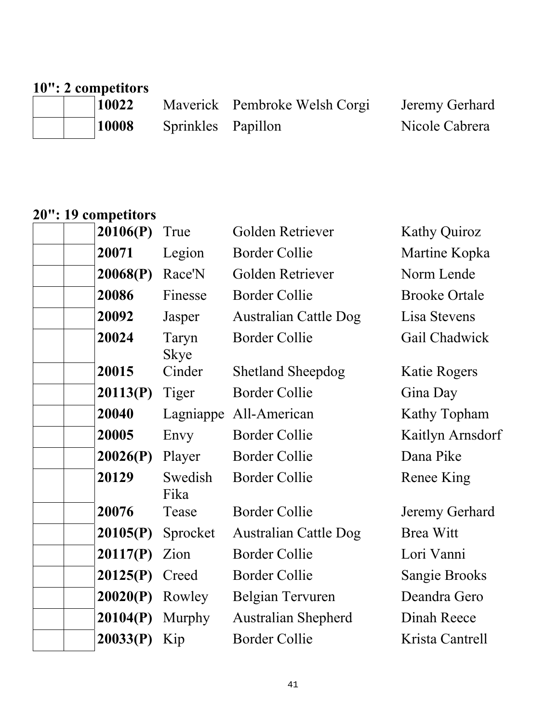# **10": 2 competitors**

10022 Maverick Pembroke Welsh Corgi Jeremy Gerhard<br>
10008 Sprinkles Papillon<br>
Nicole Cabrera Sprinkles Papillon

### **20": 19 competitors**

| 20106(P) | True                 | Golden Retriever             | <b>Kathy Quiroz</b>  |
|----------|----------------------|------------------------------|----------------------|
| 20071    | Legion               | <b>Border Collie</b>         | Martine Kopka        |
| 20068(P) | Race'N               | Golden Retriever             | Norm Lende           |
| 20086    | Finesse              | <b>Border Collie</b>         | <b>Brooke Ortale</b> |
| 20092    | Jasper               | <b>Australian Cattle Dog</b> | Lisa Stevens         |
| 20024    | Taryn<br><b>Skye</b> | <b>Border Collie</b>         | Gail Chadwick        |
| 20015    | Cinder               | <b>Shetland Sheepdog</b>     | Katie Rogers         |
| 20113(P) | Tiger                | <b>Border Collie</b>         | Gina Day             |
| 20040    | Lagniappe            | All-American                 | Kathy Topham         |
| 20005    | Envy                 | <b>Border Collie</b>         | Kaitlyn Arnsdorf     |
| 20026(P) | Player               | <b>Border Collie</b>         | Dana Pike            |
| 20129    | Swedish<br>Fika      | <b>Border Collie</b>         | Renee King           |
| 20076    | Tease                | <b>Border Collie</b>         | Jeremy Gerhard       |
| 20105(P) | Sprocket             | <b>Australian Cattle Dog</b> | <b>Brea Witt</b>     |
| 20117(P) | Zion                 | <b>Border Collie</b>         | Lori Vanni           |
| 20125(P) | Creed                | <b>Border Collie</b>         | Sangie Brooks        |
| 20020(P) | Rowley               | Belgian Tervuren             | Deandra Gero         |
| 20104(P) | Murphy               | Australian Shepherd          | Dinah Reece          |
|          | Kip                  | <b>Border Collie</b>         | Krista Cantrell      |
|          |                      | 20033(P)                     |                      |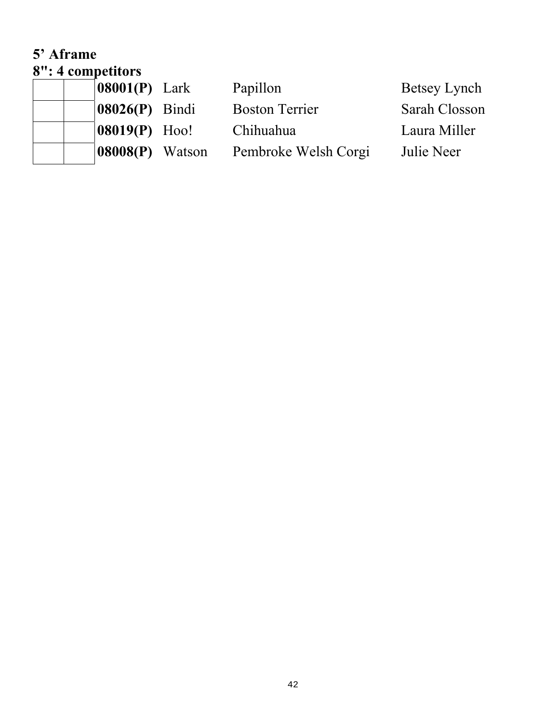#### **5' Aframe 8": 4 competitors**

|  | $\upsilon$ . Lompetitus         |                       |               |
|--|---------------------------------|-----------------------|---------------|
|  | $\vert 08001(P) \vert$ Lark     | Papillon              | Betsey Lynch  |
|  | $\left  08026(P) \right $ Bindi | <b>Boston Terrier</b> | Sarah Closson |
|  | <b>08019(P)</b> Hoo!            | Chihuahua             | Laura Miller  |
|  | $\left 08008(P)\right $ Watson  | Pembroke Welsh Corgi  | Julie Neer    |
|  |                                 |                       |               |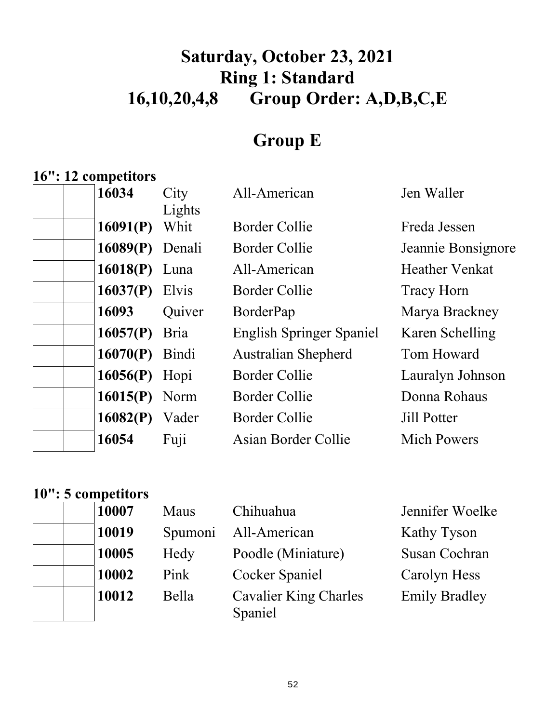# **Saturday, October 23, 2021 Ring 1: Standard 16,10,20,4,8 Group Order: A,D,B,C,E**

# **Group E**

### **16": 12 competitors**

| 16034             | City<br>Lights | All-American                    | Jen Waller            |
|-------------------|----------------|---------------------------------|-----------------------|
| 16091(P)          | Whit           | Border Collie                   | Freda Jessen          |
| $16089(P)$ Denali |                | <b>Border Collie</b>            | Jeannie Bonsignore    |
| $16018(P)$ Luna   |                | All-American                    | <b>Heather Venkat</b> |
| 16037 $(P)$ Elvis |                | Border Collie                   | Tracy Horn            |
| 16093             | Quiver         | BorderPap                       | Marya Brackney        |
| $16057(P)$ Bria   |                | <b>English Springer Spaniel</b> | Karen Schelling       |
| $16070(P)$ Bindi  |                | <b>Australian Shepherd</b>      | Tom Howard            |
| 16056(P) Hopi     |                | <b>Border Collie</b>            | Lauralyn Johnson      |
| $16015(P)$ Norm   |                | Border Collie                   | Donna Rohaus          |
| 16082(P)          | Vader          | Border Collie                   | <b>Jill Potter</b>    |
| 16054             | Fuji           | Asian Border Collie             | <b>Mich Powers</b>    |

### **10": 5 competitors**

| 10007 | Maus    | Chihuahua                        | Jennifer Woelke      |
|-------|---------|----------------------------------|----------------------|
| 10019 | Spumoni | All-American                     | Kathy Tyson          |
| 10005 | Hedy    | Poodle (Miniature)               | Susan Cochran        |
| 10002 | Pink    | Cocker Spaniel                   | Carolyn Hess         |
| 10012 | Bella   | Cavalier King Charles<br>Spaniel | <b>Emily Bradley</b> |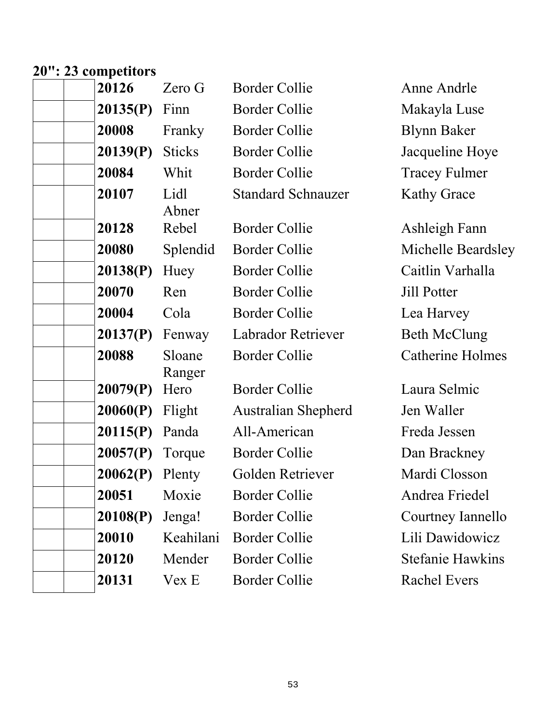#### **20": 23 competitors**

| 20126    | Zero G           | <b>Border Collie</b>       | Anne Andrle             |
|----------|------------------|----------------------------|-------------------------|
| 20135(P) | Finn             | <b>Border Collie</b>       | Makayla Luse            |
| 20008    | Franky           | <b>Border Collie</b>       | <b>Blynn Baker</b>      |
| 20139(P) | <b>Sticks</b>    | <b>Border Collie</b>       | Jacqueline Hoye         |
| 20084    | Whit             | <b>Border Collie</b>       | <b>Tracey Fulmer</b>    |
| 20107    | Lidl<br>Abner    | <b>Standard Schnauzer</b>  | <b>Kathy Grace</b>      |
| 20128    | Rebel            | <b>Border Collie</b>       | Ashleigh Fann           |
| 20080    | Splendid         | <b>Border Collie</b>       | Michelle Beardsley      |
| 20138(P) | Huey             | <b>Border Collie</b>       | Caitlin Varhalla        |
| 20070    | Ren              | <b>Border Collie</b>       | <b>Jill Potter</b>      |
| 20004    | Cola             | <b>Border Collie</b>       | Lea Harvey              |
| 20137(P) | Fenway           | Labrador Retriever         | <b>Beth McClung</b>     |
| 20088    | Sloane<br>Ranger | <b>Border Collie</b>       | <b>Catherine Holmes</b> |
| 20079(P) | Hero             | <b>Border Collie</b>       | Laura Selmic            |
| 20060(P) | Flight           | <b>Australian Shepherd</b> | Jen Waller              |
| 20115(P) | Panda            | All-American               | Freda Jessen            |
| 20057(P) | Torque           | <b>Border Collie</b>       | Dan Brackney            |
| 20062(P) | Plenty           | Golden Retriever           | Mardi Closson           |
| 20051    | Moxie            | <b>Border Collie</b>       | Andrea Friedel          |
| 20108(P) | Jenga!           | <b>Border Collie</b>       | Courtney Iannello       |
| 20010    | Keahilani        | <b>Border Collie</b>       | Lili Dawidowicz         |
| 20120    | Mender           | <b>Border Collie</b>       | <b>Stefanie Hawkins</b> |
| 20131    | Vex E            | <b>Border Collie</b>       | <b>Rachel Evers</b>     |
|          |                  |                            |                         |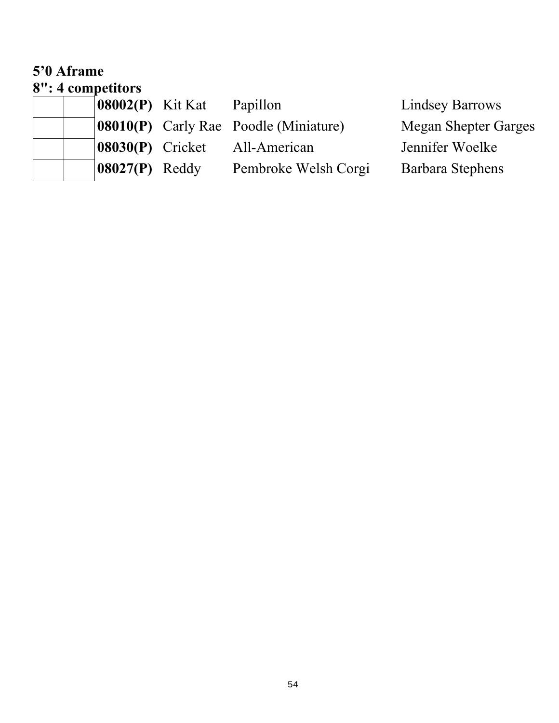#### **5'0 Aframe 8": 4 competitors**

| $ 08002(P)$ Kit Kat | Papillon                                 | <b>Lindsey Barrows</b>      |
|---------------------|------------------------------------------|-----------------------------|
|                     | $ 08010(P)$ Carly Rae Poodle (Miniature) | <b>Megan Shepter Garges</b> |
| $ 08030(P)$ Cricket | All-American                             | Jennifer Woelke             |
| $ 08027(P)$ Reddy   | Pembroke Welsh Corgi                     | Barbara Stephens            |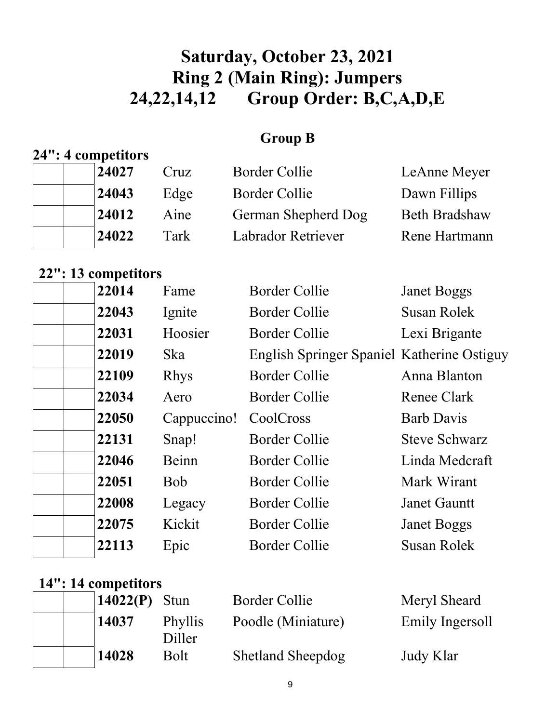# **Saturday, October 23, 2021 Ring 2 (Main Ring): Jumpers 24,22,14,12 Group Order: B,C,A,D,E**

#### **Group B**

#### **24": 4 competitors**

| 24027 | Cruz | Border Collie       | LeAnne Meyer         |
|-------|------|---------------------|----------------------|
| 24043 | Edge | Border Collie       | Dawn Fillips         |
| 24012 | Aine | German Shepherd Dog | <b>Beth Bradshaw</b> |
| 24022 | Tark | Labrador Retriever  | Rene Hartmann        |

### **22": 13 competitors**

| 22014 | Fame        | <b>Border Collie</b>                       | <b>Janet Boggs</b>   |
|-------|-------------|--------------------------------------------|----------------------|
| 22043 | Ignite      | <b>Border Collie</b>                       | <b>Susan Rolek</b>   |
| 22031 | Hoosier     | <b>Border Collie</b>                       | Lexi Brigante        |
| 22019 | <b>Ska</b>  | English Springer Spaniel Katherine Ostiguy |                      |
| 22109 | <b>Rhys</b> | <b>Border Collie</b>                       | Anna Blanton         |
| 22034 | Aero        | <b>Border Collie</b>                       | Renee Clark          |
| 22050 | Cappuccino! | CoolCross                                  | <b>Barb Davis</b>    |
| 22131 | Snap!       | <b>Border Collie</b>                       | <b>Steve Schwarz</b> |
| 22046 | Beinn       | <b>Border Collie</b>                       | Linda Medcraft       |
| 22051 | <b>Bob</b>  | <b>Border Collie</b>                       | Mark Wirant          |
| 22008 | Legacy      | Border Collie                              | <b>Janet Gauntt</b>  |
| 22075 | Kickit      | <b>Border Collie</b>                       | <b>Janet Boggs</b>   |
| 22113 | Epic        | <b>Border Collie</b>                       | Susan Rolek          |
|       |             |                                            |                      |

#### **14": 14 competitors**

|  | $14022(P)$ Stun |                   | <b>Border Collie</b>     | Meryl She |
|--|-----------------|-------------------|--------------------------|-----------|
|  | 14037           | Phyllis<br>Diller | Poodle (Miniature)       | Emily Ing |
|  | 14028           | Bolt              | <b>Shetland Sheepdog</b> | Judy Klar |

**1402** Border Collie Meryl Sheard<br> **1402** Poodle (Miniature) Emily Ingersoll Poodle (Miniature)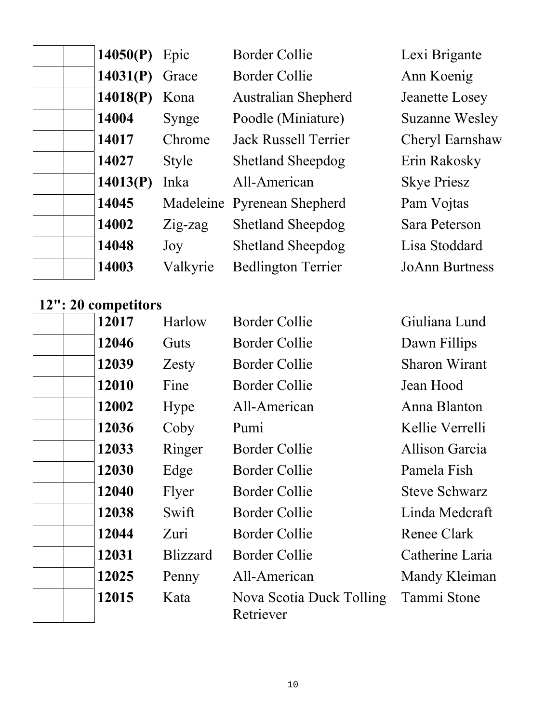| 14050(P) | Epic         | <b>Border Collie</b>        | Lexi Brigante         |
|----------|--------------|-----------------------------|-----------------------|
| 14031(P) | Grace        | <b>Border Collie</b>        | Ann Koenig            |
| 14018(P) | Kona         | <b>Australian Shepherd</b>  | Jeanette Losey        |
| 14004    | Synge        | Poodle (Miniature)          | <b>Suzanne Wesley</b> |
| 14017    | Chrome       | <b>Jack Russell Terrier</b> | Cheryl Earnshaw       |
| 14027    | <b>Style</b> | <b>Shetland Sheepdog</b>    | Erin Rakosky          |
| 14013(P) | Inka         | All-American                | <b>Skye Priesz</b>    |
| 14045    |              | Madeleine Pyrenean Shepherd | Pam Vojtas            |
| 14002    | $Zig$ -zag   | <b>Shetland Sheepdog</b>    | Sara Peterson         |
| 14048    | Joy          | <b>Shetland Sheepdog</b>    | Lisa Stoddard         |
| 14003    | Valkyrie     | <b>Bedlington Terrier</b>   | <b>JoAnn Burtness</b> |

### **12": 20 competitors**

| 12017 | Harlow          | <b>Border Collie</b>                  | Giuliana Lund        |
|-------|-----------------|---------------------------------------|----------------------|
| 12046 | <b>Guts</b>     | Border Collie                         | Dawn Fillips         |
| 12039 | Zesty           | Border Collie                         | Sharon Wirant        |
| 12010 | Fine            | Border Collie                         | Jean Hood            |
| 12002 | Hype            | All-American                          | Anna Blanton         |
| 12036 | Coby            | Pumi                                  | Kellie Verrelli      |
| 12033 | Ringer          | Border Collie                         | Allison Garcia       |
| 12030 | Edge            | <b>Border Collie</b>                  | Pamela Fish          |
| 12040 | Flyer           | Border Collie                         | <b>Steve Schwarz</b> |
| 12038 | Swift           | <b>Border Collie</b>                  | Linda Medcraft       |
| 12044 | Zuri            | Border Collie                         | Renee Clark          |
| 12031 | <b>Blizzard</b> | Border Collie                         | Catherine Laria      |
| 12025 | Penny           | All-American                          | Mandy Kleiman        |
| 12015 | Kata            | Nova Scotia Duck Tolling<br>Retriever | Tammi Stone          |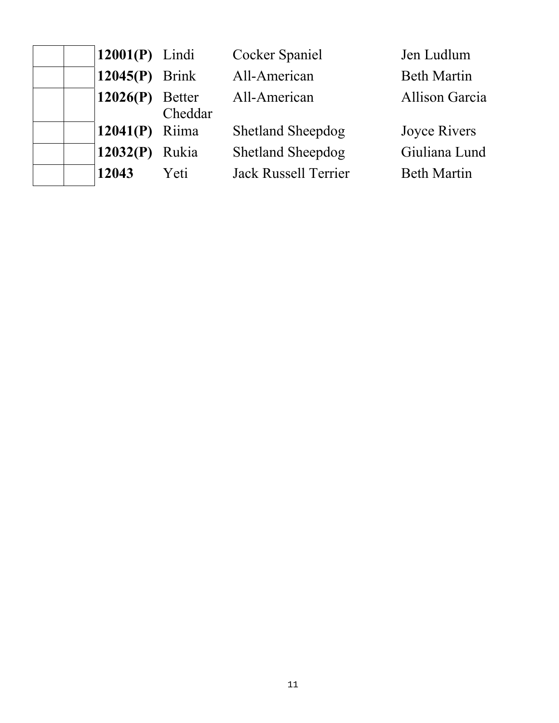| $12001(P)$ Lindi  |         | <b>Cocker Spaniel</b>       | Jen Ludlum         |
|-------------------|---------|-----------------------------|--------------------|
| $12045(P)$ Brink  |         | All-American                | <b>Beth Martin</b> |
| $12026(P)$ Better | Cheddar | All-American                | Allison Garcia     |
| 12041 $(P)$ Riima |         | <b>Shetland Sheepdog</b>    | Joyce Rivers       |
| 12032(P) Rukia    |         | <b>Shetland Sheepdog</b>    | Giuliana Lund      |
| 12043             | Yeti    | <b>Jack Russell Terrier</b> | <b>Beth Martin</b> |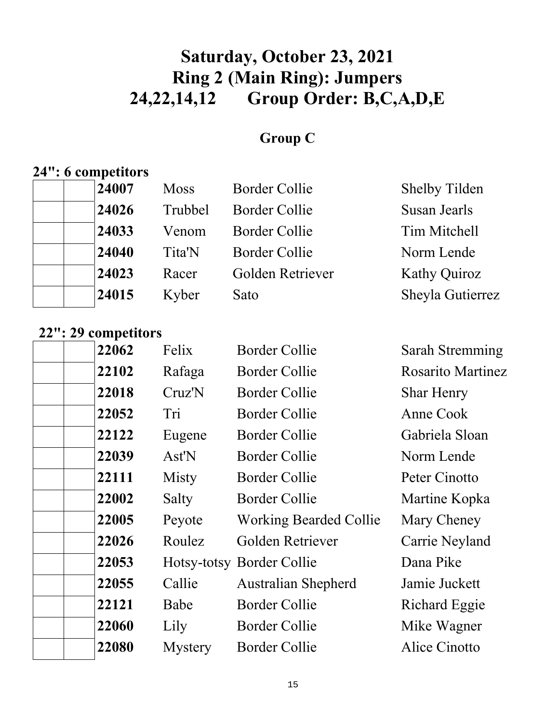# **Saturday, October 23, 2021 Ring 2 (Main Ring): Jumpers 24,22,14,12 Group Order: B,C,A,D,E**

### **Group C**

#### **24": 6 competitors**

| 24007 | <b>Moss</b> | <b>Border Collie</b> | Shelby Tilden       |
|-------|-------------|----------------------|---------------------|
| 24026 | Trubbel     | <b>Border Collie</b> | Susan Jearls        |
| 24033 | Venom       | Border Collie        | Tim Mitchell        |
| 24040 | Tita'N      | <b>Border Collie</b> | Norm Lende          |
| 24023 | Racer       | Golden Retriever     | <b>Kathy Quiroz</b> |
| 24015 | Kyber       | Sato                 | Sheyla Gutierrez    |
|       |             |                      |                     |

### **22": 29 competitors**

| 22062 | Felix          | <b>Border Collie</b>          | Sarah Stremming          |
|-------|----------------|-------------------------------|--------------------------|
| 22102 | Rafaga         | Border Collie                 | <b>Rosarito Martinez</b> |
| 22018 | Cruz'N         | <b>Border Collie</b>          | <b>Shar Henry</b>        |
| 22052 | Tri            | Border Collie                 | Anne Cook                |
| 22122 | Eugene         | <b>Border Collie</b>          | Gabriela Sloan           |
| 22039 | Ast'N          | Border Collie                 | Norm Lende               |
| 22111 | Misty          | Border Collie                 | Peter Cinotto            |
| 22002 | Salty          | <b>Border Collie</b>          | Martine Kopka            |
| 22005 | Peyote         | <b>Working Bearded Collie</b> | Mary Cheney              |
| 22026 | Roulez         | Golden Retriever              | Carrie Neyland           |
| 22053 |                | Hotsy-totsy Border Collie     | Dana Pike                |
| 22055 | Callie         | <b>Australian Shepherd</b>    | Jamie Juckett            |
| 22121 | Babe           | <b>Border Collie</b>          | Richard Eggie            |
| 22060 | Lily           | Border Collie                 | Mike Wagner              |
| 22080 | <b>Mystery</b> | <b>Border Collie</b>          | Alice Cinotto            |
|       |                |                               |                          |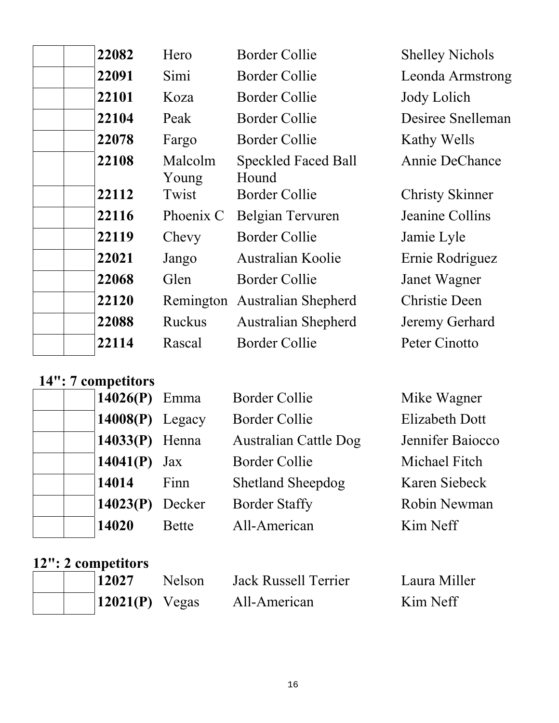| 22082 | Hero             | Border Collie                       | <b>Shelley Nichols</b> |
|-------|------------------|-------------------------------------|------------------------|
| 22091 | Simi             | <b>Border Collie</b>                | Leonda Armstrong       |
| 22101 | Koza             | <b>Border Collie</b>                | Jody Lolich            |
| 22104 | Peak             | <b>Border Collie</b>                | Desiree Snelleman      |
| 22078 | Fargo            | <b>Border Collie</b>                | Kathy Wells            |
| 22108 | Malcolm<br>Young | <b>Speckled Faced Ball</b><br>Hound | Annie DeChance         |
| 22112 | Twist            | <b>Border Collie</b>                | <b>Christy Skinner</b> |
| 22116 | Phoenix C        | Belgian Tervuren                    | Jeanine Collins        |
| 22119 | Chevy            | <b>Border Collie</b>                | Jamie Lyle             |
| 22021 | Jango            | Australian Koolie                   | Ernie Rodriguez        |
| 22068 | Glen             | <b>Border Collie</b>                | Janet Wagner           |
| 22120 |                  | Remington Australian Shepherd       | <b>Christie Deen</b>   |
| 22088 | <b>Ruckus</b>    | <b>Australian Shepherd</b>          | Jeremy Gerhard         |
| 22114 | Rascal           | Border Collie                       | Peter Cinotto          |
|       |                  |                                     |                        |

# **14": 7 competitors**

|       | 14026 $(P)$ Emma   | <b>Border Collie</b>         | Mike Wagner           |
|-------|--------------------|------------------------------|-----------------------|
|       | $14008(P)$ Legacy  | <b>Border Collie</b>         | <b>Elizabeth Dott</b> |
|       | $14033(P)$ Henna   | <b>Australian Cattle Dog</b> | Jennifer Baiocco      |
|       | 14041(P)<br>Jax    | <b>Border Collie</b>         | Michael Fitch         |
| 14014 | Finn               | <b>Shetland Sheepdog</b>     | Karen Siebeck         |
|       | 14023(P)<br>Decker | <b>Border Staffy</b>         | Robin Newman          |
| 14020 | <b>Bette</b>       | All-American                 | Kim Neff              |

# **12": 2 competitors**

|  | $\vert$ 12027          | <b>Nelson</b> | Jack Russell Terrier | Laura Miller |
|--|------------------------|---------------|----------------------|--------------|
|  | $\vert 12021(P)$ Vegas |               | All-American         | Kim Neff     |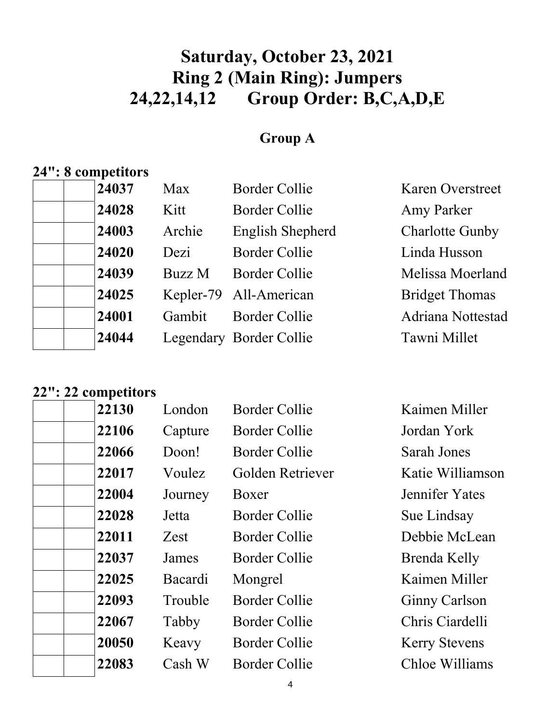# **Saturday, October 23, 2021 Ring 2 (Main Ring): Jumpers 24,22,14,12 Group Order: B,C,A,D,E**

### **Group A**

## **24": 8 competitors**

| 24037 | Max    | <b>Border Collie</b>    | <b>Karen Overstreet</b> |
|-------|--------|-------------------------|-------------------------|
| 24028 | Kitt   | <b>Border Collie</b>    | Amy Parker              |
| 24003 | Archie | English Shepherd        | <b>Charlotte Gunby</b>  |
| 24020 | Dezi   | <b>Border Collie</b>    | Linda Husson            |
| 24039 | Buzz M | <b>Border Collie</b>    | Melissa Moerland        |
| 24025 |        | Kepler-79 All-American  | <b>Bridget Thomas</b>   |
| 24001 | Gambit | <b>Border Collie</b>    | Adriana Nottestad       |
| 24044 |        | Legendary Border Collie | Tawni Millet            |
|       |        |                         |                         |

### **22": 22 competitors**

| 22130 | London  | <b>Border Collie</b> | Kaimen Miller        |
|-------|---------|----------------------|----------------------|
| 22106 | Capture | Border Collie        | Jordan York          |
| 22066 | Doon!   | <b>Border Collie</b> | Sarah Jones          |
| 22017 | Voulez  | Golden Retriever     | Katie Williamson     |
| 22004 | Journey | Boxer                | Jennifer Yates       |
| 22028 | Jetta   | <b>Border Collie</b> | Sue Lindsay          |
| 22011 | Zest    | <b>Border Collie</b> | Debbie McLean        |
| 22037 | James   | Border Collie        | Brenda Kelly         |
| 22025 | Bacardi | Mongrel              | Kaimen Miller        |
| 22093 | Trouble | <b>Border Collie</b> | <b>Ginny Carlson</b> |
| 22067 | Tabby   | <b>Border Collie</b> | Chris Ciardelli      |
| 20050 | Keavy   | <b>Border Collie</b> | <b>Kerry Stevens</b> |
| 22083 | Cash W  | <b>Border Collie</b> | Chloe Williams       |
|       |         |                      |                      |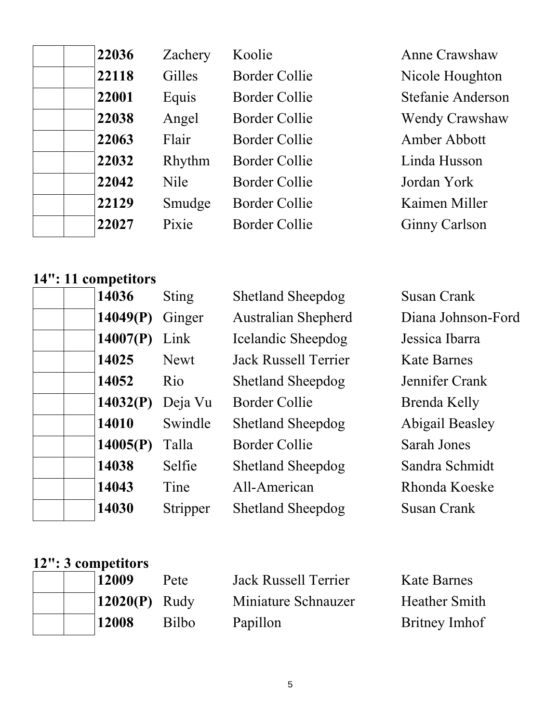|  | 22036 |
|--|-------|
|  | 22118 |
|  | 22001 |
|  | 22038 |
|  | 22063 |
|  | 22032 |
|  | 22042 |
|  | 22129 |
|  | 22027 |
|  |       |

| 6 | Zachery     | Koolie               | Anne Crawshaw        |
|---|-------------|----------------------|----------------------|
| 8 | Gilles      | <b>Border Collie</b> | Nicole Houghton      |
| 1 | Equis       | <b>Border Collie</b> | Stefanie Anderson    |
| 8 | Angel       | <b>Border Collie</b> | Wendy Crawshaw       |
| 3 | Flair       | <b>Border Collie</b> | Amber Abbott         |
| 2 | Rhythm      | <b>Border Collie</b> | Linda Husson         |
| 2 | <b>Nile</b> | <b>Border Collie</b> | Jordan York          |
| 9 | Smudge      | <b>Border Collie</b> | Kaimen Miller        |
|   | Pixie       | <b>Border Collie</b> | <b>Ginny Carlson</b> |
|   |             |                      |                      |

### **14": 11 competitors**

| 14036    | <b>Sting</b>    | <b>Shetland Sheepdog</b>    | Susan Crank            |
|----------|-----------------|-----------------------------|------------------------|
| 14049(P) | Ginger          | <b>Australian Shepherd</b>  | Diana Johnson-Ford     |
| 14007(P) | Link            | Icelandic Sheepdog          | Jessica Ibarra         |
| 14025    | <b>Newt</b>     | <b>Jack Russell Terrier</b> | <b>Kate Barnes</b>     |
| 14052    | R <sub>io</sub> | <b>Shetland Sheepdog</b>    | Jennifer Crank         |
| 14032(P) | Deja Vu         | <b>Border Collie</b>        | Brenda Kelly           |
| 14010    | Swindle         | <b>Shetland Sheepdog</b>    | <b>Abigail Beasley</b> |
| 14005(P) | Talla           | Border Collie               | <b>Sarah Jones</b>     |
| 14038    | Selfie          | <b>Shetland Sheepdog</b>    | Sandra Schmidt         |
| 14043    | Tine            | All-American                | Rhonda Koeske          |
| 14030    | Stripper        | <b>Shetland Sheepdog</b>    | Susan Crank            |

#### **12": 3 competitors**

|  | 12009           | Pete         | Jack Russell Terrier | <b>Kate Barnes</b>   |
|--|-----------------|--------------|----------------------|----------------------|
|  | $12020(P)$ Rudy |              | Miniature Schnauzer  | <b>Heather Smith</b> |
|  | 12008           | <b>Bilbo</b> | Papillon             | <b>Britney Imhof</b> |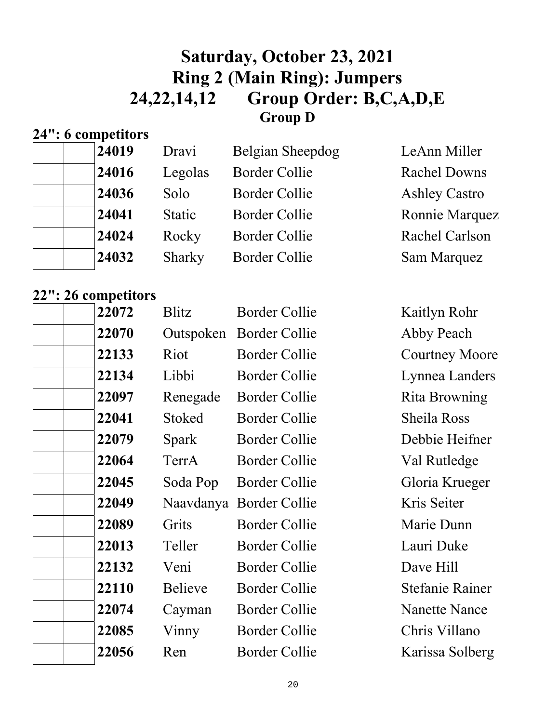### **Saturday, October 23, 2021 Ring 2 (Main Ring): Jumpers 24,22,14,12 Group Order: B,C,A,D,E Group D**

### **24": 6 competitors**

| 24019 | Dravi         | Belgian Sheepdog     | LeAnn Miller         |
|-------|---------------|----------------------|----------------------|
| 24016 | Legolas       | <b>Border Collie</b> | <b>Rachel Downs</b>  |
| 24036 | Solo          | <b>Border Collie</b> | <b>Ashley Castro</b> |
| 24041 | <b>Static</b> | <b>Border Collie</b> | Ronnie Marquez       |
| 24024 | Rocky         | <b>Border Collie</b> | Rachel Carlson       |
| 24032 | Sharky        | <b>Border Collie</b> | Sam Marquez          |

### **22": 26 competitors**

| 22072 | <b>Blitz</b>   | <b>Border Collie</b>    | Kaitlyn Rohr           |
|-------|----------------|-------------------------|------------------------|
| 22070 | Outspoken      | <b>Border Collie</b>    | Abby Peach             |
| 22133 | Riot           | Border Collie           | <b>Courtney Moore</b>  |
| 22134 | Libbi          | <b>Border Collie</b>    | Lynnea Landers         |
| 22097 | Renegade       | <b>Border Collie</b>    | Rita Browning          |
| 22041 | <b>Stoked</b>  | Border Collie           | Sheila Ross            |
| 22079 | Spark          | <b>Border Collie</b>    | Debbie Heifner         |
| 22064 | TerrA          | <b>Border Collie</b>    | Val Rutledge           |
| 22045 | Soda Pop       | <b>Border Collie</b>    | Gloria Krueger         |
| 22049 |                | Naavdanya Border Collie | Kris Seiter            |
| 22089 | Grits          | <b>Border Collie</b>    | Marie Dunn             |
| 22013 | Teller         | Border Collie           | Lauri Duke             |
| 22132 | Veni           | <b>Border Collie</b>    | Dave Hill              |
| 22110 | <b>Believe</b> | <b>Border Collie</b>    | <b>Stefanie Rainer</b> |
| 22074 | Cayman         | Border Collie           | <b>Nanette Nance</b>   |
| 22085 | Vinny          | <b>Border Collie</b>    | Chris Villano          |
| 22056 | Ren            | <b>Border Collie</b>    | Karissa Solberg        |
|       |                |                         |                        |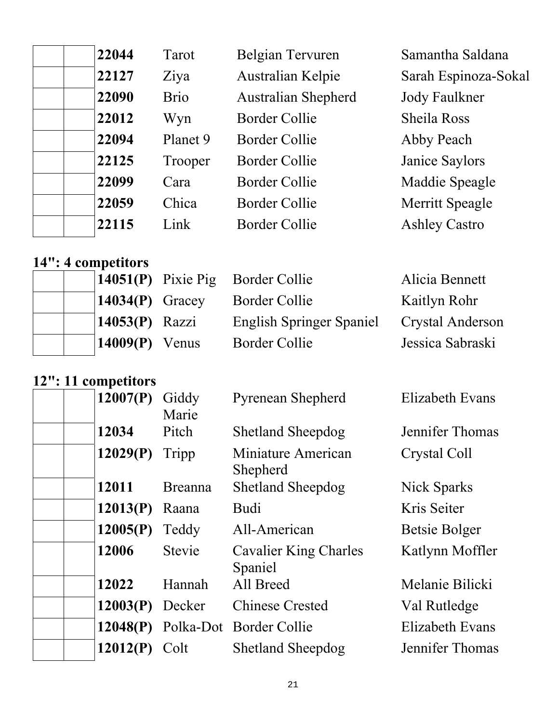| 22044 | Tarot       | Belgian Tervuren           | Samantha Saldana     |
|-------|-------------|----------------------------|----------------------|
| 22127 | Ziya        | Australian Kelpie          | Sarah Espinoza-Sokal |
| 22090 | <b>Brio</b> | <b>Australian Shepherd</b> | Jody Faulkner        |
| 22012 | Wyn         | Border Collie              | <b>Sheila Ross</b>   |
| 22094 | Planet 9    | Border Collie              | Abby Peach           |
| 22125 | Trooper     | <b>Border Collie</b>       | Janice Saylors       |
| 22099 | Cara        | <b>Border Collie</b>       | Maddie Speagle       |
| 22059 | Chica       | <b>Border Collie</b>       | Merritt Speagle      |
| 22115 | Link        | <b>Border Collie</b>       | <b>Ashley Castro</b> |
|       |             |                            |                      |

#### **14": 4 competitors**

|                   | $14051(P)$ Pixie Pig Border Collie | Alicia Bennett   |
|-------------------|------------------------------------|------------------|
| $14034(P)$ Gracey | Border Collie                      | Kaitlyn Rohr     |
| $14053(P)$ Razzi  | <b>English Springer Spaniel</b>    | Crystal Anderson |
| $14009(P)$ Venus  | Border Collie                      | Jessica Sabraski |

#### **12": 11 competitors**

| 12007(P) | Giddy<br>Marie | <b>Pyrenean Shepherd</b>                | <b>Elizabeth Evans</b> |
|----------|----------------|-----------------------------------------|------------------------|
| 12034    | Pitch          | <b>Shetland Sheepdog</b>                | Jennifer Thomas        |
| 12029(P) | Tripp          | Miniature American<br>Shepherd          | Crystal Coll           |
| 12011    | <b>Breanna</b> | <b>Shetland Sheepdog</b>                | Nick Sparks            |
| 12013(P) | Raana          | <b>Budi</b>                             | Kris Seiter            |
| 12005(P) | Teddy          | All-American                            | Betsie Bolger          |
| 12006    | Stevie         | <b>Cavalier King Charles</b><br>Spaniel | Katlynn Moffler        |
| 12022    | Hannah         | All Breed                               | Melanie Bilicki        |
| 12003(P) | Decker         | <b>Chinese Crested</b>                  | Val Rutledge           |
| 12048(P) |                | Polka-Dot Border Collie                 | <b>Elizabeth Evans</b> |
| 12012(P) | Colt           | <b>Shetland Sheepdog</b>                | Jennifer Thomas        |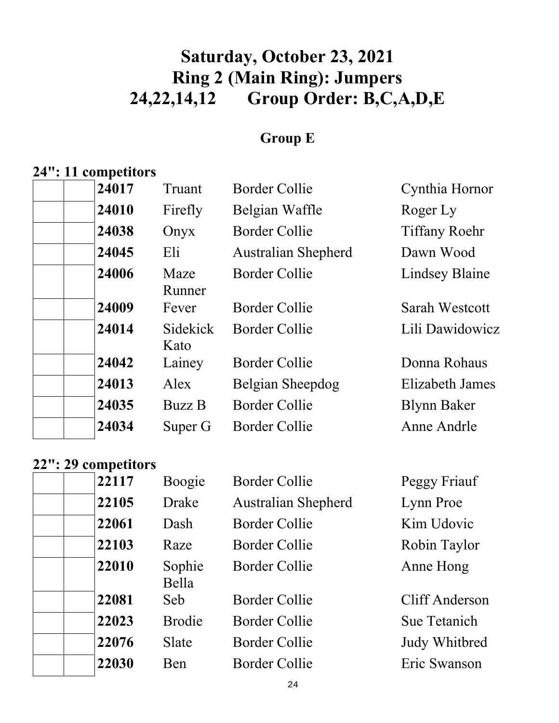# **Saturday, October 23, 2021 Ring 2 (Main Ring): Jumpers 24,22,14,12 Group Order: B,C,A,D,E**

#### **Group E**

# **24": 11 competitors**

| 24017 | Truant           | <b>Border Collie</b>       | Cynthia Hornor         |
|-------|------------------|----------------------------|------------------------|
| 24010 | Firefly          | Belgian Waffle             | Roger Ly               |
| 24038 | Onyx             | Border Collie              | <b>Tiffany Roehr</b>   |
| 24045 | Eli              | <b>Australian Shepherd</b> | Dawn Wood              |
| 24006 | Maze<br>Runner   | <b>Border Collie</b>       | <b>Lindsey Blaine</b>  |
| 24009 | Fever            | <b>Border Collie</b>       | Sarah Westcott         |
| 24014 | Sidekick<br>Kato | <b>Border Collie</b>       | Lili Dawidowicz        |
| 24042 | Lainey           | <b>Border Collie</b>       | Donna Rohaus           |
| 24013 | Alex             | Belgian Sheepdog           | <b>Elizabeth James</b> |
| 24035 | <b>Buzz B</b>    | Border Collie              | <b>Blynn Baker</b>     |
| 24034 | Super G          | Border Collie              | Anne Andrle            |
|       |                  |                            |                        |

#### **22": 29 competitors**

| 22117 | Boogie          | <b>Border Collie</b>       | Peggy Friauf   |
|-------|-----------------|----------------------------|----------------|
| 22105 | Drake           | <b>Australian Shepherd</b> | Lynn Proe      |
| 22061 | Dash            | <b>Border Collie</b>       | Kim Udovic     |
| 22103 | Raze            | <b>Border Collie</b>       | Robin Taylor   |
| 22010 | Sophie<br>Bella | <b>Border Collie</b>       | Anne Hong      |
| 22081 | Seb             | <b>Border Collie</b>       | Cliff Anderson |
| 22023 | <b>Brodie</b>   | <b>Border Collie</b>       | Sue Tetanich   |
| 22076 | <b>Slate</b>    | <b>Border Collie</b>       | Judy Whitbred  |
| 22030 | Ben             | <b>Border Collie</b>       | Eric Swanson   |
|       |                 |                            |                |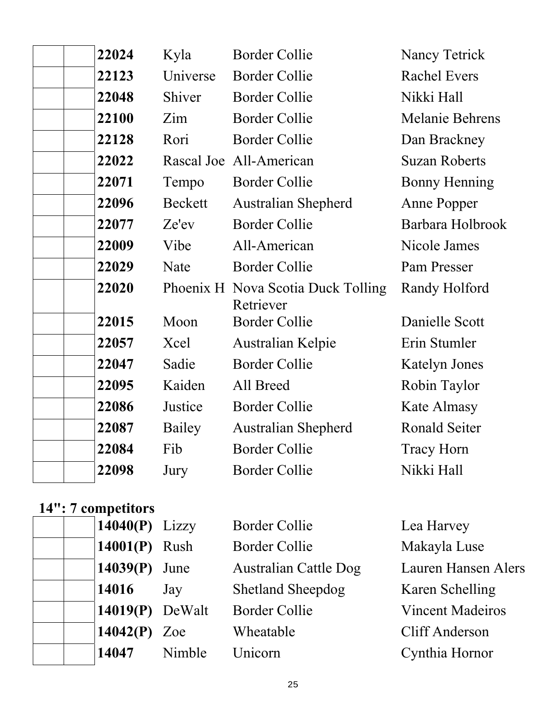| 22024 | Kyla     | <b>Border Collie</b>                            | Nancy Tetrick          |
|-------|----------|-------------------------------------------------|------------------------|
| 22123 | Universe | <b>Border Collie</b>                            | <b>Rachel Evers</b>    |
| 22048 | Shiver   | <b>Border Collie</b>                            | Nikki Hall             |
| 22100 | Zim      | <b>Border Collie</b>                            | <b>Melanie Behrens</b> |
| 22128 | Rori     | <b>Border Collie</b>                            | Dan Brackney           |
| 22022 |          | Rascal Joe All-American                         | <b>Suzan Roberts</b>   |
| 22071 | Tempo    | <b>Border Collie</b>                            | <b>Bonny Henning</b>   |
| 22096 | Beckett  | <b>Australian Shepherd</b>                      | Anne Popper            |
| 22077 | Ze'ev    | <b>Border Collie</b>                            | Barbara Holbrook       |
| 22009 | Vibe     | All-American                                    | Nicole James           |
| 22029 | Nate     | <b>Border Collie</b>                            | Pam Presser            |
| 22020 |          | Phoenix H Nova Scotia Duck Tolling<br>Retriever | Randy Holford          |
| 22015 | Moon     | <b>Border Collie</b>                            | Danielle Scott         |
| 22057 | Xcel     | Australian Kelpie                               | Erin Stumler           |
| 22047 | Sadie    | <b>Border Collie</b>                            | <b>Katelyn Jones</b>   |
| 22095 | Kaiden   | All Breed                                       | Robin Taylor           |
| 22086 | Justice  | <b>Border Collie</b>                            | Kate Almasy            |
| 22087 | Bailey   | Australian Shepherd                             | <b>Ronald Seiter</b>   |
| 22084 | Fib      | <b>Border Collie</b>                            | <b>Tracy Horn</b>      |
| 22098 | Jury     | <b>Border Collie</b>                            | Nikki Hall             |

# **14": 7 competitors**

| $14040(P)$ Lizzy  |        | <b>Border Collie</b>         | Lea Harvey                 |
|-------------------|--------|------------------------------|----------------------------|
| 14001(P) Rush     |        | <b>Border Collie</b>         | Makayla Luse               |
| 14039(P)          | June   | <b>Australian Cattle Dog</b> | <b>Lauren Hansen Alers</b> |
| 14016             | Jay    | <b>Shetland Sheepdog</b>     | Karen Schelling            |
| $14019(P)$ DeWalt |        | <b>Border Collie</b>         | <b>Vincent Madeiros</b>    |
| 14042 $(P)$ Zoe   |        | Wheatable                    | Cliff Anderson             |
| 14047             | Nimble | Unicorn                      | Cynthia Hornor             |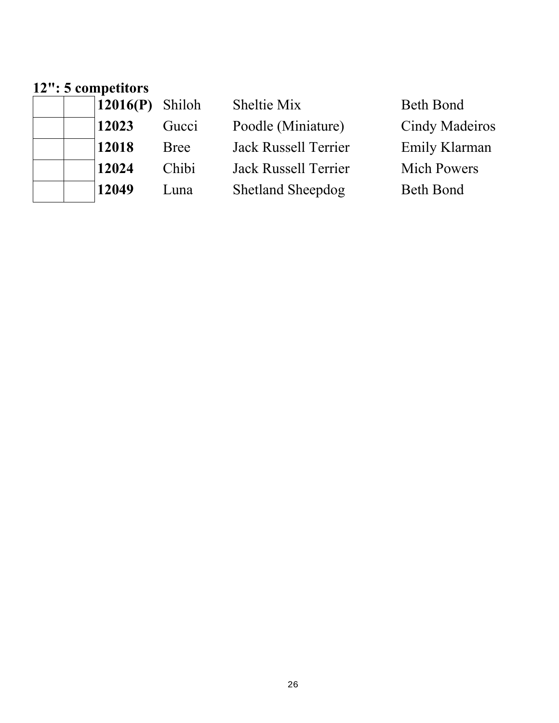#### **12": 5 competitors**

| 12016(P) | Shiloh      | Sheltie Mix                 | Beth Bond             |
|----------|-------------|-----------------------------|-----------------------|
| 12023    | Gucci       | Poodle (Miniature)          | <b>Cindy Madeiros</b> |
| 12018    | <b>Bree</b> | Jack Russell Terrier        | Emily Klarman         |
| 12024    | Chibi       | <b>Jack Russell Terrier</b> | <b>Mich Powers</b>    |
| 12049    | Luna        | <b>Shetland Sheepdog</b>    | <b>Beth Bond</b>      |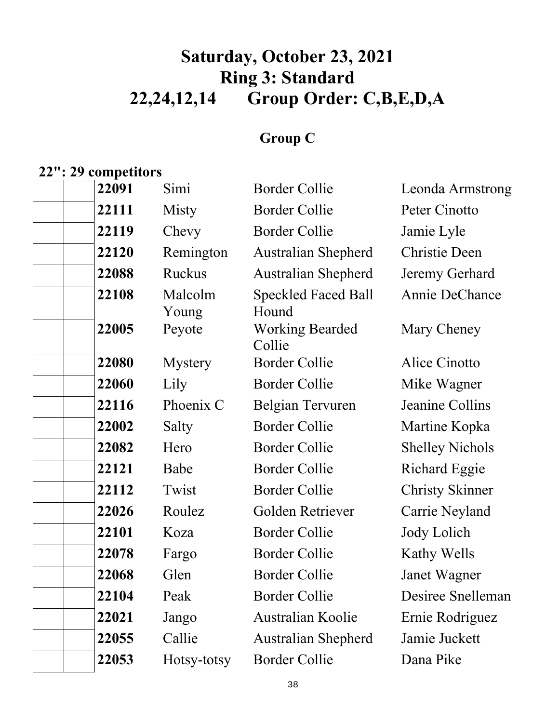# **Saturday, October 23, 2021 Ring 3: Standard 22,24,12,14 Group Order: C,B,E,D,A**

### **Group C**

# **22": 29 competitors**

| 22091 | Simi             | <b>Border Collie</b>                | Leonda Armstrong       |
|-------|------------------|-------------------------------------|------------------------|
| 22111 | Misty            | <b>Border Collie</b>                | Peter Cinotto          |
| 22119 | Chevy            | <b>Border Collie</b>                | Jamie Lyle             |
| 22120 | Remington        | <b>Australian Shepherd</b>          | <b>Christie Deen</b>   |
| 22088 | <b>Ruckus</b>    | Australian Shepherd                 | Jeremy Gerhard         |
| 22108 | Malcolm<br>Young | <b>Speckled Faced Ball</b><br>Hound | Annie DeChance         |
| 22005 | Peyote           | <b>Working Bearded</b><br>Collie    | Mary Cheney            |
| 22080 | <b>Mystery</b>   | <b>Border Collie</b>                | Alice Cinotto          |
| 22060 | Lily             | <b>Border Collie</b>                | Mike Wagner            |
| 22116 | Phoenix C        | Belgian Tervuren                    | Jeanine Collins        |
| 22002 | Salty            | <b>Border Collie</b>                | Martine Kopka          |
| 22082 | Hero             | <b>Border Collie</b>                | <b>Shelley Nichols</b> |
| 22121 | Babe             | <b>Border Collie</b>                | <b>Richard Eggie</b>   |
| 22112 | Twist            | <b>Border Collie</b>                | <b>Christy Skinner</b> |
| 22026 | Roulez           | Golden Retriever                    | Carrie Neyland         |
| 22101 | Koza             | <b>Border Collie</b>                | Jody Lolich            |
| 22078 | Fargo            | <b>Border Collie</b>                | Kathy Wells            |
| 22068 | Glen             | <b>Border Collie</b>                | Janet Wagner           |
| 22104 | Peak             | <b>Border Collie</b>                | Desiree Snelleman      |
| 22021 | Jango            | Australian Koolie                   | Ernie Rodriguez        |
| 22055 | Callie           | <b>Australian Shepherd</b>          | Jamie Juckett          |
| 22053 | Hotsy-totsy      | <b>Border Collie</b>                | Dana Pike              |
|       |                  |                                     |                        |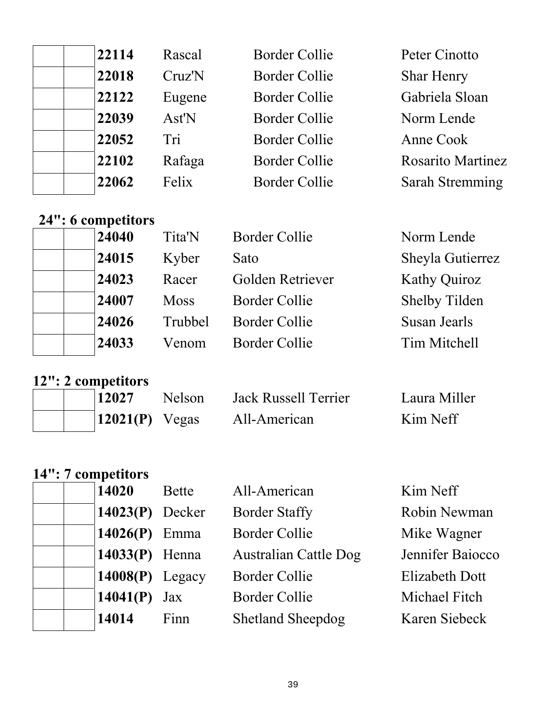| 22114 | Rascal | <b>Border Collie</b> | Peter Cinotto            |
|-------|--------|----------------------|--------------------------|
| 22018 | Cruz'N | <b>Border Collie</b> | <b>Shar Henry</b>        |
| 22122 | Eugene | Border Collie        | Gabriela Sloan           |
| 22039 | Ast'N  | <b>Border Collie</b> | Norm Lende               |
| 22052 | Tri    | <b>Border Collie</b> | Anne Cook                |
| 22102 | Rafaga | <b>Border Collie</b> | <b>Rosarito Martinez</b> |
| 22062 | Felix  | <b>Border Collie</b> | <b>Sarah Stremming</b>   |

# **24": 6 competitors**

| $24:0$ competitions |             |                      |                      |
|---------------------|-------------|----------------------|----------------------|
| 24040               | Tita'N      | Border Collie        | Norm Lende           |
| 24015               | Kyber       | Sato                 | Sheyla Gutierrez     |
| 24023               | Racer       | Golden Retriever     | <b>Kathy Quiroz</b>  |
| 24007               | <b>Moss</b> | Border Collie        | <b>Shelby Tilden</b> |
| 24026               | Trubbel     | <b>Border Collie</b> | Susan Jearls         |
| 24033               | Venom       | Border Collie        | Tim Mitchell         |
|                     |             |                      |                      |

### **12": 2 competitors**

|  | 12027                  | <b>Nelson</b> | Jack Russell Terrier | Laura Miller |
|--|------------------------|---------------|----------------------|--------------|
|  | $\vert 12021(P)$ Vegas |               | All-American         | Kim Neff     |

|  | 14": 7 competitors |
|--|--------------------|
|  |                    |

| 14020             | Bette | All-American                 | Kim Neff              |
|-------------------|-------|------------------------------|-----------------------|
| $14023(P)$ Decker |       | <b>Border Staffy</b>         | Robin Newman          |
| 14026 $(P)$ Emma  |       | <b>Border Collie</b>         | Mike Wagner           |
| $14033(P)$ Henna  |       | <b>Australian Cattle Dog</b> | Jennifer Baiocco      |
| $14008(P)$ Legacy |       | <b>Border Collie</b>         | <b>Elizabeth Dott</b> |
| 14041(P)          | Jax   | <b>Border Collie</b>         | Michael Fitch         |
| 14014             | Finn  | <b>Shetland Sheepdog</b>     | Karen Siebeck         |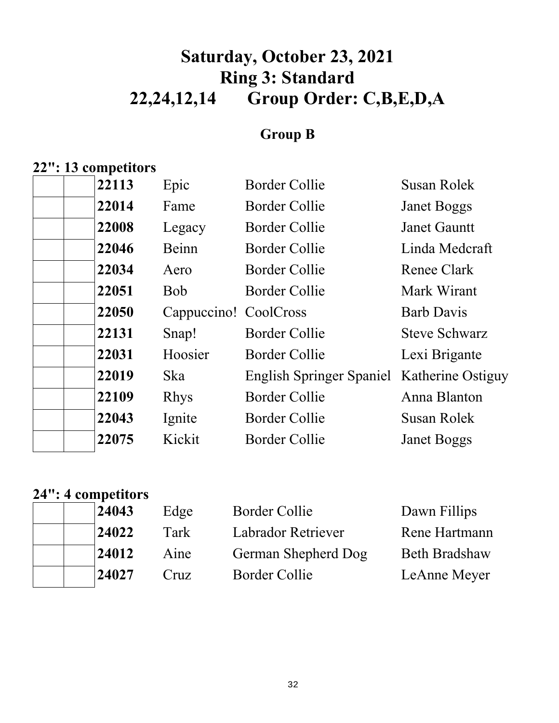# **Saturday, October 23, 2021 Ring 3: Standard 22,24,12,14 Group Order: C,B,E,D,A**

### **Group B**

### **22": 13 competitors**

| 22113 | Epic                  | <b>Border Collie</b>                       | Susan Rolek          |
|-------|-----------------------|--------------------------------------------|----------------------|
| 22014 | Fame                  | <b>Border Collie</b>                       | <b>Janet Boggs</b>   |
| 22008 | Legacy                | Border Collie                              | <b>Janet Gauntt</b>  |
| 22046 | Beinn                 | <b>Border Collie</b>                       | Linda Medcraft       |
| 22034 | Aero                  | <b>Border Collie</b>                       | Renee Clark          |
| 22051 | <b>Bob</b>            | <b>Border Collie</b>                       | Mark Wirant          |
| 22050 | Cappuccino! CoolCross |                                            | <b>Barb Davis</b>    |
| 22131 | Snap!                 | <b>Border Collie</b>                       | <b>Steve Schwarz</b> |
| 22031 | Hoosier               | <b>Border Collie</b>                       | Lexi Brigante        |
| 22019 | Ska                   | English Springer Spaniel Katherine Ostiguy |                      |
| 22109 | <b>Rhys</b>           | <b>Border Collie</b>                       | Anna Blanton         |
| 22043 | Ignite                | <b>Border Collie</b>                       | <b>Susan Rolek</b>   |
| 22075 | Kickit                | <b>Border Collie</b>                       | <b>Janet Boggs</b>   |
|       |                       |                                            |                      |

### **24": 4 competitors**

|  |                                  | Border Collie                | Dawn Fillips         |
|--|----------------------------------|------------------------------|----------------------|
|  |                                  | Labrador Retriever           | Rene Hartmann        |
|  |                                  | German Shepherd Dog          | <b>Beth Bradshaw</b> |
|  |                                  | Border Collie                | LeAnne Meyer         |
|  | 24043<br>24022<br>24012<br>24027 | Edge<br>Tark<br>Aine<br>Cruz |                      |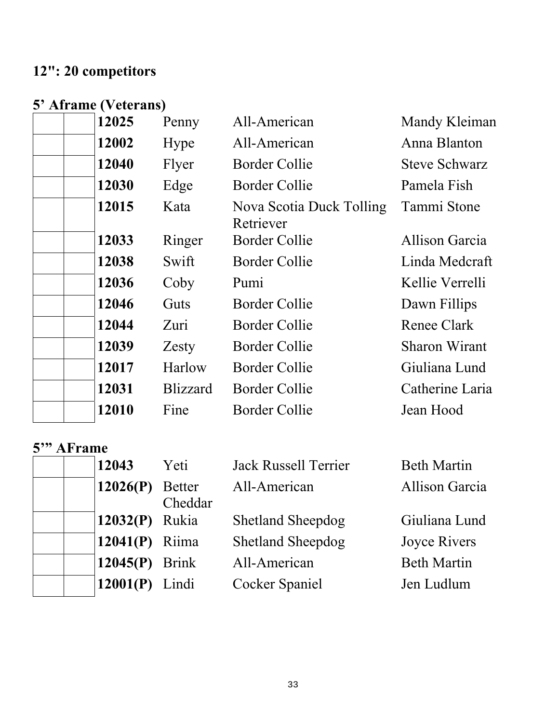# **12": 20 competitors**

### **5' Aframe (Veterans)**

| 12025 | Penny           | All-American                          | Mandy Kleiman         |
|-------|-----------------|---------------------------------------|-----------------------|
| 12002 | Hype            | All-American                          | Anna Blanton          |
| 12040 | Flyer           | <b>Border Collie</b>                  | <b>Steve Schwarz</b>  |
| 12030 | Edge            | <b>Border Collie</b>                  | Pamela Fish           |
| 12015 | Kata            | Nova Scotia Duck Tolling<br>Retriever | Tammi Stone           |
| 12033 | Ringer          | <b>Border Collie</b>                  | <b>Allison Garcia</b> |
| 12038 | Swift           | <b>Border Collie</b>                  | Linda Medcraft        |
| 12036 | Coby            | Pumi                                  | Kellie Verrelli       |
| 12046 | Guts            | <b>Border Collie</b>                  | Dawn Fillips          |
| 12044 | Zuri            | <b>Border Collie</b>                  | <b>Renee Clark</b>    |
| 12039 | Zesty           | <b>Border Collie</b>                  | <b>Sharon Wirant</b>  |
| 12017 | Harlow          | <b>Border Collie</b>                  | Giuliana Lund         |
| 12031 | <b>Blizzard</b> | <b>Border Collie</b>                  | Catherine Laria       |
| 12010 | Fine            | <b>Border Collie</b>                  | Jean Hood             |

#### **5'" AFrame**

| <u>TAI LAILIV</u> |         |                          |                       |
|-------------------|---------|--------------------------|-----------------------|
| 12043             | Yeti    | Jack Russell Terrier     | <b>Beth Martin</b>    |
| $12026(P)$ Better | Cheddar | All-American             | <b>Allison Garcia</b> |
| 12032(P) Rukia    |         | <b>Shetland Sheepdog</b> | Giuliana Lund         |
| 12041 $(P)$ Riima |         | <b>Shetland Sheepdog</b> | <b>Joyce Rivers</b>   |
| $12045(P)$ Brink  |         | All-American             | <b>Beth Martin</b>    |
| 12001(P)          | Lindi   | <b>Cocker Spaniel</b>    | Jen Ludlum            |
|                   |         |                          |                       |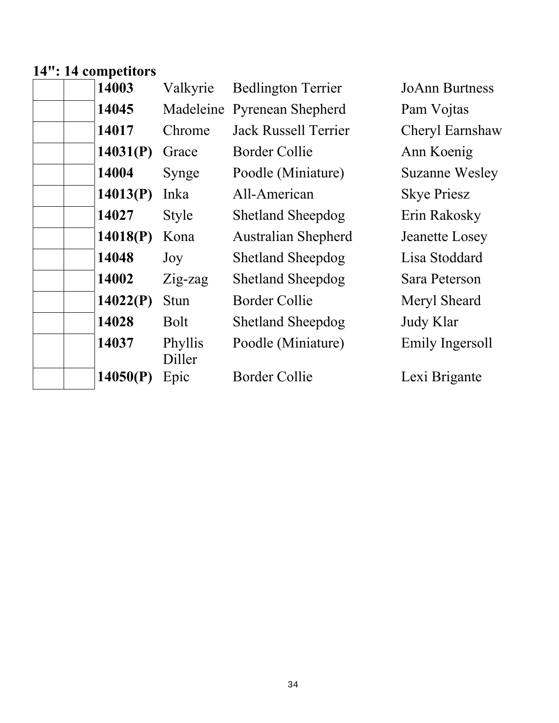## **14": 14 competitors**

| 14003    | Valkyrie          | <b>Bedlington Terrier</b>   | <b>JoAnn Burtness</b> |
|----------|-------------------|-----------------------------|-----------------------|
| 14045    |                   | Madeleine Pyrenean Shepherd | Pam Vojtas            |
| 14017    | Chrome            | Jack Russell Terrier        | Cheryl Earnshaw       |
| 14031(P) | Grace             | Border Collie               | Ann Koenig            |
| 14004    | Synge             | Poodle (Miniature)          | <b>Suzanne Wesley</b> |
| 14013(P) | Inka              | All-American                | <b>Skye Priesz</b>    |
| 14027    | <b>Style</b>      | <b>Shetland Sheepdog</b>    | Erin Rakosky          |
| 14018(P) | Kona              | <b>Australian Shepherd</b>  | Jeanette Losey        |
| 14048    | Joy               | <b>Shetland Sheepdog</b>    | Lisa Stoddard         |
| 14002    | Zig-zag           | <b>Shetland Sheepdog</b>    | Sara Peterson         |
| 14022(P) | <b>Stun</b>       | <b>Border Collie</b>        | Meryl Sheard          |
| 14028    | <b>Bolt</b>       | <b>Shetland Sheepdog</b>    | Judy Klar             |
| 14037    | Phyllis<br>Diller | Poodle (Miniature)          | Emily Ingersoll       |
| 14050(P) | Epic              | <b>Border Collie</b>        | Lexi Brigante         |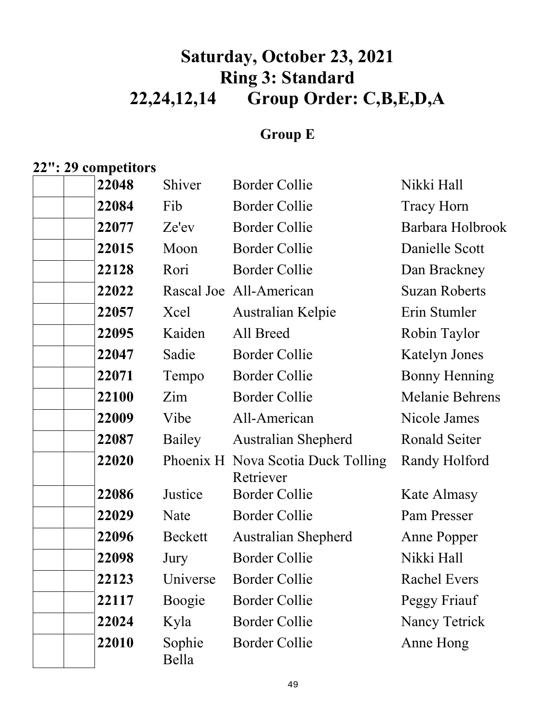# **Saturday, October 23, 2021 Ring 3: Standard 22,24,12,14 Group Order: C,B,E,D,A**

### **Group E**

### **22": 29 competitors**

| 22048 | Shiver          | <b>Border Collie</b>                            | Nikki Hall             |
|-------|-----------------|-------------------------------------------------|------------------------|
| 22084 | Fib             | <b>Border Collie</b>                            | <b>Tracy Horn</b>      |
| 22077 | Ze'ev           | <b>Border Collie</b>                            | Barbara Holbrook       |
| 22015 | Moon            | <b>Border Collie</b>                            | Danielle Scott         |
| 22128 | Rori            | <b>Border Collie</b>                            | Dan Brackney           |
| 22022 |                 | Rascal Joe All-American                         | <b>Suzan Roberts</b>   |
| 22057 | Xcel            | Australian Kelpie                               | Erin Stumler           |
| 22095 | Kaiden          | All Breed                                       | Robin Taylor           |
| 22047 | Sadie           | <b>Border Collie</b>                            | <b>Katelyn Jones</b>   |
| 22071 | Tempo           | <b>Border Collie</b>                            | <b>Bonny Henning</b>   |
| 22100 | Zim             | <b>Border Collie</b>                            | <b>Melanie Behrens</b> |
| 22009 | Vibe            | All-American                                    | Nicole James           |
| 22087 | Bailey          | <b>Australian Shepherd</b>                      | Ronald Seiter          |
| 22020 |                 | Phoenix H Nova Scotia Duck Tolling<br>Retriever | Randy Holford          |
| 22086 | Justice         | <b>Border Collie</b>                            | Kate Almasy            |
| 22029 | Nate            | <b>Border Collie</b>                            | Pam Presser            |
| 22096 | Beckett         | Australian Shepherd                             | <b>Anne Popper</b>     |
| 22098 | Jury            | <b>Border Collie</b>                            | Nikki Hall             |
| 22123 | Universe        | <b>Border Collie</b>                            | <b>Rachel Evers</b>    |
| 22117 | Boogie          | <b>Border Collie</b>                            | Peggy Friauf           |
| 22024 | Kyla            | <b>Border Collie</b>                            | <b>Nancy Tetrick</b>   |
| 22010 | Sophie<br>Bella | <b>Border Collie</b>                            | Anne Hong              |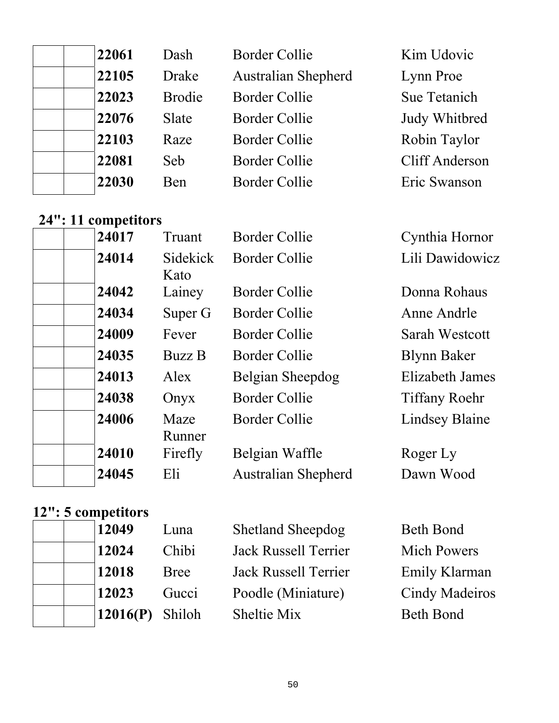| 22061 | Dash          | <b>Border Collie</b>       | Kim Udovic     |
|-------|---------------|----------------------------|----------------|
| 22105 | <b>Drake</b>  | <b>Australian Shepherd</b> | Lynn Proe      |
| 22023 | <b>Brodie</b> | <b>Border Collie</b>       | Sue Tetanich   |
| 22076 | Slate         | Border Collie              | Judy Whitbred  |
| 22103 | Raze          | <b>Border Collie</b>       | Robin Taylor   |
| 22081 | Seb           | <b>Border Collie</b>       | Cliff Anderson |
| 22030 | Ben           | <b>Border Collie</b>       | Eric Swanson   |
|       |               |                            |                |

### **24": 11 competitors**

| 24017 | Truant           | <b>Border Collie</b>       | Cynthia Hornor         |
|-------|------------------|----------------------------|------------------------|
| 24014 | Sidekick<br>Kato | <b>Border Collie</b>       | Lili Dawidowicz        |
| 24042 | Lainey           | <b>Border Collie</b>       | Donna Rohaus           |
| 24034 | Super G          | Border Collie              | Anne Andrle            |
| 24009 | Fever            | Border Collie              | Sarah Westcott         |
| 24035 | <b>Buzz B</b>    | <b>Border Collie</b>       | <b>Blynn Baker</b>     |
| 24013 | Alex             | Belgian Sheepdog           | <b>Elizabeth James</b> |
| 24038 | Onyx             | <b>Border Collie</b>       | <b>Tiffany Roehr</b>   |
| 24006 | Maze<br>Runner   | Border Collie              | <b>Lindsey Blaine</b>  |
| 24010 | Firefly          | Belgian Waffle             | Roger Ly               |
| 24045 | Eli              | <b>Australian Shepherd</b> | Dawn Wood              |

# **12": 5 competitors**

| <b>Beth Bond</b>      |
|-----------------------|
| <b>Mich Powers</b>    |
| Emily Klarman         |
| <b>Cindy Madeiros</b> |
| <b>Beth Bond</b>      |
|                       |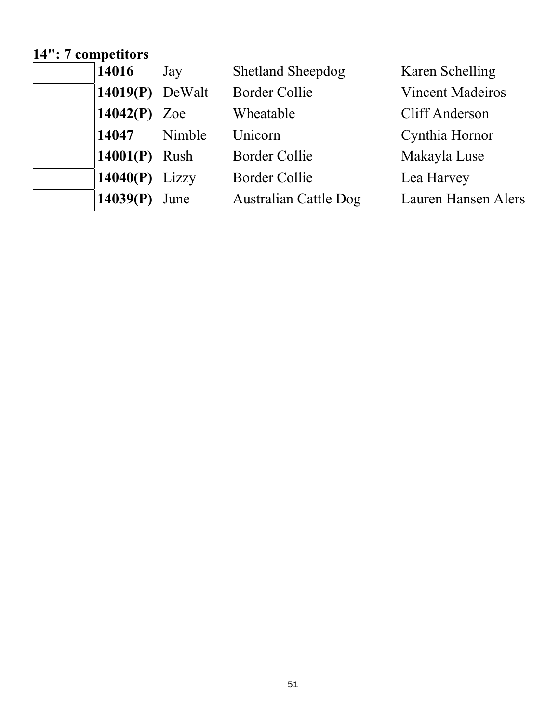## **14": 7 competitors**

| 14016 | Jay               | <b>Shetland Sheepdog</b>     | Karen Schelling            |
|-------|-------------------|------------------------------|----------------------------|
|       | $14019(P)$ DeWalt | <b>Border Collie</b>         | <b>Vincent Madeiros</b>    |
|       | 14042 $(P)$ Zoe   | Wheatable                    | Cliff Anderson             |
| 14047 | Nimble            | Unicorn                      | Cynthia Hornor             |
|       | $14001(P)$ Rush   | <b>Border Collie</b>         | Makayla Luse               |
|       | 14040 $(P)$ Lizzy | <b>Border Collie</b>         | Lea Harvey                 |
|       | $14039(P)$ June   | <b>Australian Cattle Dog</b> | <b>Lauren Hansen Alers</b> |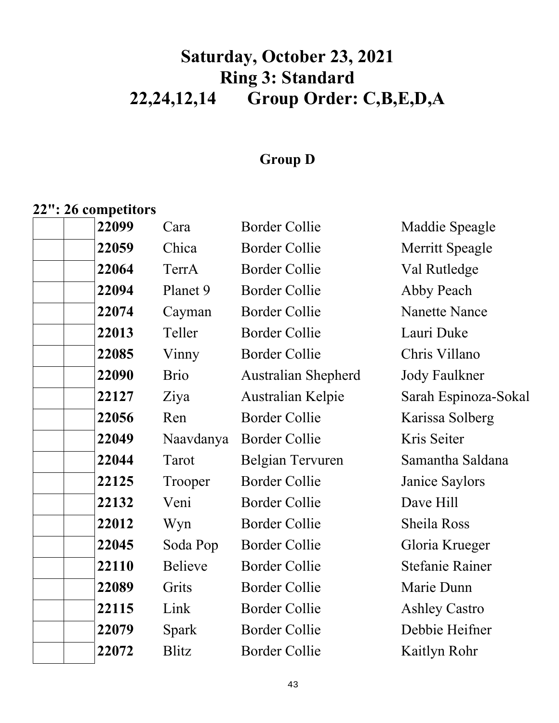# **Saturday, October 23, 2021 Ring 3: Standard 22,24,12,14 Group Order: C,B,E,D,A**

### **Group D**

## **22": 26 competitors**

| 22099 | Cara           | <b>Border Collie</b>       | Maddie Speagle         |
|-------|----------------|----------------------------|------------------------|
| 22059 | Chica          | <b>Border Collie</b>       | <b>Merritt Speagle</b> |
| 22064 | TerrA          | <b>Border Collie</b>       | Val Rutledge           |
| 22094 | Planet 9       | <b>Border Collie</b>       | Abby Peach             |
| 22074 | Cayman         | <b>Border Collie</b>       | <b>Nanette Nance</b>   |
| 22013 | Teller         | <b>Border Collie</b>       | Lauri Duke             |
| 22085 | Vinny          | <b>Border Collie</b>       | Chris Villano          |
| 22090 | <b>Brio</b>    | <b>Australian Shepherd</b> | <b>Jody Faulkner</b>   |
| 22127 | Ziya           | Australian Kelpie          | Sarah Espinoza-Sokal   |
| 22056 | Ren            | <b>Border Collie</b>       | Karissa Solberg        |
| 22049 | Naavdanya      | <b>Border Collie</b>       | Kris Seiter            |
| 22044 | Tarot          | Belgian Tervuren           | Samantha Saldana       |
| 22125 | Trooper        | <b>Border Collie</b>       | Janice Saylors         |
| 22132 | Veni           | <b>Border Collie</b>       | Dave Hill              |
| 22012 | Wyn            | <b>Border Collie</b>       | Sheila Ross            |
| 22045 | Soda Pop       | <b>Border Collie</b>       | Gloria Krueger         |
| 22110 | <b>Believe</b> | <b>Border Collie</b>       | <b>Stefanie Rainer</b> |
| 22089 | Grits          | <b>Border Collie</b>       | Marie Dunn             |
| 22115 | Link           | <b>Border Collie</b>       | <b>Ashley Castro</b>   |
| 22079 | Spark          | <b>Border Collie</b>       | Debbie Heifner         |
| 22072 | <b>Blitz</b>   | <b>Border Collie</b>       | Kaitlyn Rohr           |
|       |                |                            |                        |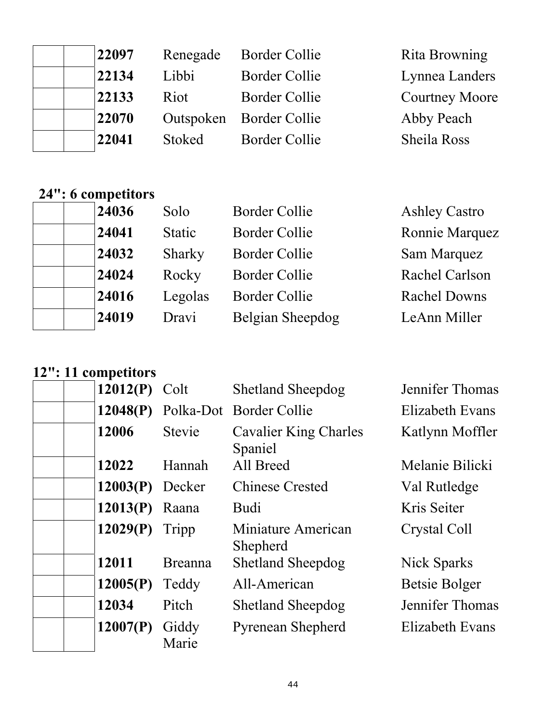| 22097 | Renegade      | Border Collie           | Rita Browning         |
|-------|---------------|-------------------------|-----------------------|
| 22134 | Libbi         | <b>Border Collie</b>    | Lynnea Landers        |
| 22133 | Riot          | <b>Border Collie</b>    | <b>Courtney Moore</b> |
| 22070 |               | Outspoken Border Collie | Abby Peach            |
| 22041 | <b>Stoked</b> | <b>Border Collie</b>    | Sheila Ross           |

## **24": 6 competitors**

| 24036 | Solo          | <b>Border Collie</b> | <b>Ashley Castro</b> |
|-------|---------------|----------------------|----------------------|
| 24041 | <b>Static</b> | <b>Border Collie</b> | Ronnie Marquez       |
| 24032 | Sharky        | <b>Border Collie</b> | Sam Marquez          |
| 24024 | Rocky         | <b>Border Collie</b> | Rachel Carlson       |
| 24016 | Legolas       | <b>Border Collie</b> | <b>Rachel Downs</b>  |
| 24019 | Dravi         | Belgian Sheepdog     | LeAnn Miller         |

# **12": 11 competitors**

| 12012(P)          | Colt           | <b>Shetland Sheepdog</b>                | Jennifer Thomas |
|-------------------|----------------|-----------------------------------------|-----------------|
| 12048(P)          |                | Polka-Dot Border Collie                 | Elizabeth Evans |
| 12006             | <b>Stevie</b>  | <b>Cavalier King Charles</b><br>Spaniel | Katlynn Moffler |
| 12022             | Hannah         | All Breed                               | Melanie Bilicki |
| $12003(P)$ Decker |                | <b>Chinese Crested</b>                  | Val Rutledge    |
| 12013(P)          | Raana          | <b>Budi</b>                             | Kris Seiter     |
| 12029(P)          | Tripp          | Miniature American<br>Shepherd          | Crystal Coll    |
| 12011             | <b>Breanna</b> | <b>Shetland Sheepdog</b>                | Nick Sparks     |
| 12005(P)          | Teddy          | All-American                            | Betsie Bolger   |
| 12034             | Pitch          | <b>Shetland Sheepdog</b>                | Jennifer Thomas |
| 12007(P)          | Giddy<br>Marie | <b>Pyrenean Shepherd</b>                | Elizabeth Evans |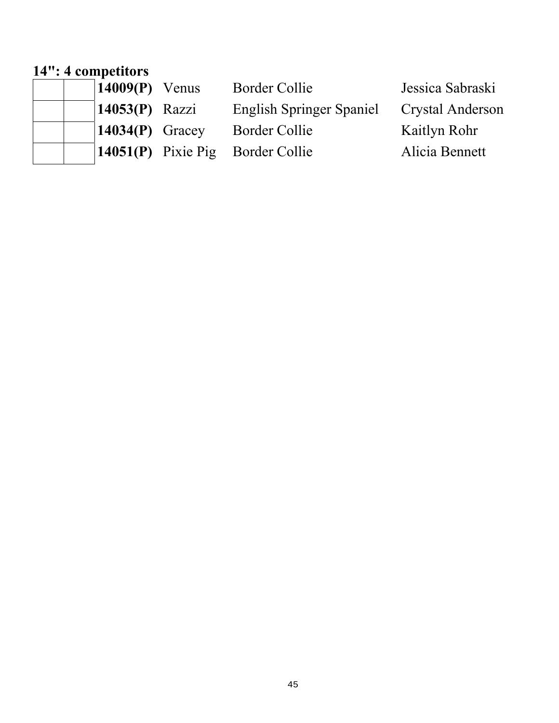#### **14": 4 competitors**

| $\vert 14009(P)$ Venus        | Border Collie                      | Jessica Sabraski |
|-------------------------------|------------------------------------|------------------|
| $14053(P)$ Razzi              | <b>English Springer Spaniel</b>    | Crystal Anderson |
| $\vert 14034(P) \vert$ Gracey | Border Collie                      | Kaitlyn Rohr     |
|                               | $14051(P)$ Pixie Pig Border Collie | Alicia Bennett   |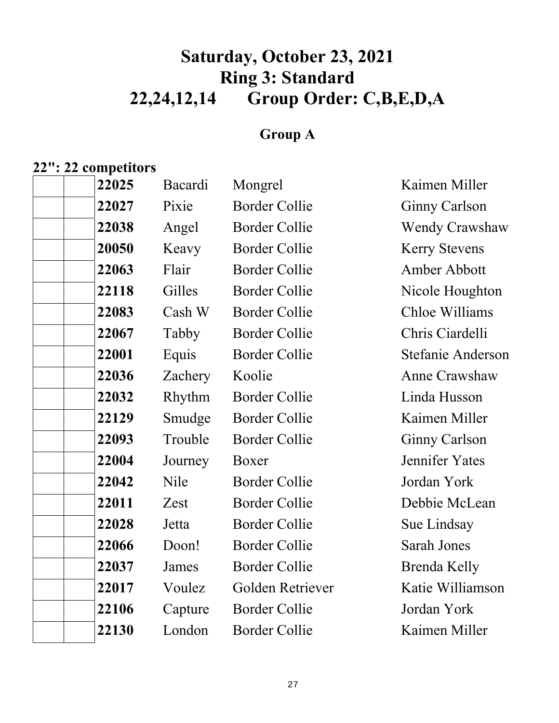# **Saturday, October 23, 2021 Ring 3: Standard 22,24,12,14 Group Order: C,B,E,D,A**

### **Group A**

## **22": 22 competitors**

| 22025 | Bacardi     | Mongrel              | Kaimen Miller         |
|-------|-------------|----------------------|-----------------------|
| 22027 | Pixie       | <b>Border Collie</b> | <b>Ginny Carlson</b>  |
| 22038 | Angel       | <b>Border Collie</b> | <b>Wendy Crawshaw</b> |
| 20050 | Keavy       | <b>Border Collie</b> | <b>Kerry Stevens</b>  |
| 22063 | Flair       | <b>Border Collie</b> | Amber Abbott          |
| 22118 | Gilles      | <b>Border Collie</b> | Nicole Houghton       |
| 22083 | Cash W      | <b>Border Collie</b> | Chloe Williams        |
| 22067 | Tabby       | <b>Border Collie</b> | Chris Ciardelli       |
| 22001 | Equis       | <b>Border Collie</b> | Stefanie Anderson     |
| 22036 | Zachery     | Koolie               | Anne Crawshaw         |
| 22032 | Rhythm      | <b>Border Collie</b> | Linda Husson          |
| 22129 | Smudge      | <b>Border Collie</b> | Kaimen Miller         |
| 22093 | Trouble     | <b>Border Collie</b> | Ginny Carlson         |
| 22004 | Journey     | Boxer                | Jennifer Yates        |
| 22042 | <b>Nile</b> | <b>Border Collie</b> | Jordan York           |
| 22011 | Zest        | <b>Border Collie</b> | Debbie McLean         |
| 22028 | Jetta       | <b>Border Collie</b> | Sue Lindsay           |
| 22066 | Doon!       | <b>Border Collie</b> | Sarah Jones           |
| 22037 | James       | <b>Border Collie</b> | Brenda Kelly          |
| 22017 | Voulez      | Golden Retriever     | Katie Williamson      |
| 22106 | Capture     | <b>Border Collie</b> | Jordan York           |
| 22130 | London      | <b>Border Collie</b> | Kaimen Miller         |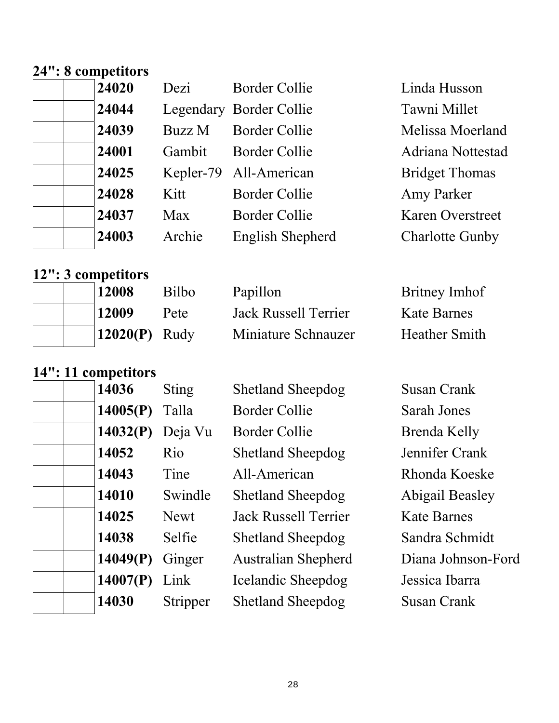#### **24": 8 competitors**

|  | 24020 |  |
|--|-------|--|
|  | 24044 |  |
|  | 24039 |  |
|  | 24001 |  |
|  | 24025 |  |
|  | 24028 |  |
|  | 24037 |  |
|  | 24003 |  |
|  |       |  |

| Dezi   | <b>Border Collie</b>    | Linda Husson            |
|--------|-------------------------|-------------------------|
|        | Legendary Border Collie | Tawni Millet            |
| Buzz M | <b>Border Collie</b>    | Melissa Moerland        |
| Gambit | <b>Border Collie</b>    | Adriana Nottestad       |
|        | Kepler-79 All-American  | <b>Bridget Thomas</b>   |
| Kitt   | Border Collie           | Amy Parker              |
| Max    | Border Collie           | <b>Karen Overstreet</b> |
| Archie | English Shepherd        | <b>Charlotte Gunby</b>  |
|        |                         |                         |

### **12": 3 competitors**

|  | 12008           | <b>Bilbo</b> | Papillon             | Britney Imhof        |
|--|-----------------|--------------|----------------------|----------------------|
|  | 12009           | Pete         | Jack Russell Terrier | <b>Kate Barnes</b>   |
|  | $12020(P)$ Rudy |              | Miniature Schnauzer  | <b>Heather Smith</b> |

### **14": 11 competitors**

| 14036    | <b>Sting</b> | <b>Shetland Sheepdog</b>    | Susan Crank        |
|----------|--------------|-----------------------------|--------------------|
| 14005(P) | Talla        | <b>Border Collie</b>        | <b>Sarah Jones</b> |
| 14032(P) | Deja Vu      | Border Collie               | Brenda Kelly       |
| 14052    | Rio          | <b>Shetland Sheepdog</b>    | Jennifer Crank     |
| 14043    | Tine         | All-American                | Rhonda Koeske      |
| 14010    | Swindle      | <b>Shetland Sheepdog</b>    | Abigail Beasley    |
| 14025    | Newt         | <b>Jack Russell Terrier</b> | <b>Kate Barnes</b> |
| 14038    | Selfie       | <b>Shetland Sheepdog</b>    | Sandra Schmidt     |
| 14049(P) | Ginger       | <b>Australian Shepherd</b>  | Diana Johnson-Ford |
| 14007(P) | Link         | Icelandic Sheepdog          | Jessica Ibarra     |
| 14030    | Stripper     | <b>Shetland Sheepdog</b>    | Susan Crank        |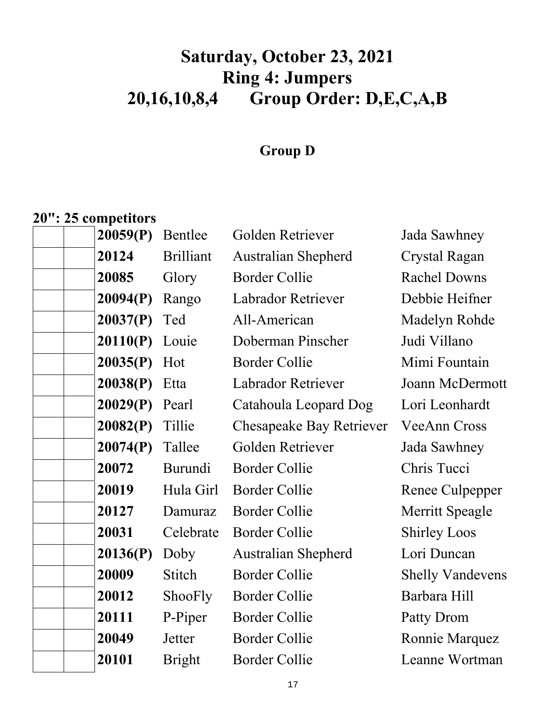# **Saturday, October 23, 2021 Ring 4: Jumpers 20,16,10,8,4 Group Order: D,E,C,A,B**

### **Group D**

### **20": 25 competitors**

| 20059(P) | Bentlee          | Golden Retriever                | Jada Sawhney            |
|----------|------------------|---------------------------------|-------------------------|
| 20124    | <b>Brilliant</b> | <b>Australian Shepherd</b>      | Crystal Ragan           |
| 20085    | Glory            | <b>Border Collie</b>            | <b>Rachel Downs</b>     |
| 20094(P) | Rango            | Labrador Retriever              | Debbie Heifner          |
| 20037(P) | Ted              | All-American                    | Madelyn Rohde           |
| 20110(P) | Louie            | Doberman Pinscher               | Judi Villano            |
| 20035(P) | Hot              | <b>Border Collie</b>            | Mimi Fountain           |
| 20038(P) | Etta             | Labrador Retriever              | Joann McDermott         |
| 20029(P) | Pearl            | Catahoula Leopard Dog           | Lori Leonhardt          |
| 20082(P) | Tillie           | <b>Chesapeake Bay Retriever</b> | <b>VeeAnn Cross</b>     |
| 20074(P) | Tallee           | Golden Retriever                | Jada Sawhney            |
| 20072    | Burundi          | <b>Border Collie</b>            | Chris Tucci             |
| 20019    | Hula Girl        | <b>Border Collie</b>            | Renee Culpepper         |
| 20127    | Damuraz          | <b>Border Collie</b>            | Merritt Speagle         |
| 20031    | Celebrate        | <b>Border Collie</b>            | <b>Shirley Loos</b>     |
| 20136(P) | Doby             | <b>Australian Shepherd</b>      | Lori Duncan             |
| 20009    | Stitch           | <b>Border Collie</b>            | <b>Shelly Vandevens</b> |
| 20012    | ShooFly          | <b>Border Collie</b>            | Barbara Hill            |
| 20111    | P-Piper          | <b>Border Collie</b>            | Patty Drom              |
| 20049    | Jetter           | <b>Border Collie</b>            | Ronnie Marquez          |
| 20101    | <b>Bright</b>    | <b>Border Collie</b>            | Leanne Wortman          |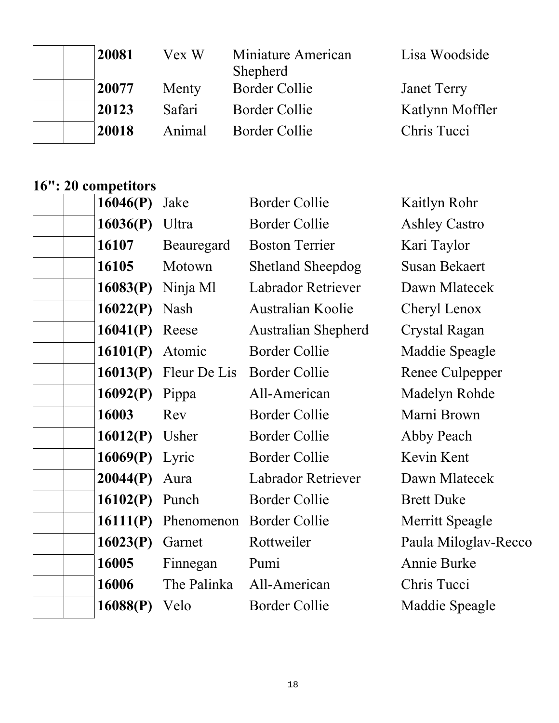| 20081 | Vex W  | Miniature American<br>Shepherd | Lisa Woodside      |
|-------|--------|--------------------------------|--------------------|
| 20077 | Menty  | <b>Border Collie</b>           | <b>Janet Terry</b> |
| 20123 | Safari | <b>Border Collie</b>           | Katlynn Moffler    |
| 20018 | Animal | Border Collie                  | Chris Tucci        |

#### **16": 20 competitors**

| 16046(P) | Jake         | <b>Border Collie</b>       | Kaitlyn Rohr         |
|----------|--------------|----------------------------|----------------------|
| 16036(P) | Ultra        | <b>Border Collie</b>       | <b>Ashley Castro</b> |
| 16107    | Beauregard   | <b>Boston Terrier</b>      | Kari Taylor          |
| 16105    | Motown       | <b>Shetland Sheepdog</b>   | <b>Susan Bekaert</b> |
| 16083(P) | Ninja Ml     | <b>Labrador Retriever</b>  | Dawn Mlatecek        |
| 16022(P) | Nash         | Australian Koolie          | Cheryl Lenox         |
| 16041(P) | Reese        | <b>Australian Shepherd</b> | Crystal Ragan        |
| 16101(P) | Atomic       | <b>Border Collie</b>       | Maddie Speagle       |
| 16013(P) | Fleur De Lis | <b>Border Collie</b>       | Renee Culpepper      |
| 16092(P) | Pippa        | All-American               | Madelyn Rohde        |
| 16003    | Rev          | <b>Border Collie</b>       | Marni Brown          |
| 16012(P) | Usher        | <b>Border Collie</b>       | Abby Peach           |
| 16069(P) | Lyric        | <b>Border Collie</b>       | Kevin Kent           |
| 20044(P) | Aura         | Labrador Retriever         | Dawn Mlatecek        |
| 16102(P) | Punch        | <b>Border Collie</b>       | <b>Brett Duke</b>    |
| 16111(P) | Phenomenon   | <b>Border Collie</b>       | Merritt Speagle      |
| 16023(P) | Garnet       | Rottweiler                 | Paula Miloglav-Recco |
| 16005    | Finnegan     | Pumi                       | Annie Burke          |
| 16006    | The Palinka  | All-American               | Chris Tucci          |
| 16088(P) | Velo         | <b>Border Collie</b>       | Maddie Speagle       |
|          |              |                            |                      |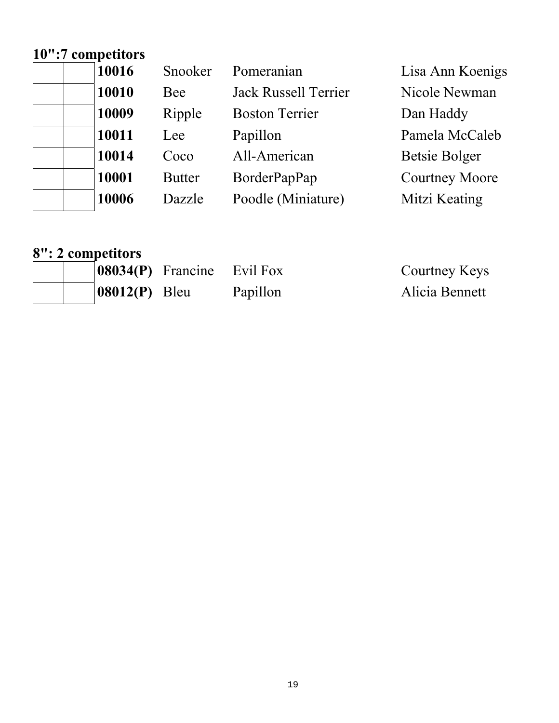## **10":7 competitors**

| 10016 | Snooker       | Pomeranian            | Lisa Ann Koenigs      |
|-------|---------------|-----------------------|-----------------------|
| 10010 | Bee           | Jack Russell Terrier  | Nicole Newman         |
| 10009 | Ripple        | <b>Boston Terrier</b> | Dan Haddy             |
| 10011 | Lee           | Papillon              | Pamela McCaleb        |
| 10014 | Coco          | All-American          | <b>Betsie Bolger</b>  |
| 10001 | <b>Butter</b> | BorderPapPap          | <b>Courtney Moore</b> |
| 10006 | Dazzle        | Poodle (Miniature)    | Mitzi Keating         |

#### **8": 2 competitors**

| $ 08034(P)$ Francine Evil Fox |          | Courtney Keys  |
|-------------------------------|----------|----------------|
| $ 08012(P)$ Bleu              | Papillon | Alicia Bennett |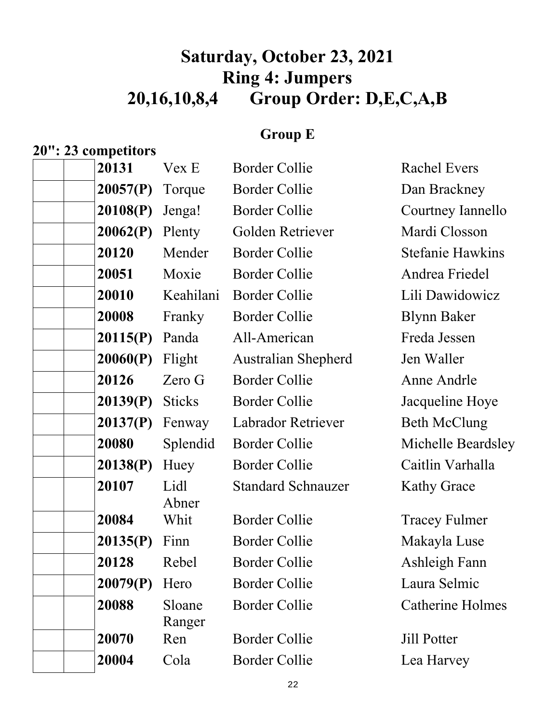# **Saturday, October 23, 2021 Ring 4: Jumpers 20,16,10,8,4 Group Order: D,E,C,A,B**

### **Group E**

### **20": 23 competitors**

| 20131    | Vex E            | <b>Border Collie</b>       | <b>Rachel Evers</b>     |
|----------|------------------|----------------------------|-------------------------|
| 20057(P) | Torque           | Border Collie              | Dan Brackney            |
| 20108(P) | Jenga!           | <b>Border Collie</b>       | Courtney Iannello       |
| 20062(P) | Plenty           | Golden Retriever           | Mardi Closson           |
| 20120    | Mender           | <b>Border Collie</b>       | <b>Stefanie Hawkins</b> |
| 20051    | Moxie            | <b>Border Collie</b>       | Andrea Friedel          |
| 20010    | Keahilani        | <b>Border Collie</b>       | Lili Dawidowicz         |
| 20008    | Franky           | <b>Border Collie</b>       | <b>Blynn Baker</b>      |
| 20115(P) | Panda            | All-American               | Freda Jessen            |
| 20060(P) | Flight           | <b>Australian Shepherd</b> | Jen Waller              |
| 20126    | Zero G           | <b>Border Collie</b>       | Anne Andrle             |
| 20139(P) | <b>Sticks</b>    | <b>Border Collie</b>       | Jacqueline Hoye         |
| 20137(P) | Fenway           | Labrador Retriever         | <b>Beth McClung</b>     |
| 20080    | Splendid         | <b>Border Collie</b>       | Michelle Beardsley      |
| 20138(P) | Huey             | <b>Border Collie</b>       | Caitlin Varhalla        |
| 20107    | Lidl<br>Abner    | <b>Standard Schnauzer</b>  | <b>Kathy Grace</b>      |
| 20084    | Whit             | <b>Border Collie</b>       | <b>Tracey Fulmer</b>    |
| 20135(P) | Finn             | <b>Border Collie</b>       | Makayla Luse            |
| 20128    | Rebel            | <b>Border Collie</b>       | Ashleigh Fann           |
| 20079(P) | Hero             | <b>Border Collie</b>       | Laura Selmic            |
| 20088    | Sloane<br>Ranger | <b>Border Collie</b>       | <b>Catherine Holmes</b> |
| 20070    | Ren              | <b>Border Collie</b>       | <b>Jill Potter</b>      |
| 20004    | Cola             | <b>Border Collie</b>       | Lea Harvey              |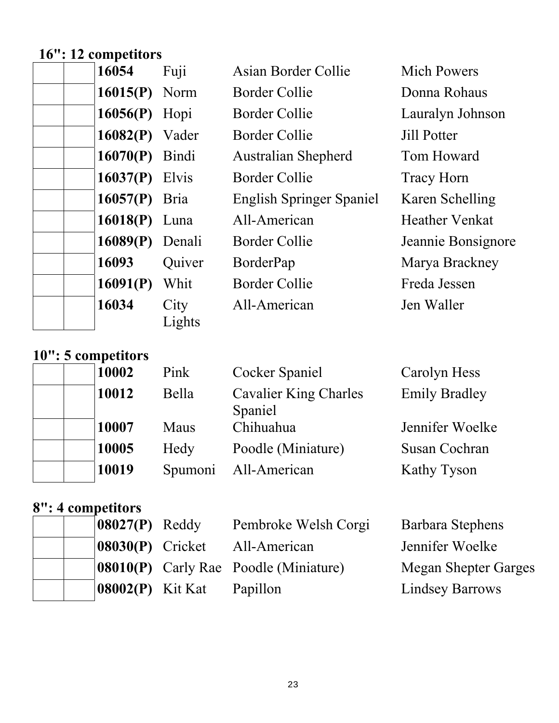# **16": 12 competitors**

| 16054                 | Fuji           | Asian Border Collie             | <b>Mich Powers</b>    |
|-----------------------|----------------|---------------------------------|-----------------------|
| $16015(P)$ Norm       |                | Border Collie                   | Donna Rohaus          |
| $16056(P)$ Hopi       |                | <b>Border Collie</b>            | Lauralyn Johnson      |
| $16082(P)$ Vader      |                | Border Collie                   | <b>Jill Potter</b>    |
| $16070(P)$ Bindi      |                | <b>Australian Shepherd</b>      | Tom Howard            |
| <b>16037(P)</b> Elvis |                | Border Collie                   | <b>Tracy Horn</b>     |
| $16057(P)$ Bria       |                | <b>English Springer Spaniel</b> | Karen Schelling       |
| 16018(P) Luna         |                | All-American                    | <b>Heather Venkat</b> |
| $16089(P)$ Denali     |                | Border Collie                   | Jeannie Bonsignore    |
| 16093                 | Quiver         | BorderPap                       | Marya Brackney        |
| 16091(P)              | Whit           | Border Collie                   | Freda Jessen          |
| 16034                 | City<br>Lights | All-American                    | Jen Waller            |

### **10": 5 competitors**

| $10 \rightarrow 0$ tomponions |         |                                         |                      |
|-------------------------------|---------|-----------------------------------------|----------------------|
| 10002                         | Pink    | <b>Cocker Spaniel</b>                   | Carolyn Hess         |
| 10012                         | Bella   | <b>Cavalier King Charles</b><br>Spaniel | <b>Emily Bradley</b> |
| 10007                         | Maus    | Chihuahua                               | Jennifer Woelke      |
| 10005                         | Hedy    | Poodle (Miniature)                      | Susan Cochran        |
| 10019                         | Spumoni | All-American                            | Kathy Tyson          |
|                               |         |                                         |                      |

# **8": 4 competitors**

|  | $ 08027(P)$ Reddy              | Pembroke Welsh Corgi                         | Barbara Stephens       |
|--|--------------------------------|----------------------------------------------|------------------------|
|  | $ 08030(P)$ Cricket            | All-American                                 | Jennifer Woelke        |
|  |                                | <b>08010(P)</b> Carly Rae Poodle (Miniature) | Megan Shepter Garges   |
|  | $\vert 08002(P) \vert$ Kit Kat | Papillon                                     | <b>Lindsey Barrows</b> |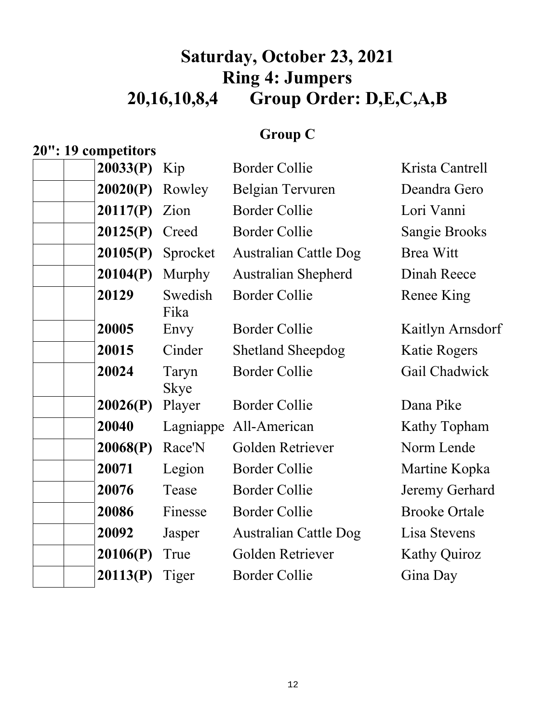# **Saturday, October 23, 2021 Ring 4: Jumpers 20,16,10,8,4 Group Order: D,E,C,A,B**

### **Group C**

| 20": 19 competitors |                      |                              |                      |
|---------------------|----------------------|------------------------------|----------------------|
| 20033(P)            | Kip                  | <b>Border Collie</b>         | Krista Cantrell      |
| 20020(P)            | Rowley               | Belgian Tervuren             | Deandra Gero         |
| 20117(P)            | Zion                 | <b>Border Collie</b>         | Lori Vanni           |
| 20125(P)            | Creed                | <b>Border Collie</b>         | <b>Sangie Brooks</b> |
| 20105(P)            | Sprocket             | <b>Australian Cattle Dog</b> | <b>Brea Witt</b>     |
| 20104(P)            | Murphy               | Australian Shepherd          | Dinah Reece          |
| 20129               | Swedish<br>Fika      | <b>Border Collie</b>         | Renee King           |
| 20005               | Envy                 | <b>Border Collie</b>         | Kaitlyn Arnsdorf     |
| 20015               | Cinder               | <b>Shetland Sheepdog</b>     | <b>Katie Rogers</b>  |
| 20024               | Taryn<br><b>Skye</b> | <b>Border Collie</b>         | Gail Chadwick        |
| 20026(P)            | Player               | <b>Border Collie</b>         | Dana Pike            |
| 20040               | Lagniappe            | All-American                 | Kathy Topham         |
| 20068(P)            | Race'N               | Golden Retriever             | Norm Lende           |
| 20071               | Legion               | <b>Border Collie</b>         | Martine Kopka        |
| 20076               | Tease                | <b>Border Collie</b>         | Jeremy Gerhard       |
| 20086               | Finesse              | <b>Border Collie</b>         | <b>Brooke Ortale</b> |
| 20092               | Jasper               | <b>Australian Cattle Dog</b> | Lisa Stevens         |
| 20106(P)            | True                 | Golden Retriever             | <b>Kathy Quiroz</b>  |
| 20113(P)            | Tiger                | <b>Border Collie</b>         | Gina Day             |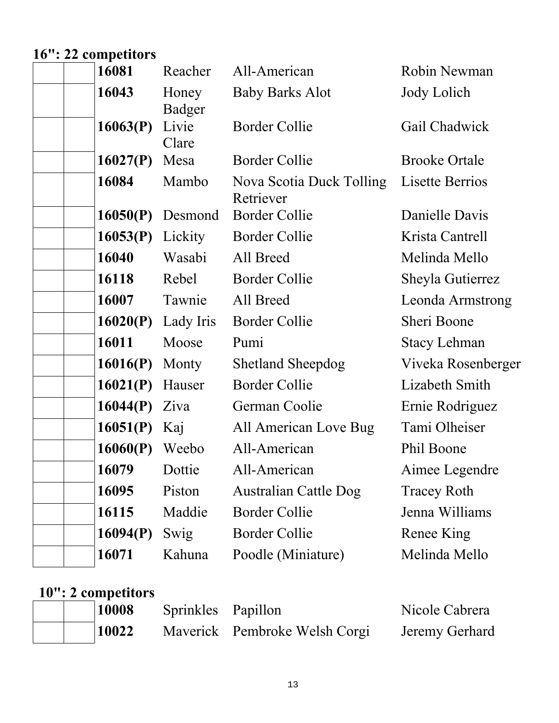# **16": 22 competitors**

| 16081    | Reacher         | All-American                          | Robin Newman         |
|----------|-----------------|---------------------------------------|----------------------|
| 16043    | Honey<br>Badger | <b>Baby Barks Alot</b>                | Jody Lolich          |
| 16063(P) | Livie<br>Clare  | <b>Border Collie</b>                  | Gail Chadwick        |
| 16027(P) | Mesa            | <b>Border Collie</b>                  | <b>Brooke Ortale</b> |
| 16084    | Mambo           | Nova Scotia Duck Tolling<br>Retriever | Lisette Berrios      |
| 16050(P) | Desmond         | <b>Border Collie</b>                  | Danielle Davis       |
| 16053(P) | Lickity         | <b>Border Collie</b>                  | Krista Cantrell      |
| 16040    | Wasabi          | All Breed                             | Melinda Mello        |
| 16118    | Rebel           | <b>Border Collie</b>                  | Sheyla Gutierrez     |
| 16007    | Tawnie          | All Breed                             | Leonda Armstrong     |
| 16020(P) | Lady Iris       | <b>Border Collie</b>                  | Sheri Boone          |
| 16011    | Moose           | Pumi                                  | <b>Stacy Lehman</b>  |
| 16016(P) | Monty           | <b>Shetland Sheepdog</b>              | Viveka Rosenberger   |
| 16021(P) | Hauser          | <b>Border Collie</b>                  | Lizabeth Smith       |
| 16044(P) | Ziva            | German Coolie                         | Ernie Rodriguez      |
| 16051(P) | Kaj             | All American Love Bug                 | Tami Olheiser        |
| 16060(P) | Weebo           | All-American                          | Phil Boone           |
| 16079    | Dottie          | All-American                          | Aimee Legendre       |
| 16095    | Piston          | Australian Cattle Dog                 | <b>Tracey Roth</b>   |
| 16115    | Maddie          | <b>Border Collie</b>                  | Jenna Williams       |
| 16094(P) | Swig            | <b>Border Collie</b>                  | Renee King           |
| 16071    | Kahuna          | Poodle (Miniature)                    | Melinda Mello        |
|          |                 |                                       |                      |

# **10": 2 competitors**

| 10008 | Sprinkles Papillon |                               | Nicole Cabrera |
|-------|--------------------|-------------------------------|----------------|
| 10022 |                    | Maverick Pembroke Welsh Corgi | Jeremy Gerhard |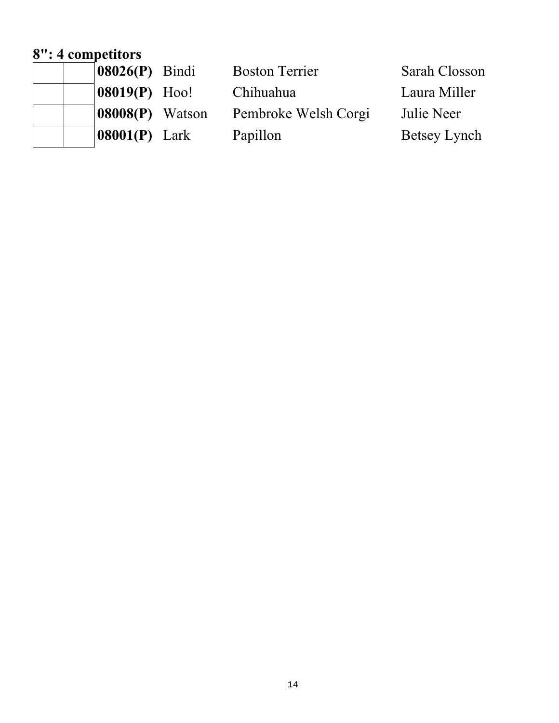### **8": 4 competitors**

| $ 08026(P)$ Bindi           | <b>Boston Terrier</b> | Sarah Closson |
|-----------------------------|-----------------------|---------------|
| $ 08019(P)$ Hoo!            | Chihuahua             | Laura Miller  |
| $ 08008(P)$ Watson          | Pembroke Welsh Corgi  | Julie Neer    |
| $\vert 08001(P) \vert$ Lark | Papillon              | Betsey Lynch  |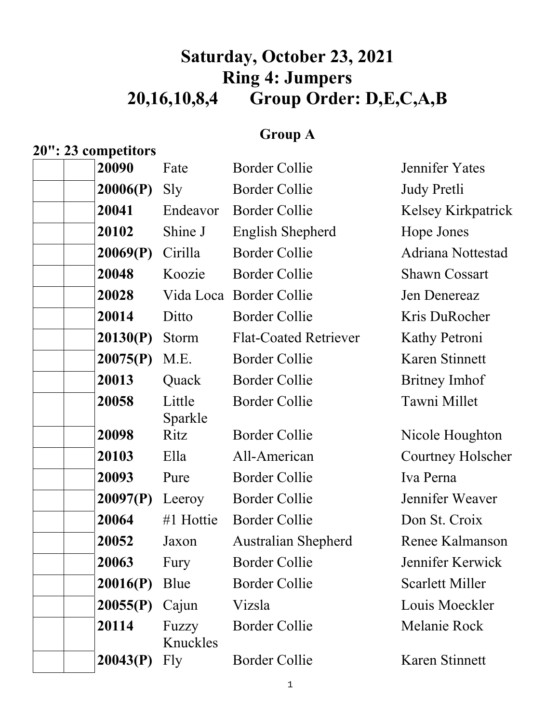# **Saturday, October 23, 2021 Ring 4: Jumpers 20,16,10,8,4 Group Order: D,E,C,A,B**

### **Group A**

#### **20": 23 competitors**

| Border Collie |  |
|---------------|--|
|               |  |

| 20090    | Fate              | <b>Border Collie</b>         | Jennifer Yates         |
|----------|-------------------|------------------------------|------------------------|
| 20006(P) | Sly               | <b>Border Collie</b>         | Judy Pretli            |
| 20041    | Endeavor          | <b>Border Collie</b>         | Kelsey Kirkpatrick     |
| 20102    | Shine J           | English Shepherd             | Hope Jones             |
| 20069(P) | Cirilla           | <b>Border Collie</b>         | Adriana Nottestad      |
| 20048    | Koozie            | <b>Border Collie</b>         | <b>Shawn Cossart</b>   |
| 20028    |                   | Vida Loca Border Collie      | Jen Denereaz           |
| 20014    | Ditto             | <b>Border Collie</b>         | Kris DuRocher          |
| 20130(P) | Storm             | <b>Flat-Coated Retriever</b> | Kathy Petroni          |
| 20075(P) | M.E.              | <b>Border Collie</b>         | Karen Stinnett         |
| 20013    | Quack             | <b>Border Collie</b>         | <b>Britney Imhof</b>   |
| 20058    | Little<br>Sparkle | <b>Border Collie</b>         | Tawni Millet           |
| 20098    | Ritz              | <b>Border Collie</b>         | Nicole Houghton        |
| 20103    | Ella              | All-American                 | Courtney Holscher      |
| 20093    | Pure              | <b>Border Collie</b>         | Iva Perna              |
| 20097(P) | Leeroy            | <b>Border Collie</b>         | Jennifer Weaver        |
| 20064    | #1 Hottie         | <b>Border Collie</b>         | Don St. Croix          |
| 20052    | Jaxon             | <b>Australian Shepherd</b>   | Renee Kalmanson        |
| 20063    | Fury              | <b>Border Collie</b>         | Jennifer Kerwick       |
| 20016(P) | Blue              | <b>Border Collie</b>         | <b>Scarlett Miller</b> |
| 20055(P) | Cajun             | Vizsla                       | Louis Moeckler         |
| 20114    | Fuzzy<br>Knuckles | <b>Border Collie</b>         | Melanie Rock           |
| 20043(P) | Fly               | <b>Border Collie</b>         | Karen Stinnett         |
|          |                   |                              |                        |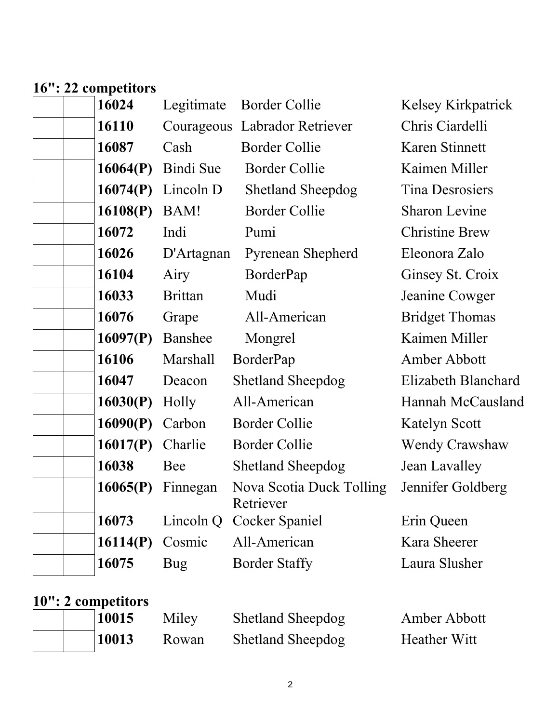#### **16": 22 competitors**

| 16024    | Legitimate     | <b>Border Collie</b>                  | Kelsey Kirkpatrick    |
|----------|----------------|---------------------------------------|-----------------------|
| 16110    |                | Courageous Labrador Retriever         | Chris Ciardelli       |
| 16087    | Cash           | <b>Border Collie</b>                  | Karen Stinnett        |
| 16064(P) | Bindi Sue      | <b>Border Collie</b>                  | Kaimen Miller         |
| 16074(P) | Lincoln D      | <b>Shetland Sheepdog</b>              | Tina Desrosiers       |
| 16108(P) | BAM!           | <b>Border Collie</b>                  | <b>Sharon Levine</b>  |
| 16072    | Indi           | Pumi                                  | <b>Christine Brew</b> |
| 16026    | D'Artagnan     | <b>Pyrenean Shepherd</b>              | Eleonora Zalo         |
| 16104    | Airy           | BorderPap                             | Ginsey St. Croix      |
| 16033    | <b>Brittan</b> | Mudi                                  | Jeanine Cowger        |
| 16076    | Grape          | All-American                          | <b>Bridget Thomas</b> |
| 16097(P) | Banshee        | Mongrel                               | Kaimen Miller         |
| 16106    | Marshall       | BorderPap                             | Amber Abbott          |
| 16047    | Deacon         | <b>Shetland Sheepdog</b>              | Elizabeth Blanchard   |
| 16030(P) | Holly          | All-American                          | Hannah McCausland     |
| 16090(P) | Carbon         | <b>Border Collie</b>                  | Katelyn Scott         |
| 16017(P) | Charlie        | <b>Border Collie</b>                  | <b>Wendy Crawshaw</b> |
| 16038    | Bee            | <b>Shetland Sheepdog</b>              | Jean Lavalley         |
| 16065(P) | Finnegan       | Nova Scotia Duck Tolling<br>Retriever | Jennifer Goldberg     |
| 16073    | Lincoln Q      | Cocker Spaniel                        | Erin Queen            |
| 16114(P) | Cosmic         | All-American                          | Kara Sheerer          |
| 16075    | <b>Bug</b>     | <b>Border Staffy</b>                  | Laura Slusher         |
|          |                |                                       |                       |

# **10": 2 competitors**

| 10015 | Miley | <b>Shetland Sheepdog</b> | Amber Abbott        |
|-------|-------|--------------------------|---------------------|
| 10013 | Rowan | <b>Shetland Sheepdog</b> | <b>Heather Witt</b> |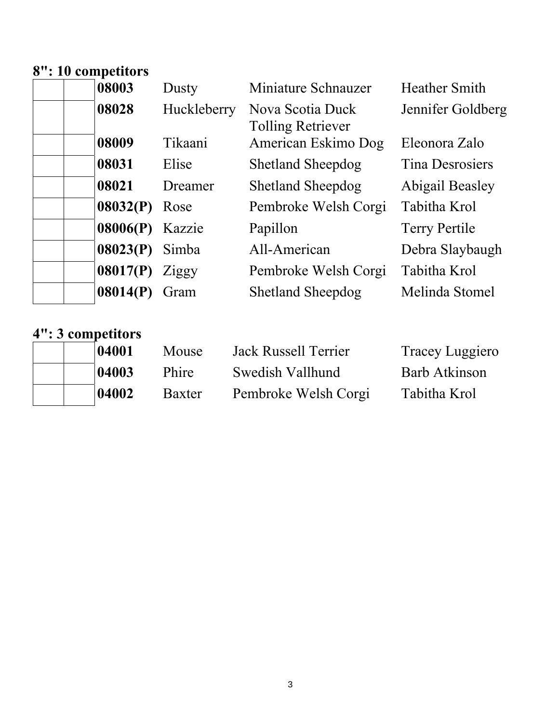#### **8": 10 competitors**

| 08003    | Dusty       | Miniature Schnauzer                          | <b>Heather Smith</b>   |
|----------|-------------|----------------------------------------------|------------------------|
| 08028    | Huckleberry | Nova Scotia Duck<br><b>Tolling Retriever</b> | Jennifer Goldberg      |
| 08009    | Tikaani     | American Eskimo Dog                          | Eleonora Zalo          |
| 08031    | Elise       | <b>Shetland Sheepdog</b>                     | <b>Tina Desrosiers</b> |
| 08021    | Dreamer     | <b>Shetland Sheepdog</b>                     | Abigail Beasley        |
| 08032(P) | Rose        | Pembroke Welsh Corgi                         | Tabitha Krol           |
|          |             | Papillon                                     | <b>Terry Pertile</b>   |
| 08023(P) | Simba       | All-American                                 | Debra Slaybaugh        |
| 08017(P) | Ziggy       | Pembroke Welsh Corgi                         | Tabitha Krol           |
| 08014(P) | Gram        | <b>Shetland Sheepdog</b>                     | Melinda Stomel         |
|          |             | 08006(P)<br>Kazzie                           |                        |

# **4": 3 competitors**

|  | 04001 | Mouse  | Jack Russell Terrier | Tracey Luggiero |
|--|-------|--------|----------------------|-----------------|
|  | 04003 | Phire  | Swedish Vallhund     | Barb Atkinson   |
|  | 04002 | Baxter | Pembroke Welsh Corgi | Tabitha Krol    |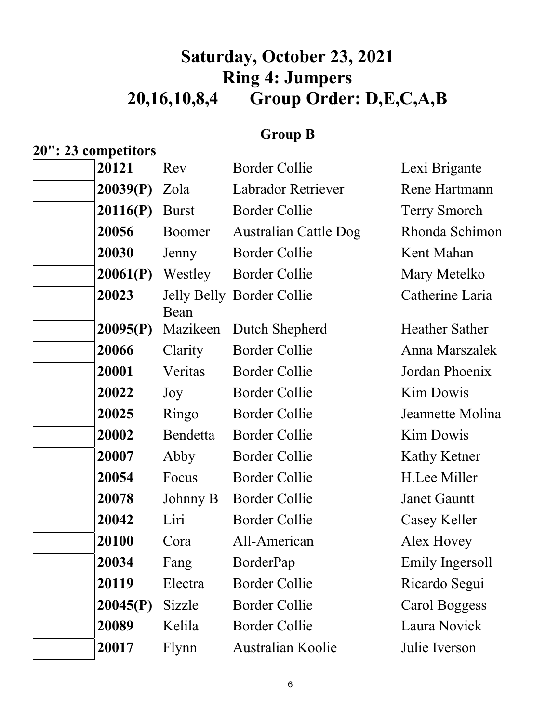## **Saturday, October 23, 2021 Ring 4: Jumpers 20,16,10,8,4 Group Order: D,E,C,A,B**

#### **Group B**

**20": 23 competitors** 

## 20121 Rev Border Collie Lexi Brigante **20039(P)** Zola Labrador Retriever Rene Hartmann **20116(P)** Burst Border Collie Terry Smorch  **20056** Boomer Australian Cattle Dog Rhonda Schimon **20030** Jenny Border Collie Kent Mahan **20061(P)** Westley Border Collie Mary Metelko **20023** Jelly Belly Border Collie Catherine Laria Bean **20095(P)** Mazikeen Dutch Shepherd Heather Sather  **20066** Clarity Border Collie Anna Marszalek  **20001** Veritas Border Collie Jordan Phoenix 20022 Joy Border Collie Kim Dowis  **20025** Ringo Border Collie Jeannette Molina **20002** Bendetta Border Collie Kim Dowis **20007** Abby Border Collie Kathy Ketner  **20054** Focus Border Collie H.Lee Miller  **20078** Johnny B Border Collie Janet Gauntt 20042 Liri Border Collie Casey Keller **20100** Cora All-American Alex Hovey **20034** Fang BorderPap Emily Ingersoll 20119 Electra Border Collie Ricardo Segui **20045(P)** Sizzle Border Collie Carol Boggess  **20089** Kelila Border Collie Laura Novick  **20017** Flynn Australian Koolie Julie Iverson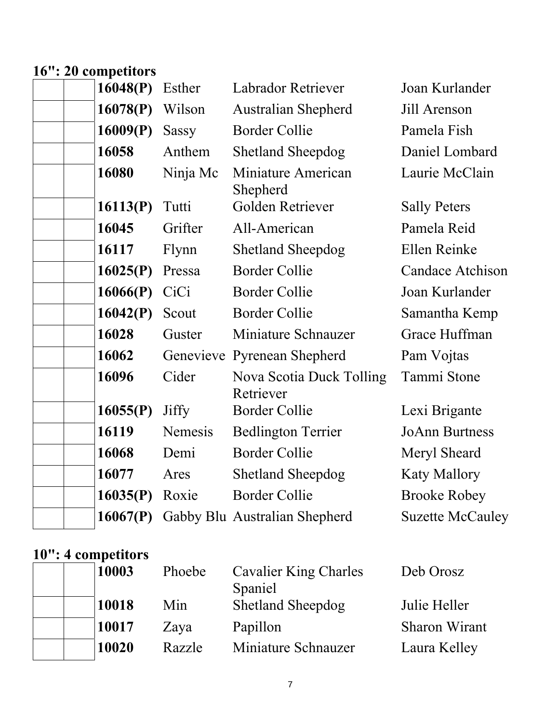### **16": 20 competitors**

| 16048(P) | Esther       | <b>Labrador Retriever</b>             | Joan Kurlander          |
|----------|--------------|---------------------------------------|-------------------------|
| 16078(P) | Wilson       | <b>Australian Shepherd</b>            | Jill Arenson            |
| 16009(P) | <b>Sassy</b> | <b>Border Collie</b>                  | Pamela Fish             |
| 16058    | Anthem       | <b>Shetland Sheepdog</b>              | Daniel Lombard          |
| 16080    | Ninja Mc     | Miniature American<br>Shepherd        | Laurie McClain          |
| 16113(P) | Tutti        | Golden Retriever                      | <b>Sally Peters</b>     |
| 16045    | Grifter      | All-American                          | Pamela Reid             |
| 16117    | Flynn        | <b>Shetland Sheepdog</b>              | Ellen Reinke            |
| 16025(P) | Pressa       | <b>Border Collie</b>                  | <b>Candace Atchison</b> |
| 16066(P) | CiCi         | <b>Border Collie</b>                  | Joan Kurlander          |
| 16042(P) | Scout        | <b>Border Collie</b>                  | Samantha Kemp           |
| 16028    | Guster       | Miniature Schnauzer                   | Grace Huffman           |
| 16062    |              | Genevieve Pyrenean Shepherd           | Pam Vojtas              |
| 16096    | Cider        | Nova Scotia Duck Tolling<br>Retriever | Tammi Stone             |
| 16055(P) | <b>Jiffy</b> | <b>Border Collie</b>                  | Lexi Brigante           |
| 16119    | Nemesis      | <b>Bedlington Terrier</b>             | <b>JoAnn Burtness</b>   |
| 16068    | Demi         | <b>Border Collie</b>                  | Meryl Sheard            |
| 16077    | Ares         | <b>Shetland Sheepdog</b>              | <b>Katy Mallory</b>     |
| 16035(P) | Roxie        | <b>Border Collie</b>                  | <b>Brooke Robey</b>     |
| 16067(P) |              | Gabby Blu Australian Shepherd         | <b>Suzette McCauley</b> |
|          |              |                                       |                         |

# **10": 4 competitors**

| 10003 | Phoebe | Cavalier King Charles<br>Spaniel | Deb Orosz            |
|-------|--------|----------------------------------|----------------------|
| 10018 | Min    | <b>Shetland Sheepdog</b>         | Julie Heller         |
| 10017 | Zaya   | Papillon                         | <b>Sharon Wirant</b> |
| 10020 | Razzle | Miniature Schnauzer              | Laura Kelley         |